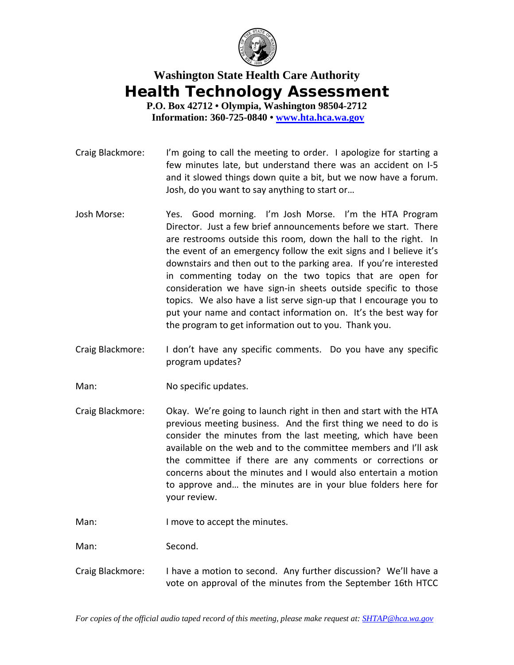

## **Washington State Health Care Authority Health Technology Assessment**

**P.O. Box 42712 • Olympia, Washington 98504-2712 Information: 360-725-0840 • www.hta.hca.wa.gov**

- Craig Blackmore: I'm going to call the meeting to order. I apologize for starting a few minutes late, but understand there was an accident on I‐5 and it slowed things down quite a bit, but we now have a forum. Josh, do you want to say anything to start or…
- Josh Morse: Yes. Good morning. I'm Josh Morse. I'm the HTA Program Director. Just a few brief announcements before we start. There are restrooms outside this room, down the hall to the right. In the event of an emergency follow the exit signs and I believe it's downstairs and then out to the parking area. If you're interested in commenting today on the two topics that are open for consideration we have sign‐in sheets outside specific to those topics. We also have a list serve sign‐up that I encourage you to put your name and contact information on. It's the best way for the program to get information out to you. Thank you.
- Craig Blackmore: I don't have any specific comments. Do you have any specific program updates?
- Man: No specific updates.
- Craig Blackmore: Okay. We're going to launch right in then and start with the HTA previous meeting business. And the first thing we need to do is consider the minutes from the last meeting, which have been available on the web and to the committee members and I'll ask the committee if there are any comments or corrections or concerns about the minutes and I would also entertain a motion to approve and… the minutes are in your blue folders here for your review.
- Man: I move to accept the minutes.

Man: Second.

Craig Blackmore: I have a motion to second. Any further discussion? We'll have a vote on approval of the minutes from the September 16th HTCC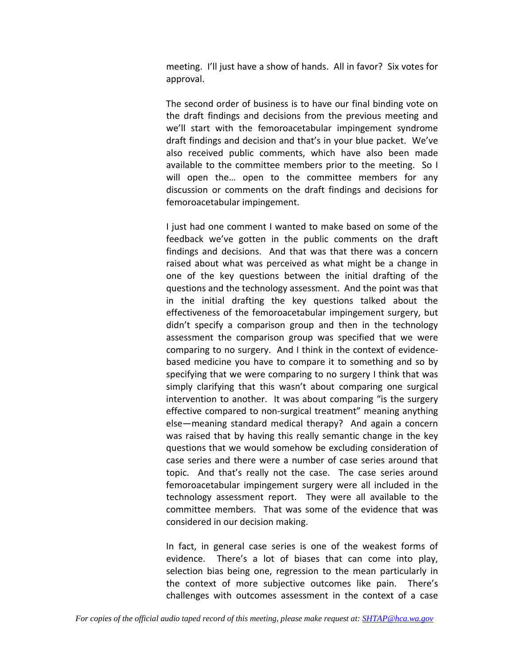meeting. I'll just have a show of hands. All in favor? Six votes for approval.

The second order of business is to have our final binding vote on the draft findings and decisions from the previous meeting and we'll start with the femoroacetabular impingement syndrome draft findings and decision and that's in your blue packet. We've also received public comments, which have also been made available to the committee members prior to the meeting. So I will open the… open to the committee members for any discussion or comments on the draft findings and decisions for femoroacetabular impingement.

I just had one comment I wanted to make based on some of the feedback we've gotten in the public comments on the draft findings and decisions. And that was that there was a concern raised about what was perceived as what might be a change in one of the key questions between the initial drafting of the questions and the technology assessment. And the point was that in the initial drafting the key questions talked about the effectiveness of the femoroacetabular impingement surgery, but didn't specify a comparison group and then in the technology assessment the comparison group was specified that we were comparing to no surgery. And I think in the context of evidence‐ based medicine you have to compare it to something and so by specifying that we were comparing to no surgery I think that was simply clarifying that this wasn't about comparing one surgical intervention to another. It was about comparing "is the surgery effective compared to non‐surgical treatment" meaning anything else—meaning standard medical therapy? And again a concern was raised that by having this really semantic change in the key questions that we would somehow be excluding consideration of case series and there were a number of case series around that topic. And that's really not the case. The case series around femoroacetabular impingement surgery were all included in the technology assessment report. They were all available to the committee members. That was some of the evidence that was considered in our decision making.

In fact, in general case series is one of the weakest forms of evidence. There's a lot of biases that can come into play, selection bias being one, regression to the mean particularly in the context of more subjective outcomes like pain. There's challenges with outcomes assessment in the context of a case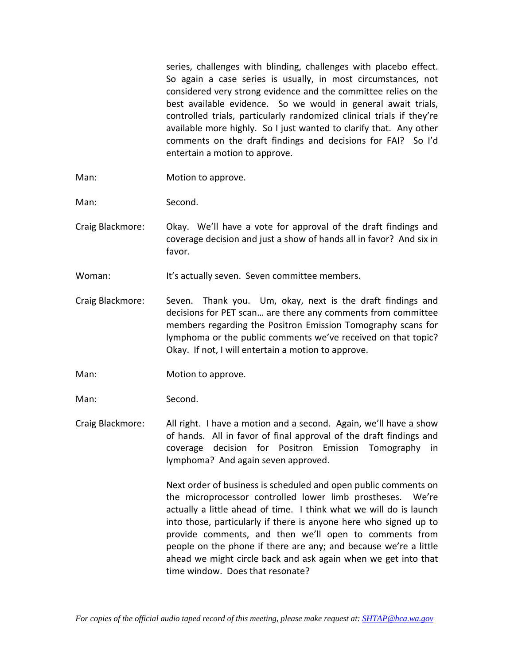series, challenges with blinding, challenges with placebo effect. So again a case series is usually, in most circumstances, not considered very strong evidence and the committee relies on the best available evidence. So we would in general await trials, controlled trials, particularly randomized clinical trials if they're available more highly. So I just wanted to clarify that. Any other comments on the draft findings and decisions for FAI? So I'd entertain a motion to approve.

- Man: Motion to approve.
- Man: Second.
- Craig Blackmore: Okay. We'll have a vote for approval of the draft findings and coverage decision and just a show of hands all in favor? And six in favor.
- Woman: It's actually seven. Seven committee members.
- Craig Blackmore: Seven. Thank you. Um, okay, next is the draft findings and decisions for PET scan… are there any comments from committee members regarding the Positron Emission Tomography scans for lymphoma or the public comments we've received on that topic? Okay. If not, I will entertain a motion to approve.
- Man: Motion to approve.
- Man: Second.
- Craig Blackmore: All right. I have a motion and a second. Again, we'll have a show of hands. All in favor of final approval of the draft findings and coverage decision for Positron Emission Tomography in lymphoma? And again seven approved.

Next order of business is scheduled and open public comments on the microprocessor controlled lower limb prostheses. We're actually a little ahead of time. I think what we will do is launch into those, particularly if there is anyone here who signed up to provide comments, and then we'll open to comments from people on the phone if there are any; and because we're a little ahead we might circle back and ask again when we get into that time window. Does that resonate?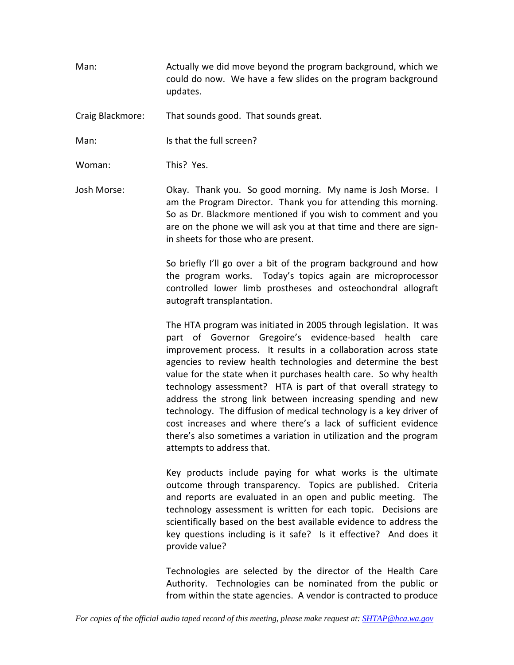Man: Actually we did move beyond the program background, which we could do now. We have a few slides on the program background updates.

Craig Blackmore: That sounds good. That sounds great.

Man: Is that the full screen?

Woman: This? Yes.

Josh Morse: Okay. Thank you. So good morning. My name is Josh Morse. I am the Program Director. Thank you for attending this morning. So as Dr. Blackmore mentioned if you wish to comment and you are on the phone we will ask you at that time and there are signin sheets for those who are present.

> So briefly I'll go over a bit of the program background and how the program works. Today's topics again are microprocessor controlled lower limb prostheses and osteochondral allograft autograft transplantation.

> The HTA program was initiated in 2005 through legislation. It was part of Governor Gregoire's evidence‐based health care improvement process. It results in a collaboration across state agencies to review health technologies and determine the best value for the state when it purchases health care. So why health technology assessment? HTA is part of that overall strategy to address the strong link between increasing spending and new technology. The diffusion of medical technology is a key driver of cost increases and where there's a lack of sufficient evidence there's also sometimes a variation in utilization and the program attempts to address that.

> Key products include paying for what works is the ultimate outcome through transparency. Topics are published. Criteria and reports are evaluated in an open and public meeting. The technology assessment is written for each topic. Decisions are scientifically based on the best available evidence to address the key questions including is it safe? Is it effective? And does it provide value?

> Technologies are selected by the director of the Health Care Authority. Technologies can be nominated from the public or from within the state agencies. A vendor is contracted to produce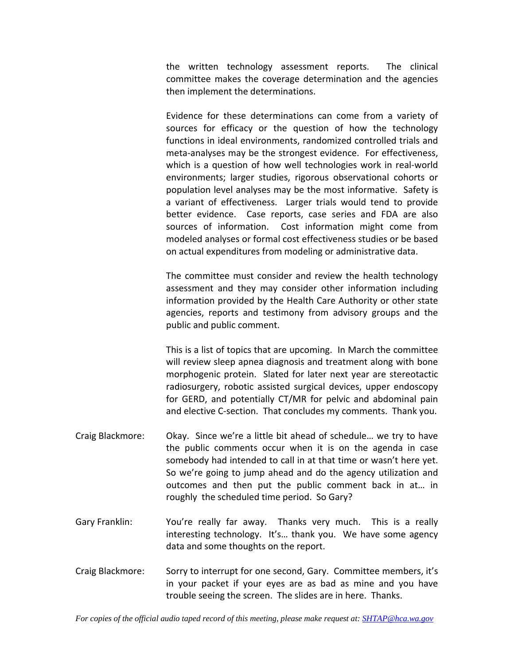the written technology assessment reports. The clinical committee makes the coverage determination and the agencies then implement the determinations.

Evidence for these determinations can come from a variety of sources for efficacy or the question of how the technology functions in ideal environments, randomized controlled trials and meta-analyses may be the strongest evidence. For effectiveness, which is a question of how well technologies work in real-world environments; larger studies, rigorous observational cohorts or population level analyses may be the most informative. Safety is a variant of effectiveness. Larger trials would tend to provide better evidence. Case reports, case series and FDA are also sources of information. Cost information might come from modeled analyses or formal cost effectiveness studies or be based on actual expenditures from modeling or administrative data.

The committee must consider and review the health technology assessment and they may consider other information including information provided by the Health Care Authority or other state agencies, reports and testimony from advisory groups and the public and public comment.

This is a list of topics that are upcoming. In March the committee will review sleep apnea diagnosis and treatment along with bone morphogenic protein. Slated for later next year are stereotactic radiosurgery, robotic assisted surgical devices, upper endoscopy for GERD, and potentially CT/MR for pelvic and abdominal pain and elective C-section. That concludes my comments. Thank you.

- Craig Blackmore: Okay. Since we're a little bit ahead of schedule… we try to have the public comments occur when it is on the agenda in case somebody had intended to call in at that time or wasn't here yet. So we're going to jump ahead and do the agency utilization and outcomes and then put the public comment back in at… in roughly the scheduled time period. So Gary?
- Gary Franklin: You're really far away. Thanks very much. This is a really interesting technology. It's… thank you. We have some agency data and some thoughts on the report.
- Craig Blackmore: Sorry to interrupt for one second, Gary. Committee members, it's in your packet if your eyes are as bad as mine and you have trouble seeing the screen. The slides are in here. Thanks.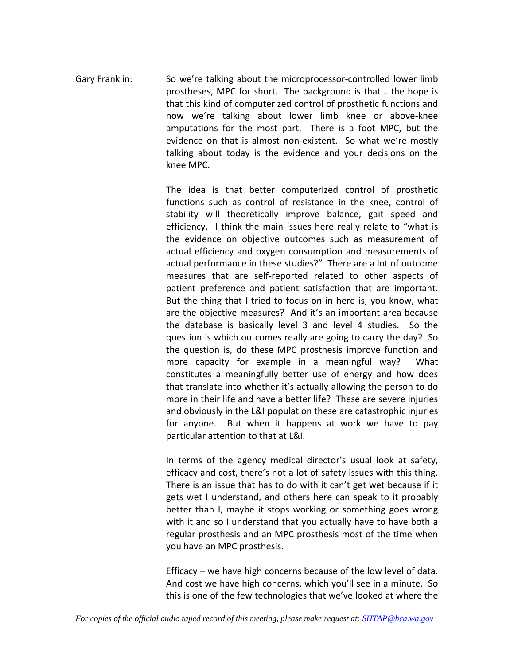Gary Franklin: So we're talking about the microprocessor-controlled lower limb prostheses, MPC for short. The background is that… the hope is that this kind of computerized control of prosthetic functions and now we're talking about lower limb knee or above‐knee amputations for the most part. There is a foot MPC, but the evidence on that is almost non-existent. So what we're mostly talking about today is the evidence and your decisions on the knee MPC.

> The idea is that better computerized control of prosthetic functions such as control of resistance in the knee, control of stability will theoretically improve balance, gait speed and efficiency. I think the main issues here really relate to "what is the evidence on objective outcomes such as measurement of actual efficiency and oxygen consumption and measurements of actual performance in these studies?" There are a lot of outcome measures that are self‐reported related to other aspects of patient preference and patient satisfaction that are important. But the thing that I tried to focus on in here is, you know, what are the objective measures? And it's an important area because the database is basically level 3 and level 4 studies. So the question is which outcomes really are going to carry the day? So the question is, do these MPC prosthesis improve function and more capacity for example in a meaningful way? What constitutes a meaningfully better use of energy and how does that translate into whether it's actually allowing the person to do more in their life and have a better life? These are severe injuries and obviously in the L&I population these are catastrophic injuries for anyone. But when it happens at work we have to pay particular attention to that at L&I.

> In terms of the agency medical director's usual look at safety, efficacy and cost, there's not a lot of safety issues with this thing. There is an issue that has to do with it can't get wet because if it gets wet I understand, and others here can speak to it probably better than I, maybe it stops working or something goes wrong with it and so I understand that you actually have to have both a regular prosthesis and an MPC prosthesis most of the time when you have an MPC prosthesis.

> Efficacy – we have high concerns because of the low level of data. And cost we have high concerns, which you'll see in a minute. So this is one of the few technologies that we've looked at where the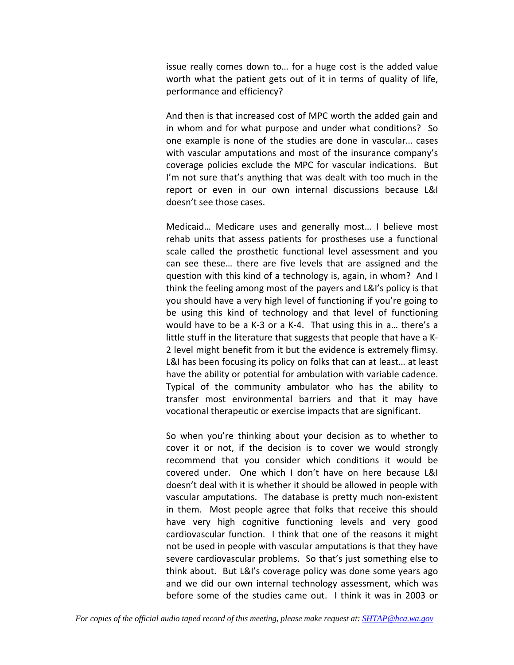issue really comes down to… for a huge cost is the added value worth what the patient gets out of it in terms of quality of life, performance and efficiency?

And then is that increased cost of MPC worth the added gain and in whom and for what purpose and under what conditions? So one example is none of the studies are done in vascular… cases with vascular amputations and most of the insurance company's coverage policies exclude the MPC for vascular indications. But I'm not sure that's anything that was dealt with too much in the report or even in our own internal discussions because L&I doesn't see those cases.

Medicaid… Medicare uses and generally most… I believe most rehab units that assess patients for prostheses use a functional scale called the prosthetic functional level assessment and you can see these… there are five levels that are assigned and the question with this kind of a technology is, again, in whom? And I think the feeling among most of the payers and L&I's policy is that you should have a very high level of functioning if you're going to be using this kind of technology and that level of functioning would have to be a K‐3 or a K‐4. That using this in a… there's a little stuff in the literature that suggests that people that have a K‐ 2 level might benefit from it but the evidence is extremely flimsy. L&I has been focusing its policy on folks that can at least… at least have the ability or potential for ambulation with variable cadence. Typical of the community ambulator who has the ability to transfer most environmental barriers and that it may have vocational therapeutic or exercise impacts that are significant.

So when you're thinking about your decision as to whether to cover it or not, if the decision is to cover we would strongly recommend that you consider which conditions it would be covered under. One which I don't have on here because L&I doesn't deal with it is whether it should be allowed in people with vascular amputations. The database is pretty much non‐existent in them. Most people agree that folks that receive this should have very high cognitive functioning levels and very good cardiovascular function. I think that one of the reasons it might not be used in people with vascular amputations is that they have severe cardiovascular problems. So that's just something else to think about. But L&I's coverage policy was done some years ago and we did our own internal technology assessment, which was before some of the studies came out. I think it was in 2003 or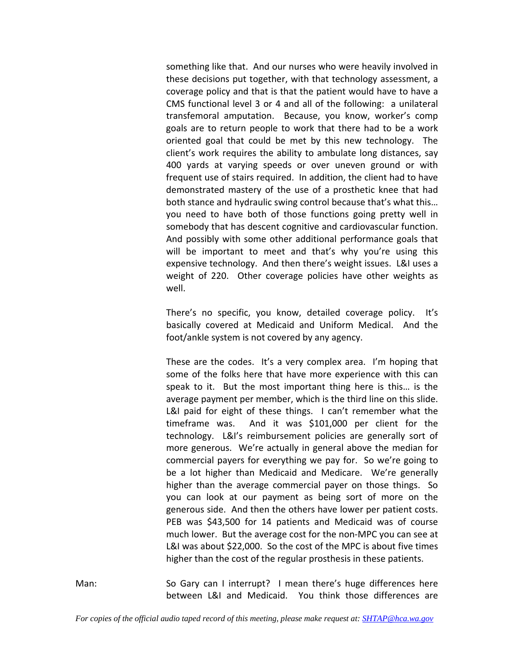something like that. And our nurses who were heavily involved in these decisions put together, with that technology assessment, a coverage policy and that is that the patient would have to have a CMS functional level 3 or 4 and all of the following: a unilateral transfemoral amputation. Because, you know, worker's comp goals are to return people to work that there had to be a work oriented goal that could be met by this new technology. The client's work requires the ability to ambulate long distances, say 400 yards at varying speeds or over uneven ground or with frequent use of stairs required. In addition, the client had to have demonstrated mastery of the use of a prosthetic knee that had both stance and hydraulic swing control because that's what this… you need to have both of those functions going pretty well in somebody that has descent cognitive and cardiovascular function. And possibly with some other additional performance goals that will be important to meet and that's why you're using this expensive technology. And then there's weight issues. L&I uses a weight of 220. Other coverage policies have other weights as well.

There's no specific, you know, detailed coverage policy. It's basically covered at Medicaid and Uniform Medical. And the foot/ankle system is not covered by any agency.

These are the codes. It's a very complex area. I'm hoping that some of the folks here that have more experience with this can speak to it. But the most important thing here is this... is the average payment per member, which is the third line on this slide. L&I paid for eight of these things. I can't remember what the timeframe was. And it was \$101,000 per client for the technology. L&I's reimbursement policies are generally sort of more generous. We're actually in general above the median for commercial payers for everything we pay for. So we're going to be a lot higher than Medicaid and Medicare. We're generally higher than the average commercial payer on those things. So you can look at our payment as being sort of more on the generous side. And then the others have lower per patient costs. PEB was \$43,500 for 14 patients and Medicaid was of course much lower. But the average cost for the non‐MPC you can see at L&I was about \$22,000. So the cost of the MPC is about five times higher than the cost of the regular prosthesis in these patients.

Man: So Gary can I interrupt? I mean there's huge differences here between L&I and Medicaid. You think those differences are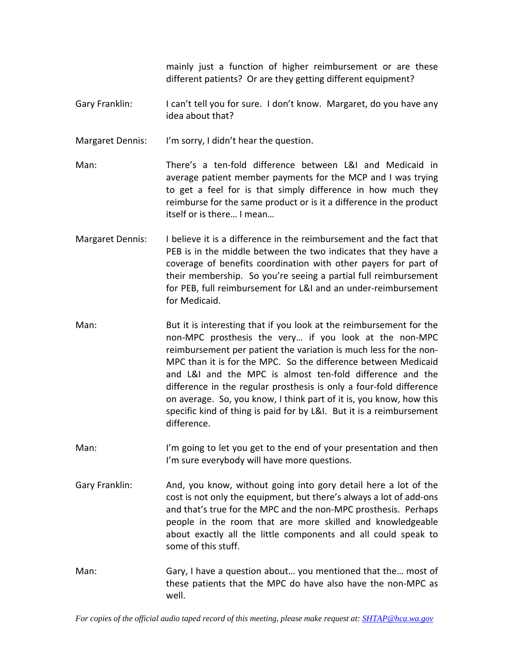mainly just a function of higher reimbursement or are these different patients? Or are they getting different equipment?

Gary Franklin: I can't tell you for sure. I don't know. Margaret, do you have any idea about that?

Margaret Dennis: I'm sorry, I didn't hear the question.

- Man: There's a ten‐fold difference between L&I and Medicaid in average patient member payments for the MCP and I was trying to get a feel for is that simply difference in how much they reimburse for the same product or is it a difference in the product itself or is there… I mean…
- Margaret Dennis: I believe it is a difference in the reimbursement and the fact that PEB is in the middle between the two indicates that they have a coverage of benefits coordination with other payers for part of their membership. So you're seeing a partial full reimbursement for PEB, full reimbursement for L&I and an under‐reimbursement for Medicaid.
- Man: But it is interesting that if you look at the reimbursement for the non‐MPC prosthesis the very… if you look at the non‐MPC reimbursement per patient the variation is much less for the non‐ MPC than it is for the MPC. So the difference between Medicaid and L&I and the MPC is almost ten-fold difference and the difference in the regular prosthesis is only a four‐fold difference on average. So, you know, I think part of it is, you know, how this specific kind of thing is paid for by L&I. But it is a reimbursement difference.
- Man: I'm going to let you get to the end of your presentation and then I'm sure everybody will have more questions.
- Gary Franklin: And, you know, without going into gory detail here a lot of the cost is not only the equipment, but there's always a lot of add‐ons and that's true for the MPC and the non‐MPC prosthesis. Perhaps people in the room that are more skilled and knowledgeable about exactly all the little components and all could speak to some of this stuff.
- Man: Gary, I have a question about... you mentioned that the... most of these patients that the MPC do have also have the non‐MPC as well.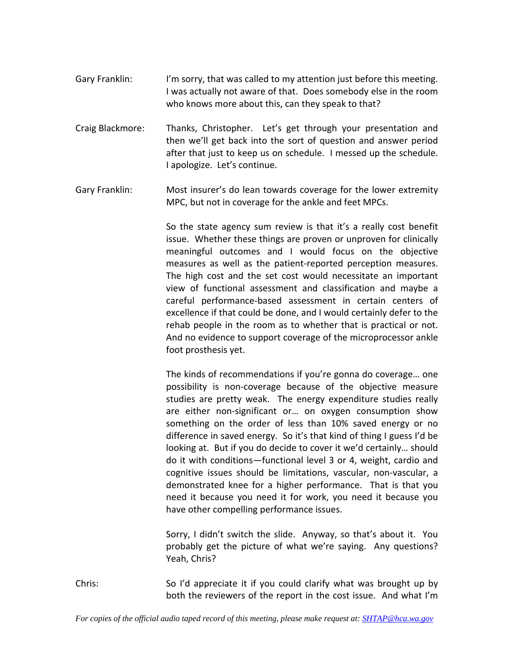- Gary Franklin: I'm sorry, that was called to my attention just before this meeting. I was actually not aware of that. Does somebody else in the room who knows more about this, can they speak to that?
- Craig Blackmore: Thanks, Christopher. Let's get through your presentation and then we'll get back into the sort of question and answer period after that just to keep us on schedule. I messed up the schedule. I apologize. Let's continue.
- Gary Franklin: Most insurer's do lean towards coverage for the lower extremity MPC, but not in coverage for the ankle and feet MPCs.

So the state agency sum review is that it's a really cost benefit issue. Whether these things are proven or unproven for clinically meaningful outcomes and I would focus on the objective measures as well as the patient‐reported perception measures. The high cost and the set cost would necessitate an important view of functional assessment and classification and maybe a careful performance‐based assessment in certain centers of excellence if that could be done, and I would certainly defer to the rehab people in the room as to whether that is practical or not. And no evidence to support coverage of the microprocessor ankle foot prosthesis yet.

The kinds of recommendations if you're gonna do coverage… one possibility is non‐coverage because of the objective measure studies are pretty weak. The energy expenditure studies really are either non‐significant or… on oxygen consumption show something on the order of less than 10% saved energy or no difference in saved energy. So it's that kind of thing I guess I'd be looking at. But if you do decide to cover it we'd certainly… should do it with conditions—functional level 3 or 4, weight, cardio and cognitive issues should be limitations, vascular, non‐vascular, a demonstrated knee for a higher performance. That is that you need it because you need it for work, you need it because you have other compelling performance issues.

Sorry, I didn't switch the slide. Anyway, so that's about it. You probably get the picture of what we're saying. Any questions? Yeah, Chris?

Chris: So I'd appreciate it if you could clarify what was brought up by both the reviewers of the report in the cost issue. And what I'm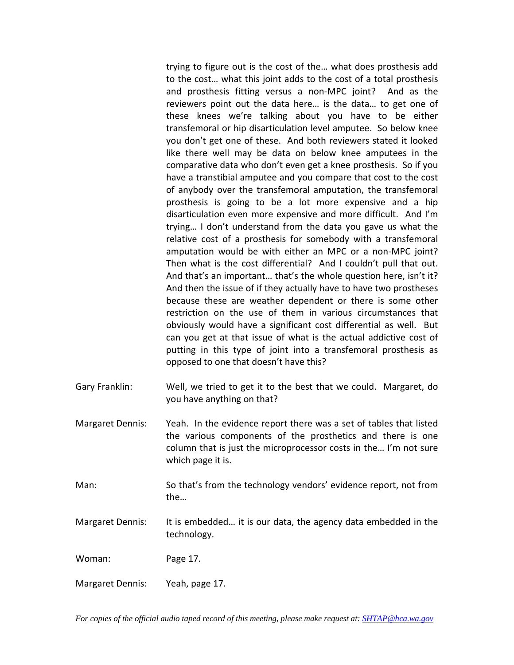trying to figure out is the cost of the… what does prosthesis add to the cost… what this joint adds to the cost of a total prosthesis and prosthesis fitting versus a non-MPC joint? And as the reviewers point out the data here… is the data… to get one of these knees we're talking about you have to be either transfemoral or hip disarticulation level amputee. So below knee you don't get one of these. And both reviewers stated it looked like there well may be data on below knee amputees in the comparative data who don't even get a knee prosthesis. So if you have a transtibial amputee and you compare that cost to the cost of anybody over the transfemoral amputation, the transfemoral prosthesis is going to be a lot more expensive and a hip disarticulation even more expensive and more difficult. And I'm trying… I don't understand from the data you gave us what the relative cost of a prosthesis for somebody with a transfemoral amputation would be with either an MPC or a non‐MPC joint? Then what is the cost differential? And I couldn't pull that out. And that's an important… that's the whole question here, isn't it? And then the issue of if they actually have to have two prostheses because these are weather dependent or there is some other restriction on the use of them in various circumstances that obviously would have a significant cost differential as well. But can you get at that issue of what is the actual addictive cost of putting in this type of joint into a transfemoral prosthesis as opposed to one that doesn't have this?

- Gary Franklin: Well, we tried to get it to the best that we could. Margaret, do you have anything on that?
- Margaret Dennis: Yeah. In the evidence report there was a set of tables that listed the various components of the prosthetics and there is one column that is just the microprocessor costs in the… I'm not sure which page it is.
- Man: So that's from the technology vendors' evidence report, not from the…
- Margaret Dennis: It is embedded… it is our data, the agency data embedded in the technology.

Woman: Page 17.

Margaret Dennis: Yeah, page 17.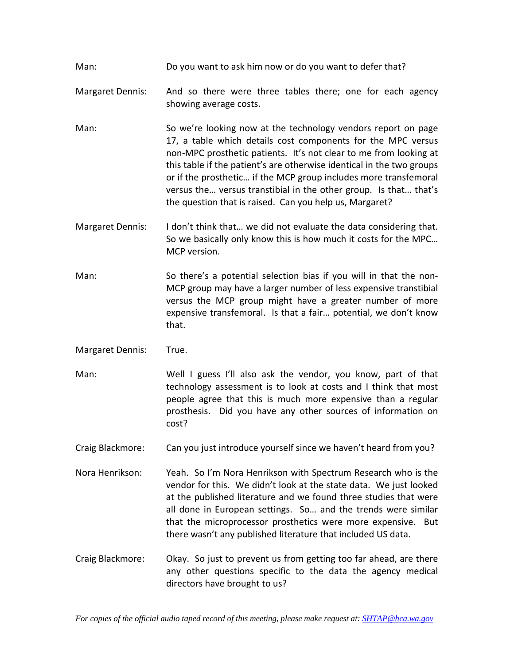Man: Do you want to ask him now or do you want to defer that?

- Margaret Dennis: And so there were three tables there; one for each agency showing average costs.
- Man: So we're looking now at the technology vendors report on page 17, a table which details cost components for the MPC versus non‐MPC prosthetic patients. It's not clear to me from looking at this table if the patient's are otherwise identical in the two groups or if the prosthetic… if the MCP group includes more transfemoral versus the… versus transtibial in the other group. Is that… that's the question that is raised. Can you help us, Margaret?
- Margaret Dennis: I don't think that… we did not evaluate the data considering that. So we basically only know this is how much it costs for the MPC… MCP version.
- Man: So there's a potential selection bias if you will in that the non-MCP group may have a larger number of less expensive transtibial versus the MCP group might have a greater number of more expensive transfemoral. Is that a fair… potential, we don't know that.
- Margaret Dennis: True.
- Man: Well I guess I'll also ask the vendor, you know, part of that technology assessment is to look at costs and I think that most people agree that this is much more expensive than a regular prosthesis. Did you have any other sources of information on cost?
- Craig Blackmore: Can you just introduce yourself since we haven't heard from you?
- Nora Henrikson: Yeah. So I'm Nora Henrikson with Spectrum Research who is the vendor for this. We didn't look at the state data. We just looked at the published literature and we found three studies that were all done in European settings. So... and the trends were similar that the microprocessor prosthetics were more expensive. But there wasn't any published literature that included US data.
- Craig Blackmore: Okay. So just to prevent us from getting too far ahead, are there any other questions specific to the data the agency medical directors have brought to us?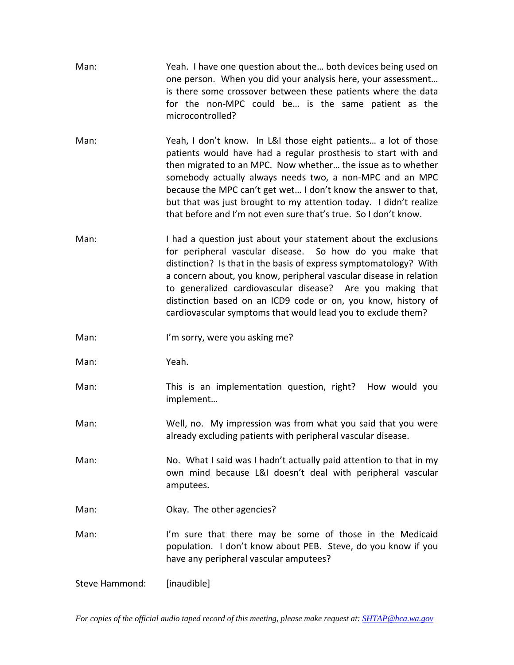| Man: | Yeah. I have one question about the both devices being used on<br>one person. When you did your analysis here, your assessment<br>is there some crossover between these patients where the data<br>for the non-MPC could be is the same patient as the<br>microcontrolled?                                                                                                                                                                                             |
|------|------------------------------------------------------------------------------------------------------------------------------------------------------------------------------------------------------------------------------------------------------------------------------------------------------------------------------------------------------------------------------------------------------------------------------------------------------------------------|
| Man: | Yeah, I don't know. In L&I those eight patients a lot of those<br>patients would have had a regular prosthesis to start with and<br>then migrated to an MPC. Now whether the issue as to whether<br>somebody actually always needs two, a non-MPC and an MPC<br>because the MPC can't get wet I don't know the answer to that,<br>but that was just brought to my attention today. I didn't realize<br>that before and I'm not even sure that's true. So I don't know. |
| Man: | I had a question just about your statement about the exclusions<br>for peripheral vascular disease. So how do you make that<br>distinction? Is that in the basis of express symptomatology? With<br>a concern about, you know, peripheral vascular disease in relation<br>to generalized cardiovascular disease? Are you making that<br>distinction based on an ICD9 code or on, you know, history of<br>cardiovascular symptoms that would lead you to exclude them?  |
| Man: | I'm sorry, were you asking me?                                                                                                                                                                                                                                                                                                                                                                                                                                         |
| Man: | Yeah.                                                                                                                                                                                                                                                                                                                                                                                                                                                                  |
| Man: | This is an implementation question, right? How would you<br>implement                                                                                                                                                                                                                                                                                                                                                                                                  |
| Man: | Well, no. My impression was from what you said that you were<br>already excluding patients with peripheral vascular disease                                                                                                                                                                                                                                                                                                                                            |
| Man: | No. What I said was I hadn't actually paid attention to that in my<br>own mind because L&I doesn't deal with peripheral vascular<br>amputees.                                                                                                                                                                                                                                                                                                                          |
| Man: | Okay. The other agencies?                                                                                                                                                                                                                                                                                                                                                                                                                                              |
| Man: | I'm sure that there may be some of those in the Medicaid<br>population. I don't know about PEB. Steve, do you know if you                                                                                                                                                                                                                                                                                                                                              |
|      | have any peripheral vascular amputees?                                                                                                                                                                                                                                                                                                                                                                                                                                 |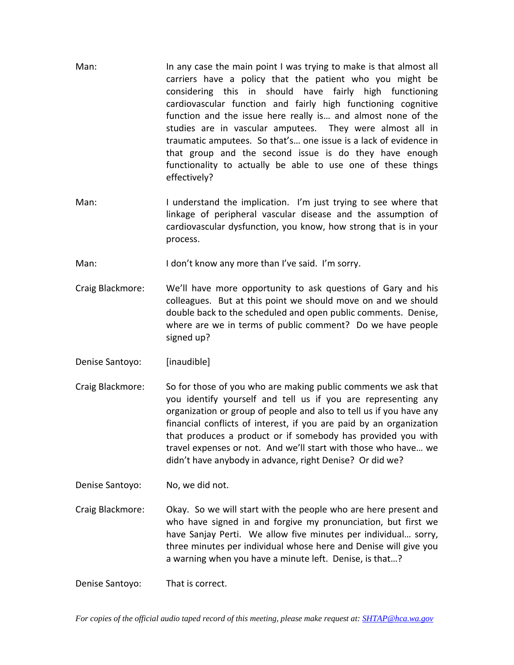- Man: In any case the main point I was trying to make is that almost all carriers have a policy that the patient who you might be considering this in should have fairly high functioning cardiovascular function and fairly high functioning cognitive function and the issue here really is… and almost none of the studies are in vascular amputees. They were almost all in traumatic amputees. So that's… one issue is a lack of evidence in that group and the second issue is do they have enough functionality to actually be able to use one of these things effectively?
- Man: I understand the implication. I'm just trying to see where that linkage of peripheral vascular disease and the assumption of cardiovascular dysfunction, you know, how strong that is in your process.
- Man: I don't know any more than I've said. I'm sorry.
- Craig Blackmore: We'll have more opportunity to ask questions of Gary and his colleagues. But at this point we should move on and we should double back to the scheduled and open public comments. Denise, where are we in terms of public comment? Do we have people signed up?
- Denise Santoyo: [inaudible]
- Craig Blackmore: So for those of you who are making public comments we ask that you identify yourself and tell us if you are representing any organization or group of people and also to tell us if you have any financial conflicts of interest, if you are paid by an organization that produces a product or if somebody has provided you with travel expenses or not. And we'll start with those who have… we didn't have anybody in advance, right Denise? Or did we?
- Denise Santoyo: No, we did not.
- Craig Blackmore: Okay. So we will start with the people who are here present and who have signed in and forgive my pronunciation, but first we have Sanjay Perti. We allow five minutes per individual... sorry, three minutes per individual whose here and Denise will give you a warning when you have a minute left. Denise, is that…?

Denise Santoyo: That is correct.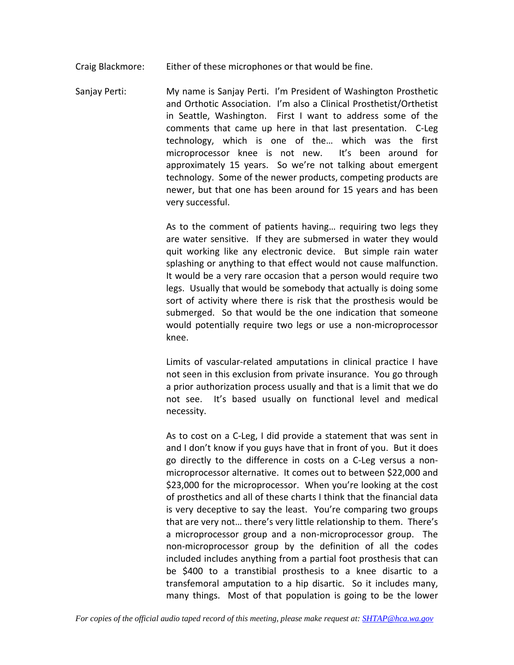Craig Blackmore: Either of these microphones or that would be fine.

Sanjay Perti: My name is Sanjay Perti. I'm President of Washington Prosthetic and Orthotic Association. I'm also a Clinical Prosthetist/Orthetist in Seattle, Washington. First I want to address some of the comments that came up here in that last presentation. C‐Leg technology, which is one of the… which was the first microprocessor knee is not new. It's been around for approximately 15 years. So we're not talking about emergent technology. Some of the newer products, competing products are newer, but that one has been around for 15 years and has been very successful.

> As to the comment of patients having… requiring two legs they are water sensitive. If they are submersed in water they would quit working like any electronic device. But simple rain water splashing or anything to that effect would not cause malfunction. It would be a very rare occasion that a person would require two legs. Usually that would be somebody that actually is doing some sort of activity where there is risk that the prosthesis would be submerged. So that would be the one indication that someone would potentially require two legs or use a non-microprocessor knee.

> Limits of vascular‐related amputations in clinical practice I have not seen in this exclusion from private insurance. You go through a prior authorization process usually and that is a limit that we do not see. It's based usually on functional level and medical necessity.

> As to cost on a C‐Leg, I did provide a statement that was sent in and I don't know if you guys have that in front of you. But it does go directly to the difference in costs on a C‐Leg versus a non‐ microprocessor alternative. It comes out to between \$22,000 and \$23,000 for the microprocessor. When you're looking at the cost of prosthetics and all of these charts I think that the financial data is very deceptive to say the least. You're comparing two groups that are very not… there's very little relationship to them. There's a microprocessor group and a non‐microprocessor group. The non‐microprocessor group by the definition of all the codes included includes anything from a partial foot prosthesis that can be \$400 to a transtibial prosthesis to a knee disartic to a transfemoral amputation to a hip disartic. So it includes many, many things. Most of that population is going to be the lower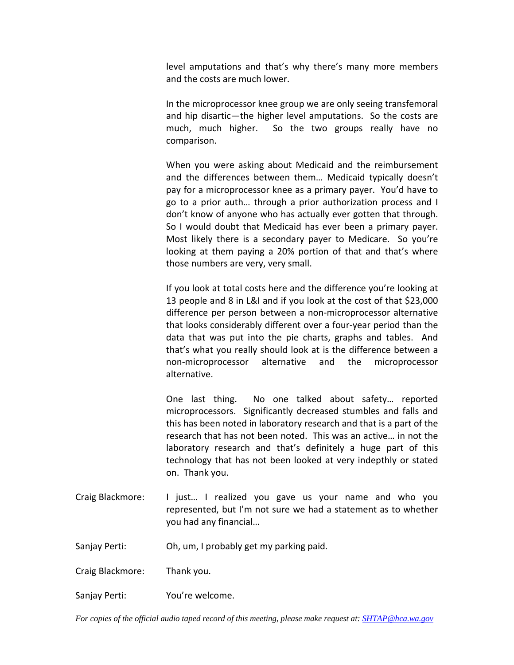level amputations and that's why there's many more members and the costs are much lower.

In the microprocessor knee group we are only seeing transfemoral and hip disartic—the higher level amputations. So the costs are much, much higher. So the two groups really have no comparison.

When you were asking about Medicaid and the reimbursement and the differences between them… Medicaid typically doesn't pay for a microprocessor knee as a primary payer. You'd have to go to a prior auth… through a prior authorization process and I don't know of anyone who has actually ever gotten that through. So I would doubt that Medicaid has ever been a primary payer. Most likely there is a secondary payer to Medicare. So you're looking at them paying a 20% portion of that and that's where those numbers are very, very small.

If you look at total costs here and the difference you're looking at 13 people and 8 in L&I and if you look at the cost of that \$23,000 difference per person between a non‐microprocessor alternative that looks considerably different over a four‐year period than the data that was put into the pie charts, graphs and tables. And that's what you really should look at is the difference between a non‐microprocessor alternative and the microprocessor alternative.

One last thing. No one talked about safety... reported microprocessors. Significantly decreased stumbles and falls and this has been noted in laboratory research and that is a part of the research that has not been noted. This was an active… in not the laboratory research and that's definitely a huge part of this technology that has not been looked at very indepthly or stated on. Thank you.

Craig Blackmore: I just… I realized you gave us your name and who you represented, but I'm not sure we had a statement as to whether you had any financial…

Sanjay Perti: Oh, um, I probably get my parking paid.

Craig Blackmore: Thank you.

Sanjay Perti: You're welcome.

*For copies of the official audio taped record of this meeting, please make request at: SHTAP@hca.wa.gov*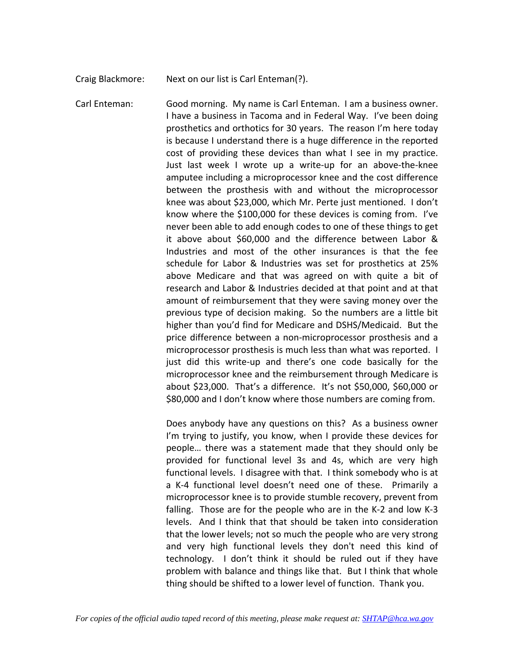Craig Blackmore: Next on our list is Carl Enteman(?).

Carl Enteman: Good morning. My name is Carl Enteman. I am a business owner. I have a business in Tacoma and in Federal Way. I've been doing prosthetics and orthotics for 30 years. The reason I'm here today is because I understand there is a huge difference in the reported cost of providing these devices than what I see in my practice. Just last week I wrote up a write‐up for an above‐the‐knee amputee including a microprocessor knee and the cost difference between the prosthesis with and without the microprocessor knee was about \$23,000, which Mr. Perte just mentioned. I don't know where the \$100,000 for these devices is coming from. I've never been able to add enough codes to one of these things to get it above about \$60,000 and the difference between Labor & Industries and most of the other insurances is that the fee schedule for Labor & Industries was set for prosthetics at 25% above Medicare and that was agreed on with quite a bit of research and Labor & Industries decided at that point and at that amount of reimbursement that they were saving money over the previous type of decision making. So the numbers are a little bit higher than you'd find for Medicare and DSHS/Medicaid. But the price difference between a non‐microprocessor prosthesis and a microprocessor prosthesis is much less than what was reported. I just did this write-up and there's one code basically for the microprocessor knee and the reimbursement through Medicare is about \$23,000. That's a difference. It's not \$50,000, \$60,000 or \$80,000 and I don't know where those numbers are coming from.

> Does anybody have any questions on this? As a business owner I'm trying to justify, you know, when I provide these devices for people… there was a statement made that they should only be provided for functional level 3s and 4s, which are very high functional levels. I disagree with that. I think somebody who is at a K‐4 functional level doesn't need one of these. Primarily a microprocessor knee is to provide stumble recovery, prevent from falling. Those are for the people who are in the K‐2 and low K‐3 levels. And I think that that should be taken into consideration that the lower levels; not so much the people who are very strong and very high functional levels they don't need this kind of technology. I don't think it should be ruled out if they have problem with balance and things like that. But I think that whole thing should be shifted to a lower level of function. Thank you.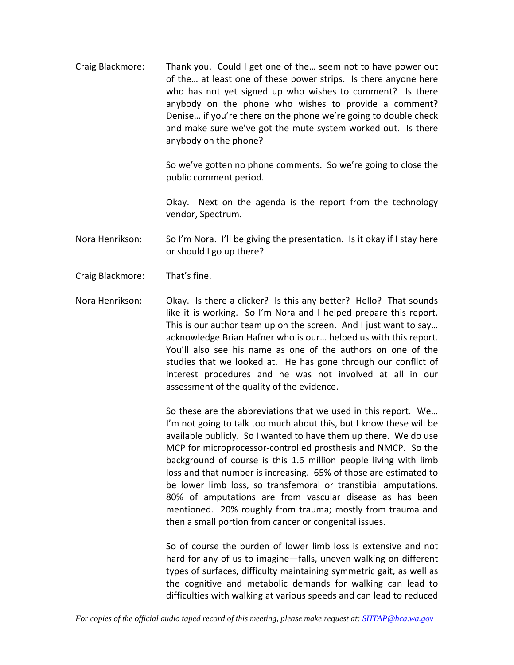Craig Blackmore: Thank you. Could I get one of the… seem not to have power out of the… at least one of these power strips. Is there anyone here who has not yet signed up who wishes to comment? Is there anybody on the phone who wishes to provide a comment? Denise… if you're there on the phone we're going to double check and make sure we've got the mute system worked out. Is there anybody on the phone?

> So we've gotten no phone comments. So we're going to close the public comment period.

> Okay. Next on the agenda is the report from the technology vendor, Spectrum.

Nora Henrikson: So I'm Nora. I'll be giving the presentation. Is it okay if I stay here or should I go up there?

- Craig Blackmore: That's fine.
- Nora Henrikson: Okay. Is there a clicker? Is this any better? Hello? That sounds like it is working. So I'm Nora and I helped prepare this report. This is our author team up on the screen. And I just want to say… acknowledge Brian Hafner who is our… helped us with this report. You'll also see his name as one of the authors on one of the studies that we looked at. He has gone through our conflict of interest procedures and he was not involved at all in our assessment of the quality of the evidence.

So these are the abbreviations that we used in this report. We… I'm not going to talk too much about this, but I know these will be available publicly. So I wanted to have them up there. We do use MCP for microprocessor‐controlled prosthesis and NMCP. So the background of course is this 1.6 million people living with limb loss and that number is increasing. 65% of those are estimated to be lower limb loss, so transfemoral or transtibial amputations. 80% of amputations are from vascular disease as has been mentioned. 20% roughly from trauma; mostly from trauma and then a small portion from cancer or congenital issues.

So of course the burden of lower limb loss is extensive and not hard for any of us to imagine—falls, uneven walking on different types of surfaces, difficulty maintaining symmetric gait, as well as the cognitive and metabolic demands for walking can lead to difficulties with walking at various speeds and can lead to reduced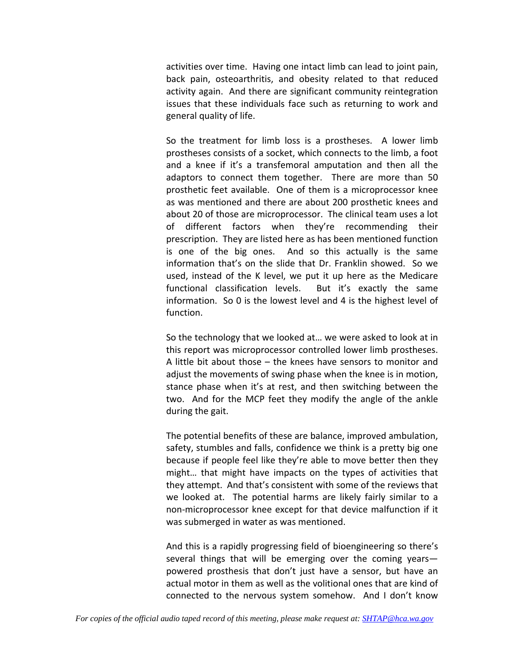activities over time. Having one intact limb can lead to joint pain, back pain, osteoarthritis, and obesity related to that reduced activity again. And there are significant community reintegration issues that these individuals face such as returning to work and general quality of life.

So the treatment for limb loss is a prostheses. A lower limb prostheses consists of a socket, which connects to the limb, a foot and a knee if it's a transfemoral amputation and then all the adaptors to connect them together. There are more than 50 prosthetic feet available. One of them is a microprocessor knee as was mentioned and there are about 200 prosthetic knees and about 20 of those are microprocessor. The clinical team uses a lot of different factors when they're recommending their prescription. They are listed here as has been mentioned function is one of the big ones. And so this actually is the same information that's on the slide that Dr. Franklin showed. So we used, instead of the K level, we put it up here as the Medicare functional classification levels. But it's exactly the same information. So 0 is the lowest level and 4 is the highest level of function.

So the technology that we looked at… we were asked to look at in this report was microprocessor controlled lower limb prostheses. A little bit about those – the knees have sensors to monitor and adjust the movements of swing phase when the knee is in motion, stance phase when it's at rest, and then switching between the two. And for the MCP feet they modify the angle of the ankle during the gait.

The potential benefits of these are balance, improved ambulation, safety, stumbles and falls, confidence we think is a pretty big one because if people feel like they're able to move better then they might… that might have impacts on the types of activities that they attempt. And that's consistent with some of the reviews that we looked at. The potential harms are likely fairly similar to a non‐microprocessor knee except for that device malfunction if it was submerged in water as was mentioned.

And this is a rapidly progressing field of bioengineering so there's several things that will be emerging over the coming years powered prosthesis that don't just have a sensor, but have an actual motor in them as well as the volitional ones that are kind of connected to the nervous system somehow. And I don't know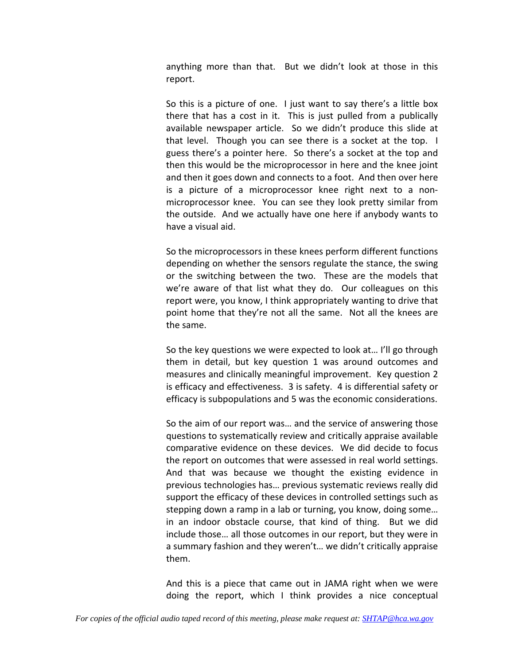anything more than that. But we didn't look at those in this report.

So this is a picture of one. I just want to say there's a little box there that has a cost in it. This is just pulled from a publically available newspaper article. So we didn't produce this slide at that level. Though you can see there is a socket at the top. I guess there's a pointer here. So there's a socket at the top and then this would be the microprocessor in here and the knee joint and then it goes down and connects to a foot. And then over here is a picture of a microprocessor knee right next to a non‐ microprocessor knee. You can see they look pretty similar from the outside. And we actually have one here if anybody wants to have a visual aid.

So the microprocessors in these knees perform different functions depending on whether the sensors regulate the stance, the swing or the switching between the two. These are the models that we're aware of that list what they do. Our colleagues on this report were, you know, I think appropriately wanting to drive that point home that they're not all the same. Not all the knees are the same.

So the key questions we were expected to look at… I'll go through them in detail, but key question 1 was around outcomes and measures and clinically meaningful improvement. Key question 2 is efficacy and effectiveness. 3 is safety. 4 is differential safety or efficacy is subpopulations and 5 was the economic considerations.

So the aim of our report was… and the service of answering those questions to systematically review and critically appraise available comparative evidence on these devices. We did decide to focus the report on outcomes that were assessed in real world settings. And that was because we thought the existing evidence in previous technologies has… previous systematic reviews really did support the efficacy of these devices in controlled settings such as stepping down a ramp in a lab or turning, you know, doing some… in an indoor obstacle course, that kind of thing. But we did include those… all those outcomes in our report, but they were in a summary fashion and they weren't… we didn't critically appraise them.

And this is a piece that came out in JAMA right when we were doing the report, which I think provides a nice conceptual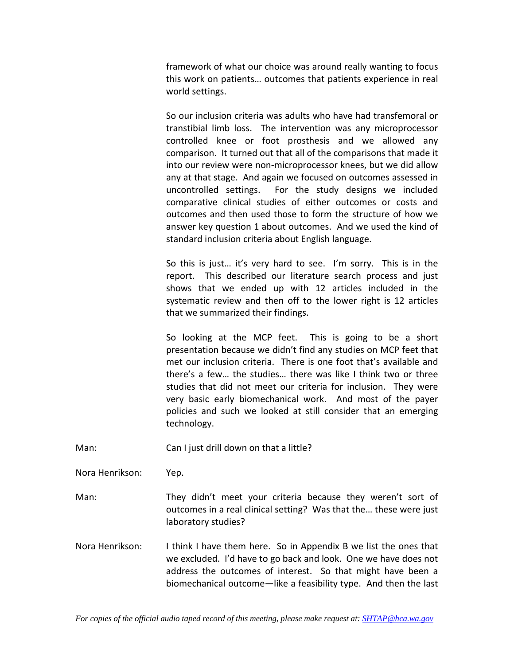framework of what our choice was around really wanting to focus this work on patients… outcomes that patients experience in real world settings.

So our inclusion criteria was adults who have had transfemoral or transtibial limb loss. The intervention was any microprocessor controlled knee or foot prosthesis and we allowed any comparison. It turned out that all of the comparisons that made it into our review were non‐microprocessor knees, but we did allow any at that stage. And again we focused on outcomes assessed in uncontrolled settings. For the study designs we included comparative clinical studies of either outcomes or costs and outcomes and then used those to form the structure of how we answer key question 1 about outcomes. And we used the kind of standard inclusion criteria about English language.

So this is just... it's very hard to see. I'm sorry. This is in the report. This described our literature search process and just shows that we ended up with 12 articles included in the systematic review and then off to the lower right is 12 articles that we summarized their findings.

So looking at the MCP feet. This is going to be a short presentation because we didn't find any studies on MCP feet that met our inclusion criteria. There is one foot that's available and there's a few… the studies… there was like I think two or three studies that did not meet our criteria for inclusion. They were very basic early biomechanical work. And most of the payer policies and such we looked at still consider that an emerging technology.

Man: Can I just drill down on that a little?

Nora Henrikson: Yep.

Man: They didn't meet your criteria because they weren't sort of outcomes in a real clinical setting? Was that the… these were just laboratory studies?

Nora Henrikson: I think I have them here. So in Appendix B we list the ones that we excluded. I'd have to go back and look. One we have does not address the outcomes of interest. So that might have been a biomechanical outcome—like a feasibility type. And then the last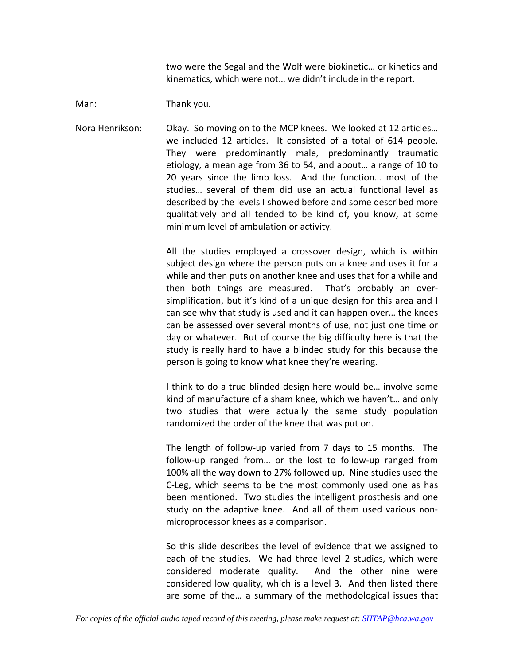two were the Segal and the Wolf were biokinetic… or kinetics and kinematics, which were not… we didn't include in the report.

Man: Thank you.

Nora Henrikson: Okay. So moving on to the MCP knees. We looked at 12 articles… we included 12 articles. It consisted of a total of 614 people. They were predominantly male, predominantly traumatic etiology, a mean age from 36 to 54, and about… a range of 10 to 20 years since the limb loss. And the function... most of the studies… several of them did use an actual functional level as described by the levels I showed before and some described more qualitatively and all tended to be kind of, you know, at some minimum level of ambulation or activity.

> All the studies employed a crossover design, which is within subject design where the person puts on a knee and uses it for a while and then puts on another knee and uses that for a while and then both things are measured. That's probably an over‐ simplification, but it's kind of a unique design for this area and I can see why that study is used and it can happen over… the knees can be assessed over several months of use, not just one time or day or whatever. But of course the big difficulty here is that the study is really hard to have a blinded study for this because the person is going to know what knee they're wearing.

> I think to do a true blinded design here would be… involve some kind of manufacture of a sham knee, which we haven't… and only two studies that were actually the same study population randomized the order of the knee that was put on.

> The length of follow-up varied from 7 days to 15 months. The follow-up ranged from... or the lost to follow-up ranged from 100% all the way down to 27% followed up. Nine studies used the C‐Leg, which seems to be the most commonly used one as has been mentioned. Two studies the intelligent prosthesis and one study on the adaptive knee. And all of them used various non‐ microprocessor knees as a comparison.

> So this slide describes the level of evidence that we assigned to each of the studies. We had three level 2 studies, which were considered moderate quality. And the other nine were considered low quality, which is a level 3. And then listed there are some of the… a summary of the methodological issues that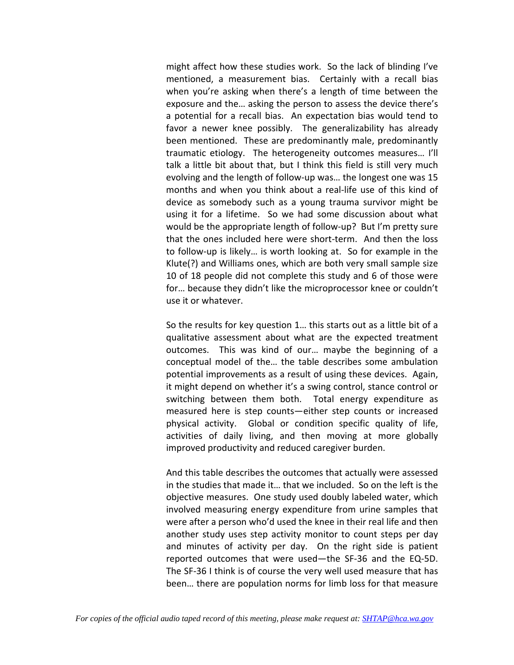might affect how these studies work. So the lack of blinding I've mentioned, a measurement bias. Certainly with a recall bias when you're asking when there's a length of time between the exposure and the… asking the person to assess the device there's a potential for a recall bias. An expectation bias would tend to favor a newer knee possibly. The generalizability has already been mentioned. These are predominantly male, predominantly traumatic etiology. The heterogeneity outcomes measures… I'll talk a little bit about that, but I think this field is still very much evolving and the length of follow‐up was… the longest one was 15 months and when you think about a real‐life use of this kind of device as somebody such as a young trauma survivor might be using it for a lifetime. So we had some discussion about what would be the appropriate length of follow‐up? But I'm pretty sure that the ones included here were short‐term. And then the loss to follow‐up is likely… is worth looking at. So for example in the Klute(?) and Williams ones, which are both very small sample size 10 of 18 people did not complete this study and 6 of those were for… because they didn't like the microprocessor knee or couldn't use it or whatever.

So the results for key question 1… this starts out as a little bit of a qualitative assessment about what are the expected treatment outcomes. This was kind of our… maybe the beginning of a conceptual model of the… the table describes some ambulation potential improvements as a result of using these devices. Again, it might depend on whether it's a swing control, stance control or switching between them both. Total energy expenditure as measured here is step counts—either step counts or increased physical activity. Global or condition specific quality of life, activities of daily living, and then moving at more globally improved productivity and reduced caregiver burden.

And this table describes the outcomes that actually were assessed in the studies that made it… that we included. So on the left is the objective measures. One study used doubly labeled water, which involved measuring energy expenditure from urine samples that were after a person who'd used the knee in their real life and then another study uses step activity monitor to count steps per day and minutes of activity per day. On the right side is patient reported outcomes that were used—the SF‐36 and the EQ‐5D. The SF‐36 I think is of course the very well used measure that has been… there are population norms for limb loss for that measure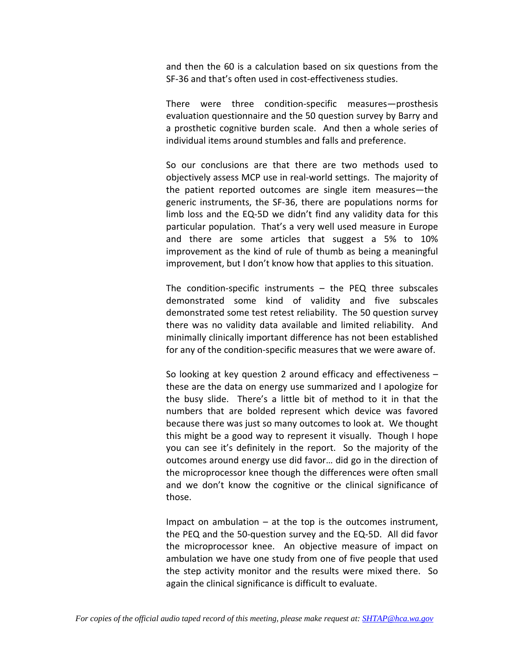and then the 60 is a calculation based on six questions from the SF‐36 and that's often used in cost‐effectiveness studies.

There were three condition‐specific measures—prosthesis evaluation questionnaire and the 50 question survey by Barry and a prosthetic cognitive burden scale. And then a whole series of individual items around stumbles and falls and preference.

So our conclusions are that there are two methods used to objectively assess MCP use in real‐world settings. The majority of the patient reported outcomes are single item measures—the generic instruments, the SF‐36, there are populations norms for limb loss and the EQ‐5D we didn't find any validity data for this particular population. That's a very well used measure in Europe and there are some articles that suggest a 5% to 10% improvement as the kind of rule of thumb as being a meaningful improvement, but I don't know how that applies to this situation.

The condition‐specific instruments – the PEQ three subscales demonstrated some kind of validity and five subscales demonstrated some test retest reliability. The 50 question survey there was no validity data available and limited reliability. And minimally clinically important difference has not been established for any of the condition-specific measures that we were aware of.

So looking at key question 2 around efficacy and effectiveness – these are the data on energy use summarized and I apologize for the busy slide. There's a little bit of method to it in that the numbers that are bolded represent which device was favored because there was just so many outcomes to look at. We thought this might be a good way to represent it visually. Though I hope you can see it's definitely in the report. So the majority of the outcomes around energy use did favor… did go in the direction of the microprocessor knee though the differences were often small and we don't know the cognitive or the clinical significance of those.

Impact on ambulation – at the top is the outcomes instrument, the PEQ and the 50‐question survey and the EQ‐5D. All did favor the microprocessor knee. An objective measure of impact on ambulation we have one study from one of five people that used the step activity monitor and the results were mixed there. So again the clinical significance is difficult to evaluate.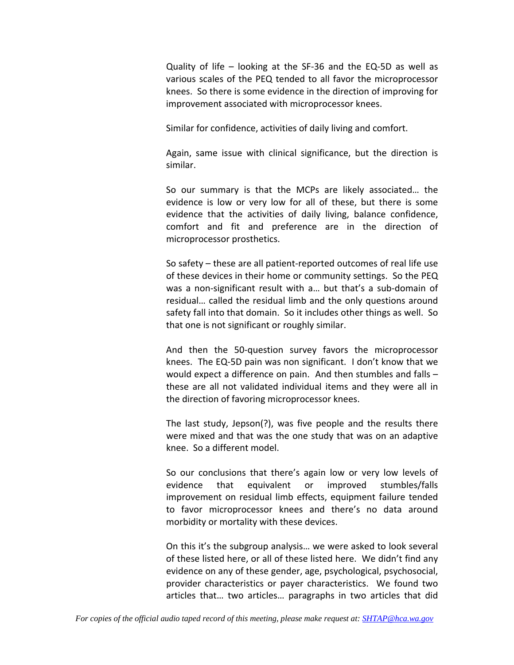Quality of life – looking at the SF‐36 and the EQ‐5D as well as various scales of the PEQ tended to all favor the microprocessor knees. So there is some evidence in the direction of improving for improvement associated with microprocessor knees.

Similar for confidence, activities of daily living and comfort.

Again, same issue with clinical significance, but the direction is similar.

So our summary is that the MCPs are likely associated… the evidence is low or very low for all of these, but there is some evidence that the activities of daily living, balance confidence, comfort and fit and preference are in the direction of microprocessor prosthetics.

So safety – these are all patient‐reported outcomes of real life use of these devices in their home or community settings. So the PEQ was a non‐significant result with a… but that's a sub‐domain of residual… called the residual limb and the only questions around safety fall into that domain. So it includes other things as well. So that one is not significant or roughly similar.

And then the 50‐question survey favors the microprocessor knees. The EQ‐5D pain was non significant. I don't know that we would expect a difference on pain. And then stumbles and falls – these are all not validated individual items and they were all in the direction of favoring microprocessor knees.

The last study, Jepson(?), was five people and the results there were mixed and that was the one study that was on an adaptive knee. So a different model.

So our conclusions that there's again low or very low levels of evidence that equivalent or improved stumbles/falls improvement on residual limb effects, equipment failure tended to favor microprocessor knees and there's no data around morbidity or mortality with these devices.

On this it's the subgroup analysis… we were asked to look several of these listed here, or all of these listed here. We didn't find any evidence on any of these gender, age, psychological, psychosocial, provider characteristics or payer characteristics. We found two articles that… two articles… paragraphs in two articles that did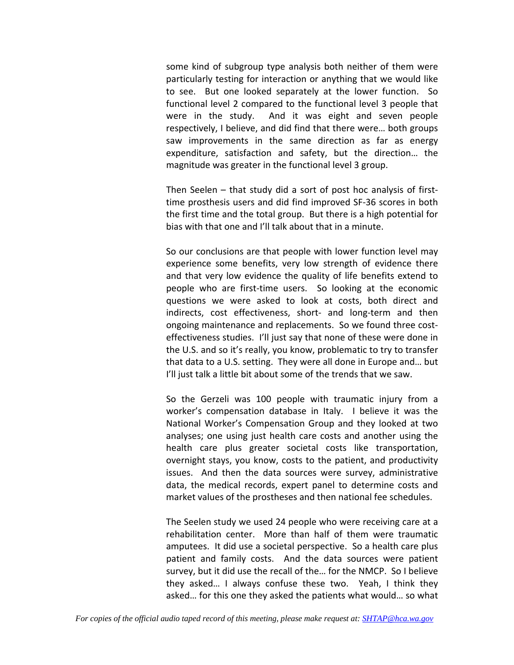some kind of subgroup type analysis both neither of them were particularly testing for interaction or anything that we would like to see. But one looked separately at the lower function. So functional level 2 compared to the functional level 3 people that were in the study. And it was eight and seven people respectively, I believe, and did find that there were… both groups saw improvements in the same direction as far as energy expenditure, satisfaction and safety, but the direction… the magnitude was greater in the functional level 3 group.

Then Seelen – that study did a sort of post hoc analysis of first‐ time prosthesis users and did find improved SF‐36 scores in both the first time and the total group. But there is a high potential for bias with that one and I'll talk about that in a minute.

So our conclusions are that people with lower function level may experience some benefits, very low strength of evidence there and that very low evidence the quality of life benefits extend to people who are first-time users. So looking at the economic questions we were asked to look at costs, both direct and indirects, cost effectiveness, short‐ and long‐term and then ongoing maintenance and replacements. So we found three cost‐ effectiveness studies. I'll just say that none of these were done in the U.S. and so it's really, you know, problematic to try to transfer that data to a U.S. setting. They were all done in Europe and… but I'll just talk a little bit about some of the trends that we saw.

So the Gerzeli was 100 people with traumatic injury from a worker's compensation database in Italy. I believe it was the National Worker's Compensation Group and they looked at two analyses; one using just health care costs and another using the health care plus greater societal costs like transportation, overnight stays, you know, costs to the patient, and productivity issues. And then the data sources were survey, administrative data, the medical records, expert panel to determine costs and market values of the prostheses and then national fee schedules.

The Seelen study we used 24 people who were receiving care at a rehabilitation center. More than half of them were traumatic amputees. It did use a societal perspective. So a health care plus patient and family costs. And the data sources were patient survey, but it did use the recall of the… for the NMCP. So I believe they asked… I always confuse these two. Yeah, I think they asked… for this one they asked the patients what would… so what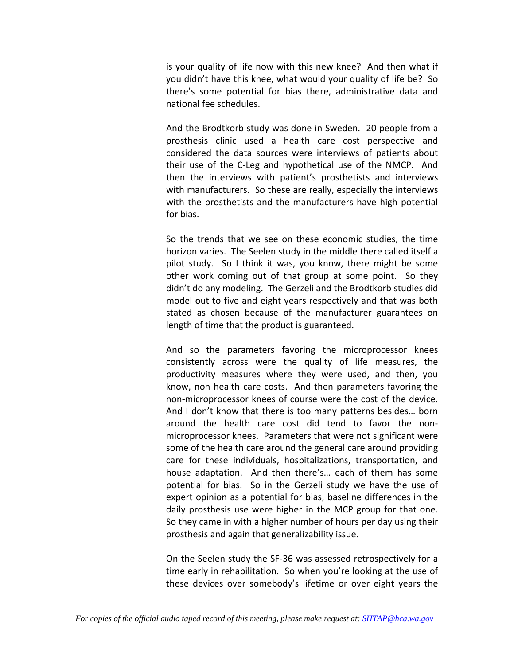is your quality of life now with this new knee? And then what if you didn't have this knee, what would your quality of life be? So there's some potential for bias there, administrative data and national fee schedules.

And the Brodtkorb study was done in Sweden. 20 people from a prosthesis clinic used a health care cost perspective and considered the data sources were interviews of patients about their use of the C‐Leg and hypothetical use of the NMCP. And then the interviews with patient's prosthetists and interviews with manufacturers. So these are really, especially the interviews with the prosthetists and the manufacturers have high potential for bias.

So the trends that we see on these economic studies, the time horizon varies. The Seelen study in the middle there called itself a pilot study. So I think it was, you know, there might be some other work coming out of that group at some point. So they didn't do any modeling. The Gerzeli and the Brodtkorb studies did model out to five and eight years respectively and that was both stated as chosen because of the manufacturer guarantees on length of time that the product is guaranteed.

And so the parameters favoring the microprocessor knees consistently across were the quality of life measures, the productivity measures where they were used, and then, you know, non health care costs. And then parameters favoring the non‐microprocessor knees of course were the cost of the device. And I don't know that there is too many patterns besides… born around the health care cost did tend to favor the non‐ microprocessor knees. Parameters that were not significant were some of the health care around the general care around providing care for these individuals, hospitalizations, transportation, and house adaptation. And then there's... each of them has some potential for bias. So in the Gerzeli study we have the use of expert opinion as a potential for bias, baseline differences in the daily prosthesis use were higher in the MCP group for that one. So they came in with a higher number of hours per day using their prosthesis and again that generalizability issue.

On the Seelen study the SF‐36 was assessed retrospectively for a time early in rehabilitation. So when you're looking at the use of these devices over somebody's lifetime or over eight years the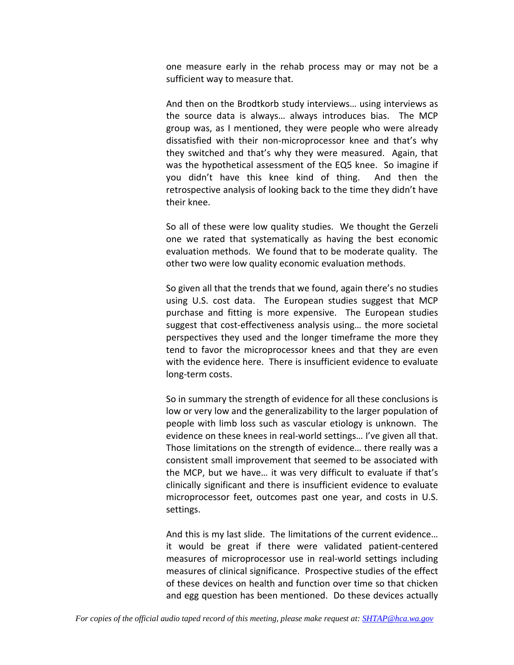one measure early in the rehab process may or may not be a sufficient way to measure that.

And then on the Brodtkorb study interviews… using interviews as the source data is always… always introduces bias. The MCP group was, as I mentioned, they were people who were already dissatisfied with their non‐microprocessor knee and that's why they switched and that's why they were measured. Again, that was the hypothetical assessment of the EQ5 knee. So imagine if you didn't have this knee kind of thing. And then the retrospective analysis of looking back to the time they didn't have their knee.

So all of these were low quality studies. We thought the Gerzeli one we rated that systematically as having the best economic evaluation methods. We found that to be moderate quality. The other two were low quality economic evaluation methods.

So given all that the trends that we found, again there's no studies using U.S. cost data. The European studies suggest that MCP purchase and fitting is more expensive. The European studies suggest that cost-effectiveness analysis using... the more societal perspectives they used and the longer timeframe the more they tend to favor the microprocessor knees and that they are even with the evidence here. There is insufficient evidence to evaluate long‐term costs.

So in summary the strength of evidence for all these conclusions is low or very low and the generalizability to the larger population of people with limb loss such as vascular etiology is unknown. The evidence on these knees in real-world settings... I've given all that. Those limitations on the strength of evidence… there really was a consistent small improvement that seemed to be associated with the MCP, but we have… it was very difficult to evaluate if that's clinically significant and there is insufficient evidence to evaluate microprocessor feet, outcomes past one year, and costs in U.S. settings.

And this is my last slide. The limitations of the current evidence… it would be great if there were validated patient‐centered measures of microprocessor use in real‐world settings including measures of clinical significance. Prospective studies of the effect of these devices on health and function over time so that chicken and egg question has been mentioned. Do these devices actually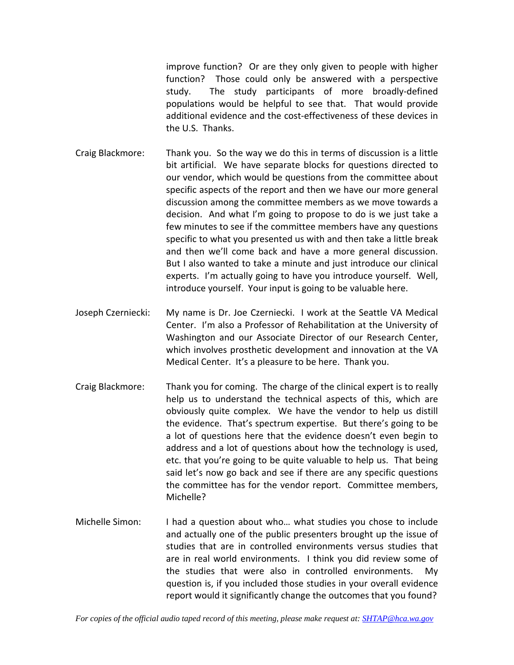improve function? Or are they only given to people with higher function? Those could only be answered with a perspective study. The study participants of more broadly‐defined populations would be helpful to see that. That would provide additional evidence and the cost-effectiveness of these devices in the U.S. Thanks.

- Craig Blackmore: Thank you. So the way we do this in terms of discussion is a little bit artificial. We have separate blocks for questions directed to our vendor, which would be questions from the committee about specific aspects of the report and then we have our more general discussion among the committee members as we move towards a decision. And what I'm going to propose to do is we just take a few minutes to see if the committee members have any questions specific to what you presented us with and then take a little break and then we'll come back and have a more general discussion. But I also wanted to take a minute and just introduce our clinical experts. I'm actually going to have you introduce yourself. Well, introduce yourself. Your input is going to be valuable here.
- Joseph Czerniecki: My name is Dr. Joe Czerniecki. I work at the Seattle VA Medical Center. I'm also a Professor of Rehabilitation at the University of Washington and our Associate Director of our Research Center, which involves prosthetic development and innovation at the VA Medical Center. It's a pleasure to be here. Thank you.
- Craig Blackmore: Thank you for coming. The charge of the clinical expert is to really help us to understand the technical aspects of this, which are obviously quite complex. We have the vendor to help us distill the evidence. That's spectrum expertise. But there's going to be a lot of questions here that the evidence doesn't even begin to address and a lot of questions about how the technology is used, etc. that you're going to be quite valuable to help us. That being said let's now go back and see if there are any specific questions the committee has for the vendor report. Committee members, Michelle?
- Michelle Simon: I had a question about who… what studies you chose to include and actually one of the public presenters brought up the issue of studies that are in controlled environments versus studies that are in real world environments. I think you did review some of the studies that were also in controlled environments. My question is, if you included those studies in your overall evidence report would it significantly change the outcomes that you found?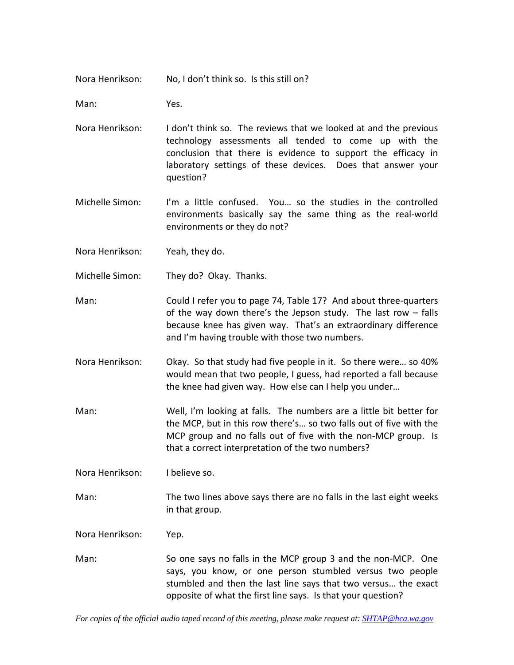Nora Henrikson: No, I don't think so. Is this still on?

Man: Yes.

- Nora Henrikson: I don't think so. The reviews that we looked at and the previous technology assessments all tended to come up with the conclusion that there is evidence to support the efficacy in laboratory settings of these devices. Does that answer your question?
- Michelle Simon: I'm a little confused. You… so the studies in the controlled environments basically say the same thing as the real‐world environments or they do not?

Nora Henrikson: Yeah, they do.

- Michelle Simon: They do? Okay. Thanks.
- Man: Could I refer you to page 74, Table 17? And about three-quarters of the way down there's the Jepson study. The last row  $-$  falls because knee has given way. That's an extraordinary difference and I'm having trouble with those two numbers.
- Nora Henrikson: Okay. So that study had five people in it. So there were… so 40% would mean that two people, I guess, had reported a fall because the knee had given way. How else can I help you under…
- Man: Well, I'm looking at falls. The numbers are a little bit better for the MCP, but in this row there's… so two falls out of five with the MCP group and no falls out of five with the non‐MCP group. Is that a correct interpretation of the two numbers?

Nora Henrikson: I believe so.

Man: The two lines above says there are no falls in the last eight weeks in that group.

Nora Henrikson: Yep.

Man: So one says no falls in the MCP group 3 and the non-MCP. One says, you know, or one person stumbled versus two people stumbled and then the last line says that two versus… the exact opposite of what the first line says. Is that your question?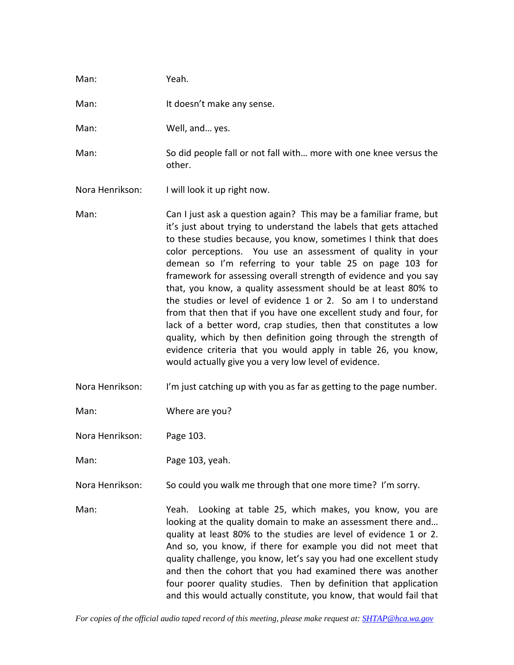| Man:            | Yeah.                                                                                                                                                                                                                                                                                                                                                                                                                                                                                                                                                                                                                                                                                                                                                                                                                                                                                |
|-----------------|--------------------------------------------------------------------------------------------------------------------------------------------------------------------------------------------------------------------------------------------------------------------------------------------------------------------------------------------------------------------------------------------------------------------------------------------------------------------------------------------------------------------------------------------------------------------------------------------------------------------------------------------------------------------------------------------------------------------------------------------------------------------------------------------------------------------------------------------------------------------------------------|
| Man:            | It doesn't make any sense.                                                                                                                                                                                                                                                                                                                                                                                                                                                                                                                                                                                                                                                                                                                                                                                                                                                           |
| Man:            | Well, and yes.                                                                                                                                                                                                                                                                                                                                                                                                                                                                                                                                                                                                                                                                                                                                                                                                                                                                       |
| Man:            | So did people fall or not fall with more with one knee versus the<br>other.                                                                                                                                                                                                                                                                                                                                                                                                                                                                                                                                                                                                                                                                                                                                                                                                          |
| Nora Henrikson: | I will look it up right now.                                                                                                                                                                                                                                                                                                                                                                                                                                                                                                                                                                                                                                                                                                                                                                                                                                                         |
| Man:            | Can I just ask a question again? This may be a familiar frame, but<br>it's just about trying to understand the labels that gets attached<br>to these studies because, you know, sometimes I think that does<br>color perceptions. You use an assessment of quality in your<br>demean so I'm referring to your table 25 on page 103 for<br>framework for assessing overall strength of evidence and you say<br>that, you know, a quality assessment should be at least 80% to<br>the studies or level of evidence 1 or 2. So am I to understand<br>from that then that if you have one excellent study and four, for<br>lack of a better word, crap studies, then that constitutes a low<br>quality, which by then definition going through the strength of<br>evidence criteria that you would apply in table 26, you know,<br>would actually give you a very low level of evidence. |

Nora Henrikson: I'm just catching up with you as far as getting to the page number.

Man: Where are you?

Nora Henrikson: Page 103.

Man: Page 103, yeah.

Nora Henrikson: So could you walk me through that one more time? I'm sorry.

Man: Yeah. Looking at table 25, which makes, you know, you are looking at the quality domain to make an assessment there and… quality at least 80% to the studies are level of evidence 1 or 2. And so, you know, if there for example you did not meet that quality challenge, you know, let's say you had one excellent study and then the cohort that you had examined there was another four poorer quality studies. Then by definition that application and this would actually constitute, you know, that would fail that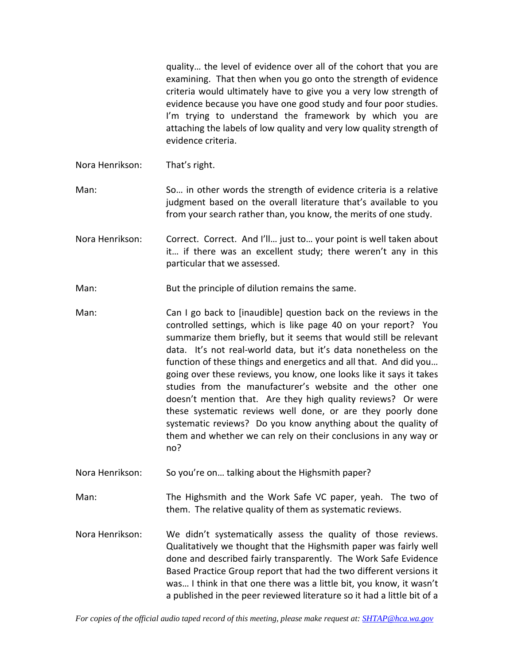quality… the level of evidence over all of the cohort that you are examining. That then when you go onto the strength of evidence criteria would ultimately have to give you a very low strength of evidence because you have one good study and four poor studies. I'm trying to understand the framework by which you are attaching the labels of low quality and very low quality strength of evidence criteria.

Nora Henrikson: That's right.

Man: So… in other words the strength of evidence criteria is a relative judgment based on the overall literature that's available to you from your search rather than, you know, the merits of one study.

- Nora Henrikson: Correct. Correct. And I'll… just to… your point is well taken about it… if there was an excellent study; there weren't any in this particular that we assessed.
- Man: But the principle of dilution remains the same.
- Man: Can I go back to [inaudible] question back on the reviews in the controlled settings, which is like page 40 on your report? You summarize them briefly, but it seems that would still be relevant data. It's not real‐world data, but it's data nonetheless on the function of these things and energetics and all that. And did you… going over these reviews, you know, one looks like it says it takes studies from the manufacturer's website and the other one doesn't mention that. Are they high quality reviews? Or were these systematic reviews well done, or are they poorly done systematic reviews? Do you know anything about the quality of them and whether we can rely on their conclusions in any way or no?
- Nora Henrikson: So you're on... talking about the Highsmith paper?
- Man: The Highsmith and the Work Safe VC paper, yeah. The two of them. The relative quality of them as systematic reviews.
- Nora Henrikson: We didn't systematically assess the quality of those reviews. Qualitatively we thought that the Highsmith paper was fairly well done and described fairly transparently. The Work Safe Evidence Based Practice Group report that had the two different versions it was… I think in that one there was a little bit, you know, it wasn't a published in the peer reviewed literature so it had a little bit of a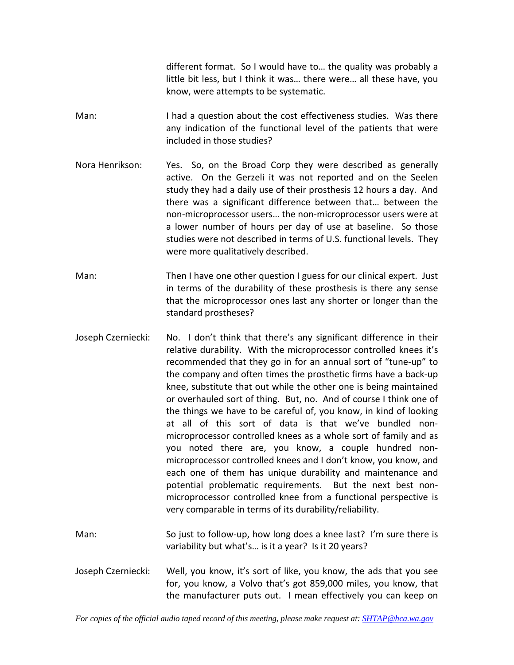different format. So I would have to… the quality was probably a little bit less, but I think it was… there were… all these have, you know, were attempts to be systematic.

- Man: I had a question about the cost effectiveness studies. Was there any indication of the functional level of the patients that were included in those studies?
- Nora Henrikson: Yes. So, on the Broad Corp they were described as generally active. On the Gerzeli it was not reported and on the Seelen study they had a daily use of their prosthesis 12 hours a day. And there was a significant difference between that… between the non‐microprocessor users… the non‐microprocessor users were at a lower number of hours per day of use at baseline. So those studies were not described in terms of U.S. functional levels. They were more qualitatively described.
- Man: Then I have one other question I guess for our clinical expert. Just in terms of the durability of these prosthesis is there any sense that the microprocessor ones last any shorter or longer than the standard prostheses?
- Joseph Czerniecki: No. I don't think that there's any significant difference in their relative durability. With the microprocessor controlled knees it's recommended that they go in for an annual sort of "tune‐up" to the company and often times the prosthetic firms have a back‐up knee, substitute that out while the other one is being maintained or overhauled sort of thing. But, no. And of course I think one of the things we have to be careful of, you know, in kind of looking at all of this sort of data is that we've bundled non‐ microprocessor controlled knees as a whole sort of family and as you noted there are, you know, a couple hundred non‐ microprocessor controlled knees and I don't know, you know, and each one of them has unique durability and maintenance and potential problematic requirements. But the next best nonmicroprocessor controlled knee from a functional perspective is very comparable in terms of its durability/reliability.
- Man: So just to follow-up, how long does a knee last? I'm sure there is variability but what's… is it a year? Is it 20 years?
- Joseph Czerniecki: Well, you know, it's sort of like, you know, the ads that you see for, you know, a Volvo that's got 859,000 miles, you know, that the manufacturer puts out. I mean effectively you can keep on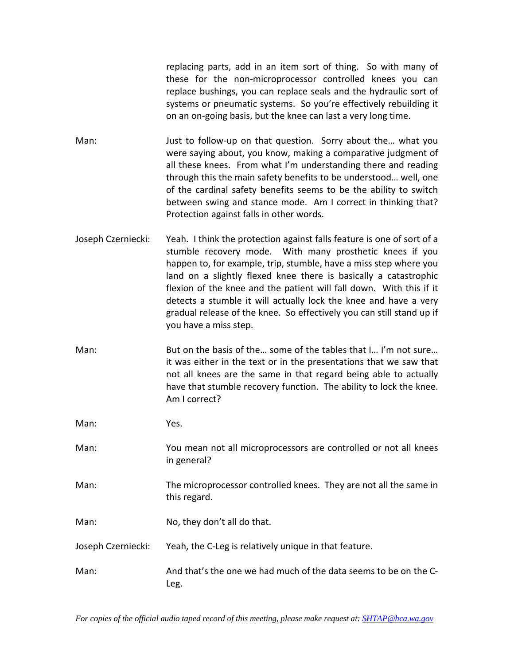replacing parts, add in an item sort of thing. So with many of these for the non‐microprocessor controlled knees you can replace bushings, you can replace seals and the hydraulic sort of systems or pneumatic systems. So you're effectively rebuilding it on an on‐going basis, but the knee can last a very long time.

- Man: Just to follow-up on that question. Sorry about the... what you were saying about, you know, making a comparative judgment of all these knees. From what I'm understanding there and reading through this the main safety benefits to be understood… well, one of the cardinal safety benefits seems to be the ability to switch between swing and stance mode. Am I correct in thinking that? Protection against falls in other words.
- Joseph Czerniecki: Yeah. I think the protection against falls feature is one of sort of a stumble recovery mode. With many prosthetic knees if you happen to, for example, trip, stumble, have a miss step where you land on a slightly flexed knee there is basically a catastrophic flexion of the knee and the patient will fall down. With this if it detects a stumble it will actually lock the knee and have a very gradual release of the knee. So effectively you can still stand up if you have a miss step.
- Man: But on the basis of the… some of the tables that I… I'm not sure… it was either in the text or in the presentations that we saw that not all knees are the same in that regard being able to actually have that stumble recovery function. The ability to lock the knee. Am I correct?

Man: Yes.

- Man: You mean not all microprocessors are controlled or not all knees in general?
- Man: The microprocessor controlled knees. They are not all the same in this regard.
- Man: No, they don't all do that.

Joseph Czerniecki: Yeah, the C‐Leg is relatively unique in that feature.

Man: And that's the one we had much of the data seems to be on the C-Leg.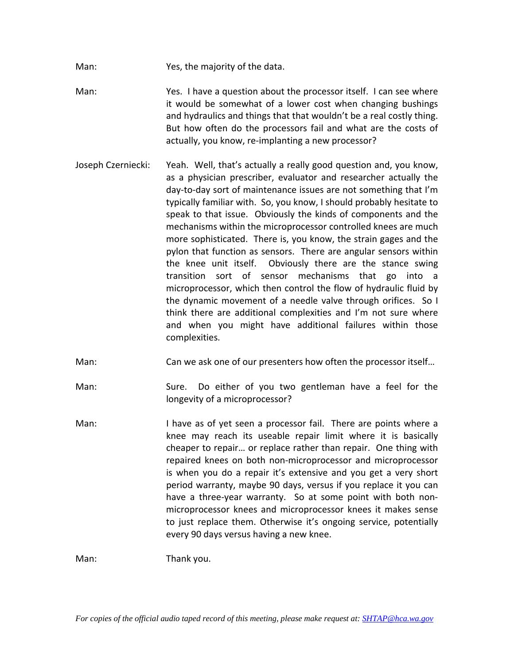- Man: Yes, the majority of the data.
- Man: Yes. I have a question about the processor itself. I can see where it would be somewhat of a lower cost when changing bushings and hydraulics and things that that wouldn't be a real costly thing. But how often do the processors fail and what are the costs of actually, you know, re‐implanting a new processor?
- Joseph Czerniecki: Yeah. Well, that's actually a really good question and, you know, as a physician prescriber, evaluator and researcher actually the day‐to‐day sort of maintenance issues are not something that I'm typically familiar with. So, you know, I should probably hesitate to speak to that issue. Obviously the kinds of components and the mechanisms within the microprocessor controlled knees are much more sophisticated. There is, you know, the strain gages and the pylon that function as sensors. There are angular sensors within the knee unit itself. Obviously there are the stance swing transition sort of sensor mechanisms that go into a microprocessor, which then control the flow of hydraulic fluid by the dynamic movement of a needle valve through orifices. So I think there are additional complexities and I'm not sure where and when you might have additional failures within those complexities.
- Man: Can we ask one of our presenters how often the processor itself…
- Man: Sure. Do either of you two gentleman have a feel for the longevity of a microprocessor?
- Man: I have as of yet seen a processor fail. There are points where a knee may reach its useable repair limit where it is basically cheaper to repair… or replace rather than repair. One thing with repaired knees on both non‐microprocessor and microprocessor is when you do a repair it's extensive and you get a very short period warranty, maybe 90 days, versus if you replace it you can have a three-year warranty. So at some point with both nonmicroprocessor knees and microprocessor knees it makes sense to just replace them. Otherwise it's ongoing service, potentially every 90 days versus having a new knee.

Man: Thank you.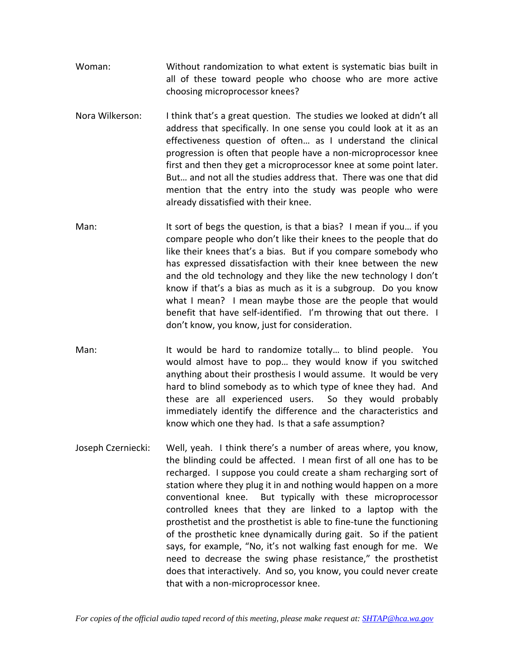- Woman: Without randomization to what extent is systematic bias built in all of these toward people who choose who are more active choosing microprocessor knees?
- Nora Wilkerson: I think that's a great question. The studies we looked at didn't all address that specifically. In one sense you could look at it as an effectiveness question of often… as I understand the clinical progression is often that people have a non‐microprocessor knee first and then they get a microprocessor knee at some point later. But… and not all the studies address that. There was one that did mention that the entry into the study was people who were already dissatisfied with their knee.
- Man: It sort of begs the question, is that a bias? I mean if you if you compare people who don't like their knees to the people that do like their knees that's a bias. But if you compare somebody who has expressed dissatisfaction with their knee between the new and the old technology and they like the new technology I don't know if that's a bias as much as it is a subgroup. Do you know what I mean? I mean maybe those are the people that would benefit that have self-identified. I'm throwing that out there. I don't know, you know, just for consideration.
- Man: It would be hard to randomize totally... to blind people. You would almost have to pop… they would know if you switched anything about their prosthesis I would assume. It would be very hard to blind somebody as to which type of knee they had. And these are all experienced users. So they would probably immediately identify the difference and the characteristics and know which one they had. Is that a safe assumption?
- Joseph Czerniecki: Well, yeah. I think there's a number of areas where, you know, the blinding could be affected. I mean first of all one has to be recharged. I suppose you could create a sham recharging sort of station where they plug it in and nothing would happen on a more conventional knee. But typically with these microprocessor controlled knees that they are linked to a laptop with the prosthetist and the prosthetist is able to fine-tune the functioning of the prosthetic knee dynamically during gait. So if the patient says, for example, "No, it's not walking fast enough for me. We need to decrease the swing phase resistance," the prosthetist does that interactively. And so, you know, you could never create that with a non‐microprocessor knee.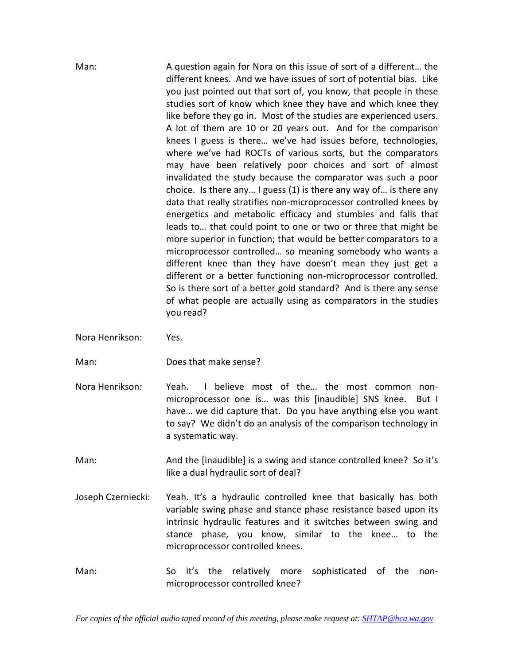Man: A question again for Nora on this issue of sort of a different… the different knees. And we have issues of sort of potential bias. Like you just pointed out that sort of, you know, that people in these studies sort of know which knee they have and which knee they like before they go in. Most of the studies are experienced users. A lot of them are 10 or 20 years out. And for the comparison knees I guess is there… we've had issues before, technologies, where we've had ROCTs of various sorts, but the comparators may have been relatively poor choices and sort of almost invalidated the study because the comparator was such a poor choice. Is there any… I guess (1) is there any way of… is there any data that really stratifies non‐microprocessor controlled knees by energetics and metabolic efficacy and stumbles and falls that leads to… that could point to one or two or three that might be more superior in function; that would be better comparators to a microprocessor controlled… so meaning somebody who wants a different knee than they have doesn't mean they just get a different or a better functioning non‐microprocessor controlled. So is there sort of a better gold standard? And is there any sense of what people are actually using as comparators in the studies you read?

- Nora Henrikson: Yes.
- 

Man: Does that make sense?

Nora Henrikson: Yeah. I believe most of the... the most common nonmicroprocessor one is... was this [inaudible] SNS knee. But I have… we did capture that. Do you have anything else you want to say? We didn't do an analysis of the comparison technology in a systematic way.

Man: And the [inaudible] is a swing and stance controlled knee? So it's like a dual hydraulic sort of deal?

- Joseph Czerniecki: Yeah. It's a hydraulic controlled knee that basically has both variable swing phase and stance phase resistance based upon its intrinsic hydraulic features and it switches between swing and stance phase, you know, similar to the knee… to the microprocessor controlled knees.
- Man: So it's the relatively more sophisticated of the nonmicroprocessor controlled knee?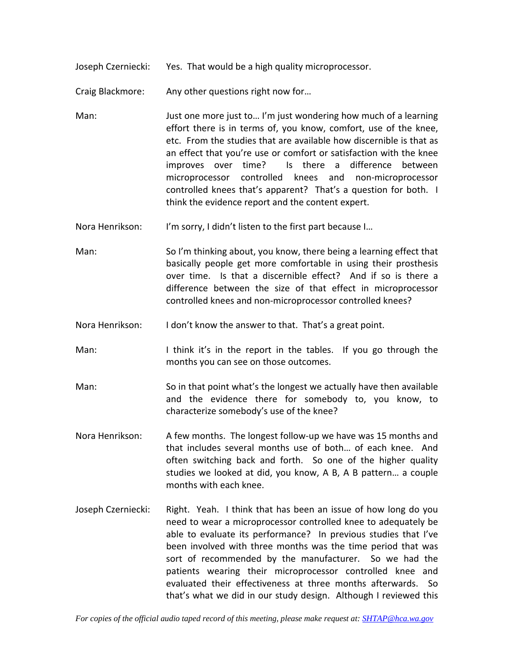Joseph Czerniecki: Yes. That would be a high quality microprocessor.

Craig Blackmore: Any other questions right now for…

- Man: Just one more just to… I'm just wondering how much of a learning effort there is in terms of, you know, comfort, use of the knee, etc. From the studies that are available how discernible is that as an effect that you're use or comfort or satisfaction with the knee improves over time? Is there a difference between microprocessor controlled knees and non‐microprocessor controlled knees that's apparent? That's a question for both. I think the evidence report and the content expert.
- Nora Henrikson: I'm sorry, I didn't listen to the first part because I...
- Man: So I'm thinking about, you know, there being a learning effect that basically people get more comfortable in using their prosthesis over time. Is that a discernible effect? And if so is there a difference between the size of that effect in microprocessor controlled knees and non‐microprocessor controlled knees?
- Nora Henrikson: I don't know the answer to that. That's a great point.
- Man: I think it's in the report in the tables. If you go through the months you can see on those outcomes.
- Man: So in that point what's the longest we actually have then available and the evidence there for somebody to, you know, to characterize somebody's use of the knee?
- Nora Henrikson: A few months. The longest follow‐up we have was 15 months and that includes several months use of both… of each knee. And often switching back and forth. So one of the higher quality studies we looked at did, you know, A B, A B pattern… a couple months with each knee.
- Joseph Czerniecki: Right. Yeah. I think that has been an issue of how long do you need to wear a microprocessor controlled knee to adequately be able to evaluate its performance? In previous studies that I've been involved with three months was the time period that was sort of recommended by the manufacturer. So we had the patients wearing their microprocessor controlled knee and evaluated their effectiveness at three months afterwards. So that's what we did in our study design. Although I reviewed this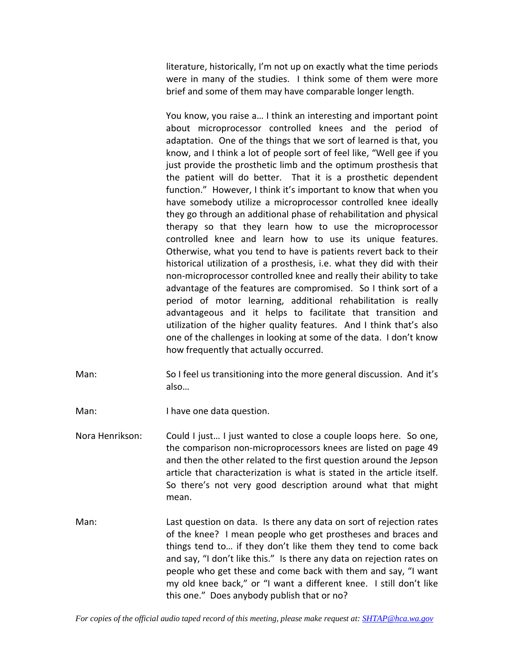literature, historically, I'm not up on exactly what the time periods were in many of the studies. I think some of them were more brief and some of them may have comparable longer length.

You know, you raise a… I think an interesting and important point about microprocessor controlled knees and the period of adaptation. One of the things that we sort of learned is that, you know, and I think a lot of people sort of feel like, "Well gee if you just provide the prosthetic limb and the optimum prosthesis that the patient will do better. That it is a prosthetic dependent function." However, I think it's important to know that when you have somebody utilize a microprocessor controlled knee ideally they go through an additional phase of rehabilitation and physical therapy so that they learn how to use the microprocessor controlled knee and learn how to use its unique features. Otherwise, what you tend to have is patients revert back to their historical utilization of a prosthesis, i.e. what they did with their non‐microprocessor controlled knee and really their ability to take advantage of the features are compromised. So I think sort of a period of motor learning, additional rehabilitation is really advantageous and it helps to facilitate that transition and utilization of the higher quality features. And I think that's also one of the challenges in looking at some of the data. I don't know how frequently that actually occurred.

Man: So I feel us transitioning into the more general discussion. And it's also…

Man: I have one data question.

Nora Henrikson: Could I just... I just wanted to close a couple loops here. So one, the comparison non‐microprocessors knees are listed on page 49 and then the other related to the first question around the Jepson article that characterization is what is stated in the article itself. So there's not very good description around what that might mean.

Man: Last question on data. Is there any data on sort of rejection rates of the knee? I mean people who get prostheses and braces and things tend to… if they don't like them they tend to come back and say, "I don't like this." Is there any data on rejection rates on people who get these and come back with them and say, "I want my old knee back," or "I want a different knee. I still don't like this one." Does anybody publish that or no?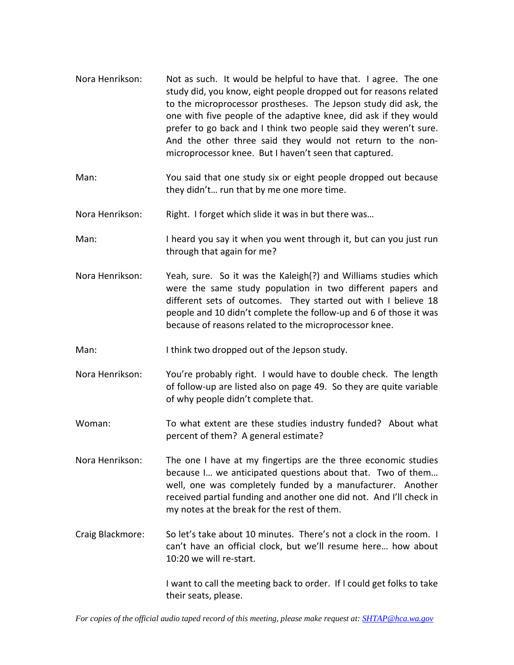- Nora Henrikson: Not as such. It would be helpful to have that. I agree. The one study did, you know, eight people dropped out for reasons related to the microprocessor prostheses. The Jepson study did ask, the one with five people of the adaptive knee, did ask if they would prefer to go back and I think two people said they weren't sure. And the other three said they would not return to the non‐ microprocessor knee. But I haven't seen that captured.
- Man: You said that one study six or eight people dropped out because they didn't… run that by me one more time.
- Nora Henrikson: Right. I forget which slide it was in but there was…
- Man: I heard you say it when you went through it, but can you just run through that again for me?
- Nora Henrikson: Yeah, sure. So it was the Kaleigh(?) and Williams studies which were the same study population in two different papers and different sets of outcomes. They started out with I believe 18 people and 10 didn't complete the follow‐up and 6 of those it was because of reasons related to the microprocessor knee.
- Man: I think two dropped out of the Jepson study.
- Nora Henrikson: You're probably right. I would have to double check. The length of follow‐up are listed also on page 49. So they are quite variable of why people didn't complete that.
- Woman: To what extent are these studies industry funded? About what percent of them? A general estimate?
- Nora Henrikson: The one I have at my fingertips are the three economic studies because I… we anticipated questions about that. Two of them… well, one was completely funded by a manufacturer. Another received partial funding and another one did not. And I'll check in my notes at the break for the rest of them.
- Craig Blackmore: So let's take about 10 minutes. There's not a clock in the room. I can't have an official clock, but we'll resume here… how about 10:20 we will re-start.

I want to call the meeting back to order. If I could get folks to take their seats, please.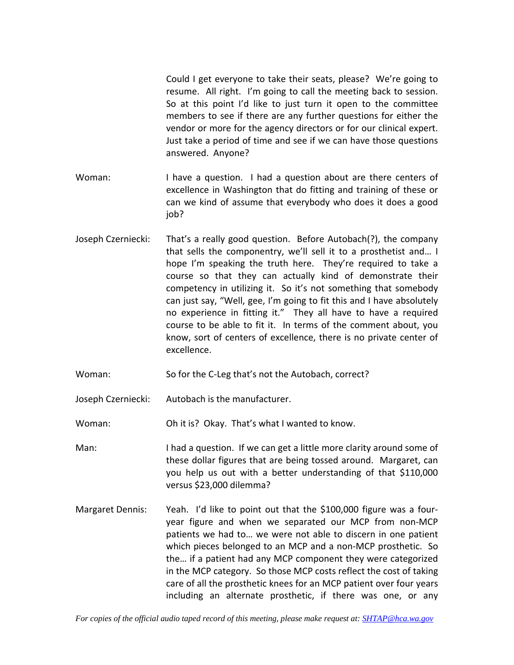Could I get everyone to take their seats, please? We're going to resume. All right. I'm going to call the meeting back to session. So at this point I'd like to just turn it open to the committee members to see if there are any further questions for either the vendor or more for the agency directors or for our clinical expert. Just take a period of time and see if we can have those questions answered. Anyone?

- Woman: I have a question. I had a question about are there centers of excellence in Washington that do fitting and training of these or can we kind of assume that everybody who does it does a good job?
- Joseph Czerniecki: That's a really good question. Before Autobach(?), the company that sells the componentry, we'll sell it to a prosthetist and… I hope I'm speaking the truth here. They're required to take a course so that they can actually kind of demonstrate their competency in utilizing it. So it's not something that somebody can just say, "Well, gee, I'm going to fit this and I have absolutely no experience in fitting it." They all have to have a required course to be able to fit it. In terms of the comment about, you know, sort of centers of excellence, there is no private center of excellence.
- Woman: So for the C-Leg that's not the Autobach, correct?
- Joseph Czerniecki: Autobach is the manufacturer.

Woman: Oh it is? Okay. That's what I wanted to know.

- Man: I had a question. If we can get a little more clarity around some of these dollar figures that are being tossed around. Margaret, can you help us out with a better understanding of that \$110,000 versus \$23,000 dilemma?
- Margaret Dennis: Yeah. I'd like to point out that the \$100,000 figure was a fouryear figure and when we separated our MCP from non‐MCP patients we had to… we were not able to discern in one patient which pieces belonged to an MCP and a non‐MCP prosthetic. So the… if a patient had any MCP component they were categorized in the MCP category. So those MCP costs reflect the cost of taking care of all the prosthetic knees for an MCP patient over four years including an alternate prosthetic, if there was one, or any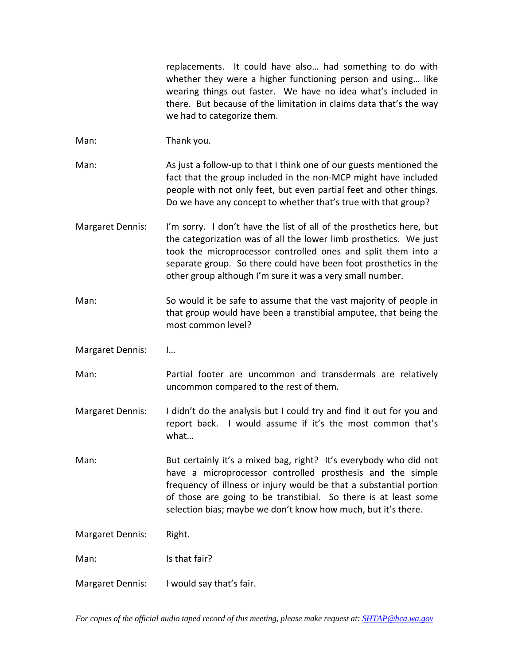replacements. It could have also... had something to do with whether they were a higher functioning person and using… like wearing things out faster. We have no idea what's included in there. But because of the limitation in claims data that's the way we had to categorize them.

- Man: Thank you.
- Man: As just a follow-up to that I think one of our guests mentioned the fact that the group included in the non‐MCP might have included people with not only feet, but even partial feet and other things. Do we have any concept to whether that's true with that group?
- Margaret Dennis: I'm sorry. I don't have the list of all of the prosthetics here, but the categorization was of all the lower limb prosthetics. We just took the microprocessor controlled ones and split them into a separate group. So there could have been foot prosthetics in the other group although I'm sure it was a very small number.
- Man: So would it be safe to assume that the vast majority of people in that group would have been a transtibial amputee, that being the most common level?
- Margaret Dennis: I…
- Man: Partial footer are uncommon and transdermals are relatively uncommon compared to the rest of them.
- Margaret Dennis: I didn't do the analysis but I could try and find it out for you and report back. I would assume if it's the most common that's what…
- Man: But certainly it's a mixed bag, right? It's everybody who did not have a microprocessor controlled prosthesis and the simple frequency of illness or injury would be that a substantial portion of those are going to be transtibial. So there is at least some selection bias; maybe we don't know how much, but it's there.

Margaret Dennis: Right.

Man: Is that fair?

Margaret Dennis: I would say that's fair.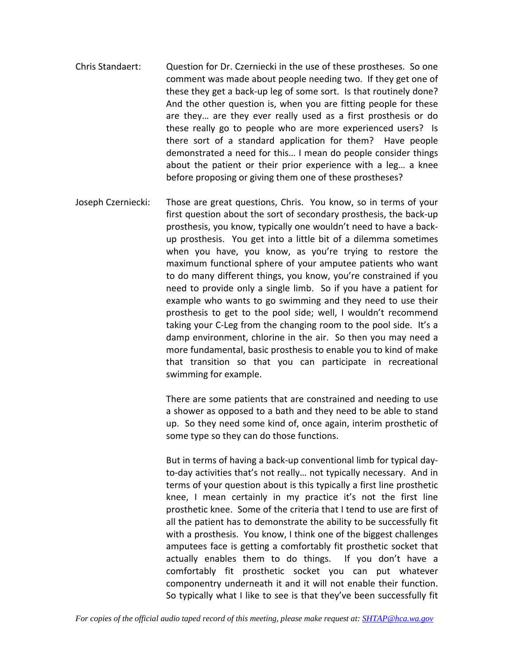- Chris Standaert: Question for Dr. Czerniecki in the use of these prostheses. So one comment was made about people needing two. If they get one of these they get a back‐up leg of some sort. Is that routinely done? And the other question is, when you are fitting people for these are they… are they ever really used as a first prosthesis or do these really go to people who are more experienced users? Is there sort of a standard application for them? Have people demonstrated a need for this… I mean do people consider things about the patient or their prior experience with a leg… a knee before proposing or giving them one of these prostheses?
- Joseph Czerniecki: Those are great questions, Chris. You know, so in terms of your first question about the sort of secondary prosthesis, the back‐up prosthesis, you know, typically one wouldn't need to have a back‐ up prosthesis. You get into a little bit of a dilemma sometimes when you have, you know, as you're trying to restore the maximum functional sphere of your amputee patients who want to do many different things, you know, you're constrained if you need to provide only a single limb. So if you have a patient for example who wants to go swimming and they need to use their prosthesis to get to the pool side; well, I wouldn't recommend taking your C‐Leg from the changing room to the pool side. It's a damp environment, chlorine in the air. So then you may need a more fundamental, basic prosthesis to enable you to kind of make that transition so that you can participate in recreational swimming for example.

There are some patients that are constrained and needing to use a shower as opposed to a bath and they need to be able to stand up. So they need some kind of, once again, interim prosthetic of some type so they can do those functions.

But in terms of having a back‐up conventional limb for typical day‐ to‐day activities that's not really… not typically necessary. And in terms of your question about is this typically a first line prosthetic knee, I mean certainly in my practice it's not the first line prosthetic knee. Some of the criteria that I tend to use are first of all the patient has to demonstrate the ability to be successfully fit with a prosthesis. You know, I think one of the biggest challenges amputees face is getting a comfortably fit prosthetic socket that actually enables them to do things. If you don't have a comfortably fit prosthetic socket you can put whatever componentry underneath it and it will not enable their function. So typically what I like to see is that they've been successfully fit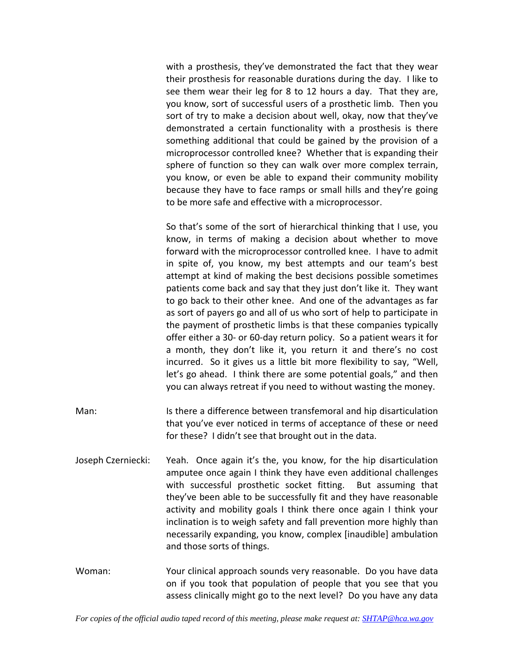with a prosthesis, they've demonstrated the fact that they wear their prosthesis for reasonable durations during the day. I like to see them wear their leg for 8 to 12 hours a day. That they are, you know, sort of successful users of a prosthetic limb. Then you sort of try to make a decision about well, okay, now that they've demonstrated a certain functionality with a prosthesis is there something additional that could be gained by the provision of a microprocessor controlled knee? Whether that is expanding their sphere of function so they can walk over more complex terrain, you know, or even be able to expand their community mobility because they have to face ramps or small hills and they're going to be more safe and effective with a microprocessor.

So that's some of the sort of hierarchical thinking that I use, you know, in terms of making a decision about whether to move forward with the microprocessor controlled knee. I have to admit in spite of, you know, my best attempts and our team's best attempt at kind of making the best decisions possible sometimes patients come back and say that they just don't like it. They want to go back to their other knee. And one of the advantages as far as sort of payers go and all of us who sort of help to participate in the payment of prosthetic limbs is that these companies typically offer either a 30‐ or 60‐day return policy. So a patient wears it for a month, they don't like it, you return it and there's no cost incurred. So it gives us a little bit more flexibility to say, "Well, let's go ahead. I think there are some potential goals," and then you can always retreat if you need to without wasting the money.

- Man: Is there a difference between transfemoral and hip disarticulation that you've ever noticed in terms of acceptance of these or need for these? I didn't see that brought out in the data.
- Joseph Czerniecki: Yeah. Once again it's the, you know, for the hip disarticulation amputee once again I think they have even additional challenges with successful prosthetic socket fitting. But assuming that they've been able to be successfully fit and they have reasonable activity and mobility goals I think there once again I think your inclination is to weigh safety and fall prevention more highly than necessarily expanding, you know, complex [inaudible] ambulation and those sorts of things.
- Woman: Your clinical approach sounds very reasonable. Do you have data on if you took that population of people that you see that you assess clinically might go to the next level? Do you have any data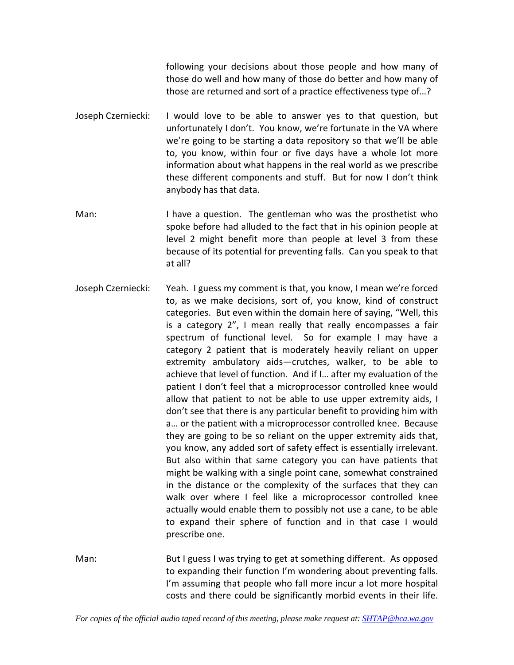following your decisions about those people and how many of those do well and how many of those do better and how many of those are returned and sort of a practice effectiveness type of…?

- Joseph Czerniecki: I would love to be able to answer yes to that question, but unfortunately I don't. You know, we're fortunate in the VA where we're going to be starting a data repository so that we'll be able to, you know, within four or five days have a whole lot more information about what happens in the real world as we prescribe these different components and stuff. But for now I don't think anybody has that data.
- Man: I have a question. The gentleman who was the prosthetist who spoke before had alluded to the fact that in his opinion people at level 2 might benefit more than people at level 3 from these because of its potential for preventing falls. Can you speak to that at all?
- Joseph Czerniecki: Yeah. I guess my comment is that, you know, I mean we're forced to, as we make decisions, sort of, you know, kind of construct categories. But even within the domain here of saying, "Well, this is a category 2", I mean really that really encompasses a fair spectrum of functional level. So for example I may have a category 2 patient that is moderately heavily reliant on upper extremity ambulatory aids—crutches, walker, to be able to achieve that level of function. And if I… after my evaluation of the patient I don't feel that a microprocessor controlled knee would allow that patient to not be able to use upper extremity aids, I don't see that there is any particular benefit to providing him with a… or the patient with a microprocessor controlled knee. Because they are going to be so reliant on the upper extremity aids that, you know, any added sort of safety effect is essentially irrelevant. But also within that same category you can have patients that might be walking with a single point cane, somewhat constrained in the distance or the complexity of the surfaces that they can walk over where I feel like a microprocessor controlled knee actually would enable them to possibly not use a cane, to be able to expand their sphere of function and in that case I would prescribe one.

Man: But I guess I was trying to get at something different. As opposed to expanding their function I'm wondering about preventing falls. I'm assuming that people who fall more incur a lot more hospital costs and there could be significantly morbid events in their life.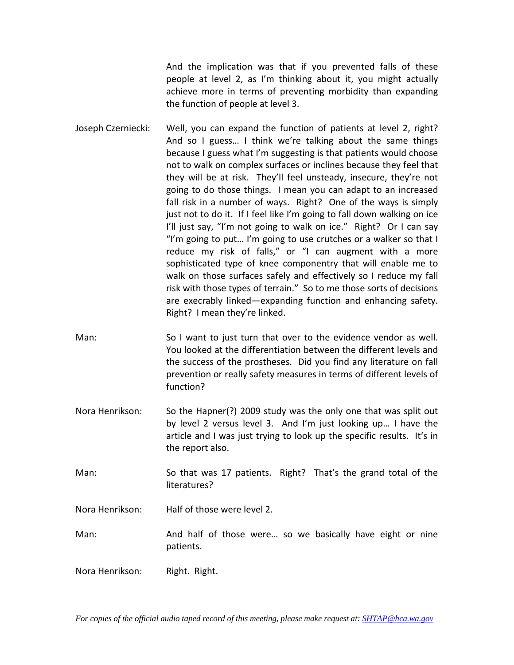And the implication was that if you prevented falls of these people at level 2, as I'm thinking about it, you might actually achieve more in terms of preventing morbidity than expanding the function of people at level 3.

- Joseph Czerniecki: Well, you can expand the function of patients at level 2, right? And so I guess… I think we're talking about the same things because I guess what I'm suggesting is that patients would choose not to walk on complex surfaces or inclines because they feel that they will be at risk. They'll feel unsteady, insecure, they're not going to do those things. I mean you can adapt to an increased fall risk in a number of ways. Right? One of the ways is simply just not to do it. If I feel like I'm going to fall down walking on ice I'll just say, "I'm not going to walk on ice." Right? Or I can say "I'm going to put… I'm going to use crutches or a walker so that I reduce my risk of falls," or "I can augment with a more sophisticated type of knee componentry that will enable me to walk on those surfaces safely and effectively so I reduce my fall risk with those types of terrain." So to me those sorts of decisions are execrably linked—expanding function and enhancing safety. Right? I mean they're linked.
- Man: So I want to just turn that over to the evidence vendor as well. You looked at the differentiation between the different levels and the success of the prostheses. Did you find any literature on fall prevention or really safety measures in terms of different levels of function?
- Nora Henrikson: So the Hapner(?) 2009 study was the only one that was split out by level 2 versus level 3. And I'm just looking up... I have the article and I was just trying to look up the specific results. It's in the report also.
- Man: So that was 17 patients. Right? That's the grand total of the literatures?
- Nora Henrikson: Half of those were level 2.
- Man: And half of those were... so we basically have eight or nine patients.
- Nora Henrikson: Right. Right.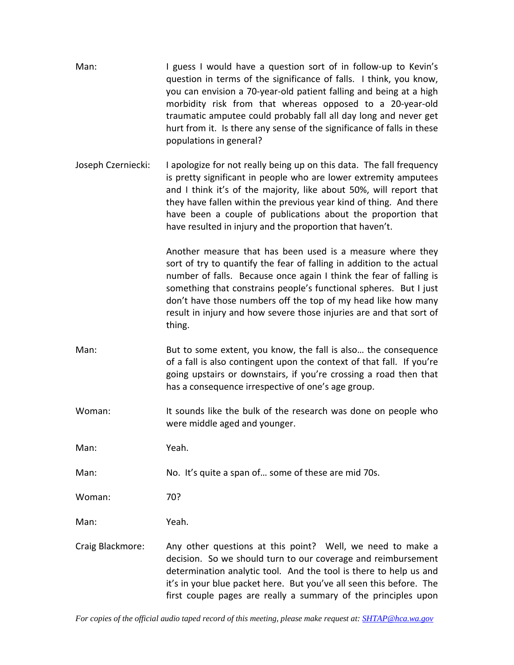- Man: I guess I would have a question sort of in follow-up to Kevin's question in terms of the significance of falls. I think, you know, you can envision a 70‐year‐old patient falling and being at a high morbidity risk from that whereas opposed to a 20‐year‐old traumatic amputee could probably fall all day long and never get hurt from it. Is there any sense of the significance of falls in these populations in general?
- Joseph Czerniecki: I apologize for not really being up on this data. The fall frequency is pretty significant in people who are lower extremity amputees and I think it's of the majority, like about 50%, will report that they have fallen within the previous year kind of thing. And there have been a couple of publications about the proportion that have resulted in injury and the proportion that haven't.

Another measure that has been used is a measure where they sort of try to quantify the fear of falling in addition to the actual number of falls. Because once again I think the fear of falling is something that constrains people's functional spheres. But I just don't have those numbers off the top of my head like how many result in injury and how severe those injuries are and that sort of thing.

- Man: But to some extent, you know, the fall is also… the consequence of a fall is also contingent upon the context of that fall. If you're going upstairs or downstairs, if you're crossing a road then that has a consequence irrespective of one's age group.
- Woman: It sounds like the bulk of the research was done on people who were middle aged and younger.

Man: Yeah.

Man: No. It's quite a span of… some of these are mid 70s.

Woman: 70?

Man: Yeah.

Craig Blackmore: Any other questions at this point? Well, we need to make a decision. So we should turn to our coverage and reimbursement determination analytic tool. And the tool is there to help us and it's in your blue packet here. But you've all seen this before. The first couple pages are really a summary of the principles upon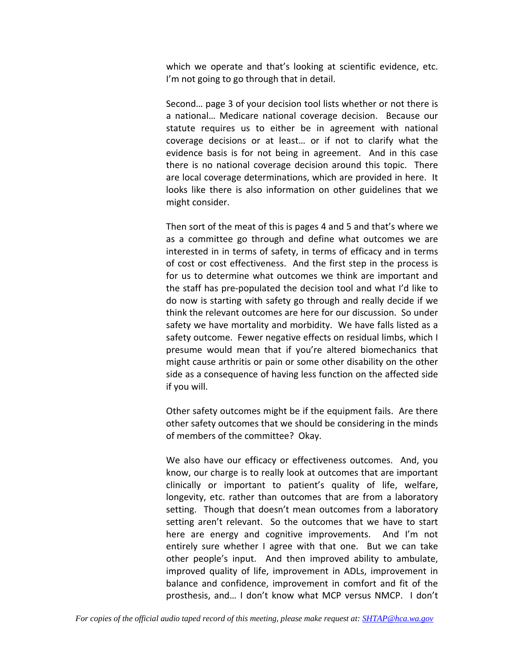which we operate and that's looking at scientific evidence, etc. I'm not going to go through that in detail.

Second… page 3 of your decision tool lists whether or not there is a national… Medicare national coverage decision. Because our statute requires us to either be in agreement with national coverage decisions or at least… or if not to clarify what the evidence basis is for not being in agreement. And in this case there is no national coverage decision around this topic. There are local coverage determinations, which are provided in here. It looks like there is also information on other guidelines that we might consider.

Then sort of the meat of this is pages 4 and 5 and that's where we as a committee go through and define what outcomes we are interested in in terms of safety, in terms of efficacy and in terms of cost or cost effectiveness. And the first step in the process is for us to determine what outcomes we think are important and the staff has pre‐populated the decision tool and what I'd like to do now is starting with safety go through and really decide if we think the relevant outcomes are here for our discussion. So under safety we have mortality and morbidity. We have falls listed as a safety outcome. Fewer negative effects on residual limbs, which I presume would mean that if you're altered biomechanics that might cause arthritis or pain or some other disability on the other side as a consequence of having less function on the affected side if you will.

Other safety outcomes might be if the equipment fails. Are there other safety outcomes that we should be considering in the minds of members of the committee? Okay.

We also have our efficacy or effectiveness outcomes. And, you know, our charge is to really look at outcomes that are important clinically or important to patient's quality of life, welfare, longevity, etc. rather than outcomes that are from a laboratory setting. Though that doesn't mean outcomes from a laboratory setting aren't relevant. So the outcomes that we have to start here are energy and cognitive improvements. And I'm not entirely sure whether I agree with that one. But we can take other people's input. And then improved ability to ambulate, improved quality of life, improvement in ADLs, improvement in balance and confidence, improvement in comfort and fit of the prosthesis, and… I don't know what MCP versus NMCP. I don't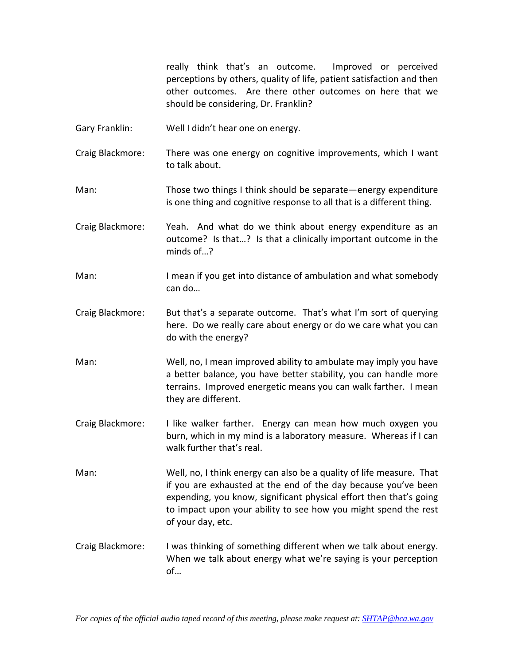really think that's an outcome. Improved or perceived perceptions by others, quality of life, patient satisfaction and then other outcomes. Are there other outcomes on here that we should be considering, Dr. Franklin?

- Gary Franklin: Well I didn't hear one on energy.
- Craig Blackmore: There was one energy on cognitive improvements, which I want to talk about.
- Man: Those two things I think should be separate—energy expenditure is one thing and cognitive response to all that is a different thing.
- Craig Blackmore: Yeah. And what do we think about energy expenditure as an outcome? Is that…? Is that a clinically important outcome in the minds of…?
- Man: I mean if you get into distance of ambulation and what somebody can do…
- Craig Blackmore: But that's a separate outcome. That's what I'm sort of querying here. Do we really care about energy or do we care what you can do with the energy?
- Man: Well, no, I mean improved ability to ambulate may imply you have a better balance, you have better stability, you can handle more terrains. Improved energetic means you can walk farther. I mean they are different.
- Craig Blackmore: I like walker farther. Energy can mean how much oxygen you burn, which in my mind is a laboratory measure. Whereas if I can walk further that's real.
- Man: Well, no, I think energy can also be a quality of life measure. That if you are exhausted at the end of the day because you've been expending, you know, significant physical effort then that's going to impact upon your ability to see how you might spend the rest of your day, etc.
- Craig Blackmore: I was thinking of something different when we talk about energy. When we talk about energy what we're saying is your perception of…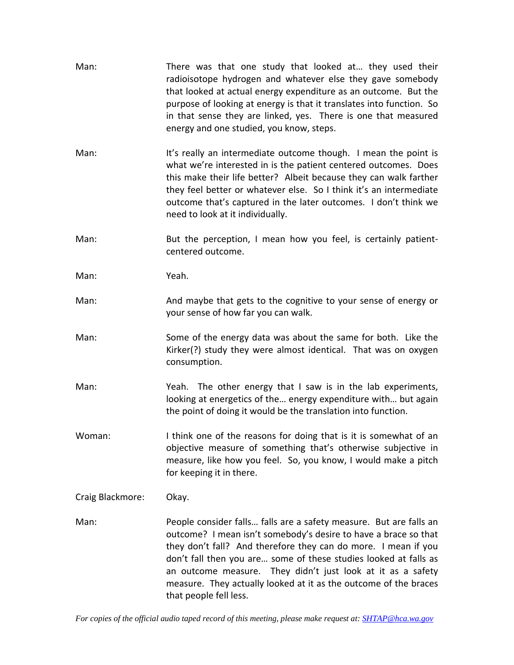| Man:             | There was that one study that looked at they used their<br>radioisotope hydrogen and whatever else they gave somebody<br>that looked at actual energy expenditure as an outcome. But the<br>purpose of looking at energy is that it translates into function. So<br>in that sense they are linked, yes. There is one that measured<br>energy and one studied, you know, steps.                                                           |
|------------------|------------------------------------------------------------------------------------------------------------------------------------------------------------------------------------------------------------------------------------------------------------------------------------------------------------------------------------------------------------------------------------------------------------------------------------------|
| Man:             | It's really an intermediate outcome though. I mean the point is<br>what we're interested in is the patient centered outcomes. Does<br>this make their life better? Albeit because they can walk farther<br>they feel better or whatever else. So I think it's an intermediate<br>outcome that's captured in the later outcomes. I don't think we<br>need to look at it individually.                                                     |
| Man:             | But the perception, I mean how you feel, is certainly patient-<br>centered outcome.                                                                                                                                                                                                                                                                                                                                                      |
| Man:             | Yeah.                                                                                                                                                                                                                                                                                                                                                                                                                                    |
| Man:             | And maybe that gets to the cognitive to your sense of energy or<br>your sense of how far you can walk.                                                                                                                                                                                                                                                                                                                                   |
| Man:             | Some of the energy data was about the same for both. Like the<br>Kirker(?) study they were almost identical. That was on oxygen<br>consumption.                                                                                                                                                                                                                                                                                          |
| Man:             | Yeah. The other energy that I saw is in the lab experiments,<br>looking at energetics of the energy expenditure with but again<br>the point of doing it would be the translation into function.                                                                                                                                                                                                                                          |
| Woman:           | I think one of the reasons for doing that is it is somewhat of an<br>objective measure of something that's otherwise subjective in<br>measure, like how you feel. So, you know, I would make a pitch<br>for keeping it in there.                                                                                                                                                                                                         |
| Craig Blackmore: | Okay.                                                                                                                                                                                                                                                                                                                                                                                                                                    |
| Man:             | People consider falls falls are a safety measure. But are falls an<br>outcome? I mean isn't somebody's desire to have a brace so that<br>they don't fall? And therefore they can do more. I mean if you<br>don't fall then you are some of these studies looked at falls as<br>an outcome measure. They didn't just look at it as a safety<br>measure. They actually looked at it as the outcome of the braces<br>that people fell less. |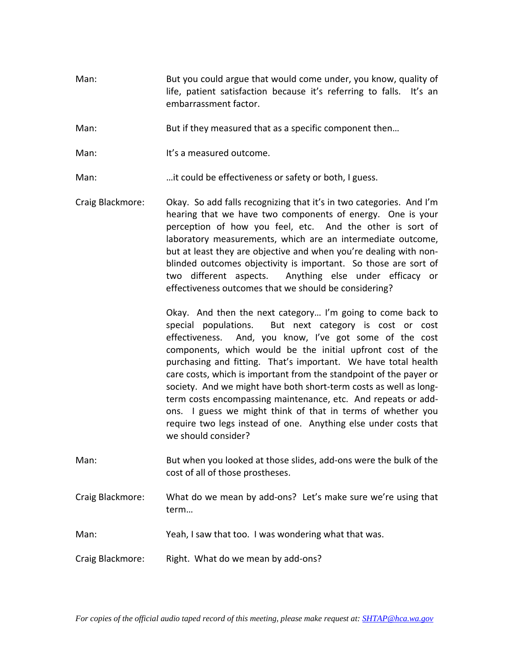- Man: But you could argue that would come under, you know, quality of life, patient satisfaction because it's referring to falls. It's an embarrassment factor.
- Man: But if they measured that as a specific component then…
- Man: It's a measured outcome.
- Man: …it could be effectiveness or safety or both, I guess.
- Craig Blackmore: Okay. So add falls recognizing that it's in two categories. And I'm hearing that we have two components of energy. One is your perception of how you feel, etc. And the other is sort of laboratory measurements, which are an intermediate outcome, but at least they are objective and when you're dealing with non‐ blinded outcomes objectivity is important. So those are sort of two different aspects. Anything else under efficacy or effectiveness outcomes that we should be considering?

Okay. And then the next category… I'm going to come back to special populations. But next category is cost or cost effectiveness. And, you know, I've got some of the cost components, which would be the initial upfront cost of the purchasing and fitting. That's important. We have total health care costs, which is important from the standpoint of the payer or society. And we might have both short-term costs as well as longterm costs encompassing maintenance, etc. And repeats or add‐ ons. I guess we might think of that in terms of whether you require two legs instead of one. Anything else under costs that we should consider?

- Man: But when you looked at those slides, add-ons were the bulk of the cost of all of those prostheses.
- Craig Blackmore: What do we mean by add‐ons? Let's make sure we're using that term…
- Man: Yeah, I saw that too. I was wondering what that was.
- Craig Blackmore: Right. What do we mean by add‐ons?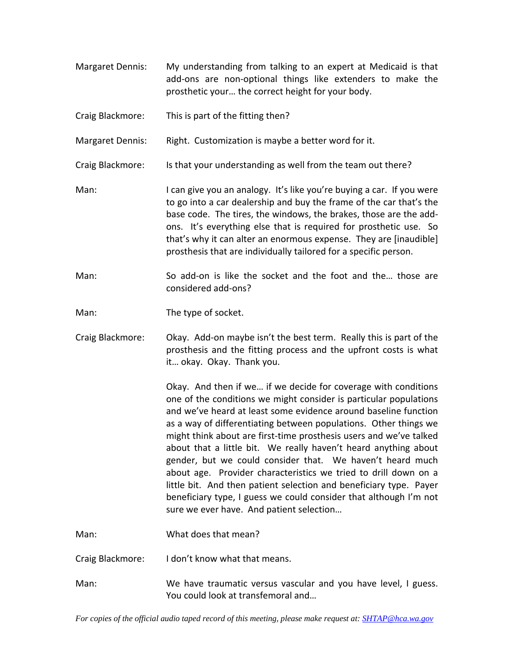- Margaret Dennis: My understanding from talking to an expert at Medicaid is that add‐ons are non‐optional things like extenders to make the prosthetic your… the correct height for your body.
- Craig Blackmore: This is part of the fitting then?

Margaret Dennis: Right. Customization is maybe a better word for it.

Craig Blackmore: Is that your understanding as well from the team out there?

- Man: I can give you an analogy. It's like you're buying a car. If you were to go into a car dealership and buy the frame of the car that's the base code. The tires, the windows, the brakes, those are the add‐ ons. It's everything else that is required for prosthetic use. So that's why it can alter an enormous expense. They are [inaudible] prosthesis that are individually tailored for a specific person.
- Man: So add-on is like the socket and the foot and the... those are considered add‐ons?

Man: The type of socket.

Craig Blackmore: Okay. Add‐on maybe isn't the best term. Really this is part of the prosthesis and the fitting process and the upfront costs is what it… okay. Okay. Thank you.

> Okay. And then if we… if we decide for coverage with conditions one of the conditions we might consider is particular populations and we've heard at least some evidence around baseline function as a way of differentiating between populations. Other things we might think about are first‐time prosthesis users and we've talked about that a little bit. We really haven't heard anything about gender, but we could consider that. We haven't heard much about age. Provider characteristics we tried to drill down on a little bit. And then patient selection and beneficiary type. Payer beneficiary type, I guess we could consider that although I'm not sure we ever have. And patient selection…

Man: What does that mean?

- Craig Blackmore: I don't know what that means.
- Man: We have traumatic versus vascular and you have level, I guess. You could look at transfemoral and…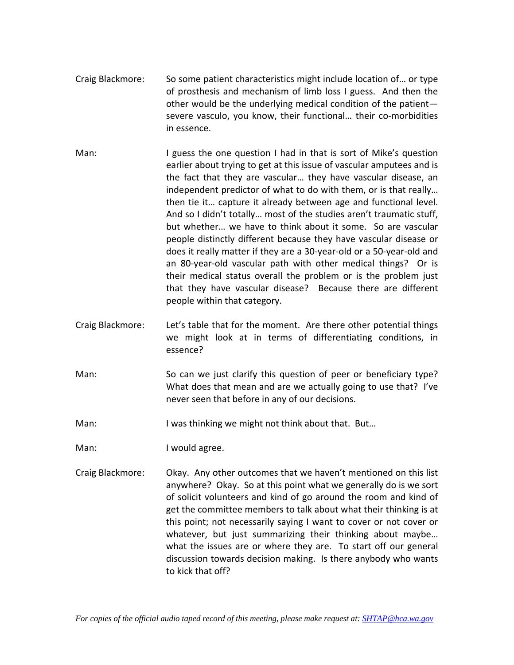- Craig Blackmore: So some patient characteristics might include location of… or type of prosthesis and mechanism of limb loss I guess. And then the other would be the underlying medical condition of the patient severe vasculo, you know, their functional... their co-morbidities in essence.
- Man: I guess the one question I had in that is sort of Mike's question earlier about trying to get at this issue of vascular amputees and is the fact that they are vascular… they have vascular disease, an independent predictor of what to do with them, or is that really… then tie it… capture it already between age and functional level. And so I didn't totally… most of the studies aren't traumatic stuff, but whether... we have to think about it some. So are vascular people distinctly different because they have vascular disease or does it really matter if they are a 30‐year‐old or a 50‐year‐old and an 80-year-old vascular path with other medical things? Or is their medical status overall the problem or is the problem just that they have vascular disease? Because there are different people within that category.
- Craig Blackmore: Let's table that for the moment. Are there other potential things we might look at in terms of differentiating conditions, in essence?
- Man: So can we just clarify this question of peer or beneficiary type? What does that mean and are we actually going to use that? I've never seen that before in any of our decisions.
- Man: I was thinking we might not think about that. But...
- Man: I would agree.
- Craig Blackmore: Okay. Any other outcomes that we haven't mentioned on this list anywhere? Okay. So at this point what we generally do is we sort of solicit volunteers and kind of go around the room and kind of get the committee members to talk about what their thinking is at this point; not necessarily saying I want to cover or not cover or whatever, but just summarizing their thinking about maybe… what the issues are or where they are. To start off our general discussion towards decision making. Is there anybody who wants to kick that off?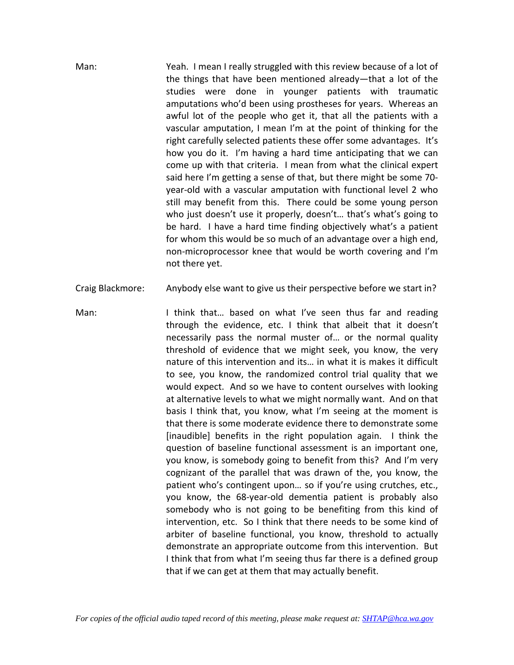Man: Yeah. I mean I really struggled with this review because of a lot of the things that have been mentioned already—that a lot of the studies were done in younger patients with traumatic amputations who'd been using prostheses for years. Whereas an awful lot of the people who get it, that all the patients with a vascular amputation, I mean I'm at the point of thinking for the right carefully selected patients these offer some advantages. It's how you do it. I'm having a hard time anticipating that we can come up with that criteria. I mean from what the clinical expert said here I'm getting a sense of that, but there might be some 70‐ year‐old with a vascular amputation with functional level 2 who still may benefit from this. There could be some young person who just doesn't use it properly, doesn't… that's what's going to be hard. I have a hard time finding objectively what's a patient for whom this would be so much of an advantage over a high end, non‐microprocessor knee that would be worth covering and I'm not there yet.

Craig Blackmore: Anybody else want to give us their perspective before we start in?

Man: I think that… based on what I've seen thus far and reading through the evidence, etc. I think that albeit that it doesn't necessarily pass the normal muster of… or the normal quality threshold of evidence that we might seek, you know, the very nature of this intervention and its… in what it is makes it difficult to see, you know, the randomized control trial quality that we would expect. And so we have to content ourselves with looking at alternative levels to what we might normally want. And on that basis I think that, you know, what I'm seeing at the moment is that there is some moderate evidence there to demonstrate some [inaudible] benefits in the right population again. I think the question of baseline functional assessment is an important one, you know, is somebody going to benefit from this? And I'm very cognizant of the parallel that was drawn of the, you know, the patient who's contingent upon… so if you're using crutches, etc., you know, the 68‐year‐old dementia patient is probably also somebody who is not going to be benefiting from this kind of intervention, etc. So I think that there needs to be some kind of arbiter of baseline functional, you know, threshold to actually demonstrate an appropriate outcome from this intervention. But I think that from what I'm seeing thus far there is a defined group that if we can get at them that may actually benefit.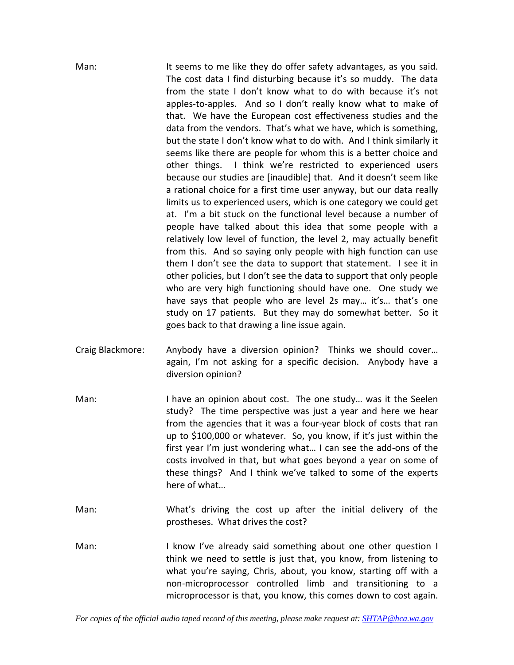| Man: | It seems to me like they do offer safety advantages, as you said.<br>The cost data I find disturbing because it's so muddy. The data<br>from the state I don't know what to do with because it's not<br>apples-to-apples. And so I don't really know what to make of<br>that. We have the European cost effectiveness studies and the<br>data from the vendors. That's what we have, which is something,<br>but the state I don't know what to do with. And I think similarly it<br>seems like there are people for whom this is a better choice and<br>other things. I think we're restricted to experienced users<br>because our studies are [inaudible] that. And it doesn't seem like<br>a rational choice for a first time user anyway, but our data really<br>limits us to experienced users, which is one category we could get<br>at. I'm a bit stuck on the functional level because a number of<br>people have talked about this idea that some people with a<br>relatively low level of function, the level 2, may actually benefit<br>from this. And so saying only people with high function can use<br>them I don't see the data to support that statement. I see it in |
|------|---------------------------------------------------------------------------------------------------------------------------------------------------------------------------------------------------------------------------------------------------------------------------------------------------------------------------------------------------------------------------------------------------------------------------------------------------------------------------------------------------------------------------------------------------------------------------------------------------------------------------------------------------------------------------------------------------------------------------------------------------------------------------------------------------------------------------------------------------------------------------------------------------------------------------------------------------------------------------------------------------------------------------------------------------------------------------------------------------------------------------------------------------------------------------------------|
|      | other policies, but I don't see the data to support that only people<br>who are very high functioning should have one. One study we<br>have says that people who are level 2s may it's that's one<br>study on 17 patients. But they may do somewhat better. So it<br>goes back to that drawing a line issue again.                                                                                                                                                                                                                                                                                                                                                                                                                                                                                                                                                                                                                                                                                                                                                                                                                                                                    |

- Craig Blackmore: Anybody have a diversion opinion? Thinks we should cover… again, I'm not asking for a specific decision. Anybody have a diversion opinion?
- Man: I have an opinion about cost. The one study... was it the Seelen study? The time perspective was just a year and here we hear from the agencies that it was a four-year block of costs that ran up to \$100,000 or whatever. So, you know, if it's just within the first year I'm just wondering what… I can see the add‐ons of the costs involved in that, but what goes beyond a year on some of these things? And I think we've talked to some of the experts here of what…
- Man: What's driving the cost up after the initial delivery of the prostheses. What drives the cost?
- Man: I know I've already said something about one other question I think we need to settle is just that, you know, from listening to what you're saying, Chris, about, you know, starting off with a non‐microprocessor controlled limb and transitioning to a microprocessor is that, you know, this comes down to cost again.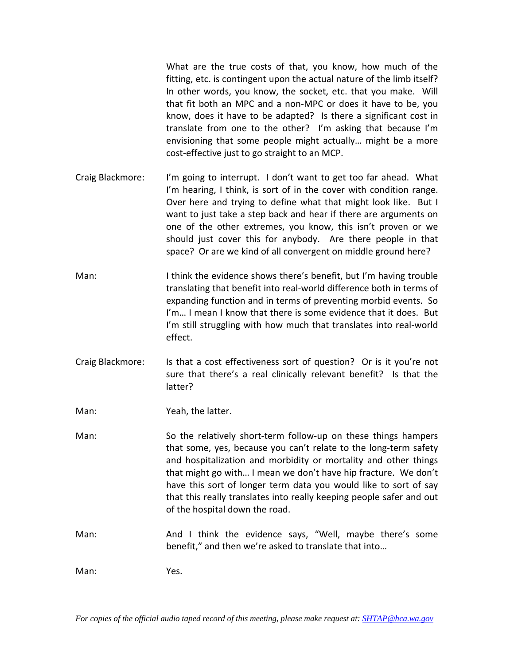What are the true costs of that, you know, how much of the fitting, etc. is contingent upon the actual nature of the limb itself? In other words, you know, the socket, etc. that you make. Will that fit both an MPC and a non‐MPC or does it have to be, you know, does it have to be adapted? Is there a significant cost in translate from one to the other? I'm asking that because I'm envisioning that some people might actually… might be a more cost‐effective just to go straight to an MCP.

- Craig Blackmore: I'm going to interrupt. I don't want to get too far ahead. What I'm hearing, I think, is sort of in the cover with condition range. Over here and trying to define what that might look like. But I want to just take a step back and hear if there are arguments on one of the other extremes, you know, this isn't proven or we should just cover this for anybody. Are there people in that space? Or are we kind of all convergent on middle ground here?
- Man: I think the evidence shows there's benefit, but I'm having trouble translating that benefit into real‐world difference both in terms of expanding function and in terms of preventing morbid events. So I'm… I mean I know that there is some evidence that it does. But I'm still struggling with how much that translates into real‐world effect.
- Craig Blackmore: Is that a cost effectiveness sort of question? Or is it you're not sure that there's a real clinically relevant benefit? Is that the latter?

Man: **Yeah**, the latter.

- Man: So the relatively short-term follow-up on these things hampers that some, yes, because you can't relate to the long‐term safety and hospitalization and morbidity or mortality and other things that might go with… I mean we don't have hip fracture. We don't have this sort of longer term data you would like to sort of say that this really translates into really keeping people safer and out of the hospital down the road.
- Man: And I think the evidence says, "Well, maybe there's some benefit," and then we're asked to translate that into…

Man: Yes.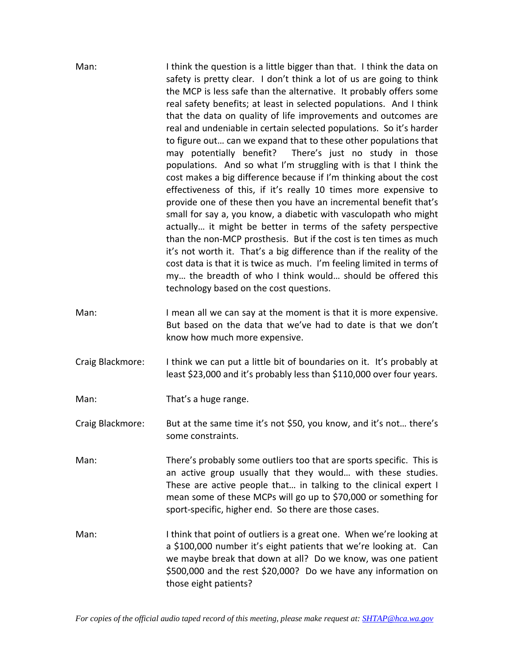| Man:             | I think the question is a little bigger than that. I think the data on<br>safety is pretty clear. I don't think a lot of us are going to think<br>the MCP is less safe than the alternative. It probably offers some<br>real safety benefits; at least in selected populations. And I think<br>that the data on quality of life improvements and outcomes are<br>real and undeniable in certain selected populations. So it's harder<br>to figure out can we expand that to these other populations that<br>may potentially benefit?<br>There's just no study in those<br>populations. And so what I'm struggling with is that I think the<br>cost makes a big difference because if I'm thinking about the cost<br>effectiveness of this, if it's really 10 times more expensive to<br>provide one of these then you have an incremental benefit that's<br>small for say a, you know, a diabetic with vasculopath who might<br>actually it might be better in terms of the safety perspective<br>than the non-MCP prosthesis. But if the cost is ten times as much<br>it's not worth it. That's a big difference than if the reality of the<br>cost data is that it is twice as much. I'm feeling limited in terms of<br>my the breadth of who I think would should be offered this<br>technology based on the cost questions. |
|------------------|---------------------------------------------------------------------------------------------------------------------------------------------------------------------------------------------------------------------------------------------------------------------------------------------------------------------------------------------------------------------------------------------------------------------------------------------------------------------------------------------------------------------------------------------------------------------------------------------------------------------------------------------------------------------------------------------------------------------------------------------------------------------------------------------------------------------------------------------------------------------------------------------------------------------------------------------------------------------------------------------------------------------------------------------------------------------------------------------------------------------------------------------------------------------------------------------------------------------------------------------------------------------------------------------------------------------------------|
| Man:             | I mean all we can say at the moment is that it is more expensive.<br>But based on the data that we've had to date is that we don't<br>know how much more expensive.                                                                                                                                                                                                                                                                                                                                                                                                                                                                                                                                                                                                                                                                                                                                                                                                                                                                                                                                                                                                                                                                                                                                                             |
| Craig Blackmore: | I think we can put a little bit of boundaries on it. It's probably at<br>least \$23,000 and it's probably less than \$110,000 over four years.                                                                                                                                                                                                                                                                                                                                                                                                                                                                                                                                                                                                                                                                                                                                                                                                                                                                                                                                                                                                                                                                                                                                                                                  |
| Man:             | That's a huge range.                                                                                                                                                                                                                                                                                                                                                                                                                                                                                                                                                                                                                                                                                                                                                                                                                                                                                                                                                                                                                                                                                                                                                                                                                                                                                                            |
| Craig Blackmore: | But at the same time it's not \$50, you know, and it's not there's<br>some constraints.                                                                                                                                                                                                                                                                                                                                                                                                                                                                                                                                                                                                                                                                                                                                                                                                                                                                                                                                                                                                                                                                                                                                                                                                                                         |
| Man:             | There's probably some outliers too that are sports specific. This is<br>an active group usually that they would with these studies.<br>These are active people that in talking to the clinical expert I<br>mean some of these MCPs will go up to \$70,000 or something for<br>sport-specific, higher end. So there are those cases.                                                                                                                                                                                                                                                                                                                                                                                                                                                                                                                                                                                                                                                                                                                                                                                                                                                                                                                                                                                             |
| Man:             | I think that point of outliers is a great one. When we're looking at<br>a \$100,000 number it's eight patients that we're looking at. Can<br>we maybe break that down at all? Do we know, was one patient<br>\$500,000 and the rest \$20,000? Do we have any information on<br>those eight patients?                                                                                                                                                                                                                                                                                                                                                                                                                                                                                                                                                                                                                                                                                                                                                                                                                                                                                                                                                                                                                            |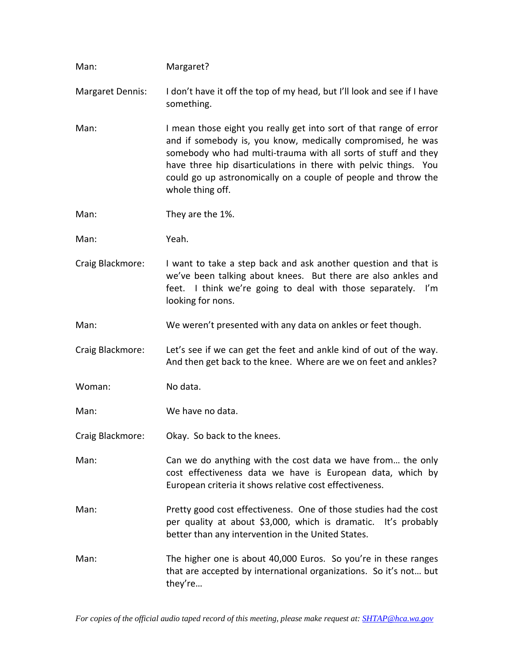| Man:                    | Margaret?                                                                                                                                                                                                                                                                                                                                                     |
|-------------------------|---------------------------------------------------------------------------------------------------------------------------------------------------------------------------------------------------------------------------------------------------------------------------------------------------------------------------------------------------------------|
| <b>Margaret Dennis:</b> | I don't have it off the top of my head, but I'll look and see if I have<br>something.                                                                                                                                                                                                                                                                         |
| Man:                    | I mean those eight you really get into sort of that range of error<br>and if somebody is, you know, medically compromised, he was<br>somebody who had multi-trauma with all sorts of stuff and they<br>have three hip disarticulations in there with pelvic things. You<br>could go up astronomically on a couple of people and throw the<br>whole thing off. |
| Man:                    | They are the 1%.                                                                                                                                                                                                                                                                                                                                              |
| Man:                    | Yeah.                                                                                                                                                                                                                                                                                                                                                         |
| Craig Blackmore:        | I want to take a step back and ask another question and that is<br>we've been talking about knees. But there are also ankles and<br>feet. I think we're going to deal with those separately. I'm<br>looking for nons.                                                                                                                                         |
| Man:                    | We weren't presented with any data on ankles or feet though.                                                                                                                                                                                                                                                                                                  |
| Craig Blackmore:        | Let's see if we can get the feet and ankle kind of out of the way.<br>And then get back to the knee. Where are we on feet and ankles?                                                                                                                                                                                                                         |
| Woman:                  | No data.                                                                                                                                                                                                                                                                                                                                                      |
| Man:                    | We have no data.                                                                                                                                                                                                                                                                                                                                              |
|                         | Craig Blackmore: Okay. So back to the knees.                                                                                                                                                                                                                                                                                                                  |
| Man:                    | Can we do anything with the cost data we have from the only<br>cost effectiveness data we have is European data, which by<br>European criteria it shows relative cost effectiveness.                                                                                                                                                                          |
| Man:                    | Pretty good cost effectiveness. One of those studies had the cost<br>per quality at about \$3,000, which is dramatic. It's probably<br>better than any intervention in the United States.                                                                                                                                                                     |
| Man:                    | The higher one is about 40,000 Euros. So you're in these ranges<br>that are accepted by international organizations. So it's not but<br>they're                                                                                                                                                                                                               |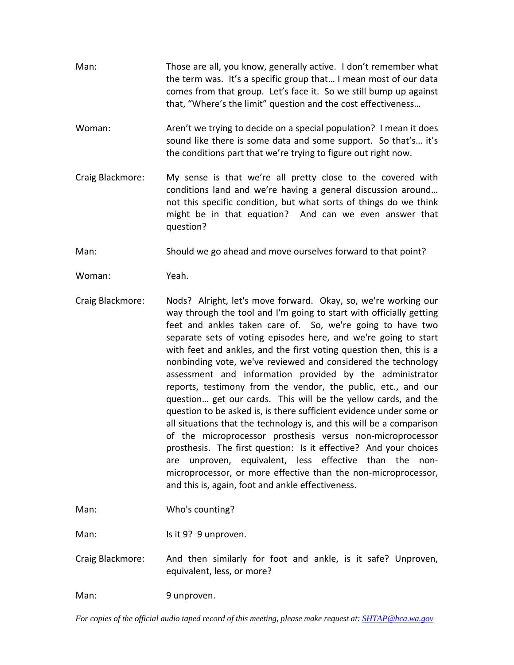- Man: Those are all, you know, generally active. I don't remember what the term was. It's a specific group that… I mean most of our data comes from that group. Let's face it. So we still bump up against that, "Where's the limit" question and the cost effectiveness…
- Woman: Aren't we trying to decide on a special population? I mean it does sound like there is some data and some support. So that's… it's the conditions part that we're trying to figure out right now.
- Craig Blackmore: My sense is that we're all pretty close to the covered with conditions land and we're having a general discussion around… not this specific condition, but what sorts of things do we think might be in that equation? And can we even answer that question?

Man: Should we go ahead and move ourselves forward to that point?

Woman: Yeah.

Craig Blackmore: Nods? Alright, let's move forward. Okay, so, we're working our way through the tool and I'm going to start with officially getting feet and ankles taken care of. So, we're going to have two separate sets of voting episodes here, and we're going to start with feet and ankles, and the first voting question then, this is a nonbinding vote, we've reviewed and considered the technology assessment and information provided by the administrator reports, testimony from the vendor, the public, etc., and our question… get our cards. This will be the yellow cards, and the question to be asked is, is there sufficient evidence under some or all situations that the technology is, and this will be a comparison of the microprocessor prosthesis versus non‐microprocessor prosthesis. The first question: Is it effective? And your choices are unproven, equivalent, less effective than the non‐ microprocessor, or more effective than the non‐microprocessor, and this is, again, foot and ankle effectiveness.

Man: Who's counting?

Man: Is it 9? 9 unproven.

Craig Blackmore: And then similarly for foot and ankle, is it safe? Unproven, equivalent, less, or more?

Man: 9 unproven.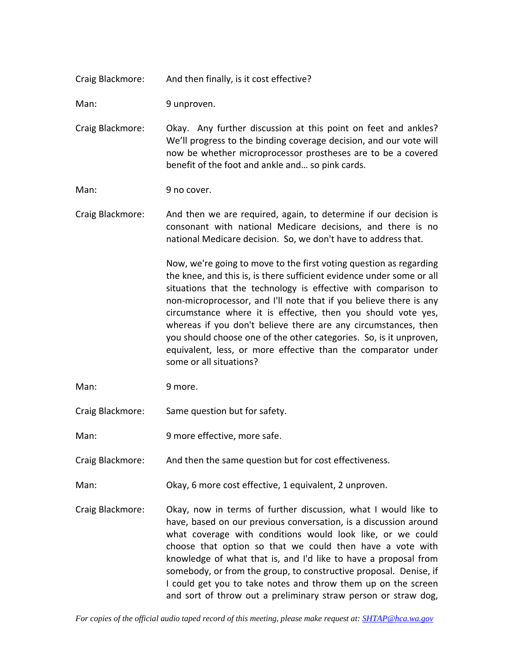Craig Blackmore: And then finally, is it cost effective?

Man: 9 unproven.

Craig Blackmore: Okay. Any further discussion at this point on feet and ankles? We'll progress to the binding coverage decision, and our vote will now be whether microprocessor prostheses are to be a covered benefit of the foot and ankle and… so pink cards.

Man: 9 no cover.

Craig Blackmore: And then we are required, again, to determine if our decision is consonant with national Medicare decisions, and there is no national Medicare decision. So, we don't have to address that.

> Now, we're going to move to the first voting question as regarding the knee, and this is, is there sufficient evidence under some or all situations that the technology is effective with comparison to non‐microprocessor, and I'll note that if you believe there is any circumstance where it is effective, then you should vote yes, whereas if you don't believe there are any circumstances, then you should choose one of the other categories. So, is it unproven, equivalent, less, or more effective than the comparator under some or all situations?

Man: 9 more.

Craig Blackmore: Same question but for safety.

Man: 9 more effective, more safe.

Craig Blackmore: And then the same question but for cost effectiveness.

Man: Okay, 6 more cost effective, 1 equivalent, 2 unproven.

Craig Blackmore: Okay, now in terms of further discussion, what I would like to have, based on our previous conversation, is a discussion around what coverage with conditions would look like, or we could choose that option so that we could then have a vote with knowledge of what that is, and I'd like to have a proposal from somebody, or from the group, to constructive proposal. Denise, if I could get you to take notes and throw them up on the screen and sort of throw out a preliminary straw person or straw dog,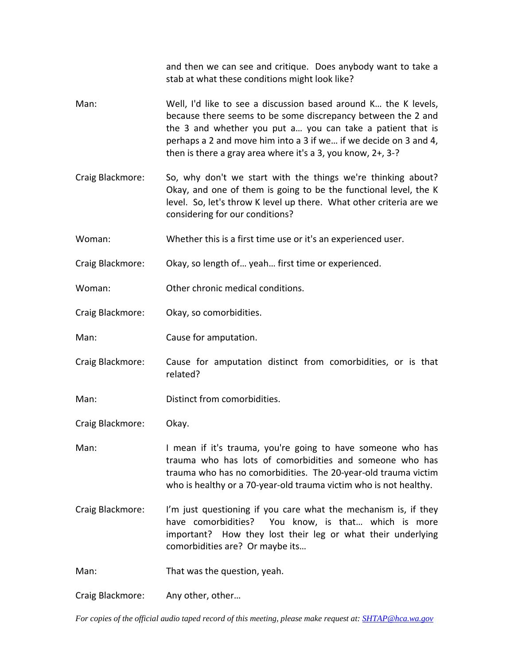and then we can see and critique. Does anybody want to take a stab at what these conditions might look like?

- Man: Well, I'd like to see a discussion based around K… the K levels, because there seems to be some discrepancy between the 2 and the 3 and whether you put a… you can take a patient that is perhaps a 2 and move him into a 3 if we… if we decide on 3 and 4, then is there a gray area where it's a 3, you know, 2+, 3‐?
- Craig Blackmore: So, why don't we start with the things we're thinking about? Okay, and one of them is going to be the functional level, the K level. So, let's throw K level up there. What other criteria are we considering for our conditions?
- Woman: Whether this is a first time use or it's an experienced user.
- Craig Blackmore: Okay, so length of… yeah… first time or experienced.
- Woman: Other chronic medical conditions.
- Craig Blackmore: Okay, so comorbidities.
- Man: Cause for amputation.
- Craig Blackmore: Cause for amputation distinct from comorbidities, or is that related?
- Man: Distinct from comorbidities.
- Craig Blackmore: Okay.
- Man: I mean if it's trauma, you're going to have someone who has trauma who has lots of comorbidities and someone who has trauma who has no comorbidities. The 20‐year‐old trauma victim who is healthy or a 70‐year‐old trauma victim who is not healthy.
- Craig Blackmore: I'm just questioning if you care what the mechanism is, if they have comorbidities? You know, is that... which is more important? How they lost their leg or what their underlying comorbidities are? Or maybe its…
- Man: That was the question, yeah.
- Craig Blackmore: Any other, other…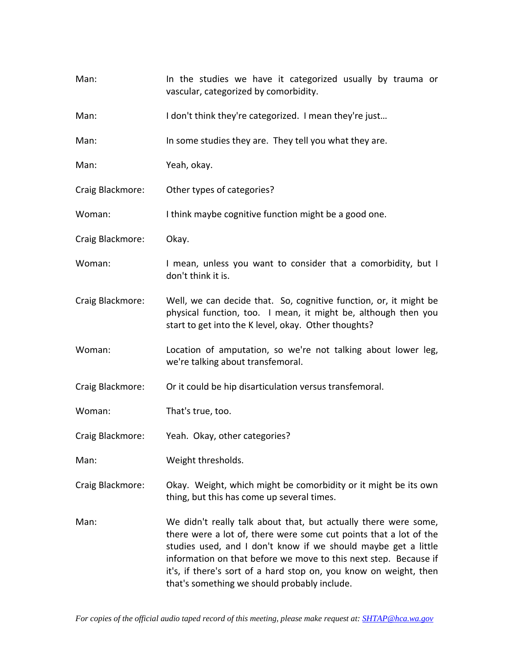| Man:             | In the studies we have it categorized usually by trauma or<br>vascular, categorized by comorbidity.                                                                                                                                                                                                                                                                                             |
|------------------|-------------------------------------------------------------------------------------------------------------------------------------------------------------------------------------------------------------------------------------------------------------------------------------------------------------------------------------------------------------------------------------------------|
| Man:             | I don't think they're categorized. I mean they're just                                                                                                                                                                                                                                                                                                                                          |
| Man:             | In some studies they are. They tell you what they are.                                                                                                                                                                                                                                                                                                                                          |
| Man:             | Yeah, okay.                                                                                                                                                                                                                                                                                                                                                                                     |
| Craig Blackmore: | Other types of categories?                                                                                                                                                                                                                                                                                                                                                                      |
| Woman:           | I think maybe cognitive function might be a good one.                                                                                                                                                                                                                                                                                                                                           |
| Craig Blackmore: | Okay.                                                                                                                                                                                                                                                                                                                                                                                           |
| Woman:           | I mean, unless you want to consider that a comorbidity, but I<br>don't think it is.                                                                                                                                                                                                                                                                                                             |
| Craig Blackmore: | Well, we can decide that. So, cognitive function, or, it might be<br>physical function, too. I mean, it might be, although then you<br>start to get into the K level, okay. Other thoughts?                                                                                                                                                                                                     |
| Woman:           | Location of amputation, so we're not talking about lower leg,<br>we're talking about transfemoral.                                                                                                                                                                                                                                                                                              |
| Craig Blackmore: | Or it could be hip disarticulation versus transfemoral.                                                                                                                                                                                                                                                                                                                                         |
| Woman:           | That's true, too.                                                                                                                                                                                                                                                                                                                                                                               |
| Craig Blackmore: | Yeah. Okay, other categories?                                                                                                                                                                                                                                                                                                                                                                   |
| Man:             | Weight thresholds.                                                                                                                                                                                                                                                                                                                                                                              |
| Craig Blackmore: | Okay. Weight, which might be comorbidity or it might be its own<br>thing, but this has come up several times.                                                                                                                                                                                                                                                                                   |
| Man:             | We didn't really talk about that, but actually there were some,<br>there were a lot of, there were some cut points that a lot of the<br>studies used, and I don't know if we should maybe get a little<br>information on that before we move to this next step. Because if<br>it's, if there's sort of a hard stop on, you know on weight, then<br>that's something we should probably include. |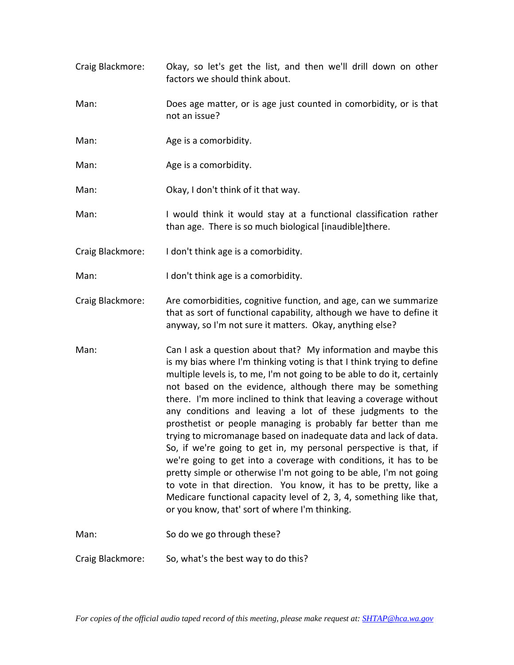- Craig Blackmore: Okay, so let's get the list, and then we'll drill down on other factors we should think about.
- Man: Does age matter, or is age just counted in comorbidity, or is that not an issue?
- Man: Age is a comorbidity.
- Man: Age is a comorbidity.

Man: Okay, I don't think of it that way.

- Man: I would think it would stay at a functional classification rather than age. There is so much biological [inaudible]there.
- Craig Blackmore: I don't think age is a comorbidity.
- Man: I don't think age is a comorbidity.
- Craig Blackmore: Are comorbidities, cognitive function, and age, can we summarize that as sort of functional capability, although we have to define it anyway, so I'm not sure it matters. Okay, anything else?
- Man: Can I ask a question about that? My information and maybe this is my bias where I'm thinking voting is that I think trying to define multiple levels is, to me, I'm not going to be able to do it, certainly not based on the evidence, although there may be something there. I'm more inclined to think that leaving a coverage without any conditions and leaving a lot of these judgments to the prosthetist or people managing is probably far better than me trying to micromanage based on inadequate data and lack of data. So, if we're going to get in, my personal perspective is that, if we're going to get into a coverage with conditions, it has to be pretty simple or otherwise I'm not going to be able, I'm not going to vote in that direction. You know, it has to be pretty, like a Medicare functional capacity level of 2, 3, 4, something like that, or you know, that' sort of where I'm thinking.

Man: So do we go through these?

Craig Blackmore: So, what's the best way to do this?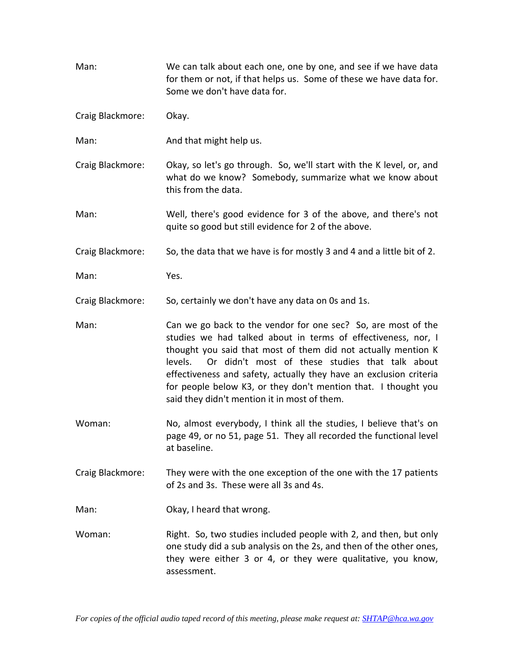| Man:             | We can talk about each one, one by one, and see if we have data<br>for them or not, if that helps us. Some of these we have data for.<br>Some we don't have data for.                                                                                                                                                                                                                                                                                 |
|------------------|-------------------------------------------------------------------------------------------------------------------------------------------------------------------------------------------------------------------------------------------------------------------------------------------------------------------------------------------------------------------------------------------------------------------------------------------------------|
| Craig Blackmore: | Okay.                                                                                                                                                                                                                                                                                                                                                                                                                                                 |
| Man:             | And that might help us.                                                                                                                                                                                                                                                                                                                                                                                                                               |
| Craig Blackmore: | Okay, so let's go through. So, we'll start with the K level, or, and<br>what do we know? Somebody, summarize what we know about<br>this from the data.                                                                                                                                                                                                                                                                                                |
| Man:             | Well, there's good evidence for 3 of the above, and there's not<br>quite so good but still evidence for 2 of the above.                                                                                                                                                                                                                                                                                                                               |
| Craig Blackmore: | So, the data that we have is for mostly 3 and 4 and a little bit of 2.                                                                                                                                                                                                                                                                                                                                                                                |
| Man:             | Yes.                                                                                                                                                                                                                                                                                                                                                                                                                                                  |
| Craig Blackmore: | So, certainly we don't have any data on 0s and 1s.                                                                                                                                                                                                                                                                                                                                                                                                    |
| Man:             | Can we go back to the vendor for one sec? So, are most of the<br>studies we had talked about in terms of effectiveness, nor, I<br>thought you said that most of them did not actually mention K<br>Or didn't most of these studies that talk about<br>levels.<br>effectiveness and safety, actually they have an exclusion criteria<br>for people below K3, or they don't mention that. I thought you<br>said they didn't mention it in most of them. |
| Woman:           | No, almost everybody, I think all the studies, I believe that's on<br>page 49, or no 51, page 51. They all recorded the functional level<br>at baseline.                                                                                                                                                                                                                                                                                              |
| Craig Blackmore: | They were with the one exception of the one with the 17 patients<br>of 2s and 3s. These were all 3s and 4s.                                                                                                                                                                                                                                                                                                                                           |
| Man:             | Okay, I heard that wrong.                                                                                                                                                                                                                                                                                                                                                                                                                             |
| Woman:           | Right. So, two studies included people with 2, and then, but only<br>one study did a sub analysis on the 2s, and then of the other ones,<br>they were either 3 or 4, or they were qualitative, you know,<br>assessment.                                                                                                                                                                                                                               |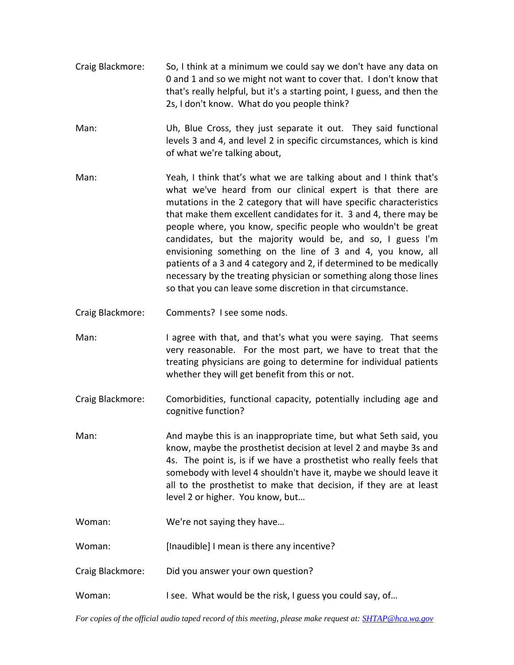- Craig Blackmore: So, I think at a minimum we could say we don't have any data on 0 and 1 and so we might not want to cover that. I don't know that that's really helpful, but it's a starting point, I guess, and then the 2s, I don't know. What do you people think?
- Man: Uh, Blue Cross, they just separate it out. They said functional levels 3 and 4, and level 2 in specific circumstances, which is kind of what we're talking about,
- Man: Yeah, I think that's what we are talking about and I think that's what we've heard from our clinical expert is that there are mutations in the 2 category that will have specific characteristics that make them excellent candidates for it. 3 and 4, there may be people where, you know, specific people who wouldn't be great candidates, but the majority would be, and so, I guess I'm envisioning something on the line of 3 and 4, you know, all patients of a 3 and 4 category and 2, if determined to be medically necessary by the treating physician or something along those lines so that you can leave some discretion in that circumstance.
- Craig Blackmore: Comments? I see some nods.
- Man: I agree with that, and that's what you were saying. That seems very reasonable. For the most part, we have to treat that the treating physicians are going to determine for individual patients whether they will get benefit from this or not.
- Craig Blackmore: Comorbidities, functional capacity, potentially including age and cognitive function?
- Man: And maybe this is an inappropriate time, but what Seth said, you know, maybe the prosthetist decision at level 2 and maybe 3s and 4s. The point is, is if we have a prosthetist who really feels that somebody with level 4 shouldn't have it, maybe we should leave it all to the prosthetist to make that decision, if they are at least level 2 or higher. You know, but…
- Woman: We're not saying they have...

Woman: [Inaudible] I mean is there any incentive?

- Craig Blackmore: Did you answer your own question?
- Woman: I see. What would be the risk, I guess you could say, of...

*For copies of the official audio taped record of this meeting, please make request at: SHTAP@hca.wa.gov*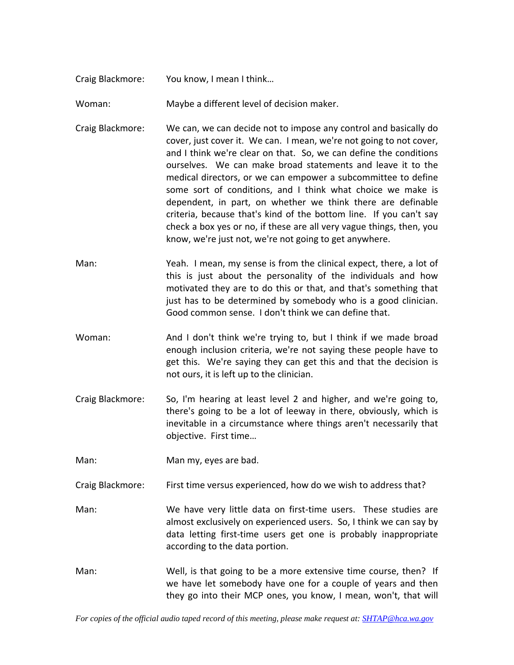- Craig Blackmore: You know, I mean I think…
- Woman: Maybe a different level of decision maker.
- Craig Blackmore: We can, we can decide not to impose any control and basically do cover, just cover it. We can. I mean, we're not going to not cover, and I think we're clear on that. So, we can define the conditions ourselves. We can make broad statements and leave it to the medical directors, or we can empower a subcommittee to define some sort of conditions, and I think what choice we make is dependent, in part, on whether we think there are definable criteria, because that's kind of the bottom line. If you can't say check a box yes or no, if these are all very vague things, then, you know, we're just not, we're not going to get anywhere.
- Man: Yeah. I mean, my sense is from the clinical expect, there, a lot of this is just about the personality of the individuals and how motivated they are to do this or that, and that's something that just has to be determined by somebody who is a good clinician. Good common sense. I don't think we can define that.
- Woman: And I don't think we're trying to, but I think if we made broad enough inclusion criteria, we're not saying these people have to get this. We're saying they can get this and that the decision is not ours, it is left up to the clinician.
- Craig Blackmore: So, I'm hearing at least level 2 and higher, and we're going to, there's going to be a lot of leeway in there, obviously, which is inevitable in a circumstance where things aren't necessarily that objective. First time…
- Man: Man my, eyes are bad.
- Craig Blackmore: First time versus experienced, how do we wish to address that?
- Man: We have very little data on first-time users. These studies are almost exclusively on experienced users. So, I think we can say by data letting first‐time users get one is probably inappropriate according to the data portion.
- Man: Well, is that going to be a more extensive time course, then? If we have let somebody have one for a couple of years and then they go into their MCP ones, you know, I mean, won't, that will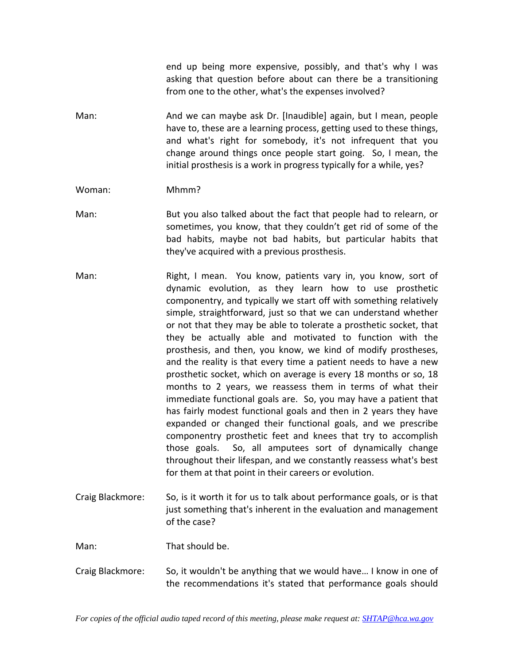end up being more expensive, possibly, and that's why I was asking that question before about can there be a transitioning from one to the other, what's the expenses involved?

- Man: And we can maybe ask Dr. [Inaudible] again, but I mean, people have to, these are a learning process, getting used to these things, and what's right for somebody, it's not infrequent that you change around things once people start going. So, I mean, the initial prosthesis is a work in progress typically for a while, yes?
- Woman: Mhmm?
- Man: But you also talked about the fact that people had to relearn, or sometimes, you know, that they couldn't get rid of some of the bad habits, maybe not bad habits, but particular habits that they've acquired with a previous prosthesis.
- Man: Right, I mean. You know, patients vary in, you know, sort of dynamic evolution, as they learn how to use prosthetic componentry, and typically we start off with something relatively simple, straightforward, just so that we can understand whether or not that they may be able to tolerate a prosthetic socket, that they be actually able and motivated to function with the prosthesis, and then, you know, we kind of modify prostheses, and the reality is that every time a patient needs to have a new prosthetic socket, which on average is every 18 months or so, 18 months to 2 years, we reassess them in terms of what their immediate functional goals are. So, you may have a patient that has fairly modest functional goals and then in 2 years they have expanded or changed their functional goals, and we prescribe componentry prosthetic feet and knees that try to accomplish those goals. So, all amputees sort of dynamically change throughout their lifespan, and we constantly reassess what's best for them at that point in their careers or evolution.
- Craig Blackmore: So, is it worth it for us to talk about performance goals, or is that just something that's inherent in the evaluation and management of the case?

Man: That should be.

Craig Blackmore: So, it wouldn't be anything that we would have… I know in one of the recommendations it's stated that performance goals should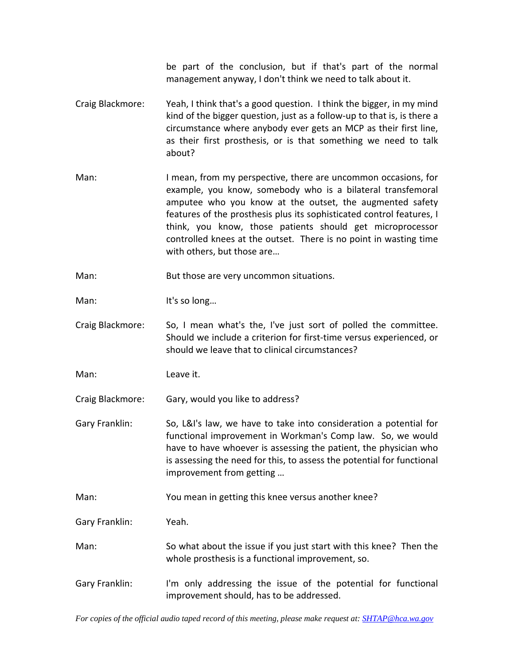be part of the conclusion, but if that's part of the normal management anyway, I don't think we need to talk about it.

- Craig Blackmore: Yeah, I think that's a good question. I think the bigger, in my mind kind of the bigger question, just as a follow‐up to that is, is there a circumstance where anybody ever gets an MCP as their first line, as their first prosthesis, or is that something we need to talk about?
- Man: I mean, from my perspective, there are uncommon occasions, for example, you know, somebody who is a bilateral transfemoral amputee who you know at the outset, the augmented safety features of the prosthesis plus its sophisticated control features, I think, you know, those patients should get microprocessor controlled knees at the outset. There is no point in wasting time with others, but those are…

Man: But those are very uncommon situations.

Man: It's so long...

Craig Blackmore: So, I mean what's the, I've just sort of polled the committee. Should we include a criterion for first-time versus experienced, or should we leave that to clinical circumstances?

Man: Leave it.

Craig Blackmore: Gary, would you like to address?

Gary Franklin: So, L&I's law, we have to take into consideration a potential for functional improvement in Workman's Comp law. So, we would have to have whoever is assessing the patient, the physician who is assessing the need for this, to assess the potential for functional improvement from getting …

Man: You mean in getting this knee versus another knee?

Gary Franklin: Yeah.

- Man: So what about the issue if you just start with this knee? Then the whole prosthesis is a functional improvement, so.
- Gary Franklin: I'm only addressing the issue of the potential for functional improvement should, has to be addressed.

*For copies of the official audio taped record of this meeting, please make request at: SHTAP@hca.wa.gov*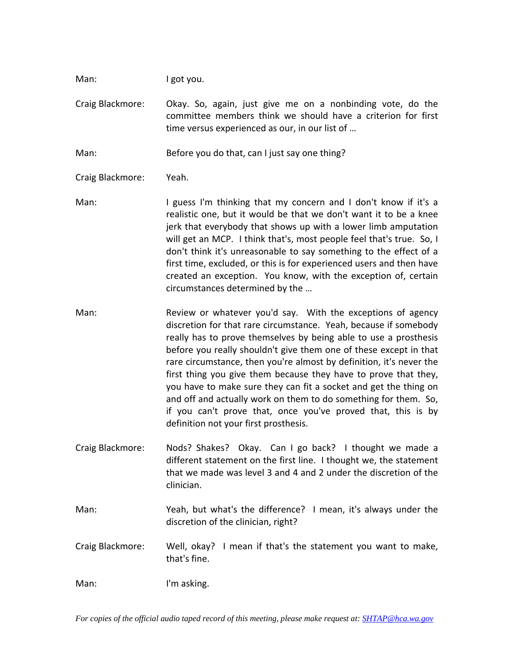Man: I got you.

Craig Blackmore: Okay. So, again, just give me on a nonbinding vote, do the committee members think we should have a criterion for first time versus experienced as our, in our list of …

Man: Before you do that, can I just say one thing?

Craig Blackmore: Yeah.

- Man: I guess I'm thinking that my concern and I don't know if it's a realistic one, but it would be that we don't want it to be a knee jerk that everybody that shows up with a lower limb amputation will get an MCP. I think that's, most people feel that's true. So, I don't think it's unreasonable to say something to the effect of a first time, excluded, or this is for experienced users and then have created an exception. You know, with the exception of, certain circumstances determined by the …
- Man: Review or whatever you'd say. With the exceptions of agency discretion for that rare circumstance. Yeah, because if somebody really has to prove themselves by being able to use a prosthesis before you really shouldn't give them one of these except in that rare circumstance, then you're almost by definition, it's never the first thing you give them because they have to prove that they, you have to make sure they can fit a socket and get the thing on and off and actually work on them to do something for them. So, if you can't prove that, once you've proved that, this is by definition not your first prosthesis.
- Craig Blackmore: Nods? Shakes? Okay. Can I go back? I thought we made a different statement on the first line. I thought we, the statement that we made was level 3 and 4 and 2 under the discretion of the clinician.
- Man: Yeah, but what's the difference? I mean, it's always under the discretion of the clinician, right?
- Craig Blackmore: Well, okay? I mean if that's the statement you want to make, that's fine.

Man: I'm asking.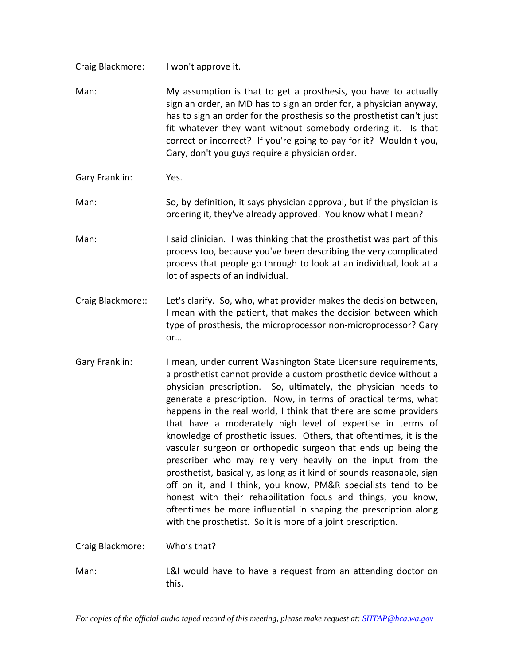Craig Blackmore: I won't approve it.

Man: My assumption is that to get a prosthesis, you have to actually sign an order, an MD has to sign an order for, a physician anyway, has to sign an order for the prosthesis so the prosthetist can't just fit whatever they want without somebody ordering it. Is that correct or incorrect? If you're going to pay for it? Wouldn't you, Gary, don't you guys require a physician order.

Gary Franklin: Yes.

Man: So, by definition, it says physician approval, but if the physician is ordering it, they've already approved. You know what I mean?

Man: I said clinician. I was thinking that the prosthetist was part of this process too, because you've been describing the very complicated process that people go through to look at an individual, look at a lot of aspects of an individual.

Craig Blackmore:: Let's clarify. So, who, what provider makes the decision between, I mean with the patient, that makes the decision between which type of prosthesis, the microprocessor non‐microprocessor? Gary or…

Gary Franklin: I mean, under current Washington State Licensure requirements, a prosthetist cannot provide a custom prosthetic device without a physician prescription. So, ultimately, the physician needs to generate a prescription. Now, in terms of practical terms, what happens in the real world, I think that there are some providers that have a moderately high level of expertise in terms of knowledge of prosthetic issues. Others, that oftentimes, it is the vascular surgeon or orthopedic surgeon that ends up being the prescriber who may rely very heavily on the input from the prosthetist, basically, as long as it kind of sounds reasonable, sign off on it, and I think, you know, PM&R specialists tend to be honest with their rehabilitation focus and things, you know, oftentimes be more influential in shaping the prescription along with the prosthetist. So it is more of a joint prescription.

Craig Blackmore: Who's that?

Man: L&I would have to have a request from an attending doctor on this.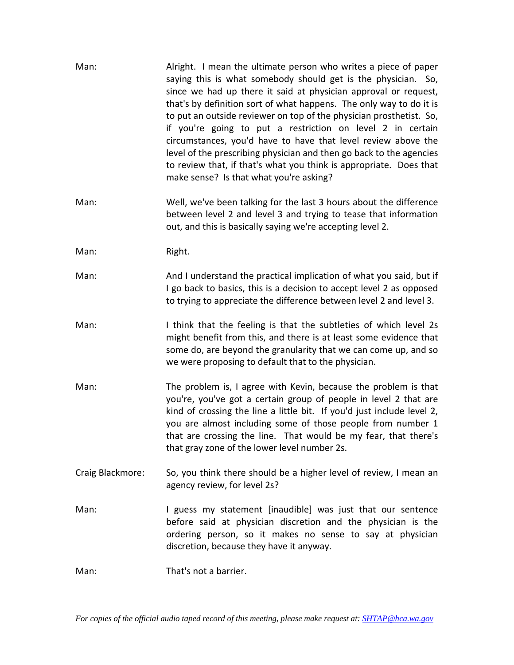| Man:             | Alright. I mean the ultimate person who writes a piece of paper<br>saying this is what somebody should get is the physician. So,<br>since we had up there it said at physician approval or request,<br>that's by definition sort of what happens. The only way to do it is<br>to put an outside reviewer on top of the physician prosthetist. So,<br>if you're going to put a restriction on level 2 in certain<br>circumstances, you'd have to have that level review above the<br>level of the prescribing physician and then go back to the agencies<br>to review that, if that's what you think is appropriate. Does that<br>make sense? Is that what you're asking? |
|------------------|--------------------------------------------------------------------------------------------------------------------------------------------------------------------------------------------------------------------------------------------------------------------------------------------------------------------------------------------------------------------------------------------------------------------------------------------------------------------------------------------------------------------------------------------------------------------------------------------------------------------------------------------------------------------------|
| Man:             | Well, we've been talking for the last 3 hours about the difference<br>between level 2 and level 3 and trying to tease that information<br>out, and this is basically saying we're accepting level 2.                                                                                                                                                                                                                                                                                                                                                                                                                                                                     |
| Man:             | Right.                                                                                                                                                                                                                                                                                                                                                                                                                                                                                                                                                                                                                                                                   |
| Man:             | And I understand the practical implication of what you said, but if<br>I go back to basics, this is a decision to accept level 2 as opposed<br>to trying to appreciate the difference between level 2 and level 3.                                                                                                                                                                                                                                                                                                                                                                                                                                                       |
| Man:             | I think that the feeling is that the subtleties of which level 2s<br>might benefit from this, and there is at least some evidence that<br>some do, are beyond the granularity that we can come up, and so<br>we were proposing to default that to the physician.                                                                                                                                                                                                                                                                                                                                                                                                         |
| Man:             | The problem is, I agree with Kevin, because the problem is that<br>you're, you've got a certain group of people in level 2 that are<br>kind of crossing the line a little bit. If you'd just include level 2,<br>you are almost including some of those people from number 1<br>that are crossing the line. That would be my fear, that there's<br>that gray zone of the lower level number 2s.                                                                                                                                                                                                                                                                          |
| Craig Blackmore: | So, you think there should be a higher level of review, I mean an<br>agency review, for level 2s?                                                                                                                                                                                                                                                                                                                                                                                                                                                                                                                                                                        |
| Man:             | I guess my statement [inaudible] was just that our sentence<br>before said at physician discretion and the physician is the<br>ordering person, so it makes no sense to say at physician<br>discretion, because they have it anyway.                                                                                                                                                                                                                                                                                                                                                                                                                                     |
| Man:             | That's not a barrier.                                                                                                                                                                                                                                                                                                                                                                                                                                                                                                                                                                                                                                                    |
|                  |                                                                                                                                                                                                                                                                                                                                                                                                                                                                                                                                                                                                                                                                          |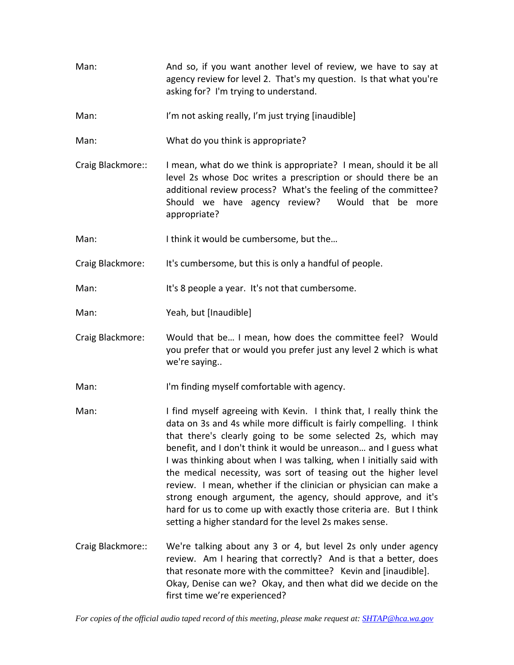- Man: And so, if you want another level of review, we have to say at agency review for level 2. That's my question. Is that what you're asking for? I'm trying to understand.
- Man: I'm not asking really, I'm just trying [inaudible]
- Man: What do you think is appropriate?
- Craig Blackmore:: I mean, what do we think is appropriate? I mean, should it be all level 2s whose Doc writes a prescription or should there be an additional review process? What's the feeling of the committee? Should we have agency review? Would that be more appropriate?
- Man: I think it would be cumbersome, but the...
- Craig Blackmore: It's cumbersome, but this is only a handful of people.

Man: It's 8 people a year. It's not that cumbersome.

- Man: Yeah, but [Inaudible]
- Craig Blackmore: Would that be… I mean, how does the committee feel? Would you prefer that or would you prefer just any level 2 which is what we're saying..
- Man: I'm finding myself comfortable with agency.
- Man: I find myself agreeing with Kevin. I think that, I really think the data on 3s and 4s while more difficult is fairly compelling. I think that there's clearly going to be some selected 2s, which may benefit, and I don't think it would be unreason… and I guess what I was thinking about when I was talking, when I initially said with the medical necessity, was sort of teasing out the higher level review. I mean, whether if the clinician or physician can make a strong enough argument, the agency, should approve, and it's hard for us to come up with exactly those criteria are. But I think setting a higher standard for the level 2s makes sense.
- Craig Blackmore:: We're talking about any 3 or 4, but level 2s only under agency review. Am I hearing that correctly? And is that a better, does that resonate more with the committee? Kevin and [inaudible]. Okay, Denise can we? Okay, and then what did we decide on the first time we're experienced?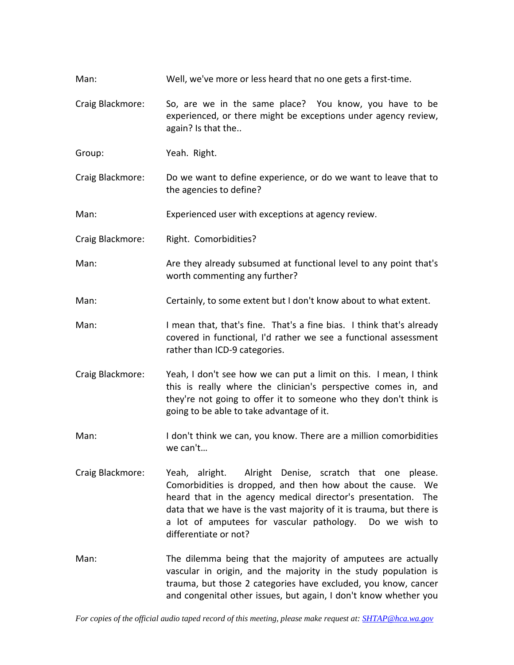- Man: Well, we've more or less heard that no one gets a first-time.
- Craig Blackmore: So, are we in the same place? You know, you have to be experienced, or there might be exceptions under agency review, again? Is that the..
- Group: Yeah. Right.
- Craig Blackmore: Do we want to define experience, or do we want to leave that to the agencies to define?

Man: Experienced user with exceptions at agency review.

- Craig Blackmore: Right. Comorbidities?
- Man: Are they already subsumed at functional level to any point that's worth commenting any further?
- Man: Certainly, to some extent but I don't know about to what extent.
- Man: I mean that, that's fine. That's a fine bias. I think that's already covered in functional, I'd rather we see a functional assessment rather than ICD‐9 categories.
- Craig Blackmore: Yeah, I don't see how we can put a limit on this. I mean, I think this is really where the clinician's perspective comes in, and they're not going to offer it to someone who they don't think is going to be able to take advantage of it.
- Man: I don't think we can, you know. There are a million comorbidities we can't…
- Craig Blackmore: Yeah, alright. Alright Denise, scratch that one please. Comorbidities is dropped, and then how about the cause. We heard that in the agency medical director's presentation. The data that we have is the vast majority of it is trauma, but there is a lot of amputees for vascular pathology. Do we wish to differentiate or not?
- Man: The dilemma being that the majority of amputees are actually vascular in origin, and the majority in the study population is trauma, but those 2 categories have excluded, you know, cancer and congenital other issues, but again, I don't know whether you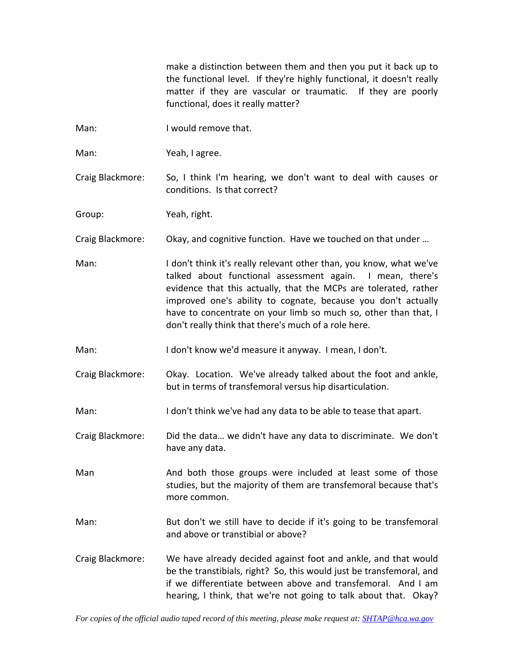make a distinction between them and then you put it back up to the functional level. If they're highly functional, it doesn't really matter if they are vascular or traumatic. If they are poorly functional, does it really matter?

- Man: I would remove that.
- Man: Yeah, I agree.

Craig Blackmore: So, I think I'm hearing, we don't want to deal with causes or conditions. Is that correct?

Group: Yeah, right.

Craig Blackmore: Okay, and cognitive function. Have we touched on that under …

- Man: I don't think it's really relevant other than, you know, what we've talked about functional assessment again. I mean, there's evidence that this actually, that the MCPs are tolerated, rather improved one's ability to cognate, because you don't actually have to concentrate on your limb so much so, other than that, I don't really think that there's much of a role here.
- Man: I don't know we'd measure it anyway. I mean, I don't.
- Craig Blackmore: Okay. Location. We've already talked about the foot and ankle, but in terms of transfemoral versus hip disarticulation.
- Man: I don't think we've had any data to be able to tease that apart.
- Craig Blackmore: Did the data… we didn't have any data to discriminate. We don't have any data.

Man And both those groups were included at least some of those studies, but the majority of them are transfemoral because that's more common.

- Man: But don't we still have to decide if it's going to be transfemoral and above or transtibial or above?
- Craig Blackmore: We have already decided against foot and ankle, and that would be the transtibials, right? So, this would just be transfemoral, and if we differentiate between above and transfemoral. And I am hearing, I think, that we're not going to talk about that. Okay?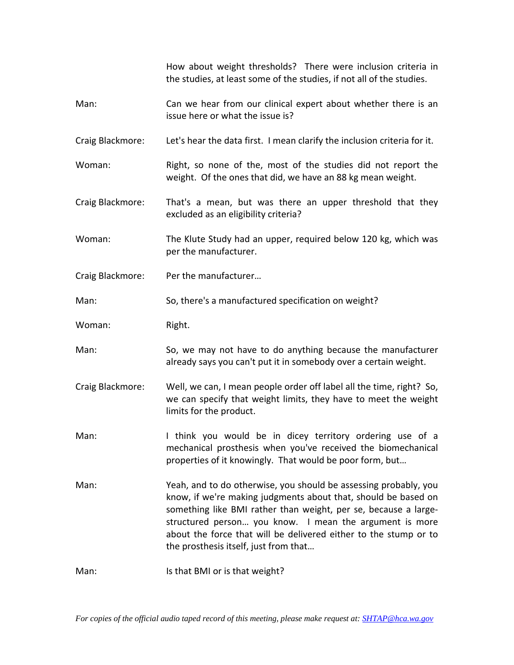How about weight thresholds? There were inclusion criteria in the studies, at least some of the studies, if not all of the studies.

- Man: Can we hear from our clinical expert about whether there is an issue here or what the issue is?
- Craig Blackmore: Let's hear the data first. I mean clarify the inclusion criteria for it.

Woman: Right, so none of the, most of the studies did not report the weight. Of the ones that did, we have an 88 kg mean weight.

- Craig Blackmore: That's a mean, but was there an upper threshold that they excluded as an eligibility criteria?
- Woman: The Klute Study had an upper, required below 120 kg, which was per the manufacturer.
- Craig Blackmore: Per the manufacturer…
- Man: So, there's a manufactured specification on weight?
- Woman: Right.
- Man: So, we may not have to do anything because the manufacturer already says you can't put it in somebody over a certain weight.
- Craig Blackmore: Well, we can, I mean people order off label all the time, right? So, we can specify that weight limits, they have to meet the weight limits for the product.
- Man: I think you would be in dicey territory ordering use of a mechanical prosthesis when you've received the biomechanical properties of it knowingly. That would be poor form, but…
- Man: Yeah, and to do otherwise, you should be assessing probably, you know, if we're making judgments about that, should be based on something like BMI rather than weight, per se, because a large‐ structured person... you know. I mean the argument is more about the force that will be delivered either to the stump or to the prosthesis itself, just from that…
- Man: Is that BMI or is that weight?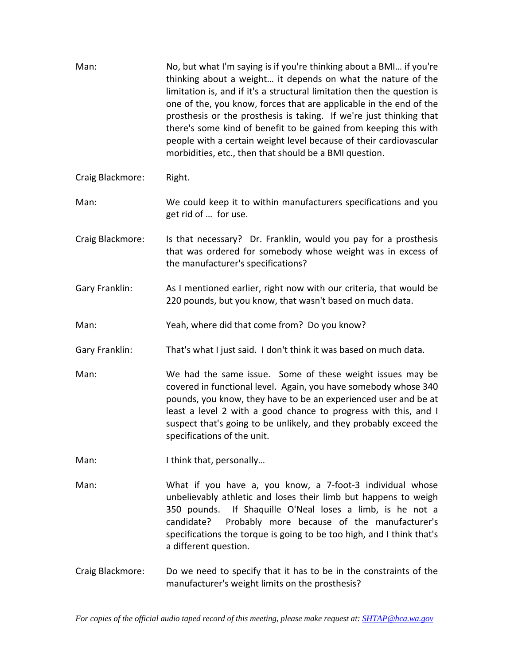| Man:             | No, but what I'm saying is if you're thinking about a BMI if you're<br>thinking about a weight it depends on what the nature of the<br>limitation is, and if it's a structural limitation then the question is<br>one of the, you know, forces that are applicable in the end of the<br>prosthesis or the prosthesis is taking. If we're just thinking that<br>there's some kind of benefit to be gained from keeping this with<br>people with a certain weight level because of their cardiovascular<br>morbidities, etc., then that should be a BMI question. |
|------------------|-----------------------------------------------------------------------------------------------------------------------------------------------------------------------------------------------------------------------------------------------------------------------------------------------------------------------------------------------------------------------------------------------------------------------------------------------------------------------------------------------------------------------------------------------------------------|
| Craig Blackmore: | Right.                                                                                                                                                                                                                                                                                                                                                                                                                                                                                                                                                          |
| Man:             | We could keep it to within manufacturers specifications and you<br>get rid of  for use.                                                                                                                                                                                                                                                                                                                                                                                                                                                                         |
| Craig Blackmore: | Is that necessary? Dr. Franklin, would you pay for a prosthesis<br>that was ordered for somebody whose weight was in excess of<br>the manufacturer's specifications?                                                                                                                                                                                                                                                                                                                                                                                            |
| Gary Franklin:   | As I mentioned earlier, right now with our criteria, that would be<br>220 pounds, but you know, that wasn't based on much data.                                                                                                                                                                                                                                                                                                                                                                                                                                 |
| Man:             | Yeah, where did that come from? Do you know?                                                                                                                                                                                                                                                                                                                                                                                                                                                                                                                    |
| Gary Franklin:   | That's what I just said. I don't think it was based on much data.                                                                                                                                                                                                                                                                                                                                                                                                                                                                                               |
| Man:             | We had the same issue. Some of these weight issues may be<br>covered in functional level. Again, you have somebody whose 340<br>pounds, you know, they have to be an experienced user and be at<br>least a level 2 with a good chance to progress with this, and I<br>suspect that's going to be unlikely, and they probably exceed the<br>specifications of the unit.                                                                                                                                                                                          |
| Man:             | I think that, personally                                                                                                                                                                                                                                                                                                                                                                                                                                                                                                                                        |
| Man:             | What if you have a, you know, a 7-foot-3 individual whose<br>unbelievably athletic and loses their limb but happens to weigh<br>350 pounds. If Shaquille O'Neal loses a limb, is he not a<br>candidate?<br>Probably more because of the manufacturer's<br>specifications the torque is going to be too high, and I think that's<br>a different question.                                                                                                                                                                                                        |
| Craig Blackmore: | Do we need to specify that it has to be in the constraints of the<br>manufacturer's weight limits on the prosthesis?                                                                                                                                                                                                                                                                                                                                                                                                                                            |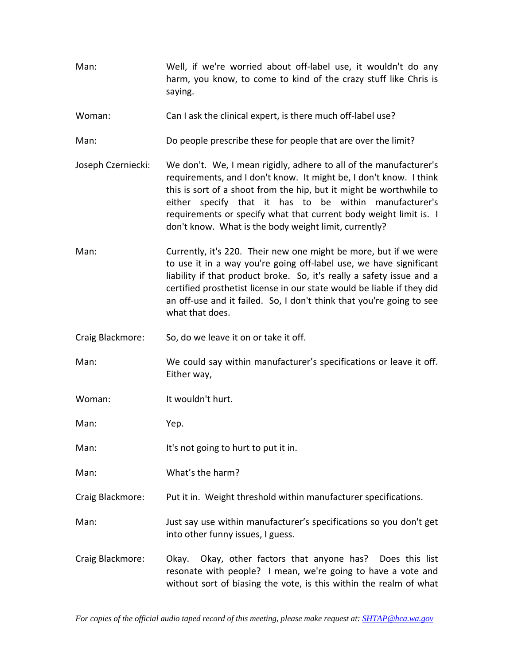- Man: Well, if we're worried about off‐label use, it wouldn't do any harm, you know, to come to kind of the crazy stuff like Chris is saying.
- Woman: Can I ask the clinical expert, is there much off-label use?
- Man: Do people prescribe these for people that are over the limit?
- Joseph Czerniecki: We don't. We, I mean rigidly, adhere to all of the manufacturer's requirements, and I don't know. It might be, I don't know. I think this is sort of a shoot from the hip, but it might be worthwhile to either specify that it has to be within manufacturer's requirements or specify what that current body weight limit is. I don't know. What is the body weight limit, currently?
- Man: Currently, it's 220. Their new one might be more, but if we were to use it in a way you're going off‐label use, we have significant liability if that product broke. So, it's really a safety issue and a certified prosthetist license in our state would be liable if they did an off-use and it failed. So, I don't think that you're going to see what that does.
- Craig Blackmore: So, do we leave it on or take it off.
- Man: We could say within manufacturer's specifications or leave it off. Either way,
- Woman: It wouldn't hurt.

Man: Yep.

- Man: It's not going to hurt to put it in.
- Man: What's the harm?
- Craig Blackmore: Put it in. Weight threshold within manufacturer specifications.
- Man: Just say use within manufacturer's specifications so you don't get into other funny issues, I guess.
- Craig Blackmore: Okay. Okay, other factors that anyone has? Does this list resonate with people? I mean, we're going to have a vote and without sort of biasing the vote, is this within the realm of what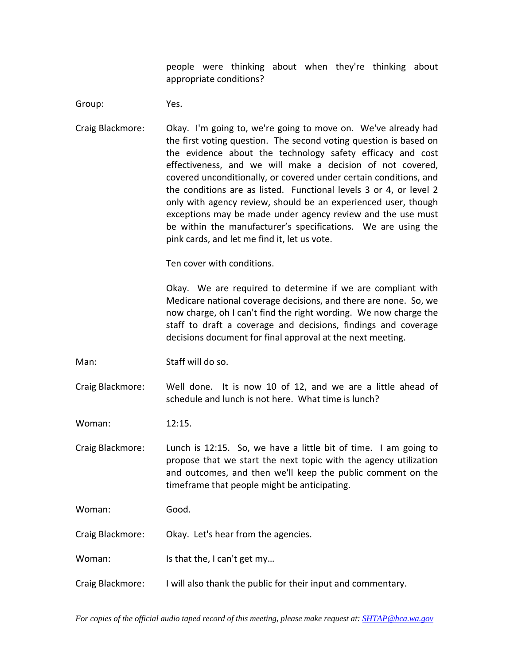people were thinking about when they're thinking about appropriate conditions?

Group: Yes.

Craig Blackmore: Okay. I'm going to, we're going to move on. We've already had the first voting question. The second voting question is based on the evidence about the technology safety efficacy and cost effectiveness, and we will make a decision of not covered, covered unconditionally, or covered under certain conditions, and the conditions are as listed. Functional levels 3 or 4, or level 2 only with agency review, should be an experienced user, though exceptions may be made under agency review and the use must be within the manufacturer's specifications. We are using the pink cards, and let me find it, let us vote.

Ten cover with conditions.

Okay. We are required to determine if we are compliant with Medicare national coverage decisions, and there are none. So, we now charge, oh I can't find the right wording. We now charge the staff to draft a coverage and decisions, findings and coverage decisions document for final approval at the next meeting.

Man: Staff will do so.

Craig Blackmore: Well done. It is now 10 of 12, and we are a little ahead of schedule and lunch is not here. What time is lunch?

Woman: 12:15.

Craig Blackmore: Lunch is 12:15. So, we have a little bit of time. I am going to propose that we start the next topic with the agency utilization and outcomes, and then we'll keep the public comment on the timeframe that people might be anticipating.

Woman: Good.

Craig Blackmore: Okay. Let's hear from the agencies.

Woman: Is that the, I can't get my...

Craig Blackmore: I will also thank the public for their input and commentary.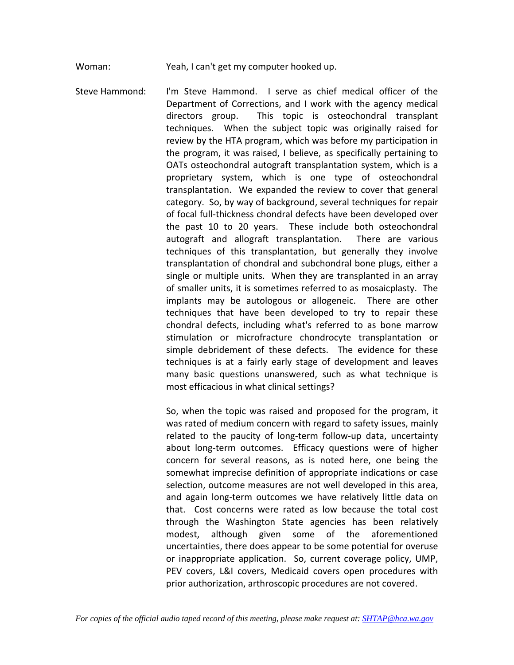Woman: Yeah, I can't get my computer hooked up.

Steve Hammond: I'm Steve Hammond. I serve as chief medical officer of the Department of Corrections, and I work with the agency medical directors group. This topic is osteochondral transplant techniques. When the subject topic was originally raised for review by the HTA program, which was before my participation in the program, it was raised, I believe, as specifically pertaining to OATs osteochondral autograft transplantation system, which is a proprietary system, which is one type of osteochondral transplantation. We expanded the review to cover that general category. So, by way of background, several techniques for repair of focal full‐thickness chondral defects have been developed over the past 10 to 20 years. These include both osteochondral autograft and allograft transplantation. There are various techniques of this transplantation, but generally they involve transplantation of chondral and subchondral bone plugs, either a single or multiple units. When they are transplanted in an array of smaller units, it is sometimes referred to as mosaicplasty. The implants may be autologous or allogeneic. There are other techniques that have been developed to try to repair these chondral defects, including what's referred to as bone marrow stimulation or microfracture chondrocyte transplantation or simple debridement of these defects. The evidence for these techniques is at a fairly early stage of development and leaves many basic questions unanswered, such as what technique is most efficacious in what clinical settings?

> So, when the topic was raised and proposed for the program, it was rated of medium concern with regard to safety issues, mainly related to the paucity of long-term follow-up data, uncertainty about long-term outcomes. Efficacy questions were of higher concern for several reasons, as is noted here, one being the somewhat imprecise definition of appropriate indications or case selection, outcome measures are not well developed in this area, and again long‐term outcomes we have relatively little data on that. Cost concerns were rated as low because the total cost through the Washington State agencies has been relatively modest, although given some of the aforementioned uncertainties, there does appear to be some potential for overuse or inappropriate application. So, current coverage policy, UMP, PEV covers, L&I covers, Medicaid covers open procedures with prior authorization, arthroscopic procedures are not covered.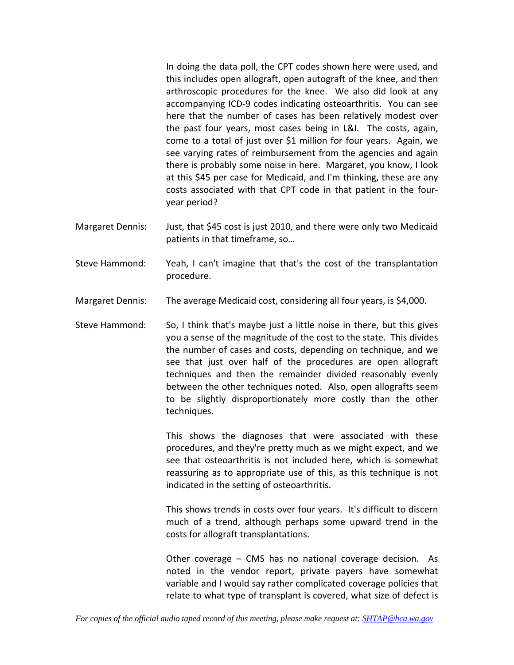In doing the data poll, the CPT codes shown here were used, and this includes open allograft, open autograft of the knee, and then arthroscopic procedures for the knee. We also did look at any accompanying ICD‐9 codes indicating osteoarthritis. You can see here that the number of cases has been relatively modest over the past four years, most cases being in L&I. The costs, again, come to a total of just over \$1 million for four years. Again, we see varying rates of reimbursement from the agencies and again there is probably some noise in here. Margaret, you know, I look at this \$45 per case for Medicaid, and I'm thinking, these are any costs associated with that CPT code in that patient in the four‐ year period?

- Margaret Dennis: Just, that \$45 cost is just 2010, and there were only two Medicaid patients in that timeframe, so…
- Steve Hammond: Yeah, I can't imagine that that's the cost of the transplantation procedure.
- Margaret Dennis: The average Medicaid cost, considering all four years, is \$4,000.
- Steve Hammond: So, I think that's maybe just a little noise in there, but this gives you a sense of the magnitude of the cost to the state. This divides the number of cases and costs, depending on technique, and we see that just over half of the procedures are open allograft techniques and then the remainder divided reasonably evenly between the other techniques noted. Also, open allografts seem to be slightly disproportionately more costly than the other techniques.

This shows the diagnoses that were associated with these procedures, and they're pretty much as we might expect, and we see that osteoarthritis is not included here, which is somewhat reassuring as to appropriate use of this, as this technique is not indicated in the setting of osteoarthritis.

This shows trends in costs over four years. It's difficult to discern much of a trend, although perhaps some upward trend in the costs for allograft transplantations.

Other coverage – CMS has no national coverage decision. As noted in the vendor report, private payers have somewhat variable and I would say rather complicated coverage policies that relate to what type of transplant is covered, what size of defect is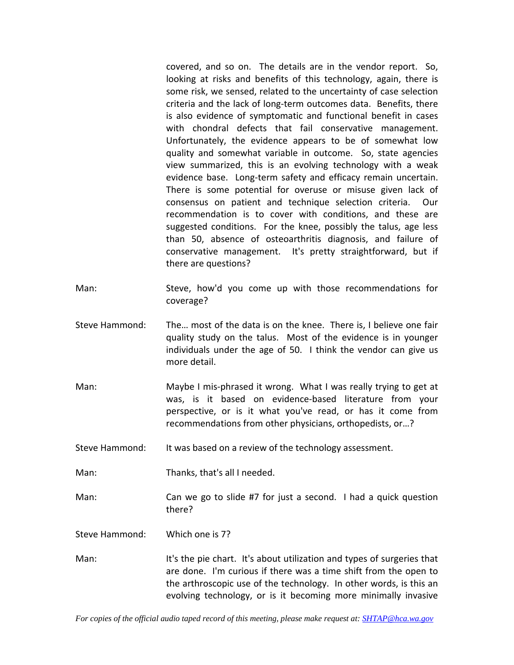covered, and so on. The details are in the vendor report. So, looking at risks and benefits of this technology, again, there is some risk, we sensed, related to the uncertainty of case selection criteria and the lack of long‐term outcomes data. Benefits, there is also evidence of symptomatic and functional benefit in cases with chondral defects that fail conservative management. Unfortunately, the evidence appears to be of somewhat low quality and somewhat variable in outcome. So, state agencies view summarized, this is an evolving technology with a weak evidence base. Long-term safety and efficacy remain uncertain. There is some potential for overuse or misuse given lack of consensus on patient and technique selection criteria. Our recommendation is to cover with conditions, and these are suggested conditions. For the knee, possibly the talus, age less than 50, absence of osteoarthritis diagnosis, and failure of conservative management. It's pretty straightforward, but if there are questions?

- Man: Steve, how'd you come up with those recommendations for coverage?
- Steve Hammond: The… most of the data is on the knee. There is, I believe one fair quality study on the talus. Most of the evidence is in younger individuals under the age of 50. I think the vendor can give us more detail.
- Man: Maybe I mis-phrased it wrong. What I was really trying to get at was, is it based on evidence‐based literature from your perspective, or is it what you've read, or has it come from recommendations from other physicians, orthopedists, or…?
- Steve Hammond: It was based on a review of the technology assessment.
- Man: Thanks, that's all I needed.
- Man: Can we go to slide #7 for just a second. I had a quick question there?

Steve Hammond: Which one is 7?

Man: It's the pie chart. It's about utilization and types of surgeries that are done. I'm curious if there was a time shift from the open to the arthroscopic use of the technology. In other words, is this an evolving technology, or is it becoming more minimally invasive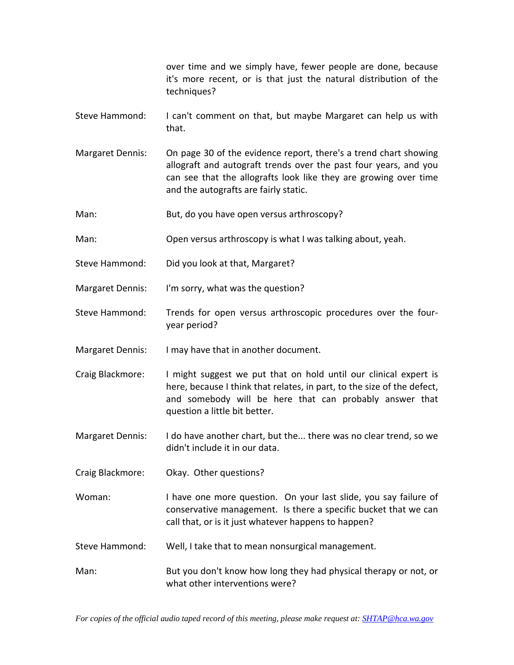over time and we simply have, fewer people are done, because it's more recent, or is that just the natural distribution of the techniques?

- Steve Hammond: I can't comment on that, but maybe Margaret can help us with that.
- Margaret Dennis: On page 30 of the evidence report, there's a trend chart showing allograft and autograft trends over the past four years, and you can see that the allografts look like they are growing over time and the autografts are fairly static.
- Man: But, do you have open versus arthroscopy?
- Man: Open versus arthroscopy is what I was talking about, yeah.
- Steve Hammond: Did you look at that, Margaret?
- Margaret Dennis: I'm sorry, what was the question?
- Steve Hammond: Trends for open versus arthroscopic procedures over the four‐ year period?
- Margaret Dennis: I may have that in another document.
- Craig Blackmore: I might suggest we put that on hold until our clinical expert is here, because I think that relates, in part, to the size of the defect, and somebody will be here that can probably answer that question a little bit better.
- Margaret Dennis: I do have another chart, but the... there was no clear trend, so we didn't include it in our data.
- Craig Blackmore: Okay. Other questions?
- Woman: I have one more question. On your last slide, you say failure of conservative management. Is there a specific bucket that we can call that, or is it just whatever happens to happen?
- Steve Hammond: Well, I take that to mean nonsurgical management.
- Man: But you don't know how long they had physical therapy or not, or what other interventions were?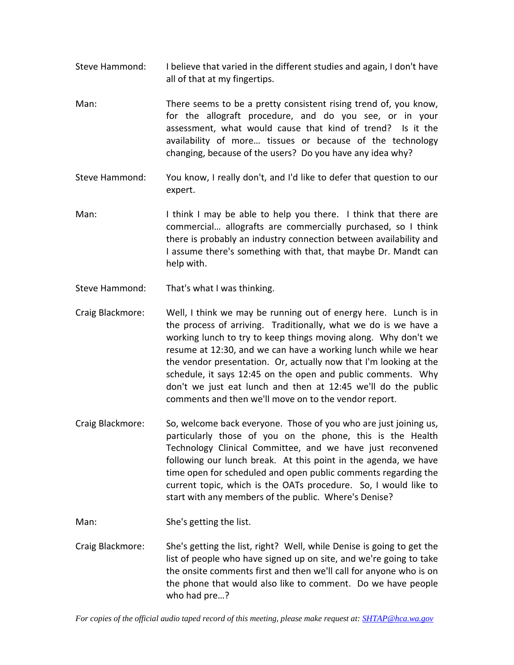- Steve Hammond: I believe that varied in the different studies and again, I don't have all of that at my fingertips.
- Man: There seems to be a pretty consistent rising trend of, you know, for the allograft procedure, and do you see, or in your assessment, what would cause that kind of trend? Is it the availability of more… tissues or because of the technology changing, because of the users? Do you have any idea why?
- Steve Hammond: You know, I really don't, and I'd like to defer that question to our expert.
- Man: I think I may be able to help you there. I think that there are commercial… allografts are commercially purchased, so I think there is probably an industry connection between availability and I assume there's something with that, that maybe Dr. Mandt can help with.
- Steve Hammond: That's what I was thinking.
- Craig Blackmore: Well, I think we may be running out of energy here. Lunch is in the process of arriving. Traditionally, what we do is we have a working lunch to try to keep things moving along. Why don't we resume at 12:30, and we can have a working lunch while we hear the vendor presentation. Or, actually now that I'm looking at the schedule, it says 12:45 on the open and public comments. Why don't we just eat lunch and then at 12:45 we'll do the public comments and then we'll move on to the vendor report.
- Craig Blackmore: So, welcome back everyone. Those of you who are just joining us, particularly those of you on the phone, this is the Health Technology Clinical Committee, and we have just reconvened following our lunch break. At this point in the agenda, we have time open for scheduled and open public comments regarding the current topic, which is the OATs procedure. So, I would like to start with any members of the public. Where's Denise?
- Man: She's getting the list.
- Craig Blackmore: She's getting the list, right? Well, while Denise is going to get the list of people who have signed up on site, and we're going to take the onsite comments first and then we'll call for anyone who is on the phone that would also like to comment. Do we have people who had pre…?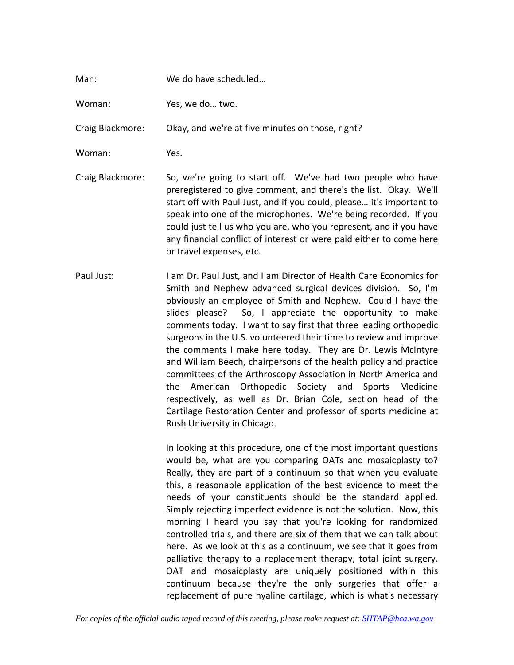## Man: We do have scheduled…

Woman: Yes, we do… two.

Craig Blackmore: Okay, and we're at five minutes on those, right?

- Woman: Yes.
- Craig Blackmore: So, we're going to start off. We've had two people who have preregistered to give comment, and there's the list. Okay. We'll start off with Paul Just, and if you could, please… it's important to speak into one of the microphones. We're being recorded. If you could just tell us who you are, who you represent, and if you have any financial conflict of interest or were paid either to come here or travel expenses, etc.
- Paul Just: I am Dr. Paul Just, and I am Director of Health Care Economics for Smith and Nephew advanced surgical devices division. So, I'm obviously an employee of Smith and Nephew. Could I have the slides please? So, I appreciate the opportunity to make comments today. I want to say first that three leading orthopedic surgeons in the U.S. volunteered their time to review and improve the comments I make here today. They are Dr. Lewis McIntyre and William Beech, chairpersons of the health policy and practice committees of the Arthroscopy Association in North America and the American Orthopedic Society and Sports Medicine respectively, as well as Dr. Brian Cole, section head of the Cartilage Restoration Center and professor of sports medicine at Rush University in Chicago.

In looking at this procedure, one of the most important questions would be, what are you comparing OATs and mosaicplasty to? Really, they are part of a continuum so that when you evaluate this, a reasonable application of the best evidence to meet the needs of your constituents should be the standard applied. Simply rejecting imperfect evidence is not the solution. Now, this morning I heard you say that you're looking for randomized controlled trials, and there are six of them that we can talk about here. As we look at this as a continuum, we see that it goes from palliative therapy to a replacement therapy, total joint surgery. OAT and mosaicplasty are uniquely positioned within this continuum because they're the only surgeries that offer a replacement of pure hyaline cartilage, which is what's necessary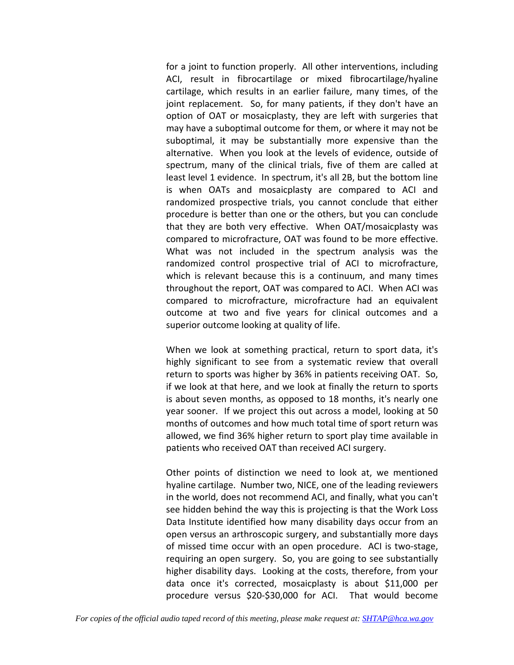for a joint to function properly. All other interventions, including ACI, result in fibrocartilage or mixed fibrocartilage/hyaline cartilage, which results in an earlier failure, many times, of the joint replacement. So, for many patients, if they don't have an option of OAT or mosaicplasty, they are left with surgeries that may have a suboptimal outcome for them, or where it may not be suboptimal, it may be substantially more expensive than the alternative. When you look at the levels of evidence, outside of spectrum, many of the clinical trials, five of them are called at least level 1 evidence. In spectrum, it's all 2B, but the bottom line is when OATs and mosaicplasty are compared to ACI and randomized prospective trials, you cannot conclude that either procedure is better than one or the others, but you can conclude that they are both very effective. When OAT/mosaicplasty was compared to microfracture, OAT was found to be more effective. What was not included in the spectrum analysis was the randomized control prospective trial of ACI to microfracture, which is relevant because this is a continuum, and many times throughout the report, OAT was compared to ACI. When ACI was compared to microfracture, microfracture had an equivalent outcome at two and five years for clinical outcomes and a superior outcome looking at quality of life.

When we look at something practical, return to sport data, it's highly significant to see from a systematic review that overall return to sports was higher by 36% in patients receiving OAT. So, if we look at that here, and we look at finally the return to sports is about seven months, as opposed to 18 months, it's nearly one year sooner. If we project this out across a model, looking at 50 months of outcomes and how much total time of sport return was allowed, we find 36% higher return to sport play time available in patients who received OAT than received ACI surgery.

Other points of distinction we need to look at, we mentioned hyaline cartilage. Number two, NICE, one of the leading reviewers in the world, does not recommend ACI, and finally, what you can't see hidden behind the way this is projecting is that the Work Loss Data Institute identified how many disability days occur from an open versus an arthroscopic surgery, and substantially more days of missed time occur with an open procedure. ACI is two‐stage, requiring an open surgery. So, you are going to see substantially higher disability days. Looking at the costs, therefore, from your data once it's corrected, mosaicplasty is about \$11,000 per procedure versus \$20‐\$30,000 for ACI. That would become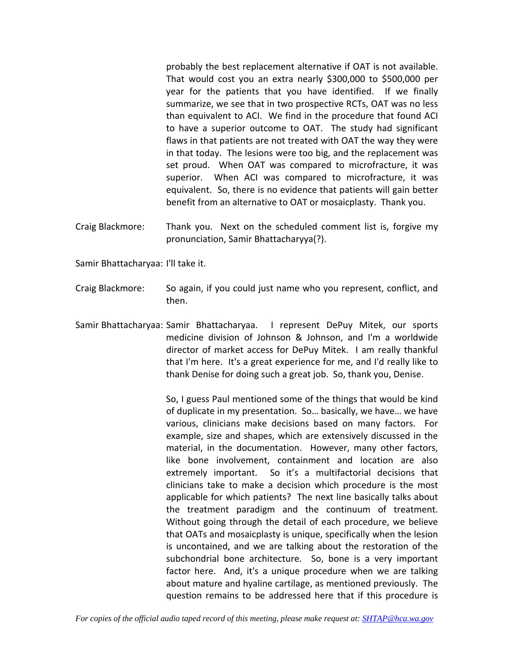probably the best replacement alternative if OAT is not available. That would cost you an extra nearly \$300,000 to \$500,000 per year for the patients that you have identified. If we finally summarize, we see that in two prospective RCTs, OAT was no less than equivalent to ACI. We find in the procedure that found ACI to have a superior outcome to OAT. The study had significant flaws in that patients are not treated with OAT the way they were in that today. The lesions were too big, and the replacement was set proud. When OAT was compared to microfracture, it was superior. When ACI was compared to microfracture, it was equivalent. So, there is no evidence that patients will gain better benefit from an alternative to OAT or mosaicplasty. Thank you.

Craig Blackmore: Thank you. Next on the scheduled comment list is, forgive my pronunciation, Samir Bhattacharyya(?).

Samir Bhattacharyaa: I'll take it.

- Craig Blackmore: So again, if you could just name who you represent, conflict, and then.
- Samir Bhattacharyaa: Samir Bhattacharyaa. I represent DePuy Mitek, our sports medicine division of Johnson & Johnson, and I'm a worldwide director of market access for DePuy Mitek. I am really thankful that I'm here. It's a great experience for me, and I'd really like to thank Denise for doing such a great job. So, thank you, Denise.

So, I guess Paul mentioned some of the things that would be kind of duplicate in my presentation. So… basically, we have… we have various, clinicians make decisions based on many factors. For example, size and shapes, which are extensively discussed in the material, in the documentation. However, many other factors, like bone involvement, containment and location are also extremely important. So it's a multifactorial decisions that clinicians take to make a decision which procedure is the most applicable for which patients? The next line basically talks about the treatment paradigm and the continuum of treatment. Without going through the detail of each procedure, we believe that OATs and mosaicplasty is unique, specifically when the lesion is uncontained, and we are talking about the restoration of the subchondrial bone architecture. So, bone is a very important factor here. And, it's a unique procedure when we are talking about mature and hyaline cartilage, as mentioned previously. The question remains to be addressed here that if this procedure is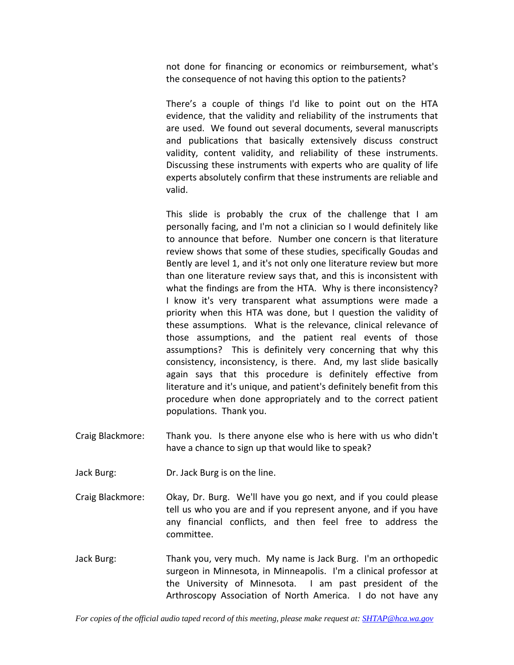not done for financing or economics or reimbursement, what's the consequence of not having this option to the patients?

There's a couple of things I'd like to point out on the HTA evidence, that the validity and reliability of the instruments that are used. We found out several documents, several manuscripts and publications that basically extensively discuss construct validity, content validity, and reliability of these instruments. Discussing these instruments with experts who are quality of life experts absolutely confirm that these instruments are reliable and valid.

This slide is probably the crux of the challenge that I am personally facing, and I'm not a clinician so I would definitely like to announce that before. Number one concern is that literature review shows that some of these studies, specifically Goudas and Bently are level 1, and it's not only one literature review but more than one literature review says that, and this is inconsistent with what the findings are from the HTA. Why is there inconsistency? I know it's very transparent what assumptions were made a priority when this HTA was done, but I question the validity of these assumptions. What is the relevance, clinical relevance of those assumptions, and the patient real events of those assumptions? This is definitely very concerning that why this consistency, inconsistency, is there. And, my last slide basically again says that this procedure is definitely effective from literature and it's unique, and patient's definitely benefit from this procedure when done appropriately and to the correct patient populations. Thank you.

- Craig Blackmore: Thank you. Is there anyone else who is here with us who didn't have a chance to sign up that would like to speak?
- Jack Burg: Dr. Jack Burg is on the line.
- Craig Blackmore: Okay, Dr. Burg. We'll have you go next, and if you could please tell us who you are and if you represent anyone, and if you have any financial conflicts, and then feel free to address the committee.
- Jack Burg: Thank you, very much. My name is Jack Burg. I'm an orthopedic surgeon in Minnesota, in Minneapolis. I'm a clinical professor at the University of Minnesota. I am past president of the Arthroscopy Association of North America. I do not have any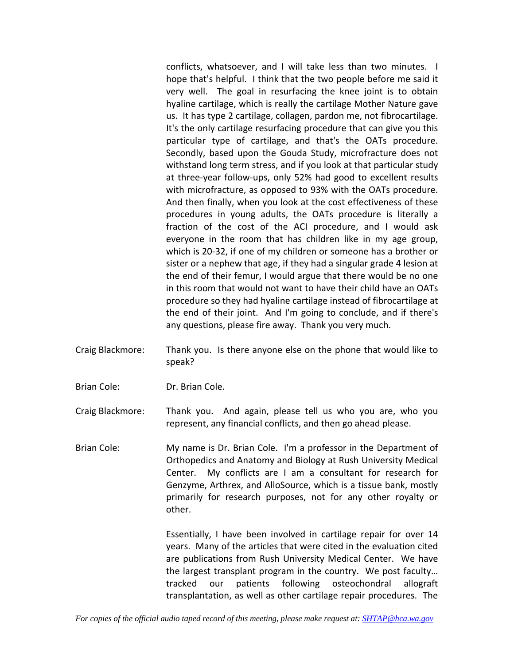conflicts, whatsoever, and I will take less than two minutes. I hope that's helpful. I think that the two people before me said it very well. The goal in resurfacing the knee joint is to obtain hyaline cartilage, which is really the cartilage Mother Nature gave us. It has type 2 cartilage, collagen, pardon me, not fibrocartilage. It's the only cartilage resurfacing procedure that can give you this particular type of cartilage, and that's the OATs procedure. Secondly, based upon the Gouda Study, microfracture does not withstand long term stress, and if you look at that particular study at three‐year follow‐ups, only 52% had good to excellent results with microfracture, as opposed to 93% with the OATs procedure. And then finally, when you look at the cost effectiveness of these procedures in young adults, the OATs procedure is literally a fraction of the cost of the ACI procedure, and I would ask everyone in the room that has children like in my age group, which is 20‐32, if one of my children or someone has a brother or sister or a nephew that age, if they had a singular grade 4 lesion at the end of their femur, I would argue that there would be no one in this room that would not want to have their child have an OATs procedure so they had hyaline cartilage instead of fibrocartilage at the end of their joint. And I'm going to conclude, and if there's any questions, please fire away. Thank you very much.

- Craig Blackmore: Thank you. Is there anyone else on the phone that would like to speak?
- Brian Cole: Dr. Brian Cole.

Craig Blackmore: Thank you. And again, please tell us who you are, who you represent, any financial conflicts, and then go ahead please.

Brian Cole: My name is Dr. Brian Cole. I'm a professor in the Department of Orthopedics and Anatomy and Biology at Rush University Medical Center. My conflicts are I am a consultant for research for Genzyme, Arthrex, and AlloSource, which is a tissue bank, mostly primarily for research purposes, not for any other royalty or other.

> Essentially, I have been involved in cartilage repair for over 14 years. Many of the articles that were cited in the evaluation cited are publications from Rush University Medical Center. We have the largest transplant program in the country. We post faculty… tracked our patients following osteochondral allograft transplantation, as well as other cartilage repair procedures. The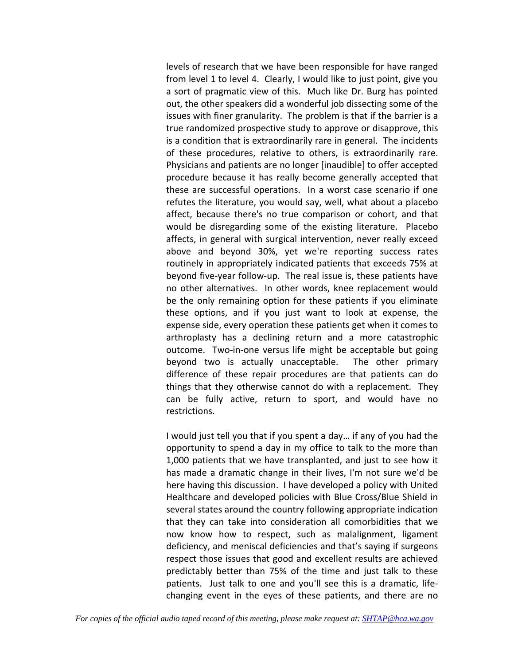levels of research that we have been responsible for have ranged from level 1 to level 4. Clearly, I would like to just point, give you a sort of pragmatic view of this. Much like Dr. Burg has pointed out, the other speakers did a wonderful job dissecting some of the issues with finer granularity. The problem is that if the barrier is a true randomized prospective study to approve or disapprove, this is a condition that is extraordinarily rare in general. The incidents of these procedures, relative to others, is extraordinarily rare. Physicians and patients are no longer [inaudible] to offer accepted procedure because it has really become generally accepted that these are successful operations. In a worst case scenario if one refutes the literature, you would say, well, what about a placebo affect, because there's no true comparison or cohort, and that would be disregarding some of the existing literature. Placebo affects, in general with surgical intervention, never really exceed above and beyond 30%, yet we're reporting success rates routinely in appropriately indicated patients that exceeds 75% at beyond five‐year follow‐up. The real issue is, these patients have no other alternatives. In other words, knee replacement would be the only remaining option for these patients if you eliminate these options, and if you just want to look at expense, the expense side, every operation these patients get when it comes to arthroplasty has a declining return and a more catastrophic outcome. Two-in-one versus life might be acceptable but going beyond two is actually unacceptable. The other primary difference of these repair procedures are that patients can do things that they otherwise cannot do with a replacement. They can be fully active, return to sport, and would have no restrictions.

I would just tell you that if you spent a day… if any of you had the opportunity to spend a day in my office to talk to the more than 1,000 patients that we have transplanted, and just to see how it has made a dramatic change in their lives, I'm not sure we'd be here having this discussion. I have developed a policy with United Healthcare and developed policies with Blue Cross/Blue Shield in several states around the country following appropriate indication that they can take into consideration all comorbidities that we now know how to respect, such as malalignment, ligament deficiency, and meniscal deficiencies and that's saying if surgeons respect those issues that good and excellent results are achieved predictably better than 75% of the time and just talk to these patients. Just talk to one and you'll see this is a dramatic, life‐ changing event in the eyes of these patients, and there are no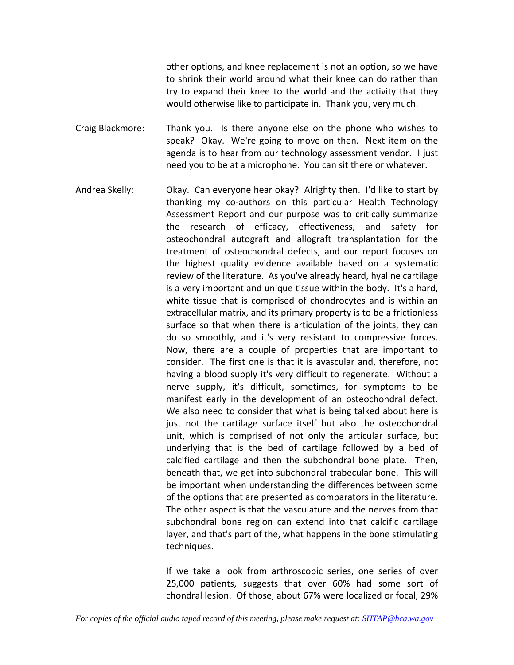other options, and knee replacement is not an option, so we have to shrink their world around what their knee can do rather than try to expand their knee to the world and the activity that they would otherwise like to participate in. Thank you, very much.

Craig Blackmore: Thank you. Is there anyone else on the phone who wishes to speak? Okay. We're going to move on then. Next item on the agenda is to hear from our technology assessment vendor. I just need you to be at a microphone. You can sit there or whatever.

Andrea Skelly: Okay. Can everyone hear okay? Alrighty then. I'd like to start by thanking my co‐authors on this particular Health Technology Assessment Report and our purpose was to critically summarize the research of efficacy, effectiveness, and safety for osteochondral autograft and allograft transplantation for the treatment of osteochondral defects, and our report focuses on the highest quality evidence available based on a systematic review of the literature. As you've already heard, hyaline cartilage is a very important and unique tissue within the body. It's a hard, white tissue that is comprised of chondrocytes and is within an extracellular matrix, and its primary property is to be a frictionless surface so that when there is articulation of the joints, they can do so smoothly, and it's very resistant to compressive forces. Now, there are a couple of properties that are important to consider. The first one is that it is avascular and, therefore, not having a blood supply it's very difficult to regenerate. Without a nerve supply, it's difficult, sometimes, for symptoms to be manifest early in the development of an osteochondral defect. We also need to consider that what is being talked about here is just not the cartilage surface itself but also the osteochondral unit, which is comprised of not only the articular surface, but underlying that is the bed of cartilage followed by a bed of calcified cartilage and then the subchondral bone plate. Then, beneath that, we get into subchondral trabecular bone. This will be important when understanding the differences between some of the options that are presented as comparators in the literature. The other aspect is that the vasculature and the nerves from that subchondral bone region can extend into that calcific cartilage layer, and that's part of the, what happens in the bone stimulating techniques.

> If we take a look from arthroscopic series, one series of over 25,000 patients, suggests that over 60% had some sort of chondral lesion. Of those, about 67% were localized or focal, 29%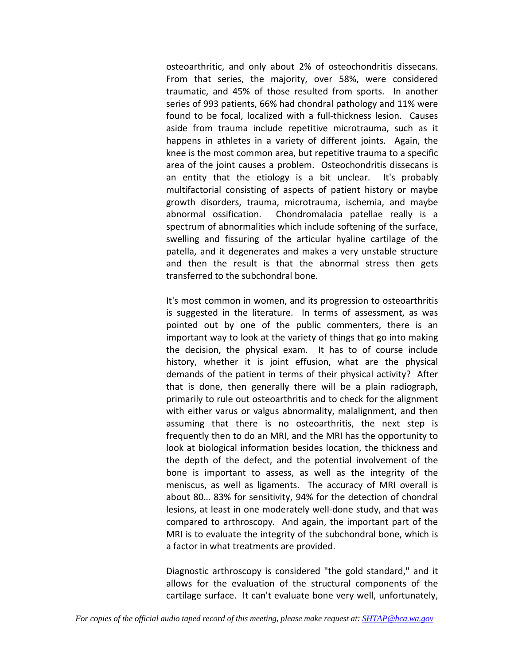osteoarthritic, and only about 2% of osteochondritis dissecans. From that series, the majority, over 58%, were considered traumatic, and 45% of those resulted from sports. In another series of 993 patients, 66% had chondral pathology and 11% were found to be focal, localized with a full-thickness lesion. Causes aside from trauma include repetitive microtrauma, such as it happens in athletes in a variety of different joints. Again, the knee is the most common area, but repetitive trauma to a specific area of the joint causes a problem. Osteochondritis dissecans is an entity that the etiology is a bit unclear. It's probably multifactorial consisting of aspects of patient history or maybe growth disorders, trauma, microtrauma, ischemia, and maybe abnormal ossification. Chondromalacia patellae really is a spectrum of abnormalities which include softening of the surface, swelling and fissuring of the articular hyaline cartilage of the patella, and it degenerates and makes a very unstable structure and then the result is that the abnormal stress then gets transferred to the subchondral bone.

It's most common in women, and its progression to osteoarthritis is suggested in the literature. In terms of assessment, as was pointed out by one of the public commenters, there is an important way to look at the variety of things that go into making the decision, the physical exam. It has to of course include history, whether it is joint effusion, what are the physical demands of the patient in terms of their physical activity? After that is done, then generally there will be a plain radiograph, primarily to rule out osteoarthritis and to check for the alignment with either varus or valgus abnormality, malalignment, and then assuming that there is no osteoarthritis, the next step is frequently then to do an MRI, and the MRI has the opportunity to look at biological information besides location, the thickness and the depth of the defect, and the potential involvement of the bone is important to assess, as well as the integrity of the meniscus, as well as ligaments. The accuracy of MRI overall is about 80… 83% for sensitivity, 94% for the detection of chondral lesions, at least in one moderately well‐done study, and that was compared to arthroscopy. And again, the important part of the MRI is to evaluate the integrity of the subchondral bone, which is a factor in what treatments are provided.

Diagnostic arthroscopy is considered "the gold standard," and it allows for the evaluation of the structural components of the cartilage surface. It can't evaluate bone very well, unfortunately,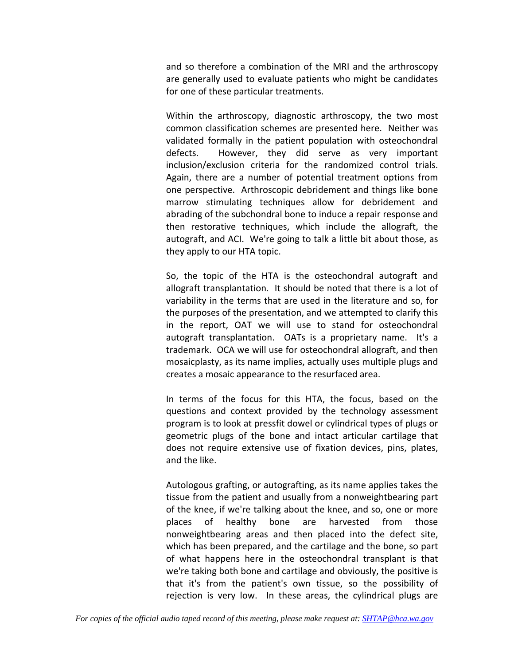and so therefore a combination of the MRI and the arthroscopy are generally used to evaluate patients who might be candidates for one of these particular treatments.

Within the arthroscopy, diagnostic arthroscopy, the two most common classification schemes are presented here. Neither was validated formally in the patient population with osteochondral defects. However, they did serve as very important inclusion/exclusion criteria for the randomized control trials. Again, there are a number of potential treatment options from one perspective. Arthroscopic debridement and things like bone marrow stimulating techniques allow for debridement and abrading of the subchondral bone to induce a repair response and then restorative techniques, which include the allograft, the autograft, and ACI. We're going to talk a little bit about those, as they apply to our HTA topic.

So, the topic of the HTA is the osteochondral autograft and allograft transplantation. It should be noted that there is a lot of variability in the terms that are used in the literature and so, for the purposes of the presentation, and we attempted to clarify this in the report, OAT we will use to stand for osteochondral autograft transplantation. OATs is a proprietary name. It's a trademark. OCA we will use for osteochondral allograft, and then mosaicplasty, as its name implies, actually uses multiple plugs and creates a mosaic appearance to the resurfaced area.

In terms of the focus for this HTA, the focus, based on the questions and context provided by the technology assessment program is to look at pressfit dowel or cylindrical types of plugs or geometric plugs of the bone and intact articular cartilage that does not require extensive use of fixation devices, pins, plates, and the like.

Autologous grafting, or autografting, as its name applies takes the tissue from the patient and usually from a nonweightbearing part of the knee, if we're talking about the knee, and so, one or more places of healthy bone are harvested from those nonweightbearing areas and then placed into the defect site, which has been prepared, and the cartilage and the bone, so part of what happens here in the osteochondral transplant is that we're taking both bone and cartilage and obviously, the positive is that it's from the patient's own tissue, so the possibility of rejection is very low. In these areas, the cylindrical plugs are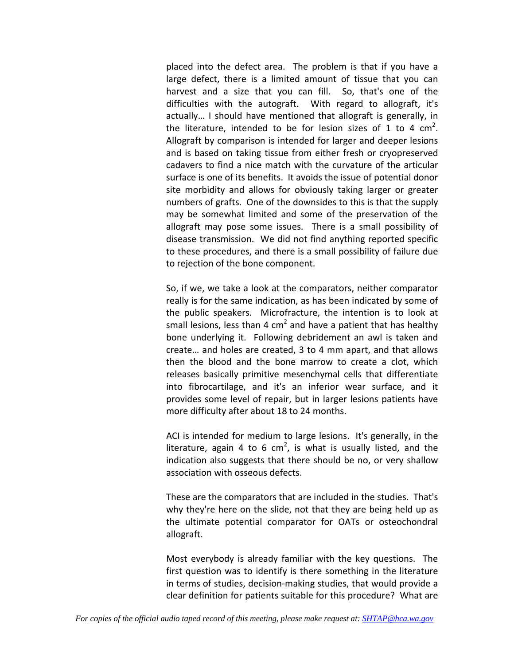placed into the defect area. The problem is that if you have a large defect, there is a limited amount of tissue that you can harvest and a size that you can fill. So, that's one of the difficulties with the autograft. With regard to allograft, it's actually… I should have mentioned that allograft is generally, in the literature, intended to be for lesion sizes of 1 to 4  $cm<sup>2</sup>$ . Allograft by comparison is intended for larger and deeper lesions and is based on taking tissue from either fresh or cryopreserved cadavers to find a nice match with the curvature of the articular surface is one of its benefits. It avoids the issue of potential donor site morbidity and allows for obviously taking larger or greater numbers of grafts. One of the downsides to this is that the supply may be somewhat limited and some of the preservation of the allograft may pose some issues. There is a small possibility of disease transmission. We did not find anything reported specific to these procedures, and there is a small possibility of failure due to rejection of the bone component.

So, if we, we take a look at the comparators, neither comparator really is for the same indication, as has been indicated by some of the public speakers. Microfracture, the intention is to look at small lesions, less than 4 cm<sup>2</sup> and have a patient that has healthy bone underlying it. Following debridement an awl is taken and create… and holes are created, 3 to 4 mm apart, and that allows then the blood and the bone marrow to create a clot, which releases basically primitive mesenchymal cells that differentiate into fibrocartilage, and it's an inferior wear surface, and it provides some level of repair, but in larger lesions patients have more difficulty after about 18 to 24 months.

ACI is intended for medium to large lesions. It's generally, in the literature, again 4 to 6 cm<sup>2</sup>, is what is usually listed, and the indication also suggests that there should be no, or very shallow association with osseous defects.

These are the comparators that are included in the studies. That's why they're here on the slide, not that they are being held up as the ultimate potential comparator for OATs or osteochondral allograft.

Most everybody is already familiar with the key questions. The first question was to identify is there something in the literature in terms of studies, decision‐making studies, that would provide a clear definition for patients suitable for this procedure? What are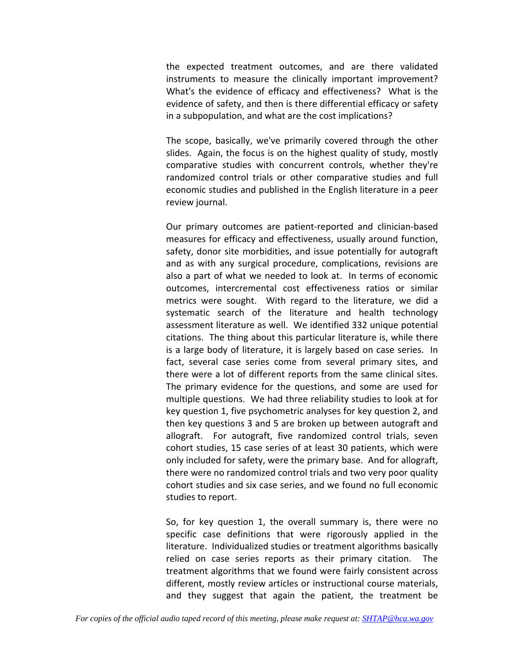the expected treatment outcomes, and are there validated instruments to measure the clinically important improvement? What's the evidence of efficacy and effectiveness? What is the evidence of safety, and then is there differential efficacy or safety in a subpopulation, and what are the cost implications?

The scope, basically, we've primarily covered through the other slides. Again, the focus is on the highest quality of study, mostly comparative studies with concurrent controls, whether they're randomized control trials or other comparative studies and full economic studies and published in the English literature in a peer review journal.

Our primary outcomes are patient‐reported and clinician‐based measures for efficacy and effectiveness, usually around function, safety, donor site morbidities, and issue potentially for autograft and as with any surgical procedure, complications, revisions are also a part of what we needed to look at. In terms of economic outcomes, intercremental cost effectiveness ratios or similar metrics were sought. With regard to the literature, we did a systematic search of the literature and health technology assessment literature as well. We identified 332 unique potential citations. The thing about this particular literature is, while there is a large body of literature, it is largely based on case series. In fact, several case series come from several primary sites, and there were a lot of different reports from the same clinical sites. The primary evidence for the questions, and some are used for multiple questions. We had three reliability studies to look at for key question 1, five psychometric analyses for key question 2, and then key questions 3 and 5 are broken up between autograft and allograft. For autograft, five randomized control trials, seven cohort studies, 15 case series of at least 30 patients, which were only included for safety, were the primary base. And for allograft, there were no randomized control trials and two very poor quality cohort studies and six case series, and we found no full economic studies to report.

So, for key question 1, the overall summary is, there were no specific case definitions that were rigorously applied in the literature. Individualized studies or treatment algorithms basically relied on case series reports as their primary citation. The treatment algorithms that we found were fairly consistent across different, mostly review articles or instructional course materials, and they suggest that again the patient, the treatment be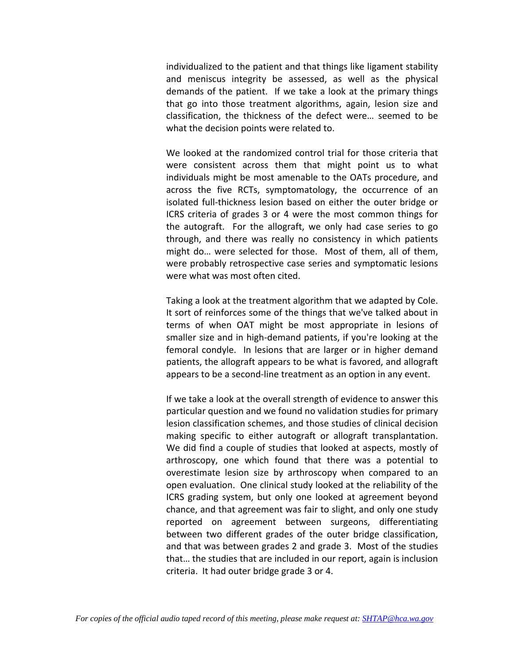individualized to the patient and that things like ligament stability and meniscus integrity be assessed, as well as the physical demands of the patient. If we take a look at the primary things that go into those treatment algorithms, again, lesion size and classification, the thickness of the defect were… seemed to be what the decision points were related to.

We looked at the randomized control trial for those criteria that were consistent across them that might point us to what individuals might be most amenable to the OATs procedure, and across the five RCTs, symptomatology, the occurrence of an isolated full‐thickness lesion based on either the outer bridge or ICRS criteria of grades 3 or 4 were the most common things for the autograft. For the allograft, we only had case series to go through, and there was really no consistency in which patients might do… were selected for those. Most of them, all of them, were probably retrospective case series and symptomatic lesions were what was most often cited.

Taking a look at the treatment algorithm that we adapted by Cole. It sort of reinforces some of the things that we've talked about in terms of when OAT might be most appropriate in lesions of smaller size and in high‐demand patients, if you're looking at the femoral condyle. In lesions that are larger or in higher demand patients, the allograft appears to be what is favored, and allograft appears to be a second‐line treatment as an option in any event.

If we take a look at the overall strength of evidence to answer this particular question and we found no validation studies for primary lesion classification schemes, and those studies of clinical decision making specific to either autograft or allograft transplantation. We did find a couple of studies that looked at aspects, mostly of arthroscopy, one which found that there was a potential to overestimate lesion size by arthroscopy when compared to an open evaluation. One clinical study looked at the reliability of the ICRS grading system, but only one looked at agreement beyond chance, and that agreement was fair to slight, and only one study reported on agreement between surgeons, differentiating between two different grades of the outer bridge classification, and that was between grades 2 and grade 3. Most of the studies that… the studies that are included in our report, again is inclusion criteria. It had outer bridge grade 3 or 4.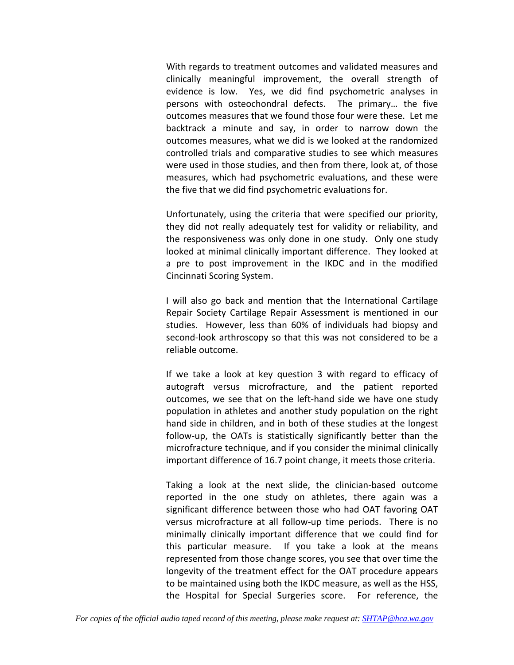With regards to treatment outcomes and validated measures and clinically meaningful improvement, the overall strength of evidence is low. Yes, we did find psychometric analyses in persons with osteochondral defects. The primary… the five outcomes measures that we found those four were these. Let me backtrack a minute and say, in order to narrow down the outcomes measures, what we did is we looked at the randomized controlled trials and comparative studies to see which measures were used in those studies, and then from there, look at, of those measures, which had psychometric evaluations, and these were the five that we did find psychometric evaluations for.

Unfortunately, using the criteria that were specified our priority, they did not really adequately test for validity or reliability, and the responsiveness was only done in one study. Only one study looked at minimal clinically important difference. They looked at a pre to post improvement in the IKDC and in the modified Cincinnati Scoring System.

I will also go back and mention that the International Cartilage Repair Society Cartilage Repair Assessment is mentioned in our studies. However, less than 60% of individuals had biopsy and second-look arthroscopy so that this was not considered to be a reliable outcome.

If we take a look at key question 3 with regard to efficacy of autograft versus microfracture, and the patient reported outcomes, we see that on the left‐hand side we have one study population in athletes and another study population on the right hand side in children, and in both of these studies at the longest follow‐up, the OATs is statistically significantly better than the microfracture technique, and if you consider the minimal clinically important difference of 16.7 point change, it meets those criteria.

Taking a look at the next slide, the clinician‐based outcome reported in the one study on athletes, there again was a significant difference between those who had OAT favoring OAT versus microfracture at all follow‐up time periods. There is no minimally clinically important difference that we could find for this particular measure. If you take a look at the means represented from those change scores, you see that over time the longevity of the treatment effect for the OAT procedure appears to be maintained using both the IKDC measure, as well as the HSS, the Hospital for Special Surgeries score. For reference, the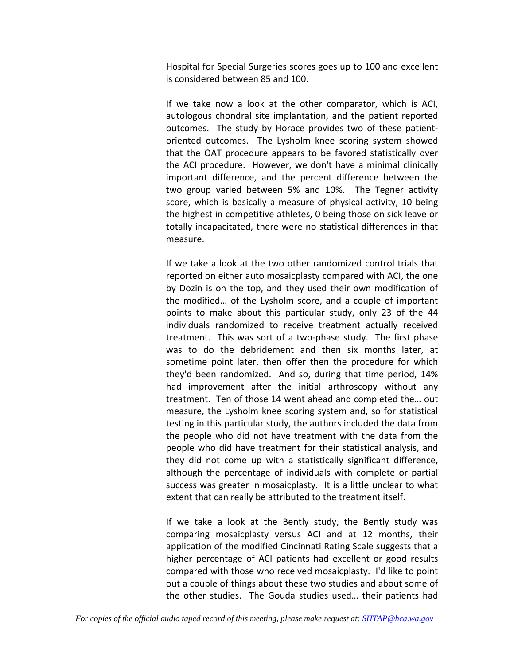Hospital for Special Surgeries scores goes up to 100 and excellent is considered between 85 and 100.

If we take now a look at the other comparator, which is ACI, autologous chondral site implantation, and the patient reported outcomes. The study by Horace provides two of these patientoriented outcomes. The Lysholm knee scoring system showed that the OAT procedure appears to be favored statistically over the ACI procedure. However, we don't have a minimal clinically important difference, and the percent difference between the two group varied between 5% and 10%. The Tegner activity score, which is basically a measure of physical activity, 10 being the highest in competitive athletes, 0 being those on sick leave or totally incapacitated, there were no statistical differences in that measure.

If we take a look at the two other randomized control trials that reported on either auto mosaicplasty compared with ACI, the one by Dozin is on the top, and they used their own modification of the modified… of the Lysholm score, and a couple of important points to make about this particular study, only 23 of the 44 individuals randomized to receive treatment actually received treatment. This was sort of a two‐phase study. The first phase was to do the debridement and then six months later, at sometime point later, then offer then the procedure for which they'd been randomized. And so, during that time period, 14% had improvement after the initial arthroscopy without any treatment. Ten of those 14 went ahead and completed the… out measure, the Lysholm knee scoring system and, so for statistical testing in this particular study, the authors included the data from the people who did not have treatment with the data from the people who did have treatment for their statistical analysis, and they did not come up with a statistically significant difference, although the percentage of individuals with complete or partial success was greater in mosaicplasty. It is a little unclear to what extent that can really be attributed to the treatment itself.

If we take a look at the Bently study, the Bently study was comparing mosaicplasty versus ACI and at 12 months, their application of the modified Cincinnati Rating Scale suggests that a higher percentage of ACI patients had excellent or good results compared with those who received mosaicplasty. I'd like to point out a couple of things about these two studies and about some of the other studies. The Gouda studies used... their patients had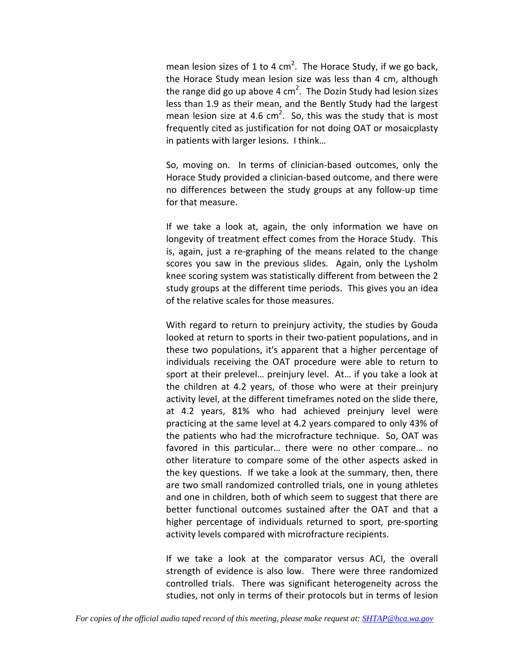mean lesion sizes of 1 to 4 cm<sup>2</sup>. The Horace Study, if we go back, the Horace Study mean lesion size was less than 4 cm, although the range did go up above 4 cm<sup>2</sup>. The Dozin Study had lesion sizes less than 1.9 as their mean, and the Bently Study had the largest mean lesion size at 4.6 cm<sup>2</sup>. So, this was the study that is most frequently cited as justification for not doing OAT or mosaicplasty in patients with larger lesions. I think…

So, moving on. In terms of clinician-based outcomes, only the Horace Study provided a clinician‐based outcome, and there were no differences between the study groups at any follow‐up time for that measure.

If we take a look at, again, the only information we have on longevity of treatment effect comes from the Horace Study. This is, again, just a re‐graphing of the means related to the change scores you saw in the previous slides. Again, only the Lysholm knee scoring system was statistically different from between the 2 study groups at the different time periods. This gives you an idea of the relative scales for those measures.

With regard to return to preinjury activity, the studies by Gouda looked at return to sports in their two‐patient populations, and in these two populations, it's apparent that a higher percentage of individuals receiving the OAT procedure were able to return to sport at their prelevel… preinjury level. At… if you take a look at the children at 4.2 years, of those who were at their preinjury activity level, at the different timeframes noted on the slide there, at 4.2 years, 81% who had achieved preinjury level were practicing at the same level at 4.2 years compared to only 43% of the patients who had the microfracture technique. So, OAT was favored in this particular… there were no other compare… no other literature to compare some of the other aspects asked in the key questions. If we take a look at the summary, then, there are two small randomized controlled trials, one in young athletes and one in children, both of which seem to suggest that there are better functional outcomes sustained after the OAT and that a higher percentage of individuals returned to sport, pre‐sporting activity levels compared with microfracture recipients.

If we take a look at the comparator versus ACI, the overall strength of evidence is also low. There were three randomized controlled trials. There was significant heterogeneity across the studies, not only in terms of their protocols but in terms of lesion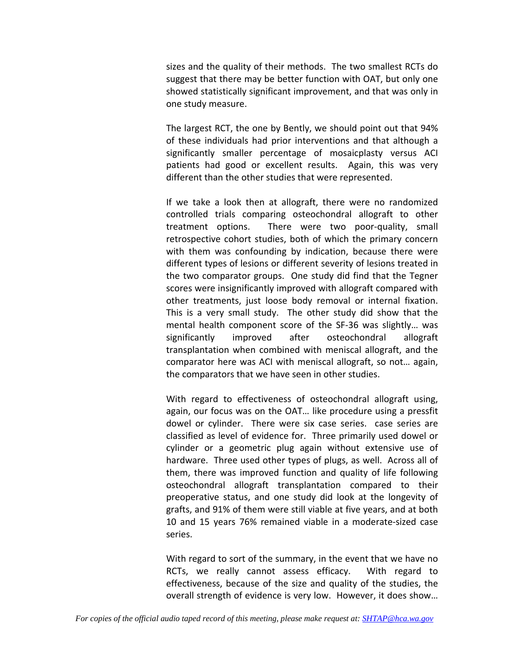sizes and the quality of their methods. The two smallest RCTs do suggest that there may be better function with OAT, but only one showed statistically significant improvement, and that was only in one study measure.

The largest RCT, the one by Bently, we should point out that 94% of these individuals had prior interventions and that although a significantly smaller percentage of mosaicplasty versus ACI patients had good or excellent results. Again, this was very different than the other studies that were represented.

If we take a look then at allograft, there were no randomized controlled trials comparing osteochondral allograft to other treatment options. There were two poor‐quality, small retrospective cohort studies, both of which the primary concern with them was confounding by indication, because there were different types of lesions or different severity of lesions treated in the two comparator groups. One study did find that the Tegner scores were insignificantly improved with allograft compared with other treatments, just loose body removal or internal fixation. This is a very small study. The other study did show that the mental health component score of the SF‐36 was slightly… was significantly improved after osteochondral allograft transplantation when combined with meniscal allograft, and the comparator here was ACI with meniscal allograft, so not… again, the comparators that we have seen in other studies.

With regard to effectiveness of osteochondral allograft using, again, our focus was on the OAT… like procedure using a pressfit dowel or cylinder. There were six case series. case series are classified as level of evidence for. Three primarily used dowel or cylinder or a geometric plug again without extensive use of hardware. Three used other types of plugs, as well. Across all of them, there was improved function and quality of life following osteochondral allograft transplantation compared to their preoperative status, and one study did look at the longevity of grafts, and 91% of them were still viable at five years, and at both 10 and 15 years 76% remained viable in a moderate‐sized case series.

With regard to sort of the summary, in the event that we have no RCTs, we really cannot assess efficacy. With regard to effectiveness, because of the size and quality of the studies, the overall strength of evidence is very low. However, it does show…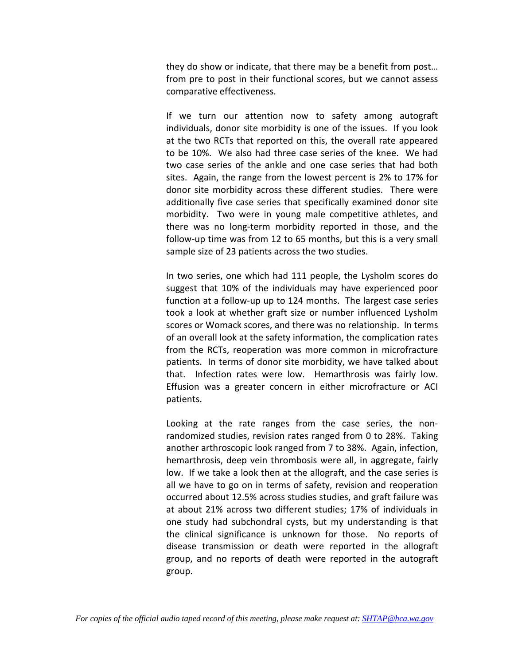they do show or indicate, that there may be a benefit from post… from pre to post in their functional scores, but we cannot assess comparative effectiveness.

If we turn our attention now to safety among autograft individuals, donor site morbidity is one of the issues. If you look at the two RCTs that reported on this, the overall rate appeared to be 10%. We also had three case series of the knee. We had two case series of the ankle and one case series that had both sites. Again, the range from the lowest percent is 2% to 17% for donor site morbidity across these different studies. There were additionally five case series that specifically examined donor site morbidity. Two were in young male competitive athletes, and there was no long‐term morbidity reported in those, and the follow‐up time was from 12 to 65 months, but this is a very small sample size of 23 patients across the two studies.

In two series, one which had 111 people, the Lysholm scores do suggest that 10% of the individuals may have experienced poor function at a follow-up up to 124 months. The largest case series took a look at whether graft size or number influenced Lysholm scores or Womack scores, and there was no relationship. In terms of an overall look at the safety information, the complication rates from the RCTs, reoperation was more common in microfracture patients. In terms of donor site morbidity, we have talked about that. Infection rates were low. Hemarthrosis was fairly low. Effusion was a greater concern in either microfracture or ACI patients.

Looking at the rate ranges from the case series, the non‐ randomized studies, revision rates ranged from 0 to 28%. Taking another arthroscopic look ranged from 7 to 38%. Again, infection, hemarthrosis, deep vein thrombosis were all, in aggregate, fairly low. If we take a look then at the allograft, and the case series is all we have to go on in terms of safety, revision and reoperation occurred about 12.5% across studies studies, and graft failure was at about 21% across two different studies; 17% of individuals in one study had subchondral cysts, but my understanding is that the clinical significance is unknown for those. No reports of disease transmission or death were reported in the allograft group, and no reports of death were reported in the autograft group.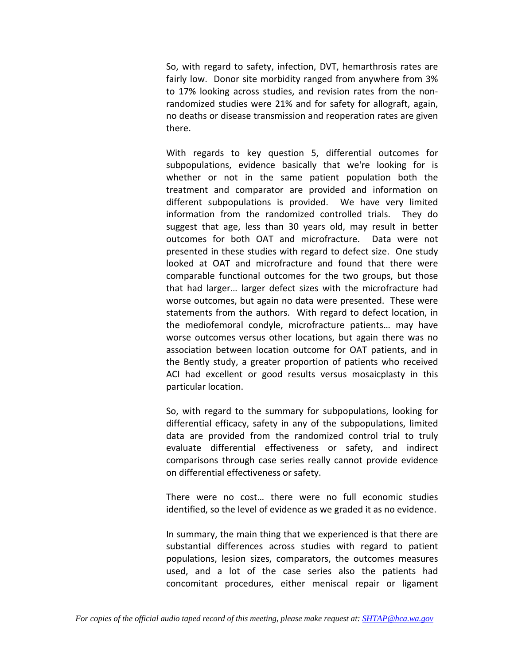So, with regard to safety, infection, DVT, hemarthrosis rates are fairly low. Donor site morbidity ranged from anywhere from 3% to 17% looking across studies, and revision rates from the non‐ randomized studies were 21% and for safety for allograft, again, no deaths or disease transmission and reoperation rates are given there.

With regards to key question 5, differential outcomes for subpopulations, evidence basically that we're looking for is whether or not in the same patient population both the treatment and comparator are provided and information on different subpopulations is provided. We have very limited information from the randomized controlled trials. They do suggest that age, less than 30 years old, may result in better outcomes for both OAT and microfracture. Data were not presented in these studies with regard to defect size. One study looked at OAT and microfracture and found that there were comparable functional outcomes for the two groups, but those that had larger… larger defect sizes with the microfracture had worse outcomes, but again no data were presented. These were statements from the authors. With regard to defect location, in the mediofemoral condyle, microfracture patients… may have worse outcomes versus other locations, but again there was no association between location outcome for OAT patients, and in the Bently study, a greater proportion of patients who received ACI had excellent or good results versus mosaicplasty in this particular location.

So, with regard to the summary for subpopulations, looking for differential efficacy, safety in any of the subpopulations, limited data are provided from the randomized control trial to truly evaluate differential effectiveness or safety, and indirect comparisons through case series really cannot provide evidence on differential effectiveness or safety.

There were no cost… there were no full economic studies identified, so the level of evidence as we graded it as no evidence.

In summary, the main thing that we experienced is that there are substantial differences across studies with regard to patient populations, lesion sizes, comparators, the outcomes measures used, and a lot of the case series also the patients had concomitant procedures, either meniscal repair or ligament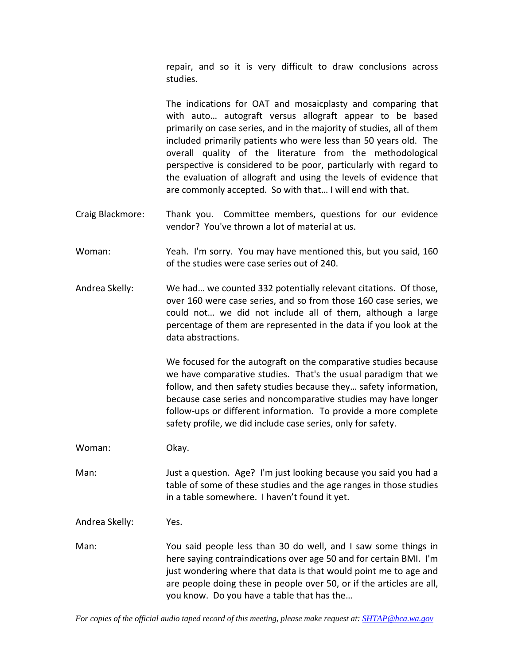repair, and so it is very difficult to draw conclusions across studies.

The indications for OAT and mosaicplasty and comparing that with auto… autograft versus allograft appear to be based primarily on case series, and in the majority of studies, all of them included primarily patients who were less than 50 years old. The overall quality of the literature from the methodological perspective is considered to be poor, particularly with regard to the evaluation of allograft and using the levels of evidence that are commonly accepted. So with that… I will end with that.

- Craig Blackmore: Thank you. Committee members, questions for our evidence vendor? You've thrown a lot of material at us.
- Woman: Yeah. I'm sorry. You may have mentioned this, but you said, 160 of the studies were case series out of 240.
- Andrea Skelly: We had… we counted 332 potentially relevant citations. Of those, over 160 were case series, and so from those 160 case series, we could not… we did not include all of them, although a large percentage of them are represented in the data if you look at the data abstractions.

We focused for the autograft on the comparative studies because we have comparative studies. That's the usual paradigm that we follow, and then safety studies because they… safety information, because case series and noncomparative studies may have longer follow‐ups or different information. To provide a more complete safety profile, we did include case series, only for safety.

Woman: Okay.

Man: Just a question. Age? I'm just looking because you said you had a table of some of these studies and the age ranges in those studies in a table somewhere. I haven't found it yet.

Andrea Skelly: Yes.

Man: You said people less than 30 do well, and I saw some things in here saying contraindications over age 50 and for certain BMI. I'm just wondering where that data is that would point me to age and are people doing these in people over 50, or if the articles are all, you know. Do you have a table that has the…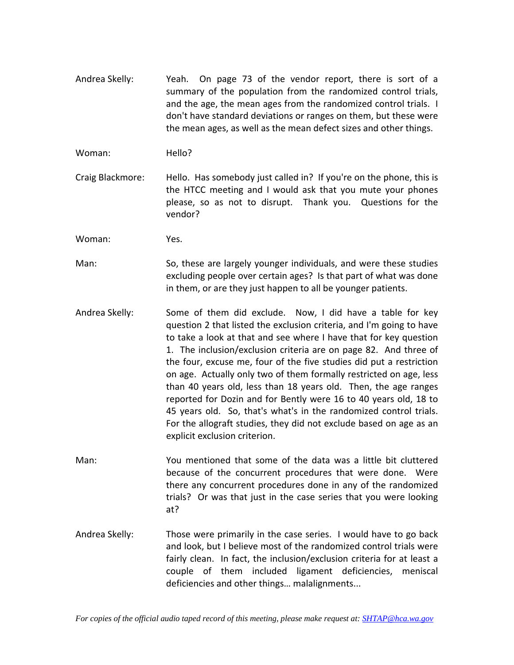- Andrea Skelly: Yeah. On page 73 of the vendor report, there is sort of a summary of the population from the randomized control trials, and the age, the mean ages from the randomized control trials. I don't have standard deviations or ranges on them, but these were the mean ages, as well as the mean defect sizes and other things.
- Woman: Hello?
- Craig Blackmore: Hello. Has somebody just called in? If you're on the phone, this is the HTCC meeting and I would ask that you mute your phones please, so as not to disrupt. Thank you. Questions for the vendor?

Woman: Yes.

- Man: So, these are largely younger individuals, and were these studies excluding people over certain ages? Is that part of what was done in them, or are they just happen to all be younger patients.
- Andrea Skelly: Some of them did exclude. Now, I did have a table for key question 2 that listed the exclusion criteria, and I'm going to have to take a look at that and see where I have that for key question 1. The inclusion/exclusion criteria are on page 82. And three of the four, excuse me, four of the five studies did put a restriction on age. Actually only two of them formally restricted on age, less than 40 years old, less than 18 years old. Then, the age ranges reported for Dozin and for Bently were 16 to 40 years old, 18 to 45 years old. So, that's what's in the randomized control trials. For the allograft studies, they did not exclude based on age as an explicit exclusion criterion.
- Man: You mentioned that some of the data was a little bit cluttered because of the concurrent procedures that were done. Were there any concurrent procedures done in any of the randomized trials? Or was that just in the case series that you were looking at?
- Andrea Skelly: Those were primarily in the case series. I would have to go back and look, but I believe most of the randomized control trials were fairly clean. In fact, the inclusion/exclusion criteria for at least a couple of them included ligament deficiencies, meniscal deficiencies and other things… malalignments...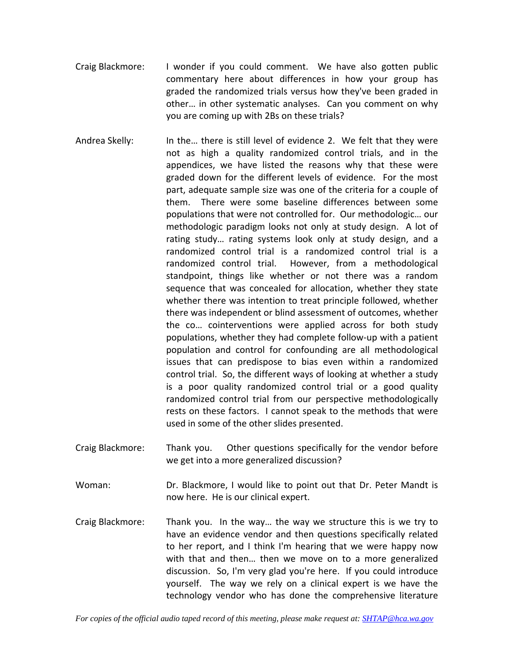- Craig Blackmore: I wonder if you could comment. We have also gotten public commentary here about differences in how your group has graded the randomized trials versus how they've been graded in other… in other systematic analyses. Can you comment on why you are coming up with 2Bs on these trials?
- Andrea Skelly: In the… there is still level of evidence 2. We felt that they were not as high a quality randomized control trials, and in the appendices, we have listed the reasons why that these were graded down for the different levels of evidence. For the most part, adequate sample size was one of the criteria for a couple of them. There were some baseline differences between some populations that were not controlled for. Our methodologic… our methodologic paradigm looks not only at study design. A lot of rating study… rating systems look only at study design, and a randomized control trial is a randomized control trial is a randomized control trial. However, from a methodological standpoint, things like whether or not there was a random sequence that was concealed for allocation, whether they state whether there was intention to treat principle followed, whether there was independent or blind assessment of outcomes, whether the co… cointerventions were applied across for both study populations, whether they had complete follow‐up with a patient population and control for confounding are all methodological issues that can predispose to bias even within a randomized control trial. So, the different ways of looking at whether a study is a poor quality randomized control trial or a good quality randomized control trial from our perspective methodologically rests on these factors. I cannot speak to the methods that were used in some of the other slides presented.
- Craig Blackmore: Thank you. Other questions specifically for the vendor before we get into a more generalized discussion?
- Woman: Dr. Blackmore, I would like to point out that Dr. Peter Mandt is now here. He is our clinical expert.
- Craig Blackmore: Thank you. In the way... the way we structure this is we try to have an evidence vendor and then questions specifically related to her report, and I think I'm hearing that we were happy now with that and then… then we move on to a more generalized discussion. So, I'm very glad you're here. If you could introduce yourself. The way we rely on a clinical expert is we have the technology vendor who has done the comprehensive literature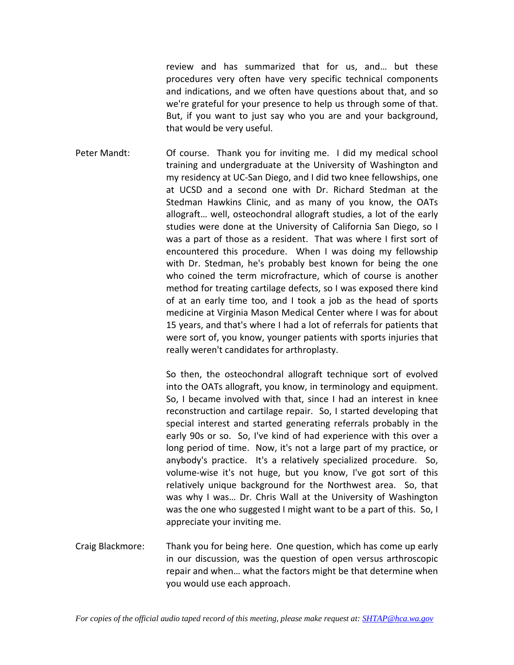review and has summarized that for us, and… but these procedures very often have very specific technical components and indications, and we often have questions about that, and so we're grateful for your presence to help us through some of that. But, if you want to just say who you are and your background, that would be very useful.

Peter Mandt: Of course. Thank you for inviting me. I did my medical school training and undergraduate at the University of Washington and my residency at UC‐San Diego, and I did two knee fellowships, one at UCSD and a second one with Dr. Richard Stedman at the Stedman Hawkins Clinic, and as many of you know, the OATs allograft… well, osteochondral allograft studies, a lot of the early studies were done at the University of California San Diego, so I was a part of those as a resident. That was where I first sort of encountered this procedure. When I was doing my fellowship with Dr. Stedman, he's probably best known for being the one who coined the term microfracture, which of course is another method for treating cartilage defects, so I was exposed there kind of at an early time too, and I took a job as the head of sports medicine at Virginia Mason Medical Center where I was for about 15 years, and that's where I had a lot of referrals for patients that were sort of, you know, younger patients with sports injuries that really weren't candidates for arthroplasty.

> So then, the osteochondral allograft technique sort of evolved into the OATs allograft, you know, in terminology and equipment. So, I became involved with that, since I had an interest in knee reconstruction and cartilage repair. So, I started developing that special interest and started generating referrals probably in the early 90s or so. So, I've kind of had experience with this over a long period of time. Now, it's not a large part of my practice, or anybody's practice. It's a relatively specialized procedure. So, volume‐wise it's not huge, but you know, I've got sort of this relatively unique background for the Northwest area. So, that was why I was… Dr. Chris Wall at the University of Washington was the one who suggested I might want to be a part of this. So, I appreciate your inviting me.

Craig Blackmore: Thank you for being here. One question, which has come up early in our discussion, was the question of open versus arthroscopic repair and when… what the factors might be that determine when you would use each approach.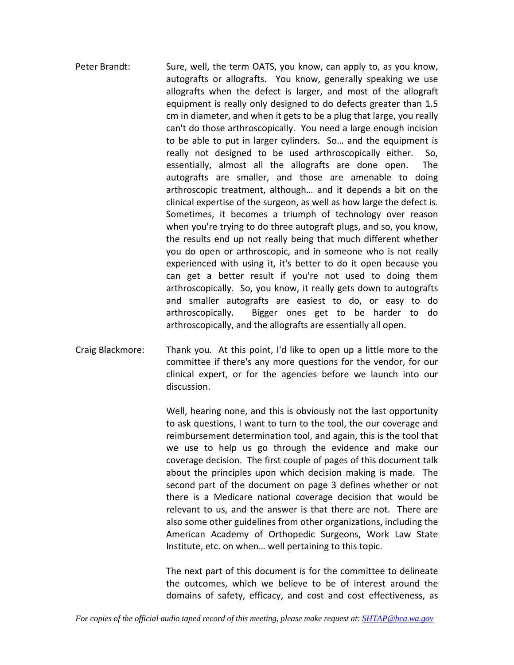- Peter Brandt: Sure, well, the term OATS, you know, can apply to, as you know, autografts or allografts. You know, generally speaking we use allografts when the defect is larger, and most of the allograft equipment is really only designed to do defects greater than 1.5 cm in diameter, and when it gets to be a plug that large, you really can't do those arthroscopically. You need a large enough incision to be able to put in larger cylinders. So... and the equipment is really not designed to be used arthroscopically either. So, essentially, almost all the allografts are done open. The autografts are smaller, and those are amenable to doing arthroscopic treatment, although… and it depends a bit on the clinical expertise of the surgeon, as well as how large the defect is. Sometimes, it becomes a triumph of technology over reason when you're trying to do three autograft plugs, and so, you know, the results end up not really being that much different whether you do open or arthroscopic, and in someone who is not really experienced with using it, it's better to do it open because you can get a better result if you're not used to doing them arthroscopically. So, you know, it really gets down to autografts and smaller autografts are easiest to do, or easy to do arthroscopically. Bigger ones get to be harder to do arthroscopically, and the allografts are essentially all open.
- Craig Blackmore: Thank you. At this point, I'd like to open up a little more to the committee if there's any more questions for the vendor, for our clinical expert, or for the agencies before we launch into our discussion.

Well, hearing none, and this is obviously not the last opportunity to ask questions, I want to turn to the tool, the our coverage and reimbursement determination tool, and again, this is the tool that we use to help us go through the evidence and make our coverage decision. The first couple of pages of this document talk about the principles upon which decision making is made. The second part of the document on page 3 defines whether or not there is a Medicare national coverage decision that would be relevant to us, and the answer is that there are not. There are also some other guidelines from other organizations, including the American Academy of Orthopedic Surgeons, Work Law State Institute, etc. on when… well pertaining to this topic.

The next part of this document is for the committee to delineate the outcomes, which we believe to be of interest around the domains of safety, efficacy, and cost and cost effectiveness, as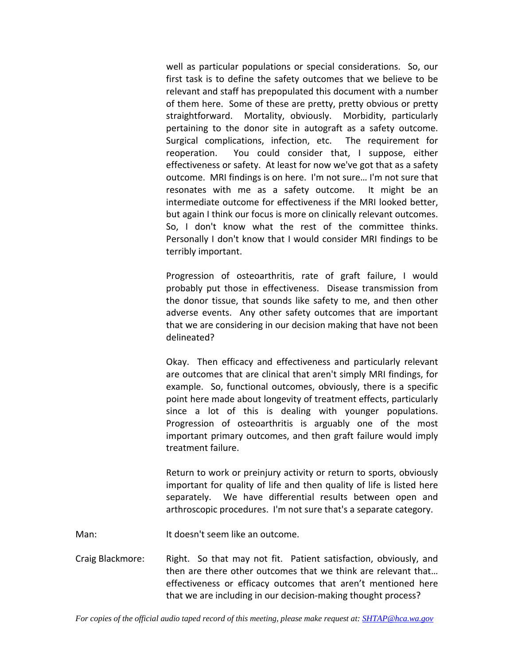well as particular populations or special considerations. So, our first task is to define the safety outcomes that we believe to be relevant and staff has prepopulated this document with a number of them here. Some of these are pretty, pretty obvious or pretty straightforward. Mortality, obviously. Morbidity, particularly pertaining to the donor site in autograft as a safety outcome. Surgical complications, infection, etc. The requirement for reoperation. You could consider that, I suppose, either effectiveness or safety. At least for now we've got that as a safety outcome. MRI findings is on here. I'm not sure… I'm not sure that resonates with me as a safety outcome. It might be an intermediate outcome for effectiveness if the MRI looked better, but again I think our focus is more on clinically relevant outcomes. So, I don't know what the rest of the committee thinks. Personally I don't know that I would consider MRI findings to be terribly important.

Progression of osteoarthritis, rate of graft failure, I would probably put those in effectiveness. Disease transmission from the donor tissue, that sounds like safety to me, and then other adverse events. Any other safety outcomes that are important that we are considering in our decision making that have not been delineated?

Okay. Then efficacy and effectiveness and particularly relevant are outcomes that are clinical that aren't simply MRI findings, for example. So, functional outcomes, obviously, there is a specific point here made about longevity of treatment effects, particularly since a lot of this is dealing with younger populations. Progression of osteoarthritis is arguably one of the most important primary outcomes, and then graft failure would imply treatment failure.

Return to work or preinjury activity or return to sports, obviously important for quality of life and then quality of life is listed here separately. We have differential results between open and arthroscopic procedures. I'm not sure that's a separate category.

Man: It doesn't seem like an outcome.

Craig Blackmore: Right. So that may not fit. Patient satisfaction, obviously, and then are there other outcomes that we think are relevant that… effectiveness or efficacy outcomes that aren't mentioned here that we are including in our decision‐making thought process?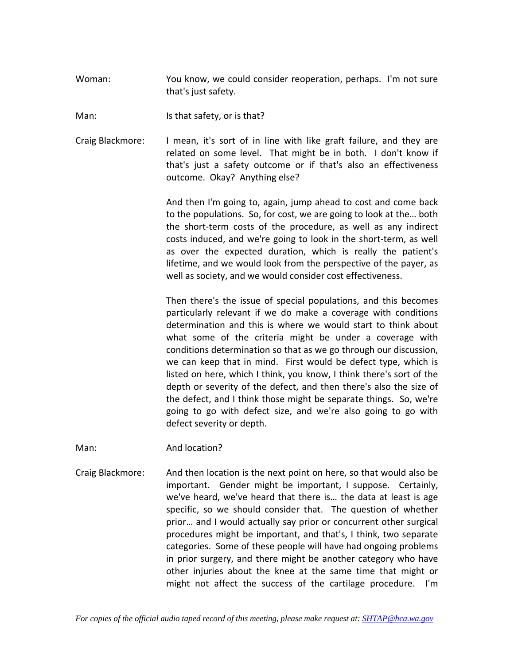Woman: You know, we could consider reoperation, perhaps. I'm not sure that's just safety.

Man: Is that safety, or is that?

Craig Blackmore: I mean, it's sort of in line with like graft failure, and they are related on some level. That might be in both. I don't know if that's just a safety outcome or if that's also an effectiveness outcome. Okay? Anything else?

> And then I'm going to, again, jump ahead to cost and come back to the populations. So, for cost, we are going to look at the… both the short‐term costs of the procedure, as well as any indirect costs induced, and we're going to look in the short‐term, as well as over the expected duration, which is really the patient's lifetime, and we would look from the perspective of the payer, as well as society, and we would consider cost effectiveness.

> Then there's the issue of special populations, and this becomes particularly relevant if we do make a coverage with conditions determination and this is where we would start to think about what some of the criteria might be under a coverage with conditions determination so that as we go through our discussion, we can keep that in mind. First would be defect type, which is listed on here, which I think, you know, I think there's sort of the depth or severity of the defect, and then there's also the size of the defect, and I think those might be separate things. So, we're going to go with defect size, and we're also going to go with defect severity or depth.

Man: And location?

Craig Blackmore: And then location is the next point on here, so that would also be important. Gender might be important, I suppose. Certainly, we've heard, we've heard that there is… the data at least is age specific, so we should consider that. The question of whether prior… and I would actually say prior or concurrent other surgical procedures might be important, and that's, I think, two separate categories. Some of these people will have had ongoing problems in prior surgery, and there might be another category who have other injuries about the knee at the same time that might or might not affect the success of the cartilage procedure. I'm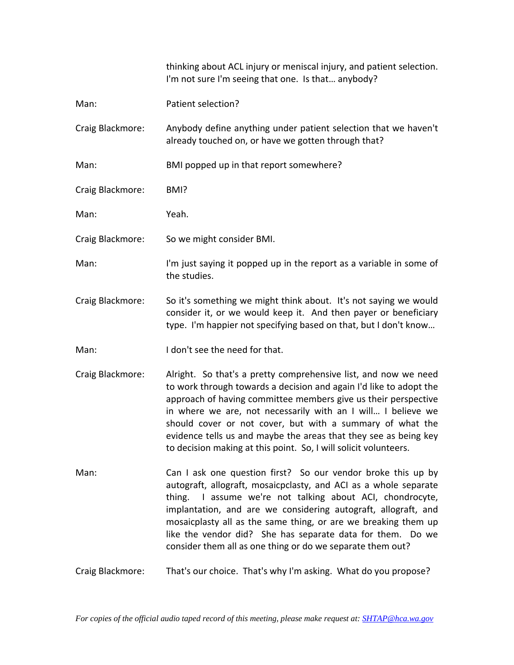|                  | thinking about ACL injury or meniscal injury, and patient selection.<br>I'm not sure I'm seeing that one. Is that anybody?                                                                                                                                                                                                                                                                                                                                                   |
|------------------|------------------------------------------------------------------------------------------------------------------------------------------------------------------------------------------------------------------------------------------------------------------------------------------------------------------------------------------------------------------------------------------------------------------------------------------------------------------------------|
| Man:             | Patient selection?                                                                                                                                                                                                                                                                                                                                                                                                                                                           |
| Craig Blackmore: | Anybody define anything under patient selection that we haven't<br>already touched on, or have we gotten through that?                                                                                                                                                                                                                                                                                                                                                       |
| Man:             | BMI popped up in that report somewhere?                                                                                                                                                                                                                                                                                                                                                                                                                                      |
| Craig Blackmore: | BMI?                                                                                                                                                                                                                                                                                                                                                                                                                                                                         |
| Man:             | Yeah.                                                                                                                                                                                                                                                                                                                                                                                                                                                                        |
| Craig Blackmore: | So we might consider BMI.                                                                                                                                                                                                                                                                                                                                                                                                                                                    |
| Man:             | I'm just saying it popped up in the report as a variable in some of<br>the studies.                                                                                                                                                                                                                                                                                                                                                                                          |
| Craig Blackmore: | So it's something we might think about. It's not saying we would<br>consider it, or we would keep it. And then payer or beneficiary<br>type. I'm happier not specifying based on that, but I don't know                                                                                                                                                                                                                                                                      |
| Man:             | I don't see the need for that.                                                                                                                                                                                                                                                                                                                                                                                                                                               |
| Craig Blackmore: | Alright. So that's a pretty comprehensive list, and now we need<br>to work through towards a decision and again I'd like to adopt the<br>approach of having committee members give us their perspective<br>in where we are, not necessarily with an I will I believe we<br>should cover or not cover, but with a summary of what the<br>evidence tells us and maybe the areas that they see as being key<br>to decision making at this point. So, I will solicit volunteers. |
| Man:             | Can I ask one question first? So our vendor broke this up by<br>autograft, allograft, mosaicpclasty, and ACI as a whole separate<br>thing. I assume we're not talking about ACI, chondrocyte,<br>implantation, and are we considering autograft, allograft, and<br>mosaicplasty all as the same thing, or are we breaking them up<br>like the vendor did? She has separate data for them. Do we<br>consider them all as one thing or do we separate them out?                |
| Craig Blackmore: | That's our choice. That's why I'm asking. What do you propose?                                                                                                                                                                                                                                                                                                                                                                                                               |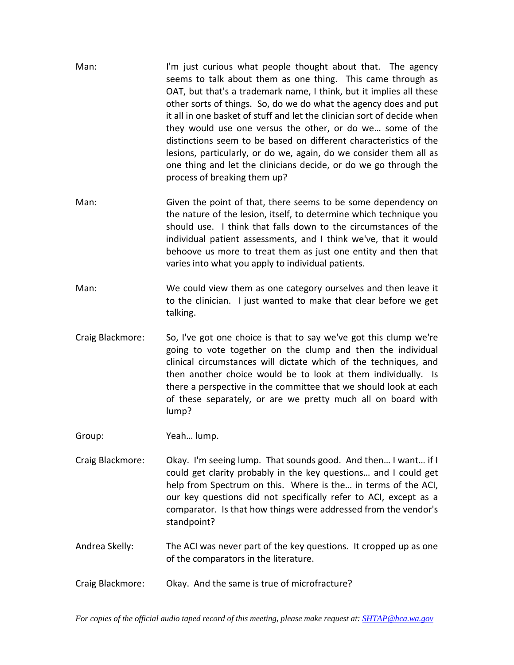- Man: I'm just curious what people thought about that. The agency seems to talk about them as one thing. This came through as OAT, but that's a trademark name, I think, but it implies all these other sorts of things. So, do we do what the agency does and put it all in one basket of stuff and let the clinician sort of decide when they would use one versus the other, or do we… some of the distinctions seem to be based on different characteristics of the lesions, particularly, or do we, again, do we consider them all as one thing and let the clinicians decide, or do we go through the process of breaking them up?
- Man: Given the point of that, there seems to be some dependency on the nature of the lesion, itself, to determine which technique you should use. I think that falls down to the circumstances of the individual patient assessments, and I think we've, that it would behoove us more to treat them as just one entity and then that varies into what you apply to individual patients.
- Man: We could view them as one category ourselves and then leave it to the clinician. I just wanted to make that clear before we get talking.
- Craig Blackmore: So, I've got one choice is that to say we've got this clump we're going to vote together on the clump and then the individual clinical circumstances will dictate which of the techniques, and then another choice would be to look at them individually. Is there a perspective in the committee that we should look at each of these separately, or are we pretty much all on board with lump?

Group: Yeah… lump.

- Craig Blackmore: Okay. I'm seeing lump. That sounds good. And then… I want… if I could get clarity probably in the key questions… and I could get help from Spectrum on this. Where is the… in terms of the ACI, our key questions did not specifically refer to ACI, except as a comparator. Is that how things were addressed from the vendor's standpoint?
- Andrea Skelly: The ACI was never part of the key questions. It cropped up as one of the comparators in the literature.
- Craig Blackmore: Okay. And the same is true of microfracture?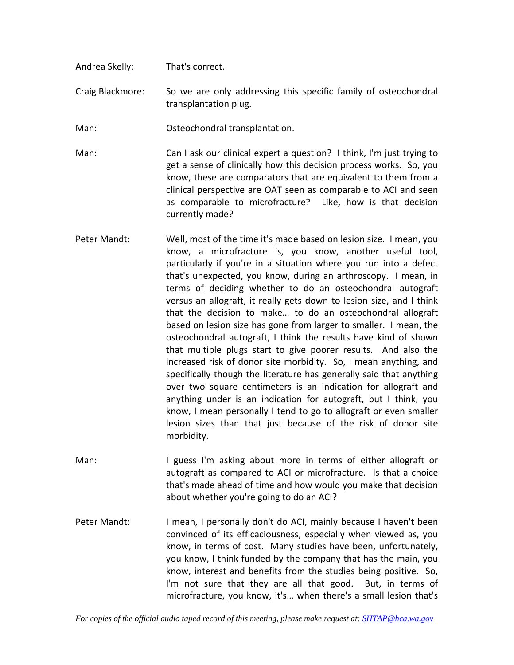- Andrea Skelly: That's correct.
- Craig Blackmore: So we are only addressing this specific family of osteochondral transplantation plug.
- Man: Osteochondral transplantation.
- Man: Can I ask our clinical expert a question? I think, I'm just trying to get a sense of clinically how this decision process works. So, you know, these are comparators that are equivalent to them from a clinical perspective are OAT seen as comparable to ACI and seen as comparable to microfracture? Like, how is that decision currently made?
- Peter Mandt: Well, most of the time it's made based on lesion size. I mean, you know, a microfracture is, you know, another useful tool, particularly if you're in a situation where you run into a defect that's unexpected, you know, during an arthroscopy. I mean, in terms of deciding whether to do an osteochondral autograft versus an allograft, it really gets down to lesion size, and I think that the decision to make… to do an osteochondral allograft based on lesion size has gone from larger to smaller. I mean, the osteochondral autograft, I think the results have kind of shown that multiple plugs start to give poorer results. And also the increased risk of donor site morbidity. So, I mean anything, and specifically though the literature has generally said that anything over two square centimeters is an indication for allograft and anything under is an indication for autograft, but I think, you know, I mean personally I tend to go to allograft or even smaller lesion sizes than that just because of the risk of donor site morbidity.
- Man: I guess I'm asking about more in terms of either allograft or autograft as compared to ACI or microfracture. Is that a choice that's made ahead of time and how would you make that decision about whether you're going to do an ACI?
- Peter Mandt: I mean, I personally don't do ACI, mainly because I haven't been convinced of its efficaciousness, especially when viewed as, you know, in terms of cost. Many studies have been, unfortunately, you know, I think funded by the company that has the main, you know, interest and benefits from the studies being positive. So, I'm not sure that they are all that good. But, in terms of microfracture, you know, it's… when there's a small lesion that's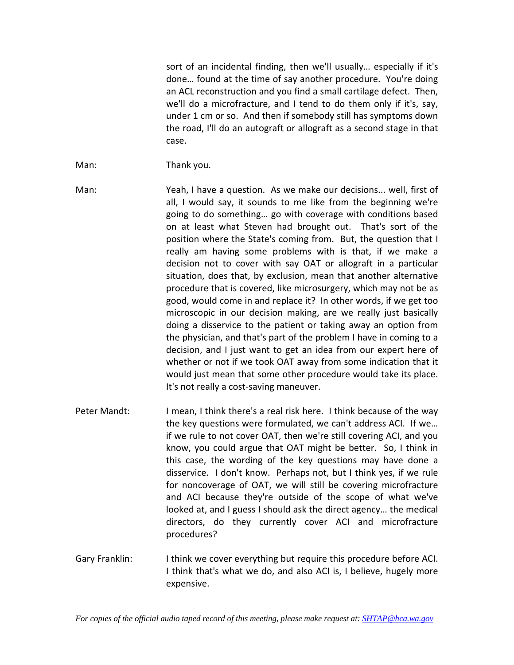sort of an incidental finding, then we'll usually… especially if it's done… found at the time of say another procedure. You're doing an ACL reconstruction and you find a small cartilage defect. Then, we'll do a microfracture, and I tend to do them only if it's, say, under 1 cm or so. And then if somebody still has symptoms down the road, I'll do an autograft or allograft as a second stage in that case.

- Man: Thank you.
- Man: Yeah, I have a question. As we make our decisions... well, first of all, I would say, it sounds to me like from the beginning we're going to do something… go with coverage with conditions based on at least what Steven had brought out. That's sort of the position where the State's coming from. But, the question that I really am having some problems with is that, if we make a decision not to cover with say OAT or allograft in a particular situation, does that, by exclusion, mean that another alternative procedure that is covered, like microsurgery, which may not be as good, would come in and replace it? In other words, if we get too microscopic in our decision making, are we really just basically doing a disservice to the patient or taking away an option from the physician, and that's part of the problem I have in coming to a decision, and I just want to get an idea from our expert here of whether or not if we took OAT away from some indication that it would just mean that some other procedure would take its place. It's not really a cost‐saving maneuver.
- Peter Mandt: I mean, I think there's a real risk here. I think because of the way the key questions were formulated, we can't address ACI. If we… if we rule to not cover OAT, then we're still covering ACI, and you know, you could argue that OAT might be better. So, I think in this case, the wording of the key questions may have done a disservice. I don't know. Perhaps not, but I think yes, if we rule for noncoverage of OAT, we will still be covering microfracture and ACI because they're outside of the scope of what we've looked at, and I guess I should ask the direct agency… the medical directors, do they currently cover ACI and microfracture procedures?
- Gary Franklin: I think we cover everything but require this procedure before ACI. I think that's what we do, and also ACI is, I believe, hugely more expensive.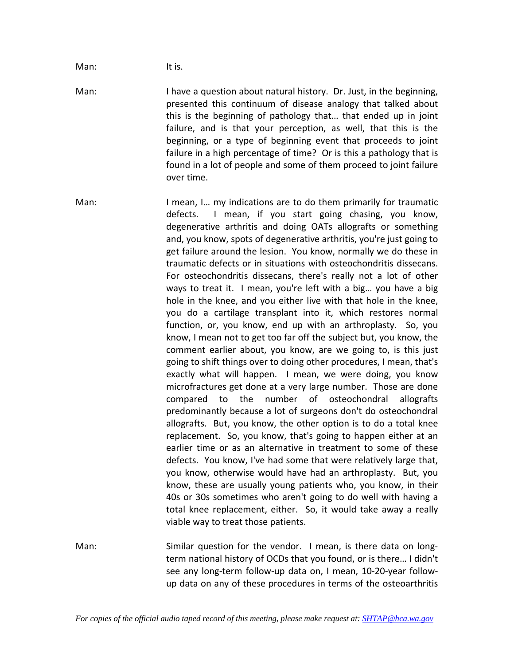Man: It is.

Man: I have a question about natural history. Dr. Just, in the beginning, presented this continuum of disease analogy that talked about this is the beginning of pathology that… that ended up in joint failure, and is that your perception, as well, that this is the beginning, or a type of beginning event that proceeds to joint failure in a high percentage of time? Or is this a pathology that is found in a lot of people and some of them proceed to joint failure over time.

Man: I mean, I... my indications are to do them primarily for traumatic defects. I mean, if you start going chasing, you know, degenerative arthritis and doing OATs allografts or something and, you know, spots of degenerative arthritis, you're just going to get failure around the lesion. You know, normally we do these in traumatic defects or in situations with osteochondritis dissecans. For osteochondritis dissecans, there's really not a lot of other ways to treat it. I mean, you're left with a big... you have a big hole in the knee, and you either live with that hole in the knee, you do a cartilage transplant into it, which restores normal function, or, you know, end up with an arthroplasty. So, you know, I mean not to get too far off the subject but, you know, the comment earlier about, you know, are we going to, is this just going to shift things over to doing other procedures, I mean, that's exactly what will happen. I mean, we were doing, you know microfractures get done at a very large number. Those are done compared to the number of osteochondral allografts predominantly because a lot of surgeons don't do osteochondral allografts. But, you know, the other option is to do a total knee replacement. So, you know, that's going to happen either at an earlier time or as an alternative in treatment to some of these defects. You know, I've had some that were relatively large that, you know, otherwise would have had an arthroplasty. But, you know, these are usually young patients who, you know, in their 40s or 30s sometimes who aren't going to do well with having a total knee replacement, either. So, it would take away a really viable way to treat those patients.

Man: Similar question for the vendor. I mean, is there data on longterm national history of OCDs that you found, or is there… I didn't see any long‐term follow‐up data on, I mean, 10‐20‐year follow‐ up data on any of these procedures in terms of the osteoarthritis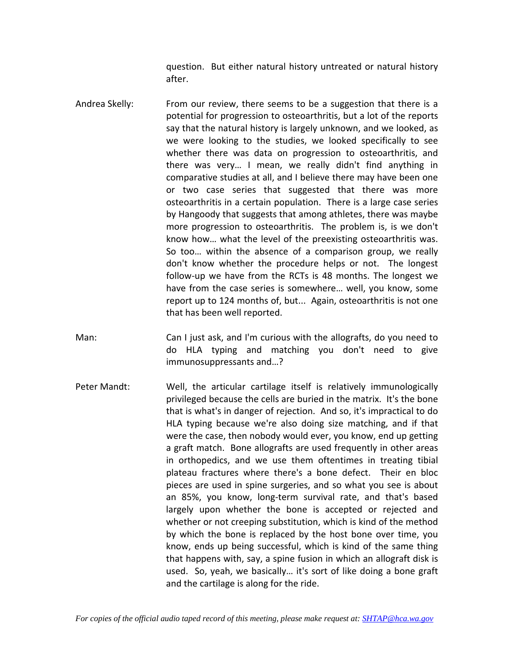question. But either natural history untreated or natural history after.

- Andrea Skelly: From our review, there seems to be a suggestion that there is a potential for progression to osteoarthritis, but a lot of the reports say that the natural history is largely unknown, and we looked, as we were looking to the studies, we looked specifically to see whether there was data on progression to osteoarthritis, and there was very… I mean, we really didn't find anything in comparative studies at all, and I believe there may have been one or two case series that suggested that there was more osteoarthritis in a certain population. There is a large case series by Hangoody that suggests that among athletes, there was maybe more progression to osteoarthritis. The problem is, is we don't know how… what the level of the preexisting osteoarthritis was. So too… within the absence of a comparison group, we really don't know whether the procedure helps or not. The longest follow‐up we have from the RCTs is 48 months. The longest we have from the case series is somewhere… well, you know, some report up to 124 months of, but... Again, osteoarthritis is not one that has been well reported.
- Man: Can I just ask, and I'm curious with the allografts, do you need to do HLA typing and matching you don't need to give immunosuppressants and…?
- Peter Mandt: Well, the articular cartilage itself is relatively immunologically privileged because the cells are buried in the matrix. It's the bone that is what's in danger of rejection. And so, it's impractical to do HLA typing because we're also doing size matching, and if that were the case, then nobody would ever, you know, end up getting a graft match. Bone allografts are used frequently in other areas in orthopedics, and we use them oftentimes in treating tibial plateau fractures where there's a bone defect. Their en bloc pieces are used in spine surgeries, and so what you see is about an 85%, you know, long‐term survival rate, and that's based largely upon whether the bone is accepted or rejected and whether or not creeping substitution, which is kind of the method by which the bone is replaced by the host bone over time, you know, ends up being successful, which is kind of the same thing that happens with, say, a spine fusion in which an allograft disk is used. So, yeah, we basically… it's sort of like doing a bone graft and the cartilage is along for the ride.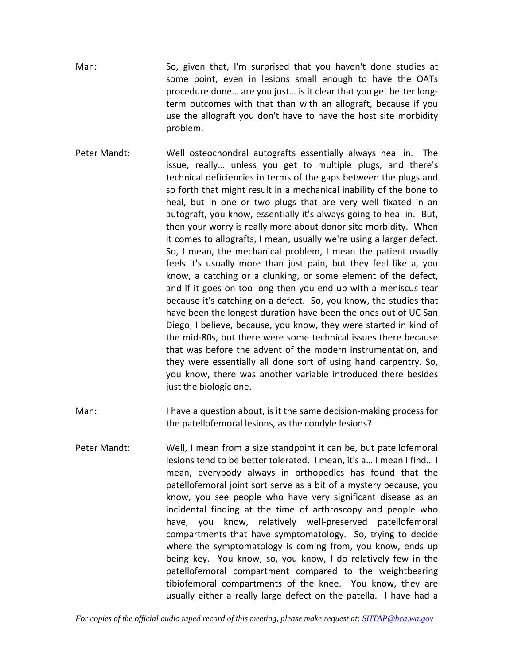- Man: So, given that, I'm surprised that you haven't done studies at some point, even in lesions small enough to have the OATs procedure done… are you just… is it clear that you get better long‐ term outcomes with that than with an allograft, because if you use the allograft you don't have to have the host site morbidity problem.
- Peter Mandt: Well osteochondral autografts essentially always heal in. The issue, really… unless you get to multiple plugs, and there's technical deficiencies in terms of the gaps between the plugs and so forth that might result in a mechanical inability of the bone to heal, but in one or two plugs that are very well fixated in an autograft, you know, essentially it's always going to heal in. But, then your worry is really more about donor site morbidity. When it comes to allografts, I mean, usually we're using a larger defect. So, I mean, the mechanical problem, I mean the patient usually feels it's usually more than just pain, but they feel like a, you know, a catching or a clunking, or some element of the defect, and if it goes on too long then you end up with a meniscus tear because it's catching on a defect. So, you know, the studies that have been the longest duration have been the ones out of UC San Diego, I believe, because, you know, they were started in kind of the mid‐80s, but there were some technical issues there because that was before the advent of the modern instrumentation, and they were essentially all done sort of using hand carpentry. So, you know, there was another variable introduced there besides just the biologic one.
- Man: I have a question about, is it the same decision-making process for the patellofemoral lesions, as the condyle lesions?
- Peter Mandt: Well, I mean from a size standpoint it can be, but patellofemoral lesions tend to be better tolerated. I mean, it's a… I mean I find… I mean, everybody always in orthopedics has found that the patellofemoral joint sort serve as a bit of a mystery because, you know, you see people who have very significant disease as an incidental finding at the time of arthroscopy and people who have, you know, relatively well-preserved patellofemoral compartments that have symptomatology. So, trying to decide where the symptomatology is coming from, you know, ends up being key. You know, so, you know, I do relatively few in the patellofemoral compartment compared to the weightbearing tibiofemoral compartments of the knee. You know, they are usually either a really large defect on the patella. I have had a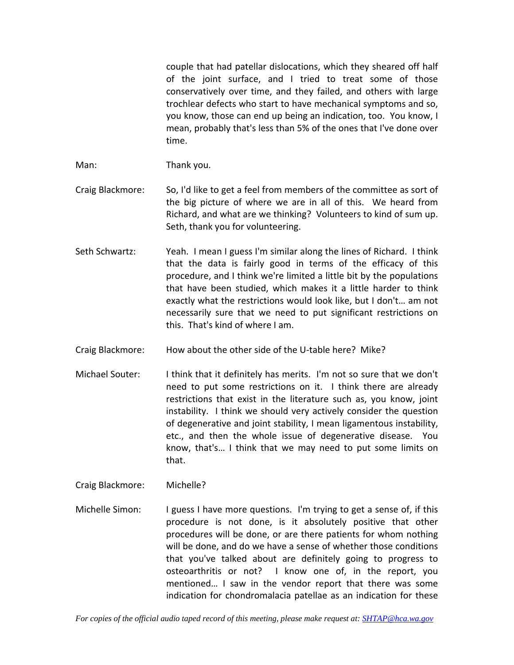couple that had patellar dislocations, which they sheared off half of the joint surface, and I tried to treat some of those conservatively over time, and they failed, and others with large trochlear defects who start to have mechanical symptoms and so, you know, those can end up being an indication, too. You know, I mean, probably that's less than 5% of the ones that I've done over time.

Man: Thank you.

- Craig Blackmore: So, I'd like to get a feel from members of the committee as sort of the big picture of where we are in all of this. We heard from Richard, and what are we thinking? Volunteers to kind of sum up. Seth, thank you for volunteering.
- Seth Schwartz: Yeah. I mean I guess I'm similar along the lines of Richard. I think that the data is fairly good in terms of the efficacy of this procedure, and I think we're limited a little bit by the populations that have been studied, which makes it a little harder to think exactly what the restrictions would look like, but I don't… am not necessarily sure that we need to put significant restrictions on this. That's kind of where I am.
- Craig Blackmore: How about the other side of the U‐table here? Mike?
- Michael Souter: I think that it definitely has merits. I'm not so sure that we don't need to put some restrictions on it. I think there are already restrictions that exist in the literature such as, you know, joint instability. I think we should very actively consider the question of degenerative and joint stability, I mean ligamentous instability, etc., and then the whole issue of degenerative disease. You know, that's… I think that we may need to put some limits on that.
- Craig Blackmore: Michelle?
- Michelle Simon: I guess I have more questions. I'm trying to get a sense of, if this procedure is not done, is it absolutely positive that other procedures will be done, or are there patients for whom nothing will be done, and do we have a sense of whether those conditions that you've talked about are definitely going to progress to osteoarthritis or not? I know one of, in the report, you mentioned… I saw in the vendor report that there was some indication for chondromalacia patellae as an indication for these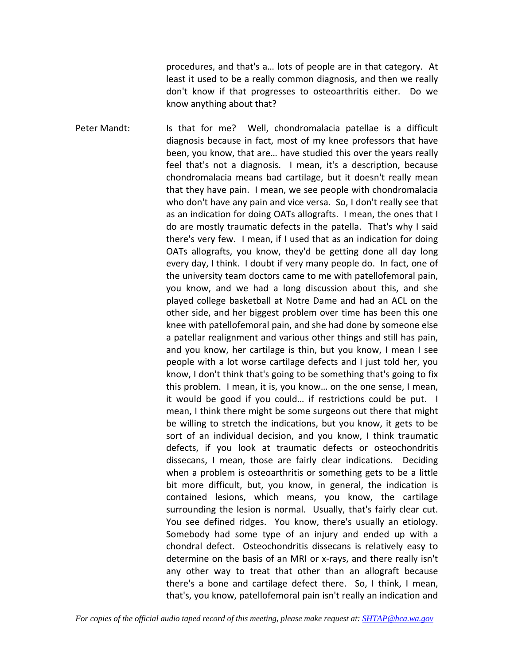procedures, and that's a… lots of people are in that category. At least it used to be a really common diagnosis, and then we really don't know if that progresses to osteoarthritis either. Do we know anything about that?

Peter Mandt: Is that for me? Well, chondromalacia patellae is a difficult diagnosis because in fact, most of my knee professors that have been, you know, that are… have studied this over the years really feel that's not a diagnosis. I mean, it's a description, because chondromalacia means bad cartilage, but it doesn't really mean that they have pain. I mean, we see people with chondromalacia who don't have any pain and vice versa. So, I don't really see that as an indication for doing OATs allografts. I mean, the ones that I do are mostly traumatic defects in the patella. That's why I said there's very few. I mean, if I used that as an indication for doing OATs allografts, you know, they'd be getting done all day long every day, I think. I doubt if very many people do. In fact, one of the university team doctors came to me with patellofemoral pain, you know, and we had a long discussion about this, and she played college basketball at Notre Dame and had an ACL on the other side, and her biggest problem over time has been this one knee with patellofemoral pain, and she had done by someone else a patellar realignment and various other things and still has pain, and you know, her cartilage is thin, but you know, I mean I see people with a lot worse cartilage defects and I just told her, you know, I don't think that's going to be something that's going to fix this problem. I mean, it is, you know… on the one sense, I mean, it would be good if you could… if restrictions could be put. I mean, I think there might be some surgeons out there that might be willing to stretch the indications, but you know, it gets to be sort of an individual decision, and you know, I think traumatic defects, if you look at traumatic defects or osteochondritis dissecans, I mean, those are fairly clear indications. Deciding when a problem is osteoarthritis or something gets to be a little bit more difficult, but, you know, in general, the indication is contained lesions, which means, you know, the cartilage surrounding the lesion is normal. Usually, that's fairly clear cut. You see defined ridges. You know, there's usually an etiology. Somebody had some type of an injury and ended up with a chondral defect. Osteochondritis dissecans is relatively easy to determine on the basis of an MRI or x‐rays, and there really isn't any other way to treat that other than an allograft because there's a bone and cartilage defect there. So, I think, I mean, that's, you know, patellofemoral pain isn't really an indication and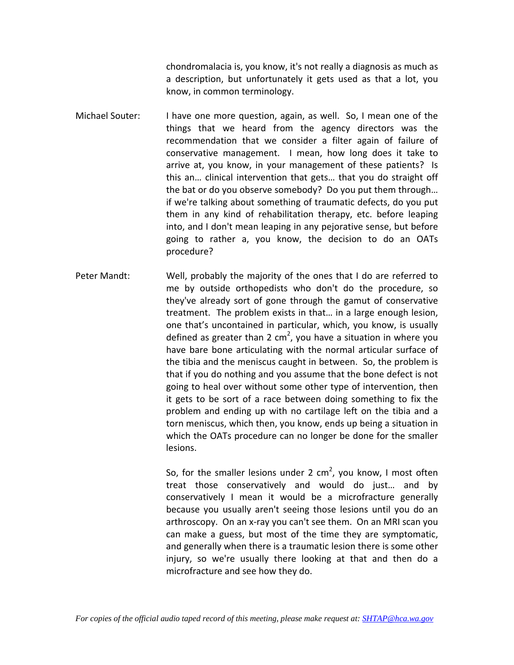chondromalacia is, you know, it's not really a diagnosis as much as a description, but unfortunately it gets used as that a lot, you know, in common terminology.

- Michael Souter: I have one more question, again, as well. So, I mean one of the things that we heard from the agency directors was the recommendation that we consider a filter again of failure of conservative management. I mean, how long does it take to arrive at, you know, in your management of these patients? Is this an… clinical intervention that gets… that you do straight off the bat or do you observe somebody? Do you put them through… if we're talking about something of traumatic defects, do you put them in any kind of rehabilitation therapy, etc. before leaping into, and I don't mean leaping in any pejorative sense, but before going to rather a, you know, the decision to do an OATs procedure?
- Peter Mandt: Well, probably the majority of the ones that I do are referred to me by outside orthopedists who don't do the procedure, so they've already sort of gone through the gamut of conservative treatment. The problem exists in that… in a large enough lesion, one that's uncontained in particular, which, you know, is usually defined as greater than 2 cm<sup>2</sup>, you have a situation in where you have bare bone articulating with the normal articular surface of the tibia and the meniscus caught in between. So, the problem is that if you do nothing and you assume that the bone defect is not going to heal over without some other type of intervention, then it gets to be sort of a race between doing something to fix the problem and ending up with no cartilage left on the tibia and a torn meniscus, which then, you know, ends up being a situation in which the OATs procedure can no longer be done for the smaller lesions.

So, for the smaller lesions under 2 cm<sup>2</sup>, you know, I most often treat those conservatively and would do just… and by conservatively I mean it would be a microfracture generally because you usually aren't seeing those lesions until you do an arthroscopy. On an x‐ray you can't see them. On an MRI scan you can make a guess, but most of the time they are symptomatic, and generally when there is a traumatic lesion there is some other injury, so we're usually there looking at that and then do a microfracture and see how they do.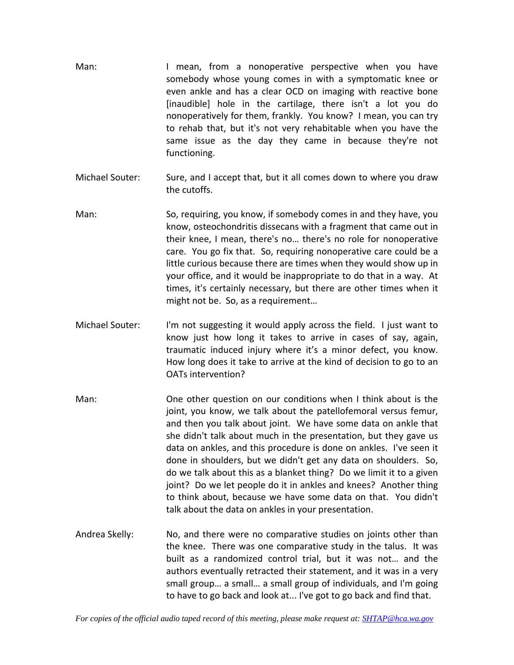- Man: I mean, from a nonoperative perspective when you have somebody whose young comes in with a symptomatic knee or even ankle and has a clear OCD on imaging with reactive bone [inaudible] hole in the cartilage, there isn't a lot you do nonoperatively for them, frankly. You know? I mean, you can try to rehab that, but it's not very rehabitable when you have the same issue as the day they came in because they're not functioning.
- Michael Souter: Sure, and I accept that, but it all comes down to where you draw the cutoffs.
- Man: So, requiring, you know, if somebody comes in and they have, you know, osteochondritis dissecans with a fragment that came out in their knee, I mean, there's no… there's no role for nonoperative care. You go fix that. So, requiring nonoperative care could be a little curious because there are times when they would show up in your office, and it would be inappropriate to do that in a way. At times, it's certainly necessary, but there are other times when it might not be. So, as a requirement…
- Michael Souter: I'm not suggesting it would apply across the field. I just want to know just how long it takes to arrive in cases of say, again, traumatic induced injury where it's a minor defect, you know. How long does it take to arrive at the kind of decision to go to an OATs intervention?
- Man: One other question on our conditions when I think about is the joint, you know, we talk about the patellofemoral versus femur, and then you talk about joint. We have some data on ankle that she didn't talk about much in the presentation, but they gave us data on ankles, and this procedure is done on ankles. I've seen it done in shoulders, but we didn't get any data on shoulders. So, do we talk about this as a blanket thing? Do we limit it to a given joint? Do we let people do it in ankles and knees? Another thing to think about, because we have some data on that. You didn't talk about the data on ankles in your presentation.
- Andrea Skelly: No, and there were no comparative studies on joints other than the knee. There was one comparative study in the talus. It was built as a randomized control trial, but it was not… and the authors eventually retracted their statement, and it was in a very small group… a small… a small group of individuals, and I'm going to have to go back and look at... I've got to go back and find that.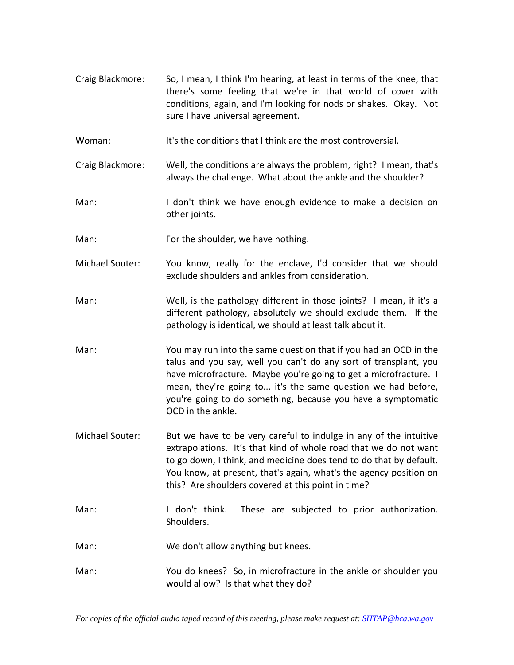- Craig Blackmore: So, I mean, I think I'm hearing, at least in terms of the knee, that there's some feeling that we're in that world of cover with conditions, again, and I'm looking for nods or shakes. Okay. Not sure I have universal agreement.
- Woman: It's the conditions that I think are the most controversial.
- Craig Blackmore: Well, the conditions are always the problem, right? I mean, that's always the challenge. What about the ankle and the shoulder?
- Man: I don't think we have enough evidence to make a decision on other joints.
- Man: For the shoulder, we have nothing.
- Michael Souter: You know, really for the enclave, I'd consider that we should exclude shoulders and ankles from consideration.
- Man: Well, is the pathology different in those joints? I mean, if it's a different pathology, absolutely we should exclude them. If the pathology is identical, we should at least talk about it.
- Man: You may run into the same question that if you had an OCD in the talus and you say, well you can't do any sort of transplant, you have microfracture. Maybe you're going to get a microfracture. I mean, they're going to... it's the same question we had before, you're going to do something, because you have a symptomatic OCD in the ankle.
- Michael Souter: But we have to be very careful to indulge in any of the intuitive extrapolations. It's that kind of whole road that we do not want to go down, I think, and medicine does tend to do that by default. You know, at present, that's again, what's the agency position on this? Are shoulders covered at this point in time?
- Man: I don't think. These are subjected to prior authorization. Shoulders.
- Man: We don't allow anything but knees.
- Man: You do knees? So, in microfracture in the ankle or shoulder you would allow? Is that what they do?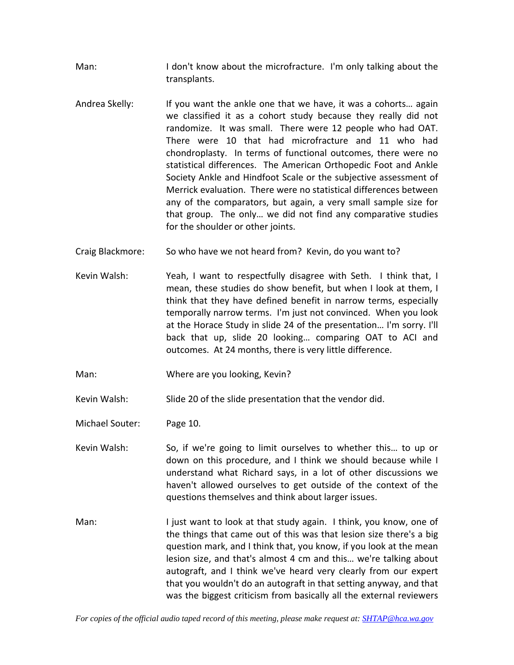Man: I don't know about the microfracture. I'm only talking about the transplants.

- Andrea Skelly: If you want the ankle one that we have, it was a cohorts… again we classified it as a cohort study because they really did not randomize. It was small. There were 12 people who had OAT. There were 10 that had microfracture and 11 who had chondroplasty. In terms of functional outcomes, there were no statistical differences. The American Orthopedic Foot and Ankle Society Ankle and Hindfoot Scale or the subjective assessment of Merrick evaluation. There were no statistical differences between any of the comparators, but again, a very small sample size for that group. The only… we did not find any comparative studies for the shoulder or other joints.
- Craig Blackmore: So who have we not heard from? Kevin, do you want to?
- Kevin Walsh: Yeah, I want to respectfully disagree with Seth. I think that, I mean, these studies do show benefit, but when I look at them, I think that they have defined benefit in narrow terms, especially temporally narrow terms. I'm just not convinced. When you look at the Horace Study in slide 24 of the presentation… I'm sorry. I'll back that up, slide 20 looking… comparing OAT to ACI and outcomes. At 24 months, there is very little difference.
- Man: Where are you looking, Kevin?

Kevin Walsh: Slide 20 of the slide presentation that the vendor did.

Michael Souter: Page 10.

- Kevin Walsh: So, if we're going to limit ourselves to whether this... to up or down on this procedure, and I think we should because while I understand what Richard says, in a lot of other discussions we haven't allowed ourselves to get outside of the context of the questions themselves and think about larger issues.
- Man: I just want to look at that study again. I think, you know, one of the things that came out of this was that lesion size there's a big question mark, and I think that, you know, if you look at the mean lesion size, and that's almost 4 cm and this… we're talking about autograft, and I think we've heard very clearly from our expert that you wouldn't do an autograft in that setting anyway, and that was the biggest criticism from basically all the external reviewers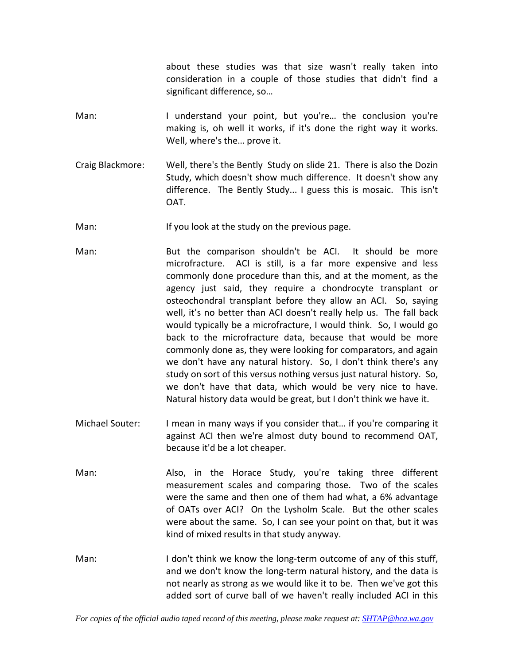about these studies was that size wasn't really taken into consideration in a couple of those studies that didn't find a significant difference, so…

- Man: I understand your point, but you're… the conclusion you're making is, oh well it works, if it's done the right way it works. Well, where's the… prove it.
- Craig Blackmore: Well, there's the Bently Study on slide 21. There is also the Dozin Study, which doesn't show much difference. It doesn't show any difference. The Bently Study... I guess this is mosaic. This isn't OAT.

Man: If you look at the study on the previous page.

- Man: But the comparison shouldn't be ACI. It should be more microfracture. ACI is still, is a far more expensive and less commonly done procedure than this, and at the moment, as the agency just said, they require a chondrocyte transplant or osteochondral transplant before they allow an ACI. So, saying well, it's no better than ACI doesn't really help us. The fall back would typically be a microfracture, I would think. So, I would go back to the microfracture data, because that would be more commonly done as, they were looking for comparators, and again we don't have any natural history. So, I don't think there's any study on sort of this versus nothing versus just natural history. So, we don't have that data, which would be very nice to have. Natural history data would be great, but I don't think we have it.
- Michael Souter: I mean in many ways if you consider that… if you're comparing it against ACI then we're almost duty bound to recommend OAT, because it'd be a lot cheaper.
- Man: Also, in the Horace Study, you're taking three different measurement scales and comparing those. Two of the scales were the same and then one of them had what, a 6% advantage of OATs over ACI? On the Lysholm Scale. But the other scales were about the same. So, I can see your point on that, but it was kind of mixed results in that study anyway.
- Man: I don't think we know the long-term outcome of any of this stuff, and we don't know the long‐term natural history, and the data is not nearly as strong as we would like it to be. Then we've got this added sort of curve ball of we haven't really included ACI in this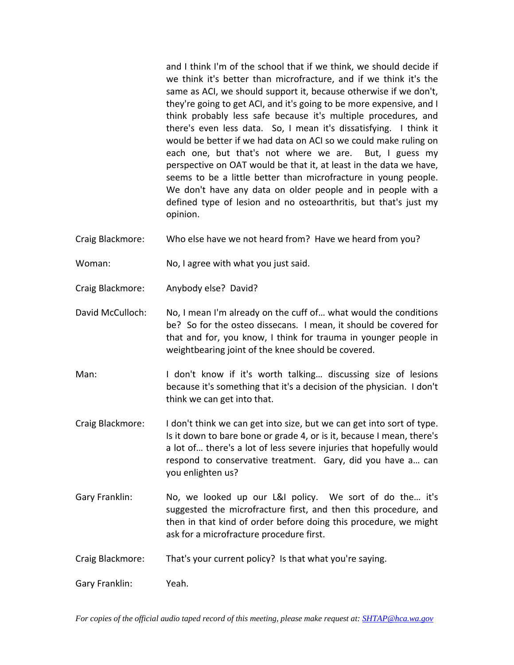and I think I'm of the school that if we think, we should decide if we think it's better than microfracture, and if we think it's the same as ACI, we should support it, because otherwise if we don't, they're going to get ACI, and it's going to be more expensive, and I think probably less safe because it's multiple procedures, and there's even less data. So, I mean it's dissatisfying. I think it would be better if we had data on ACI so we could make ruling on each one, but that's not where we are. But, I guess my perspective on OAT would be that it, at least in the data we have, seems to be a little better than microfracture in young people. We don't have any data on older people and in people with a defined type of lesion and no osteoarthritis, but that's just my opinion.

- Craig Blackmore: Who else have we not heard from? Have we heard from you?
- Woman: No, I agree with what you just said.
- Craig Blackmore: Anybody else? David?
- David McCulloch: No, I mean I'm already on the cuff of… what would the conditions be? So for the osteo dissecans. I mean, it should be covered for that and for, you know, I think for trauma in younger people in weightbearing joint of the knee should be covered.
- Man: I don't know if it's worth talking… discussing size of lesions because it's something that it's a decision of the physician. I don't think we can get into that.
- Craig Blackmore: I don't think we can get into size, but we can get into sort of type. Is it down to bare bone or grade 4, or is it, because I mean, there's a lot of… there's a lot of less severe injuries that hopefully would respond to conservative treatment. Gary, did you have a… can you enlighten us?
- Gary Franklin: No, we looked up our L&I policy. We sort of do the… it's suggested the microfracture first, and then this procedure, and then in that kind of order before doing this procedure, we might ask for a microfracture procedure first.
- Craig Blackmore: That's your current policy? Is that what you're saying.

Gary Franklin: Yeah.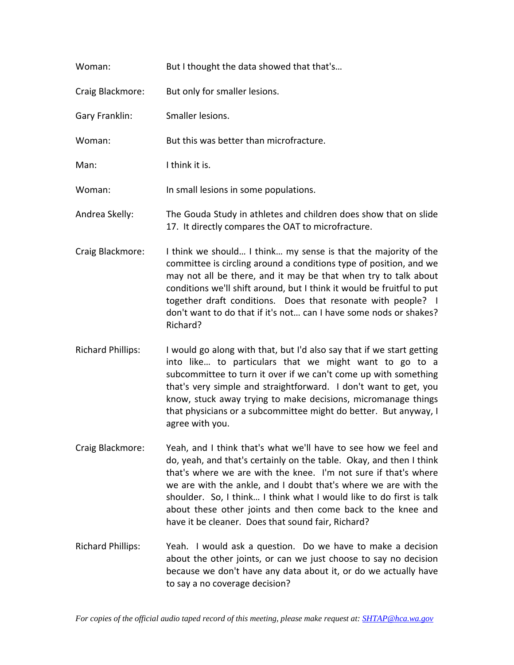| Woman:           | But I thought the data showed that that's                                                                              |
|------------------|------------------------------------------------------------------------------------------------------------------------|
| Craig Blackmore: | But only for smaller lesions.                                                                                          |
| Gary Franklin:   | Smaller lesions.                                                                                                       |
| Woman:           | But this was better than microfracture.                                                                                |
| Man:             | I think it is.                                                                                                         |
| Woman:           | In small lesions in some populations.                                                                                  |
| Andrea Skelly:   | The Gouda Study in athletes and children does show that on slide<br>17. It directly compares the OAT to microfracture. |

- Craig Blackmore: I think we should… I think… my sense is that the majority of the committee is circling around a conditions type of position, and we may not all be there, and it may be that when try to talk about conditions we'll shift around, but I think it would be fruitful to put together draft conditions. Does that resonate with people? I don't want to do that if it's not… can I have some nods or shakes? Richard?
- Richard Phillips: I would go along with that, but I'd also say that if we start getting into like… to particulars that we might want to go to a subcommittee to turn it over if we can't come up with something that's very simple and straightforward. I don't want to get, you know, stuck away trying to make decisions, micromanage things that physicians or a subcommittee might do better. But anyway, I agree with you.
- Craig Blackmore: Yeah, and I think that's what we'll have to see how we feel and do, yeah, and that's certainly on the table. Okay, and then I think that's where we are with the knee. I'm not sure if that's where we are with the ankle, and I doubt that's where we are with the shoulder. So, I think… I think what I would like to do first is talk about these other joints and then come back to the knee and have it be cleaner. Does that sound fair, Richard?
- Richard Phillips: Yeah. I would ask a question. Do we have to make a decision about the other joints, or can we just choose to say no decision because we don't have any data about it, or do we actually have to say a no coverage decision?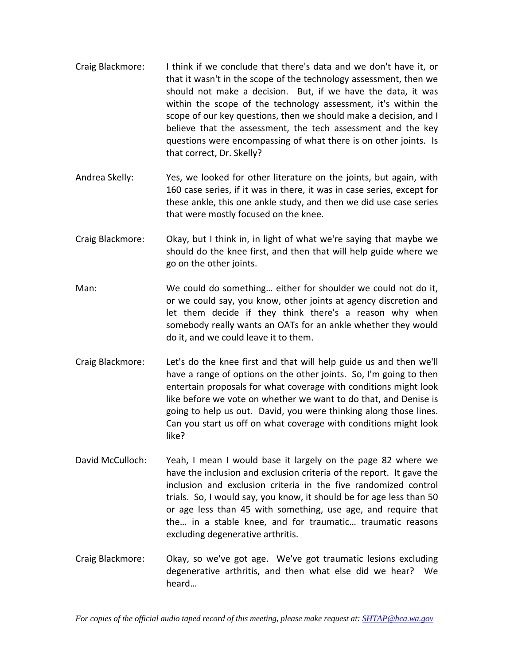- Craig Blackmore: I think if we conclude that there's data and we don't have it, or that it wasn't in the scope of the technology assessment, then we should not make a decision. But, if we have the data, it was within the scope of the technology assessment, it's within the scope of our key questions, then we should make a decision, and I believe that the assessment, the tech assessment and the key questions were encompassing of what there is on other joints. Is that correct, Dr. Skelly?
- Andrea Skelly: Yes, we looked for other literature on the joints, but again, with 160 case series, if it was in there, it was in case series, except for these ankle, this one ankle study, and then we did use case series that were mostly focused on the knee.
- Craig Blackmore: Okay, but I think in, in light of what we're saying that maybe we should do the knee first, and then that will help guide where we go on the other joints.
- Man: We could do something… either for shoulder we could not do it, or we could say, you know, other joints at agency discretion and let them decide if they think there's a reason why when somebody really wants an OATs for an ankle whether they would do it, and we could leave it to them.
- Craig Blackmore: Let's do the knee first and that will help guide us and then we'll have a range of options on the other joints. So, I'm going to then entertain proposals for what coverage with conditions might look like before we vote on whether we want to do that, and Denise is going to help us out. David, you were thinking along those lines. Can you start us off on what coverage with conditions might look like?
- David McCulloch: Yeah, I mean I would base it largely on the page 82 where we have the inclusion and exclusion criteria of the report. It gave the inclusion and exclusion criteria in the five randomized control trials. So, I would say, you know, it should be for age less than 50 or age less than 45 with something, use age, and require that the… in a stable knee, and for traumatic… traumatic reasons excluding degenerative arthritis.
- Craig Blackmore: Okay, so we've got age. We've got traumatic lesions excluding degenerative arthritis, and then what else did we hear? We heard…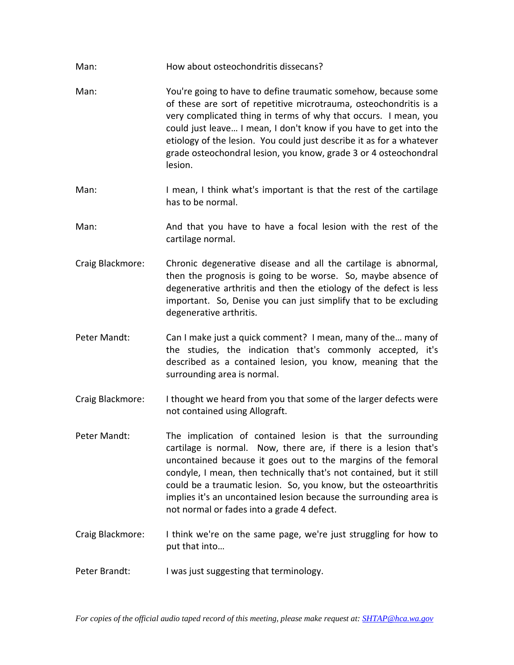- Man: How about osteochondritis dissecans?
- Man: You're going to have to define traumatic somehow, because some of these are sort of repetitive microtrauma, osteochondritis is a very complicated thing in terms of why that occurs. I mean, you could just leave… I mean, I don't know if you have to get into the etiology of the lesion. You could just describe it as for a whatever grade osteochondral lesion, you know, grade 3 or 4 osteochondral lesion.
- Man: I mean, I think what's important is that the rest of the cartilage has to be normal.
- Man: And that you have to have a focal lesion with the rest of the cartilage normal.
- Craig Blackmore: Chronic degenerative disease and all the cartilage is abnormal, then the prognosis is going to be worse. So, maybe absence of degenerative arthritis and then the etiology of the defect is less important. So, Denise you can just simplify that to be excluding degenerative arthritis.
- Peter Mandt: Can I make just a quick comment? I mean, many of the... many of the studies, the indication that's commonly accepted, it's described as a contained lesion, you know, meaning that the surrounding area is normal.
- Craig Blackmore: I thought we heard from you that some of the larger defects were not contained using Allograft.
- Peter Mandt: The implication of contained lesion is that the surrounding cartilage is normal. Now, there are, if there is a lesion that's uncontained because it goes out to the margins of the femoral condyle, I mean, then technically that's not contained, but it still could be a traumatic lesion. So, you know, but the osteoarthritis implies it's an uncontained lesion because the surrounding area is not normal or fades into a grade 4 defect.
- Craig Blackmore: I think we're on the same page, we're just struggling for how to put that into…
- Peter Brandt: I was just suggesting that terminology.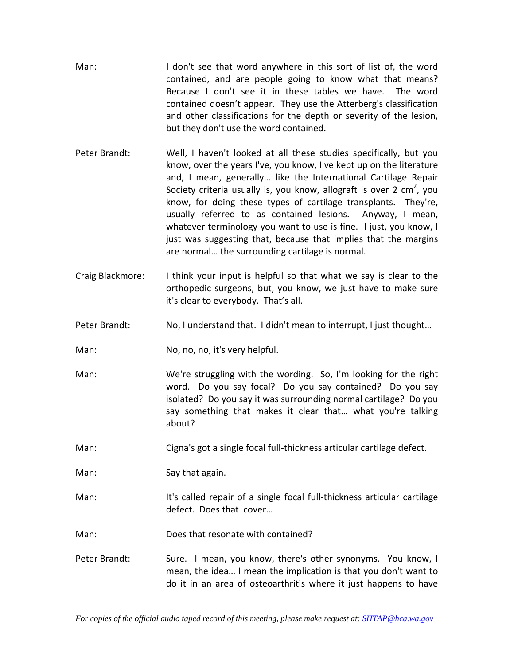- Man: I don't see that word anywhere in this sort of list of, the word contained, and are people going to know what that means? Because I don't see it in these tables we have. The word contained doesn't appear. They use the Atterberg's classification and other classifications for the depth or severity of the lesion, but they don't use the word contained.
- Peter Brandt: Well, I haven't looked at all these studies specifically, but you know, over the years I've, you know, I've kept up on the literature and, I mean, generally… like the International Cartilage Repair Society criteria usually is, you know, allograft is over 2 cm<sup>2</sup>, you know, for doing these types of cartilage transplants. They're, usually referred to as contained lesions. Anyway, I mean, whatever terminology you want to use is fine. I just, you know, I just was suggesting that, because that implies that the margins are normal… the surrounding cartilage is normal.
- Craig Blackmore: I think your input is helpful so that what we say is clear to the orthopedic surgeons, but, you know, we just have to make sure it's clear to everybody. That's all.
- Peter Brandt: No, I understand that. I didn't mean to interrupt, I just thought...

Man: No, no, no, it's very helpful.

- Man: We're struggling with the wording. So, I'm looking for the right word. Do you say focal? Do you say contained? Do you say isolated? Do you say it was surrounding normal cartilage? Do you say something that makes it clear that… what you're talking about?
- Man: Cigna's got a single focal full-thickness articular cartilage defect.

Man: Say that again.

Man: It's called repair of a single focal full-thickness articular cartilage defect. Does that cover…

Man: Does that resonate with contained?

Peter Brandt: Sure. I mean, you know, there's other synonyms. You know, I mean, the idea… I mean the implication is that you don't want to do it in an area of osteoarthritis where it just happens to have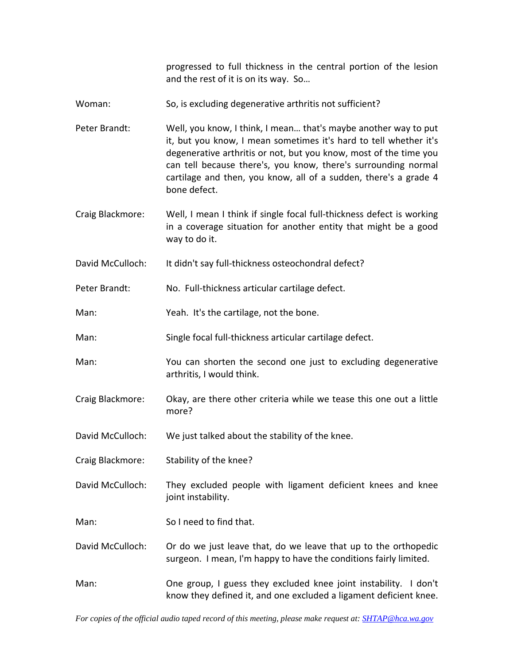progressed to full thickness in the central portion of the lesion and the rest of it is on its way. So…

- Woman: So, is excluding degenerative arthritis not sufficient?
- Peter Brandt: Well, you know, I think, I mean… that's maybe another way to put it, but you know, I mean sometimes it's hard to tell whether it's degenerative arthritis or not, but you know, most of the time you can tell because there's, you know, there's surrounding normal cartilage and then, you know, all of a sudden, there's a grade 4 bone defect.
- Craig Blackmore: Well, I mean I think if single focal full‐thickness defect is working in a coverage situation for another entity that might be a good way to do it.
- David McCulloch: It didn't say full-thickness osteochondral defect?
- Peter Brandt: No. Full-thickness articular cartilage defect.
- Man: Yeah. It's the cartilage, not the bone.
- Man: Single focal full-thickness articular cartilage defect.
- Man: You can shorten the second one just to excluding degenerative arthritis, I would think.
- Craig Blackmore: Okay, are there other criteria while we tease this one out a little more?
- David McCulloch: We just talked about the stability of the knee.
- Craig Blackmore: Stability of the knee?
- David McCulloch: They excluded people with ligament deficient knees and knee joint instability.
- Man: So I need to find that.
- David McCulloch: Or do we just leave that, do we leave that up to the orthopedic surgeon. I mean, I'm happy to have the conditions fairly limited.
- Man: One group, I guess they excluded knee joint instability. I don't know they defined it, and one excluded a ligament deficient knee.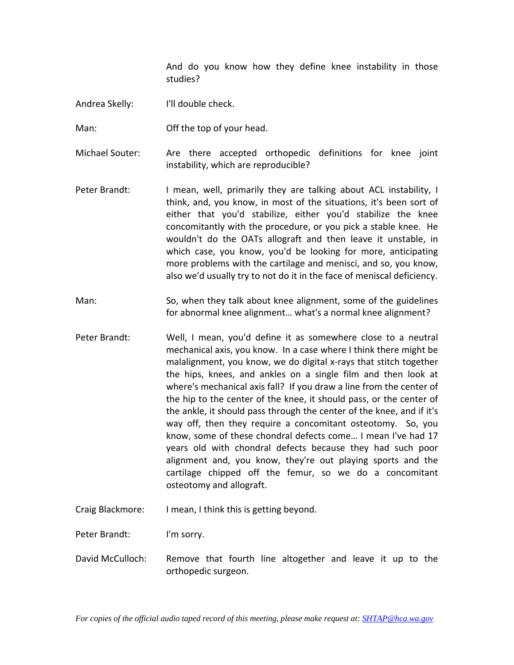And do you know how they define knee instability in those studies?

Andrea Skelly: I'll double check.

Man: Off the top of your head.

Michael Souter: Are there accepted orthopedic definitions for knee joint instability, which are reproducible?

- Peter Brandt: I mean, well, primarily they are talking about ACL instability, I think, and, you know, in most of the situations, it's been sort of either that you'd stabilize, either you'd stabilize the knee concomitantly with the procedure, or you pick a stable knee. He wouldn't do the OATs allograft and then leave it unstable, in which case, you know, you'd be looking for more, anticipating more problems with the cartilage and menisci, and so, you know, also we'd usually try to not do it in the face of meniscal deficiency.
- Man: So, when they talk about knee alignment, some of the guidelines for abnormal knee alignment… what's a normal knee alignment?
- Peter Brandt: Well, I mean, you'd define it as somewhere close to a neutral mechanical axis, you know. In a case where I think there might be malalignment, you know, we do digital x‐rays that stitch together the hips, knees, and ankles on a single film and then look at where's mechanical axis fall? If you draw a line from the center of the hip to the center of the knee, it should pass, or the center of the ankle, it should pass through the center of the knee, and if it's way off, then they require a concomitant osteotomy. So, you know, some of these chondral defects come… I mean I've had 17 years old with chondral defects because they had such poor alignment and, you know, they're out playing sports and the cartilage chipped off the femur, so we do a concomitant osteotomy and allograft.

Craig Blackmore: I mean, I think this is getting beyond.

Peter Brandt: I'm sorry.

David McCulloch: Remove that fourth line altogether and leave it up to the orthopedic surgeon.

*For copies of the official audio taped record of this meeting, please make request at: SHTAP@hca.wa.gov*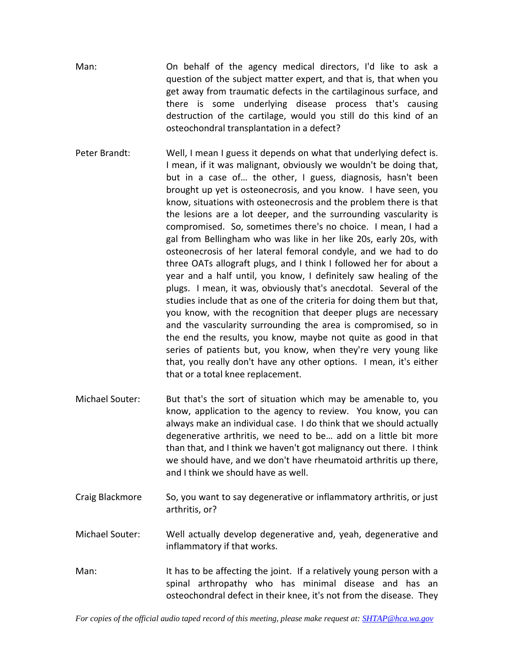- Man: On behalf of the agency medical directors, I'd like to ask a question of the subject matter expert, and that is, that when you get away from traumatic defects in the cartilaginous surface, and there is some underlying disease process that's causing destruction of the cartilage, would you still do this kind of an osteochondral transplantation in a defect?
- Peter Brandt: Well, I mean I guess it depends on what that underlying defect is. I mean, if it was malignant, obviously we wouldn't be doing that, but in a case of… the other, I guess, diagnosis, hasn't been brought up yet is osteonecrosis, and you know. I have seen, you know, situations with osteonecrosis and the problem there is that the lesions are a lot deeper, and the surrounding vascularity is compromised. So, sometimes there's no choice. I mean, I had a gal from Bellingham who was like in her like 20s, early 20s, with osteonecrosis of her lateral femoral condyle, and we had to do three OATs allograft plugs, and I think I followed her for about a year and a half until, you know, I definitely saw healing of the plugs. I mean, it was, obviously that's anecdotal. Several of the studies include that as one of the criteria for doing them but that, you know, with the recognition that deeper plugs are necessary and the vascularity surrounding the area is compromised, so in the end the results, you know, maybe not quite as good in that series of patients but, you know, when they're very young like that, you really don't have any other options. I mean, it's either that or a total knee replacement.
- Michael Souter: But that's the sort of situation which may be amenable to, you know, application to the agency to review. You know, you can always make an individual case. I do think that we should actually degenerative arthritis, we need to be… add on a little bit more than that, and I think we haven't got malignancy out there. I think we should have, and we don't have rheumatoid arthritis up there, and I think we should have as well.
- Craig Blackmore So, you want to say degenerative or inflammatory arthritis, or just arthritis, or?
- Michael Souter: Well actually develop degenerative and, yeah, degenerative and inflammatory if that works.
- Man: It has to be affecting the joint. If a relatively young person with a spinal arthropathy who has minimal disease and has an osteochondral defect in their knee, it's not from the disease. They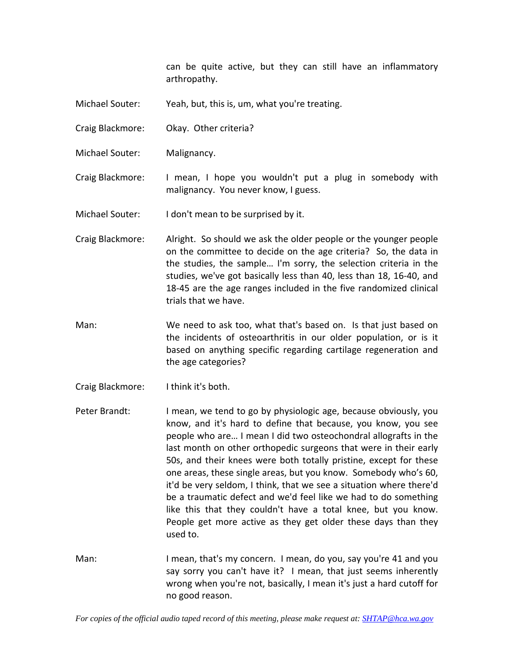can be quite active, but they can still have an inflammatory arthropathy.

- Michael Souter: Yeah, but, this is, um, what you're treating.
- Craig Blackmore: Okay. Other criteria?
- Michael Souter: Malignancy.

Craig Blackmore: I mean, I hope you wouldn't put a plug in somebody with malignancy. You never know, I guess.

Michael Souter: I don't mean to be surprised by it.

- Craig Blackmore: Alright. So should we ask the older people or the younger people on the committee to decide on the age criteria? So, the data in the studies, the sample… I'm sorry, the selection criteria in the studies, we've got basically less than 40, less than 18, 16‐40, and 18-45 are the age ranges included in the five randomized clinical trials that we have.
- Man: We need to ask too, what that's based on. Is that just based on the incidents of osteoarthritis in our older population, or is it based on anything specific regarding cartilage regeneration and the age categories?
- Craig Blackmore: I think it's both.

Peter Brandt: I mean, we tend to go by physiologic age, because obviously, you know, and it's hard to define that because, you know, you see people who are… I mean I did two osteochondral allografts in the last month on other orthopedic surgeons that were in their early 50s, and their knees were both totally pristine, except for these one areas, these single areas, but you know. Somebody who's 60, it'd be very seldom, I think, that we see a situation where there'd be a traumatic defect and we'd feel like we had to do something like this that they couldn't have a total knee, but you know. People get more active as they get older these days than they used to.

Man: I mean, that's my concern. I mean, do you, say you're 41 and you say sorry you can't have it? I mean, that just seems inherently wrong when you're not, basically, I mean it's just a hard cutoff for no good reason.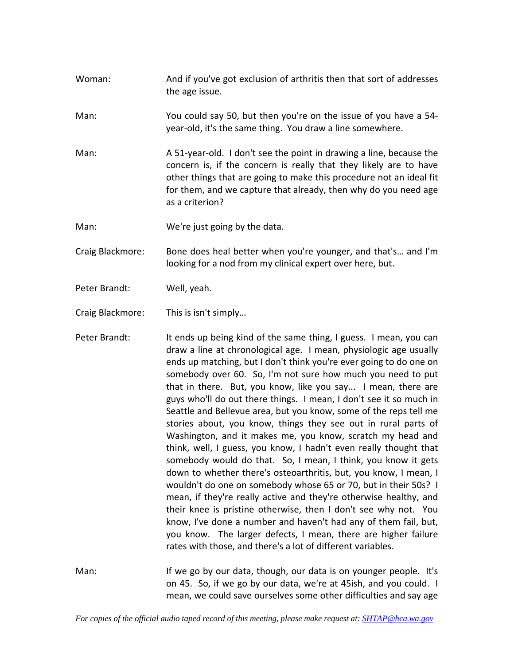- Woman: And if you've got exclusion of arthritis then that sort of addresses the age issue.
- Man: You could say 50, but then you're on the issue of you have a 54‐ year‐old, it's the same thing. You draw a line somewhere.
- Man: A 51-year-old. I don't see the point in drawing a line, because the concern is, if the concern is really that they likely are to have other things that are going to make this procedure not an ideal fit for them, and we capture that already, then why do you need age as a criterion?
- Man: We're just going by the data.

Craig Blackmore: Bone does heal better when you're younger, and that's… and I'm looking for a nod from my clinical expert over here, but.

Peter Brandt: Well, yeah.

Craig Blackmore: This is isn't simply…

Peter Brandt: It ends up being kind of the same thing, I guess. I mean, you can draw a line at chronological age. I mean, physiologic age usually ends up matching, but I don't think you're ever going to do one on somebody over 60. So, I'm not sure how much you need to put that in there. But, you know, like you say... I mean, there are guys who'll do out there things. I mean, I don't see it so much in Seattle and Bellevue area, but you know, some of the reps tell me stories about, you know, things they see out in rural parts of Washington, and it makes me, you know, scratch my head and think, well, I guess, you know, I hadn't even really thought that somebody would do that. So, I mean, I think, you know it gets down to whether there's osteoarthritis, but, you know, I mean, I wouldn't do one on somebody whose 65 or 70, but in their 50s? I mean, if they're really active and they're otherwise healthy, and their knee is pristine otherwise, then I don't see why not. You know, I've done a number and haven't had any of them fail, but, you know. The larger defects, I mean, there are higher failure rates with those, and there's a lot of different variables.

Man: If we go by our data, though, our data is on younger people. It's on 45. So, if we go by our data, we're at 45ish, and you could. I mean, we could save ourselves some other difficulties and say age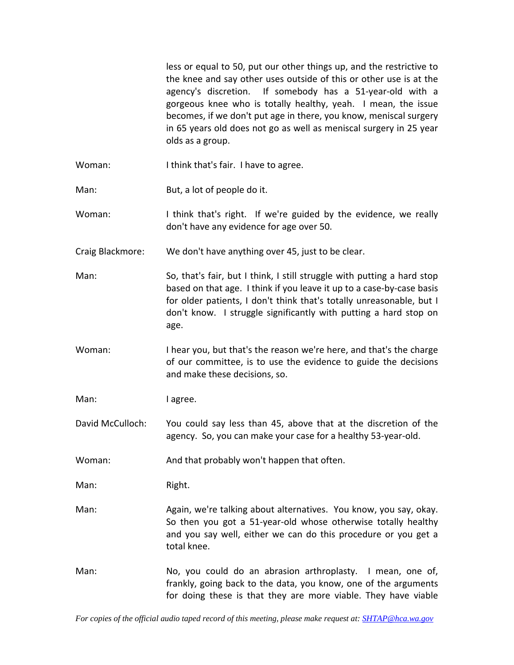less or equal to 50, put our other things up, and the restrictive to the knee and say other uses outside of this or other use is at the agency's discretion. If somebody has a 51‐year‐old with a gorgeous knee who is totally healthy, yeah. I mean, the issue becomes, if we don't put age in there, you know, meniscal surgery in 65 years old does not go as well as meniscal surgery in 25 year olds as a group.

- Woman: I think that's fair. I have to agree.
- Man: But, a lot of people do it.
- Woman: I think that's right. If we're guided by the evidence, we really don't have any evidence for age over 50.
- Craig Blackmore: We don't have anything over 45, just to be clear.
- Man: So, that's fair, but I think, I still struggle with putting a hard stop based on that age. I think if you leave it up to a case‐by‐case basis for older patients, I don't think that's totally unreasonable, but I don't know. I struggle significantly with putting a hard stop on age.
- Woman: I hear you, but that's the reason we're here, and that's the charge of our committee, is to use the evidence to guide the decisions and make these decisions, so.

Man: I agree.

David McCulloch: You could say less than 45, above that at the discretion of the agency. So, you can make your case for a healthy 53‐year‐old.

Woman: And that probably won't happen that often.

Man: Right.

- Man: Again, we're talking about alternatives. You know, you say, okay. So then you got a 51‐year‐old whose otherwise totally healthy and you say well, either we can do this procedure or you get a total knee.
- Man: No, you could do an abrasion arthroplasty. I mean, one of, frankly, going back to the data, you know, one of the arguments for doing these is that they are more viable. They have viable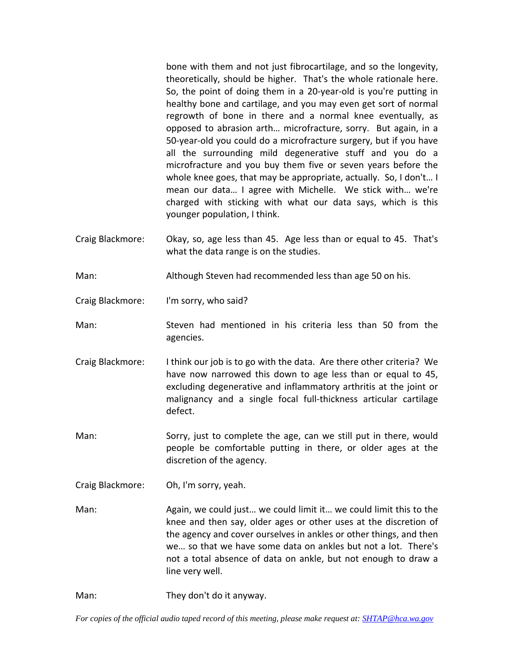bone with them and not just fibrocartilage, and so the longevity, theoretically, should be higher. That's the whole rationale here. So, the point of doing them in a 20‐year‐old is you're putting in healthy bone and cartilage, and you may even get sort of normal regrowth of bone in there and a normal knee eventually, as opposed to abrasion arth… microfracture, sorry. But again, in a 50‐year‐old you could do a microfracture surgery, but if you have all the surrounding mild degenerative stuff and you do a microfracture and you buy them five or seven years before the whole knee goes, that may be appropriate, actually. So, I don't… I mean our data… I agree with Michelle. We stick with… we're charged with sticking with what our data says, which is this younger population, I think.

- Craig Blackmore: Okay, so, age less than 45. Age less than or equal to 45. That's what the data range is on the studies.
- Man: Although Steven had recommended less than age 50 on his.
- Craig Blackmore: I'm sorry, who said?
- Man: Steven had mentioned in his criteria less than 50 from the agencies.
- Craig Blackmore: I think our job is to go with the data. Are there other criteria? We have now narrowed this down to age less than or equal to 45, excluding degenerative and inflammatory arthritis at the joint or malignancy and a single focal full‐thickness articular cartilage defect.
- Man: Sorry, just to complete the age, can we still put in there, would people be comfortable putting in there, or older ages at the discretion of the agency.
- Craig Blackmore: Oh, I'm sorry, yeah.
- Man: Again, we could just… we could limit it… we could limit this to the knee and then say, older ages or other uses at the discretion of the agency and cover ourselves in ankles or other things, and then we… so that we have some data on ankles but not a lot. There's not a total absence of data on ankle, but not enough to draw a line very well.
- Man: They don't do it anyway.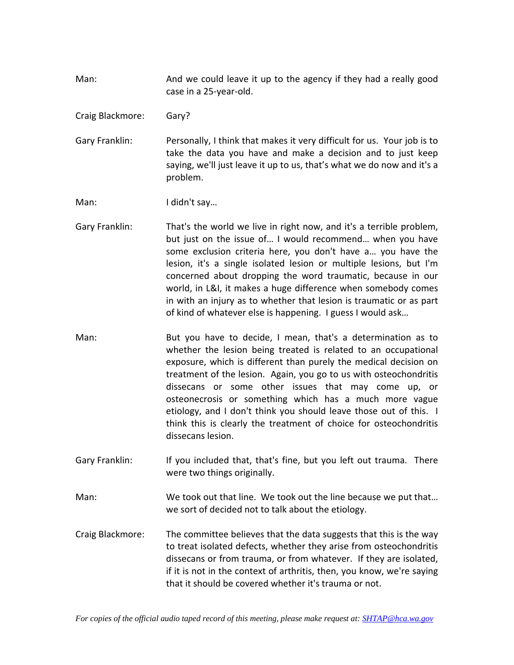- Man: And we could leave it up to the agency if they had a really good case in a 25‐year‐old.
- Craig Blackmore: Gary?

Gary Franklin: Personally, I think that makes it very difficult for us. Your job is to take the data you have and make a decision and to just keep saying, we'll just leave it up to us, that's what we do now and it's a problem.

Man: I didn't say...

- Gary Franklin: That's the world we live in right now, and it's a terrible problem, but just on the issue of… I would recommend… when you have some exclusion criteria here, you don't have a… you have the lesion, it's a single isolated lesion or multiple lesions, but I'm concerned about dropping the word traumatic, because in our world, in L&I, it makes a huge difference when somebody comes in with an injury as to whether that lesion is traumatic or as part of kind of whatever else is happening. I guess I would ask…
- Man: But you have to decide, I mean, that's a determination as to whether the lesion being treated is related to an occupational exposure, which is different than purely the medical decision on treatment of the lesion. Again, you go to us with osteochondritis dissecans or some other issues that may come up, or osteonecrosis or something which has a much more vague etiology, and I don't think you should leave those out of this. I think this is clearly the treatment of choice for osteochondritis dissecans lesion.
- Gary Franklin: If you included that, that's fine, but you left out trauma. There were two things originally.
- Man: We took out that line. We took out the line because we put that… we sort of decided not to talk about the etiology.
- Craig Blackmore: The committee believes that the data suggests that this is the way to treat isolated defects, whether they arise from osteochondritis dissecans or from trauma, or from whatever. If they are isolated, if it is not in the context of arthritis, then, you know, we're saying that it should be covered whether it's trauma or not.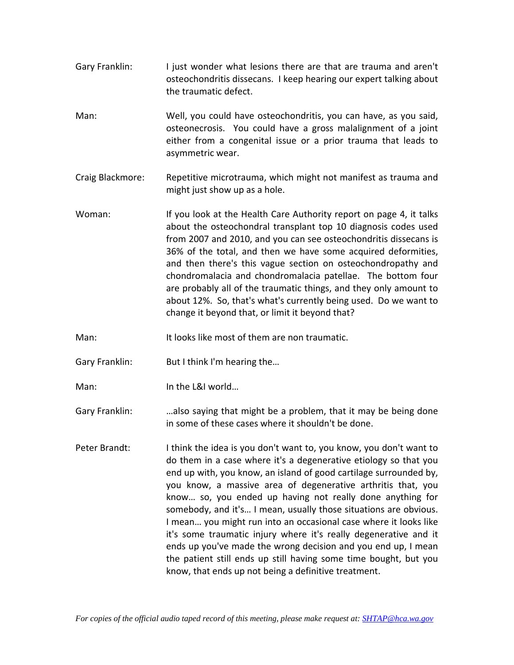- Gary Franklin: I just wonder what lesions there are that are trauma and aren't osteochondritis dissecans. I keep hearing our expert talking about the traumatic defect.
- Man: Well, you could have osteochondritis, you can have, as you said, osteonecrosis. You could have a gross malalignment of a joint either from a congenital issue or a prior trauma that leads to asymmetric wear.
- Craig Blackmore: Repetitive microtrauma, which might not manifest as trauma and might just show up as a hole.
- Woman: If you look at the Health Care Authority report on page 4, it talks about the osteochondral transplant top 10 diagnosis codes used from 2007 and 2010, and you can see osteochondritis dissecans is 36% of the total, and then we have some acquired deformities, and then there's this vague section on osteochondropathy and chondromalacia and chondromalacia patellae. The bottom four are probably all of the traumatic things, and they only amount to about 12%. So, that's what's currently being used. Do we want to change it beyond that, or limit it beyond that?
- Man: It looks like most of them are non traumatic.
- Gary Franklin: But I think I'm hearing the...
- Man: In the L&I world…
- Gary Franklin: …also saying that might be a problem, that it may be being done in some of these cases where it shouldn't be done.
- Peter Brandt: I think the idea is you don't want to, you know, you don't want to do them in a case where it's a degenerative etiology so that you end up with, you know, an island of good cartilage surrounded by, you know, a massive area of degenerative arthritis that, you know… so, you ended up having not really done anything for somebody, and it's… I mean, usually those situations are obvious. I mean… you might run into an occasional case where it looks like it's some traumatic injury where it's really degenerative and it ends up you've made the wrong decision and you end up, I mean the patient still ends up still having some time bought, but you know, that ends up not being a definitive treatment.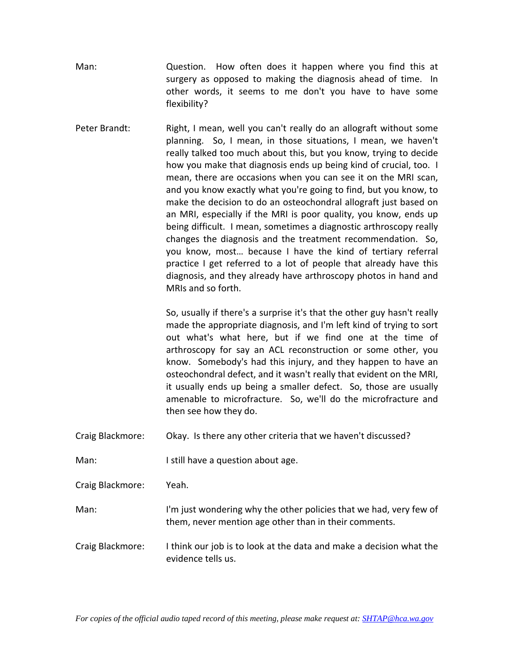Man: Question. How often does it happen where you find this at surgery as opposed to making the diagnosis ahead of time. In other words, it seems to me don't you have to have some flexibility?

Peter Brandt: Right, I mean, well you can't really do an allograft without some planning. So, I mean, in those situations, I mean, we haven't really talked too much about this, but you know, trying to decide how you make that diagnosis ends up being kind of crucial, too. I mean, there are occasions when you can see it on the MRI scan, and you know exactly what you're going to find, but you know, to make the decision to do an osteochondral allograft just based on an MRI, especially if the MRI is poor quality, you know, ends up being difficult. I mean, sometimes a diagnostic arthroscopy really changes the diagnosis and the treatment recommendation. So, you know, most… because I have the kind of tertiary referral practice I get referred to a lot of people that already have this diagnosis, and they already have arthroscopy photos in hand and MRIs and so forth.

> So, usually if there's a surprise it's that the other guy hasn't really made the appropriate diagnosis, and I'm left kind of trying to sort out what's what here, but if we find one at the time of arthroscopy for say an ACL reconstruction or some other, you know. Somebody's had this injury, and they happen to have an osteochondral defect, and it wasn't really that evident on the MRI, it usually ends up being a smaller defect. So, those are usually amenable to microfracture. So, we'll do the microfracture and then see how they do.

- Craig Blackmore: Okay. Is there any other criteria that we haven't discussed?
- Man: I still have a question about age.

Craig Blackmore: Yeah.

- Man: I'm just wondering why the other policies that we had, very few of them, never mention age other than in their comments.
- Craig Blackmore: I think our job is to look at the data and make a decision what the evidence tells us.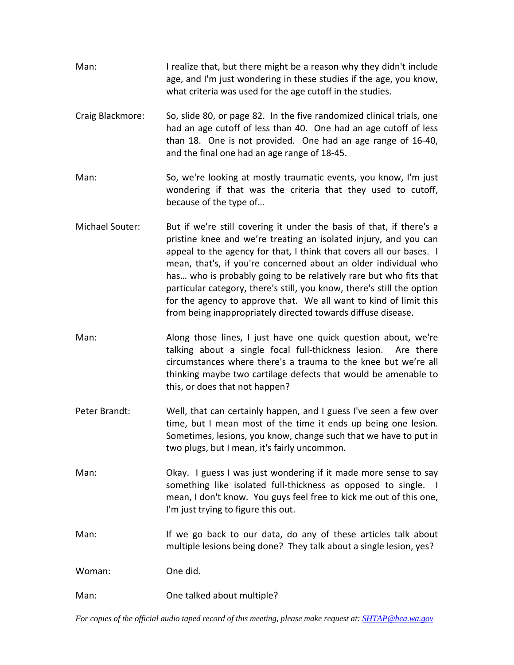- Man: I realize that, but there might be a reason why they didn't include age, and I'm just wondering in these studies if the age, you know, what criteria was used for the age cutoff in the studies.
- Craig Blackmore: So, slide 80, or page 82. In the five randomized clinical trials, one had an age cutoff of less than 40. One had an age cutoff of less than 18. One is not provided. One had an age range of 16‐40, and the final one had an age range of 18‐45.
- Man: So, we're looking at mostly traumatic events, you know, I'm just wondering if that was the criteria that they used to cutoff, because of the type of…
- Michael Souter: But if we're still covering it under the basis of that, if there's a pristine knee and we're treating an isolated injury, and you can appeal to the agency for that, I think that covers all our bases. I mean, that's, if you're concerned about an older individual who has… who is probably going to be relatively rare but who fits that particular category, there's still, you know, there's still the option for the agency to approve that. We all want to kind of limit this from being inappropriately directed towards diffuse disease.
- Man: Along those lines, I just have one quick question about, we're talking about a single focal full‐thickness lesion. Are there circumstances where there's a trauma to the knee but we're all thinking maybe two cartilage defects that would be amenable to this, or does that not happen?
- Peter Brandt: Well, that can certainly happen, and I guess I've seen a few over time, but I mean most of the time it ends up being one lesion. Sometimes, lesions, you know, change such that we have to put in two plugs, but I mean, it's fairly uncommon.
- Man: Char Gokay. I guess I was just wondering if it made more sense to say something like isolated full-thickness as opposed to single. I mean, I don't know. You guys feel free to kick me out of this one, I'm just trying to figure this out.
- Man: If we go back to our data, do any of these articles talk about multiple lesions being done? They talk about a single lesion, yes?

Woman: One did.

Man: One talked about multiple?

*For copies of the official audio taped record of this meeting, please make request at: SHTAP@hca.wa.gov*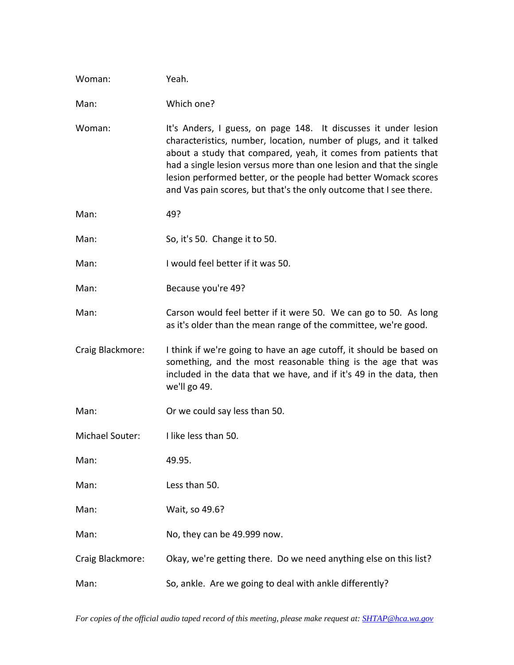| Woman:           | Yeah.                                                                                                                                                                                                                                                                                                                                                                                                                  |
|------------------|------------------------------------------------------------------------------------------------------------------------------------------------------------------------------------------------------------------------------------------------------------------------------------------------------------------------------------------------------------------------------------------------------------------------|
| Man:             | Which one?                                                                                                                                                                                                                                                                                                                                                                                                             |
| Woman:           | It's Anders, I guess, on page 148. It discusses it under lesion<br>characteristics, number, location, number of plugs, and it talked<br>about a study that compared, yeah, it comes from patients that<br>had a single lesion versus more than one lesion and that the single<br>lesion performed better, or the people had better Womack scores<br>and Vas pain scores, but that's the only outcome that I see there. |
| Man:             | 49?                                                                                                                                                                                                                                                                                                                                                                                                                    |
| Man:             | So, it's 50. Change it to 50.                                                                                                                                                                                                                                                                                                                                                                                          |
| Man:             | I would feel better if it was 50.                                                                                                                                                                                                                                                                                                                                                                                      |
| Man:             | Because you're 49?                                                                                                                                                                                                                                                                                                                                                                                                     |
| Man:             | Carson would feel better if it were 50. We can go to 50. As long<br>as it's older than the mean range of the committee, we're good.                                                                                                                                                                                                                                                                                    |
| Craig Blackmore: | I think if we're going to have an age cutoff, it should be based on<br>something, and the most reasonable thing is the age that was<br>included in the data that we have, and if it's 49 in the data, then<br>we'll go 49.                                                                                                                                                                                             |
| Man:             | Or we could say less than 50.                                                                                                                                                                                                                                                                                                                                                                                          |
| Michael Souter:  | I like less than 50.                                                                                                                                                                                                                                                                                                                                                                                                   |
| Man:             | 49.95.                                                                                                                                                                                                                                                                                                                                                                                                                 |
| Man:             | Less than 50.                                                                                                                                                                                                                                                                                                                                                                                                          |
| Man:             | Wait, so 49.6?                                                                                                                                                                                                                                                                                                                                                                                                         |
| Man:             | No, they can be 49.999 now.                                                                                                                                                                                                                                                                                                                                                                                            |
| Craig Blackmore: | Okay, we're getting there. Do we need anything else on this list?                                                                                                                                                                                                                                                                                                                                                      |
| Man:             | So, ankle. Are we going to deal with ankle differently?                                                                                                                                                                                                                                                                                                                                                                |

*For copies of the official audio taped record of this meeting, please make request at: SHTAP@hca.wa.gov*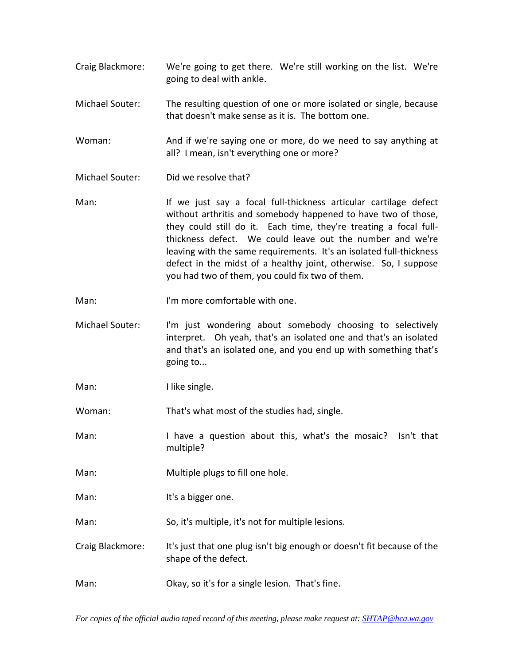- Craig Blackmore: We're going to get there. We're still working on the list. We're going to deal with ankle.
- Michael Souter: The resulting question of one or more isolated or single, because that doesn't make sense as it is. The bottom one.
- Woman: And if we're saying one or more, do we need to say anything at all? I mean, isn't everything one or more?
- Michael Souter: Did we resolve that?
- Man: If we just say a focal full-thickness articular cartilage defect without arthritis and somebody happened to have two of those, they could still do it. Each time, they're treating a focal fullthickness defect. We could leave out the number and we're leaving with the same requirements. It's an isolated full-thickness defect in the midst of a healthy joint, otherwise. So, I suppose you had two of them, you could fix two of them.
- Man: I'm more comfortable with one.
- Michael Souter: I'm just wondering about somebody choosing to selectively interpret. Oh yeah, that's an isolated one and that's an isolated and that's an isolated one, and you end up with something that's going to...
- Man: I like single.

Woman: That's what most of the studies had, single.

Man: I have a question about this, what's the mosaic? Isn't that multiple?

- Man: Multiple plugs to fill one hole.
- Man: It's a bigger one.

Man: So, it's multiple, it's not for multiple lesions.

Craig Blackmore: It's just that one plug isn't big enough or doesn't fit because of the shape of the defect.

Man: Okay, so it's for a single lesion. That's fine.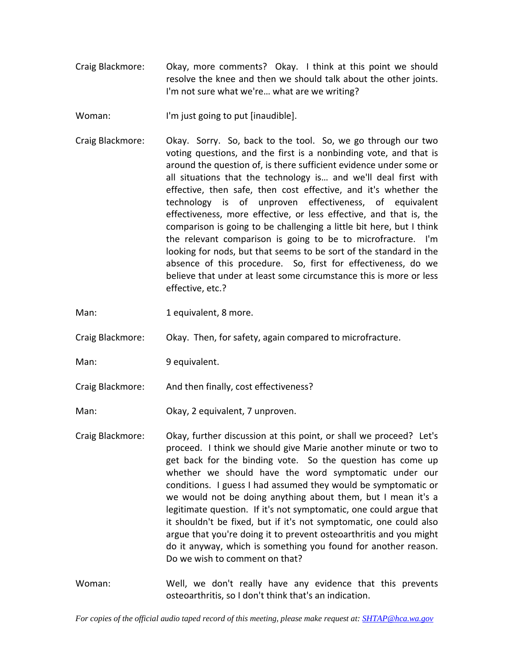Craig Blackmore: Okay, more comments? Okay. I think at this point we should resolve the knee and then we should talk about the other joints. I'm not sure what we're… what are we writing?

Woman: I'm just going to put [inaudible].

- Craig Blackmore: Okay. Sorry. So, back to the tool. So, we go through our two voting questions, and the first is a nonbinding vote, and that is around the question of, is there sufficient evidence under some or all situations that the technology is… and we'll deal first with effective, then safe, then cost effective, and it's whether the technology is of unproven effectiveness, of equivalent effectiveness, more effective, or less effective, and that is, the comparison is going to be challenging a little bit here, but I think the relevant comparison is going to be to microfracture. I'm looking for nods, but that seems to be sort of the standard in the absence of this procedure. So, first for effectiveness, do we believe that under at least some circumstance this is more or less effective, etc.?
- Man: 1 equivalent, 8 more.

Craig Blackmore: Okay. Then, for safety, again compared to microfracture.

- Man: 9 equivalent.
- Craig Blackmore: And then finally, cost effectiveness?

Man: Okay, 2 equivalent, 7 unproven.

- Craig Blackmore: Okay, further discussion at this point, or shall we proceed? Let's proceed. I think we should give Marie another minute or two to get back for the binding vote. So the question has come up whether we should have the word symptomatic under our conditions. I guess I had assumed they would be symptomatic or we would not be doing anything about them, but I mean it's a legitimate question. If it's not symptomatic, one could argue that it shouldn't be fixed, but if it's not symptomatic, one could also argue that you're doing it to prevent osteoarthritis and you might do it anyway, which is something you found for another reason. Do we wish to comment on that?
- Woman: Well, we don't really have any evidence that this prevents osteoarthritis, so I don't think that's an indication.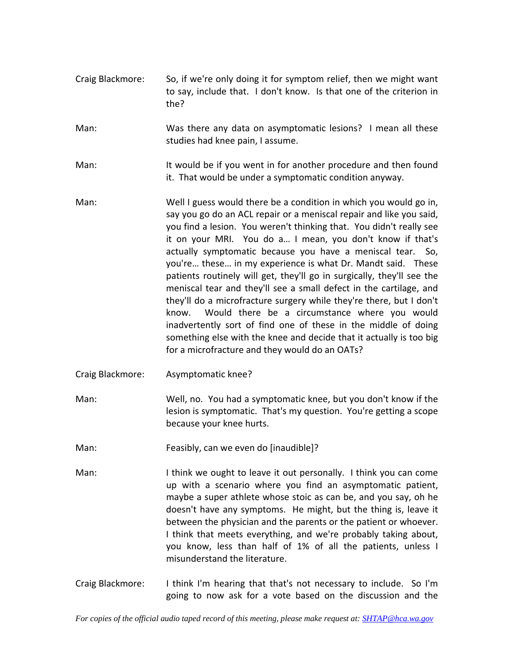- Craig Blackmore: So, if we're only doing it for symptom relief, then we might want to say, include that. I don't know. Is that one of the criterion in the?
- Man: Was there any data on asymptomatic lesions? I mean all these studies had knee pain, I assume.
- Man: It would be if you went in for another procedure and then found it. That would be under a symptomatic condition anyway.
- Man: Well I guess would there be a condition in which you would go in, say you go do an ACL repair or a meniscal repair and like you said, you find a lesion. You weren't thinking that. You didn't really see it on your MRI. You do a... I mean, you don't know if that's actually symptomatic because you have a meniscal tear. So, you're… these… in my experience is what Dr. Mandt said. These patients routinely will get, they'll go in surgically, they'll see the meniscal tear and they'll see a small defect in the cartilage, and they'll do a microfracture surgery while they're there, but I don't know. Would there be a circumstance where you would inadvertently sort of find one of these in the middle of doing something else with the knee and decide that it actually is too big for a microfracture and they would do an OATs?
- Craig Blackmore: Asymptomatic knee?
- Man: Well, no. You had a symptomatic knee, but you don't know if the lesion is symptomatic. That's my question. You're getting a scope because your knee hurts.
- Man: Feasibly, can we even do [inaudible]?
- Man: I think we ought to leave it out personally. I think you can come up with a scenario where you find an asymptomatic patient, maybe a super athlete whose stoic as can be, and you say, oh he doesn't have any symptoms. He might, but the thing is, leave it between the physician and the parents or the patient or whoever. I think that meets everything, and we're probably taking about, you know, less than half of 1% of all the patients, unless I misunderstand the literature.
- Craig Blackmore: I think I'm hearing that that's not necessary to include. So I'm going to now ask for a vote based on the discussion and the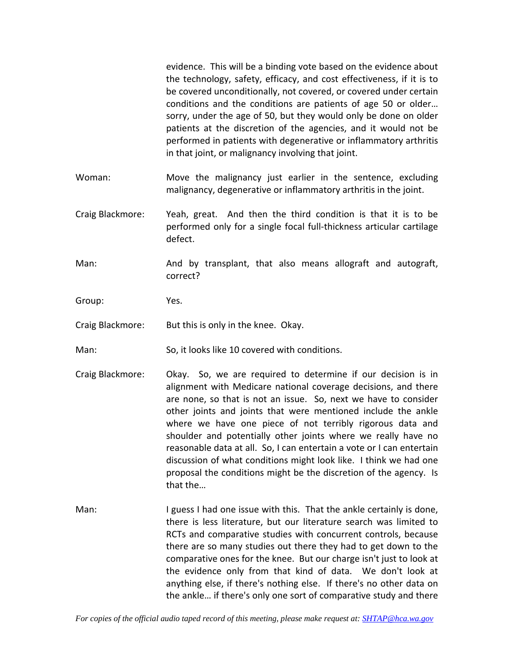evidence. This will be a binding vote based on the evidence about the technology, safety, efficacy, and cost effectiveness, if it is to be covered unconditionally, not covered, or covered under certain conditions and the conditions are patients of age 50 or older… sorry, under the age of 50, but they would only be done on older patients at the discretion of the agencies, and it would not be performed in patients with degenerative or inflammatory arthritis in that joint, or malignancy involving that joint.

- Woman: Move the malignancy just earlier in the sentence, excluding malignancy, degenerative or inflammatory arthritis in the joint.
- Craig Blackmore: Yeah, great. And then the third condition is that it is to be performed only for a single focal full-thickness articular cartilage defect.
- Man: And by transplant, that also means allograft and autograft, correct?
- Group: Yes.
- Craig Blackmore: But this is only in the knee. Okay.
- Man: So, it looks like 10 covered with conditions.
- Craig Blackmore: Okay. So, we are required to determine if our decision is in alignment with Medicare national coverage decisions, and there are none, so that is not an issue. So, next we have to consider other joints and joints that were mentioned include the ankle where we have one piece of not terribly rigorous data and shoulder and potentially other joints where we really have no reasonable data at all. So, I can entertain a vote or I can entertain discussion of what conditions might look like. I think we had one proposal the conditions might be the discretion of the agency. Is that the…
- Man: I guess I had one issue with this. That the ankle certainly is done, there is less literature, but our literature search was limited to RCTs and comparative studies with concurrent controls, because there are so many studies out there they had to get down to the comparative ones for the knee. But our charge isn't just to look at the evidence only from that kind of data. We don't look at anything else, if there's nothing else. If there's no other data on the ankle… if there's only one sort of comparative study and there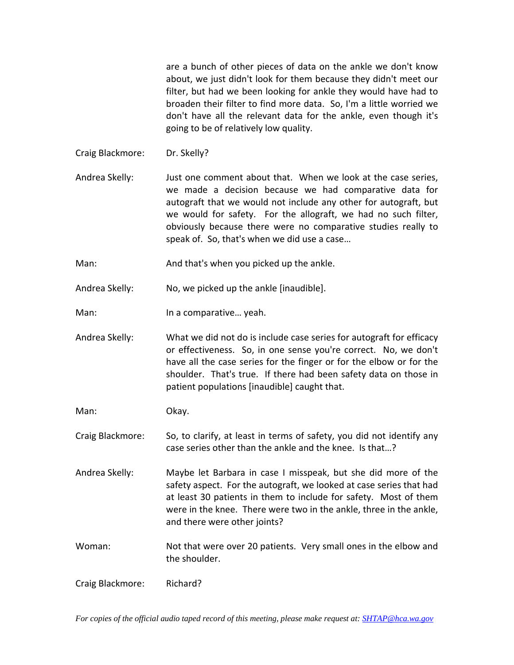are a bunch of other pieces of data on the ankle we don't know about, we just didn't look for them because they didn't meet our filter, but had we been looking for ankle they would have had to broaden their filter to find more data. So, I'm a little worried we don't have all the relevant data for the ankle, even though it's going to be of relatively low quality.

Craig Blackmore: Dr. Skelly?

Andrea Skelly: Just one comment about that. When we look at the case series, we made a decision because we had comparative data for autograft that we would not include any other for autograft, but we would for safety. For the allograft, we had no such filter, obviously because there were no comparative studies really to speak of. So, that's when we did use a case…

Man: And that's when you picked up the ankle.

Andrea Skelly: No, we picked up the ankle [inaudible].

Man: In a comparative... yeah.

Andrea Skelly: What we did not do is include case series for autograft for efficacy or effectiveness. So, in one sense you're correct. No, we don't have all the case series for the finger or for the elbow or for the shoulder. That's true. If there had been safety data on those in patient populations [inaudible] caught that.

Man: Okay.

Craig Blackmore: So, to clarify, at least in terms of safety, you did not identify any case series other than the ankle and the knee. Is that…?

Andrea Skelly: Maybe let Barbara in case I misspeak, but she did more of the safety aspect. For the autograft, we looked at case series that had at least 30 patients in them to include for safety. Most of them were in the knee. There were two in the ankle, three in the ankle, and there were other joints?

Woman: Not that were over 20 patients. Very small ones in the elbow and the shoulder.

Craig Blackmore: Richard?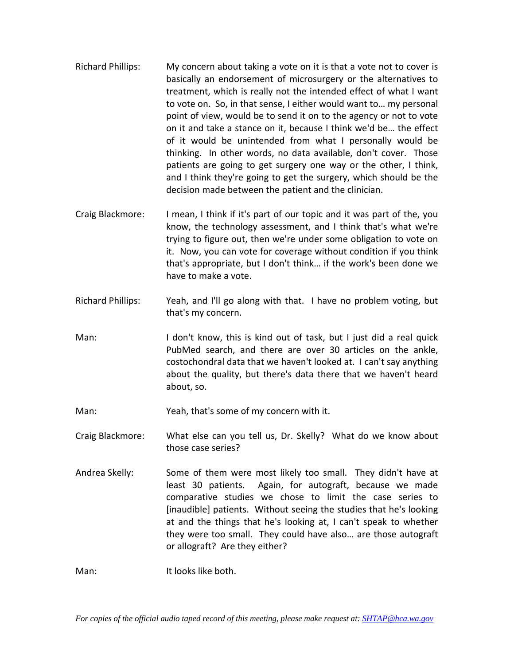- Richard Phillips: My concern about taking a vote on it is that a vote not to cover is basically an endorsement of microsurgery or the alternatives to treatment, which is really not the intended effect of what I want to vote on. So, in that sense, I either would want to… my personal point of view, would be to send it on to the agency or not to vote on it and take a stance on it, because I think we'd be… the effect of it would be unintended from what I personally would be thinking. In other words, no data available, don't cover. Those patients are going to get surgery one way or the other, I think, and I think they're going to get the surgery, which should be the decision made between the patient and the clinician.
- Craig Blackmore: I mean, I think if it's part of our topic and it was part of the, you know, the technology assessment, and I think that's what we're trying to figure out, then we're under some obligation to vote on it. Now, you can vote for coverage without condition if you think that's appropriate, but I don't think… if the work's been done we have to make a vote.
- Richard Phillips: Yeah, and I'll go along with that. I have no problem voting, but that's my concern.
- Man: I don't know, this is kind out of task, but I just did a real quick PubMed search, and there are over 30 articles on the ankle, costochondral data that we haven't looked at. I can't say anything about the quality, but there's data there that we haven't heard about, so.

Man: Yeah, that's some of my concern with it.

Craig Blackmore: What else can you tell us, Dr. Skelly? What do we know about those case series?

Andrea Skelly: Some of them were most likely too small. They didn't have at least 30 patients. Again, for autograft, because we made comparative studies we chose to limit the case series to [inaudible] patients. Without seeing the studies that he's looking at and the things that he's looking at, I can't speak to whether they were too small. They could have also… are those autograft or allograft? Are they either?

Man: It looks like both.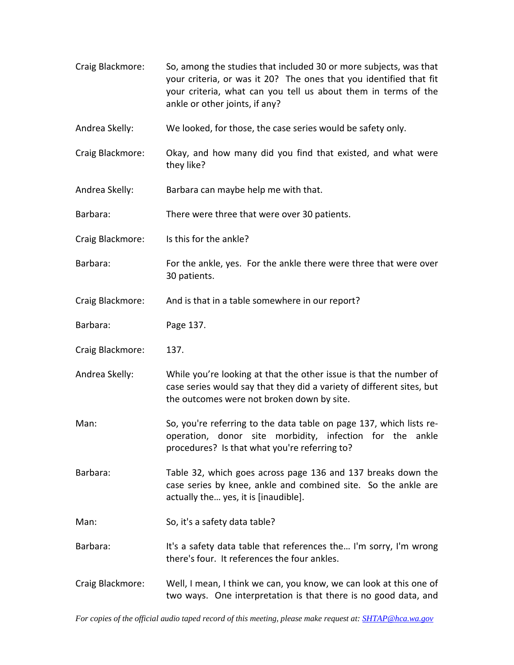Craig Blackmore: So, among the studies that included 30 or more subjects, was that your criteria, or was it 20? The ones that you identified that fit your criteria, what can you tell us about them in terms of the ankle or other joints, if any? Andrea Skelly: We looked, for those, the case series would be safety only. Craig Blackmore: Okay, and how many did you find that existed, and what were they like? Andrea Skelly: Barbara can maybe help me with that. Barbara: There were three that were over 30 patients. Craig Blackmore: Is this for the ankle? Barbara: For the ankle, yes. For the ankle there were three that were over 30 patients. Craig Blackmore: And is that in a table somewhere in our report? Barbara: Page 137. Craig Blackmore: 137. Andrea Skelly: While you're looking at that the other issue is that the number of case series would say that they did a variety of different sites, but the outcomes were not broken down by site. Man: So, you're referring to the data table on page 137, which lists reoperation, donor site morbidity, infection for the ankle procedures? Is that what you're referring to? Barbara: Table 32, which goes across page 136 and 137 breaks down the case series by knee, ankle and combined site. So the ankle are actually the… yes, it is [inaudible]. Man: So, it's a safety data table? Barbara: It's a safety data table that references the... I'm sorry, I'm wrong there's four. It references the four ankles. Craig Blackmore: Well, I mean, I think we can, you know, we can look at this one of two ways. One interpretation is that there is no good data, and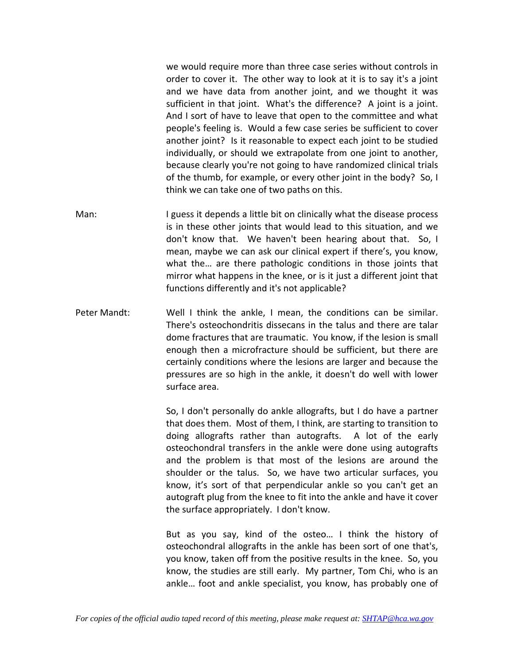we would require more than three case series without controls in order to cover it. The other way to look at it is to say it's a joint and we have data from another joint, and we thought it was sufficient in that joint. What's the difference? A joint is a joint. And I sort of have to leave that open to the committee and what people's feeling is. Would a few case series be sufficient to cover another joint? Is it reasonable to expect each joint to be studied individually, or should we extrapolate from one joint to another, because clearly you're not going to have randomized clinical trials of the thumb, for example, or every other joint in the body? So, I think we can take one of two paths on this.

- Man: I guess it depends a little bit on clinically what the disease process is in these other joints that would lead to this situation, and we don't know that. We haven't been hearing about that. So, I mean, maybe we can ask our clinical expert if there's, you know, what the… are there pathologic conditions in those joints that mirror what happens in the knee, or is it just a different joint that functions differently and it's not applicable?
- Peter Mandt: Well I think the ankle, I mean, the conditions can be similar. There's osteochondritis dissecans in the talus and there are talar dome fractures that are traumatic. You know, if the lesion is small enough then a microfracture should be sufficient, but there are certainly conditions where the lesions are larger and because the pressures are so high in the ankle, it doesn't do well with lower surface area.

So, I don't personally do ankle allografts, but I do have a partner that does them. Most of them, I think, are starting to transition to doing allografts rather than autografts. A lot of the early osteochondral transfers in the ankle were done using autografts and the problem is that most of the lesions are around the shoulder or the talus. So, we have two articular surfaces, you know, it's sort of that perpendicular ankle so you can't get an autograft plug from the knee to fit into the ankle and have it cover the surface appropriately. I don't know.

But as you say, kind of the osteo… I think the history of osteochondral allografts in the ankle has been sort of one that's, you know, taken off from the positive results in the knee. So, you know, the studies are still early. My partner, Tom Chi, who is an ankle… foot and ankle specialist, you know, has probably one of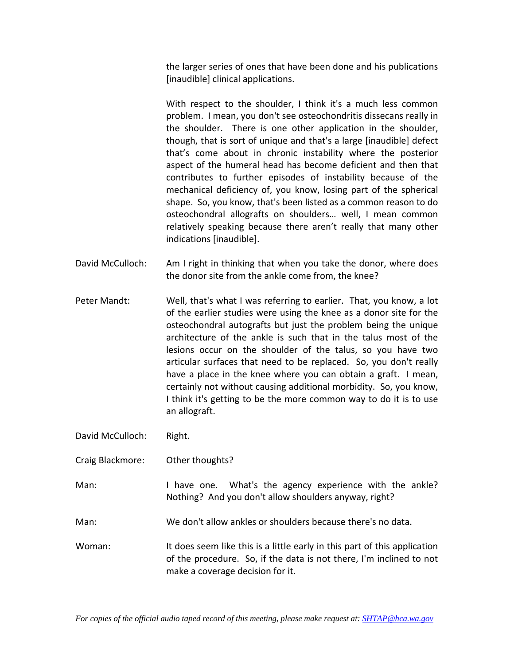the larger series of ones that have been done and his publications [inaudible] clinical applications.

With respect to the shoulder, I think it's a much less common problem. I mean, you don't see osteochondritis dissecans really in the shoulder. There is one other application in the shoulder, though, that is sort of unique and that's a large [inaudible] defect that's come about in chronic instability where the posterior aspect of the humeral head has become deficient and then that contributes to further episodes of instability because of the mechanical deficiency of, you know, losing part of the spherical shape. So, you know, that's been listed as a common reason to do osteochondral allografts on shoulders… well, I mean common relatively speaking because there aren't really that many other indications [inaudible].

- David McCulloch: Am I right in thinking that when you take the donor, where does the donor site from the ankle come from, the knee?
- Peter Mandt: Well, that's what I was referring to earlier. That, you know, a lot of the earlier studies were using the knee as a donor site for the osteochondral autografts but just the problem being the unique architecture of the ankle is such that in the talus most of the lesions occur on the shoulder of the talus, so you have two articular surfaces that need to be replaced. So, you don't really have a place in the knee where you can obtain a graft. I mean, certainly not without causing additional morbidity. So, you know, I think it's getting to be the more common way to do it is to use an allograft.

David McCulloch: Right.

- Craig Blackmore: Other thoughts?
- Man: I have one. What's the agency experience with the ankle? Nothing? And you don't allow shoulders anyway, right?
- Man: We don't allow ankles or shoulders because there's no data.
- Woman: It does seem like this is a little early in this part of this application of the procedure. So, if the data is not there, I'm inclined to not make a coverage decision for it.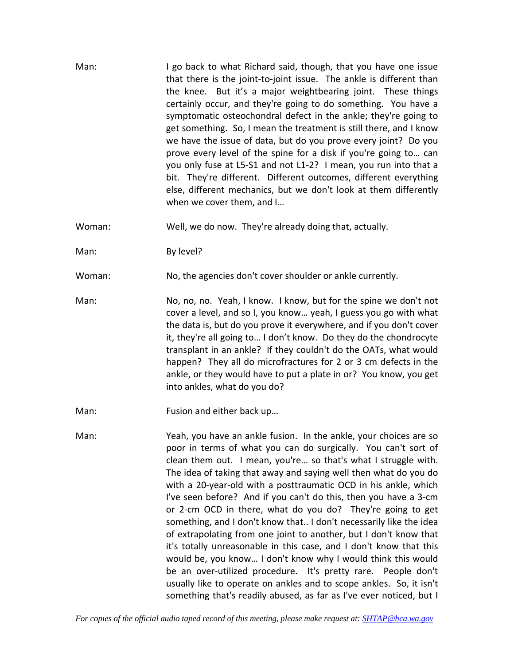Man: I go back to what Richard said, though, that you have one issue that there is the joint‐to‐joint issue. The ankle is different than the knee. But it's a major weightbearing joint. These things certainly occur, and they're going to do something. You have a symptomatic osteochondral defect in the ankle; they're going to get something. So, I mean the treatment is still there, and I know we have the issue of data, but do you prove every joint? Do you prove every level of the spine for a disk if you're going to… can you only fuse at L5‐S1 and not L1‐2? I mean, you run into that a bit. They're different. Different outcomes, different everything else, different mechanics, but we don't look at them differently when we cover them, and I…

Woman: Well, we do now. They're already doing that, actually.

Man: By level?

Woman: No, the agencies don't cover shoulder or ankle currently.

Man: No, no, no. Yeah, I know. I know, but for the spine we don't not cover a level, and so I, you know… yeah, I guess you go with what the data is, but do you prove it everywhere, and if you don't cover it, they're all going to… I don't know. Do they do the chondrocyte transplant in an ankle? If they couldn't do the OATs, what would happen? They all do microfractures for 2 or 3 cm defects in the ankle, or they would have to put a plate in or? You know, you get into ankles, what do you do?

Man: Fusion and either back up...

Man: Yeah, you have an ankle fusion. In the ankle, your choices are so poor in terms of what you can do surgically. You can't sort of clean them out. I mean, you're… so that's what I struggle with. The idea of taking that away and saying well then what do you do with a 20‐year‐old with a posttraumatic OCD in his ankle, which I've seen before? And if you can't do this, then you have a 3‐cm or 2‐cm OCD in there, what do you do? They're going to get something, and I don't know that.. I don't necessarily like the idea of extrapolating from one joint to another, but I don't know that it's totally unreasonable in this case, and I don't know that this would be, you know… I don't know why I would think this would be an over-utilized procedure. It's pretty rare. People don't usually like to operate on ankles and to scope ankles. So, it isn't something that's readily abused, as far as I've ever noticed, but I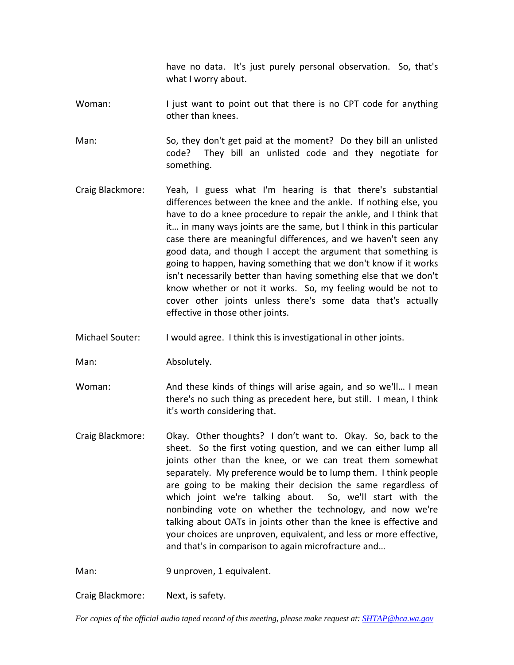have no data. It's just purely personal observation. So, that's what I worry about.

Woman: I just want to point out that there is no CPT code for anything other than knees.

Man: So, they don't get paid at the moment? Do they bill an unlisted code? They bill an unlisted code and they negotiate for something.

- Craig Blackmore: Yeah, I guess what I'm hearing is that there's substantial differences between the knee and the ankle. If nothing else, you have to do a knee procedure to repair the ankle, and I think that it… in many ways joints are the same, but I think in this particular case there are meaningful differences, and we haven't seen any good data, and though I accept the argument that something is going to happen, having something that we don't know if it works isn't necessarily better than having something else that we don't know whether or not it works. So, my feeling would be not to cover other joints unless there's some data that's actually effective in those other joints.
- Michael Souter: I would agree. I think this is investigational in other joints.

Man: Absolutely.

Woman: And these kinds of things will arise again, and so we'll... I mean there's no such thing as precedent here, but still. I mean, I think it's worth considering that.

Craig Blackmore: Okay. Other thoughts? I don't want to. Okay. So, back to the sheet. So the first voting question, and we can either lump all joints other than the knee, or we can treat them somewhat separately. My preference would be to lump them. I think people are going to be making their decision the same regardless of which joint we're talking about. So, we'll start with the nonbinding vote on whether the technology, and now we're talking about OATs in joints other than the knee is effective and your choices are unproven, equivalent, and less or more effective, and that's in comparison to again microfracture and…

Man: 9 unproven, 1 equivalent.

Craig Blackmore: Next, is safety.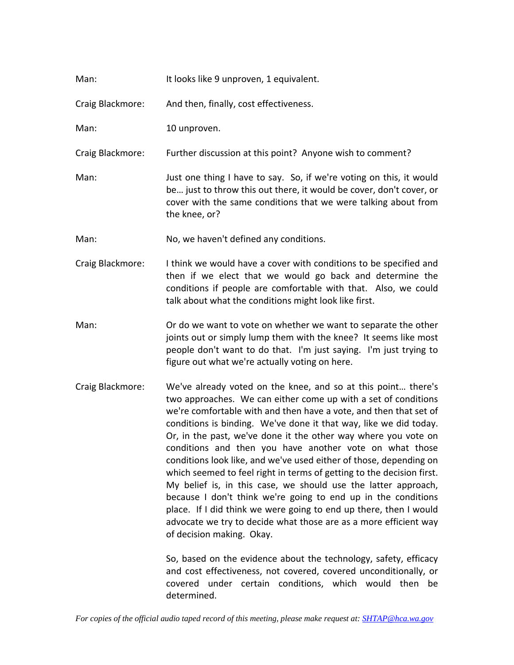| Man: | It looks like 9 unproven, 1 equivalent. |
|------|-----------------------------------------|
|------|-----------------------------------------|

Craig Blackmore: And then, finally, cost effectiveness.

Man: 10 unproven.

Craig Blackmore: Further discussion at this point? Anyone wish to comment?

- Man: Just one thing I have to say. So, if we're voting on this, it would be… just to throw this out there, it would be cover, don't cover, or cover with the same conditions that we were talking about from the knee, or?
- Man: No, we haven't defined any conditions.
- Craig Blackmore: I think we would have a cover with conditions to be specified and then if we elect that we would go back and determine the conditions if people are comfortable with that. Also, we could talk about what the conditions might look like first.
- Man: Or do we want to vote on whether we want to separate the other joints out or simply lump them with the knee? It seems like most people don't want to do that. I'm just saying. I'm just trying to figure out what we're actually voting on here.
- Craig Blackmore: We've already voted on the knee, and so at this point… there's two approaches. We can either come up with a set of conditions we're comfortable with and then have a vote, and then that set of conditions is binding. We've done it that way, like we did today. Or, in the past, we've done it the other way where you vote on conditions and then you have another vote on what those conditions look like, and we've used either of those, depending on which seemed to feel right in terms of getting to the decision first. My belief is, in this case, we should use the latter approach, because I don't think we're going to end up in the conditions place. If I did think we were going to end up there, then I would advocate we try to decide what those are as a more efficient way of decision making. Okay.

So, based on the evidence about the technology, safety, efficacy and cost effectiveness, not covered, covered unconditionally, or covered under certain conditions, which would then be determined.